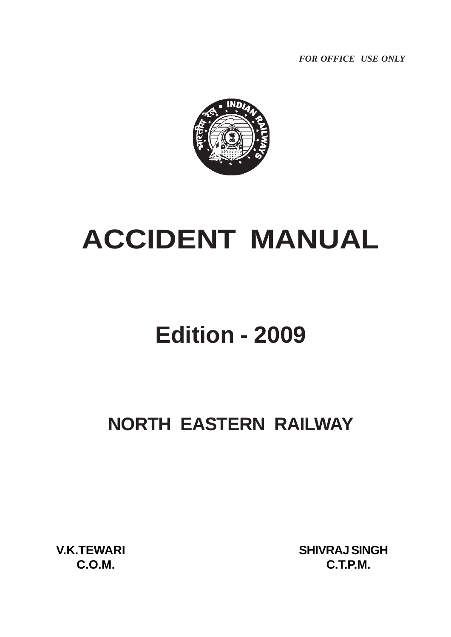*FOR OFFICE USE ONLY*



# **ACCIDENT MANUAL**

## **Edition - 2009**

### **NORTH EASTERN RAILWAY**

 **V.K.TEWARI SHIVRAJ SINGH C.O.M. C.T.P.M.**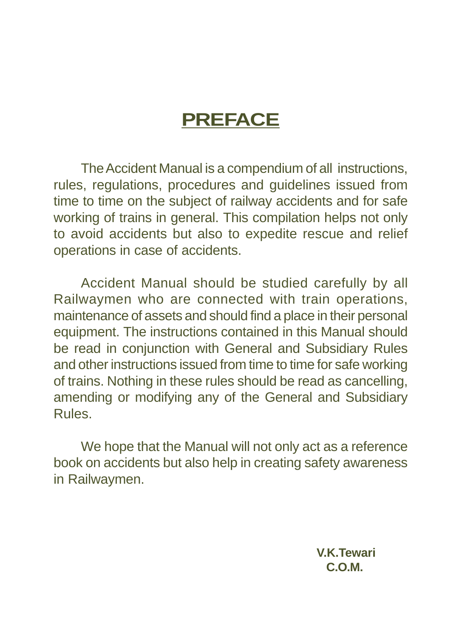## **PREFACE**

The Accident Manual is a compendium of all instructions, rules, regulations, procedures and guidelines issued from time to time on the subject of railway accidents and for safe working of trains in general. This compilation helps not only to avoid accidents but also to expedite rescue and relief operations in case of accidents.

Accident Manual should be studied carefully by all Railwaymen who are connected with train operations, maintenance of assets and should find a place in their personal equipment. The instructions contained in this Manual should be read in conjunction with General and Subsidiary Rules and other instructions issued from time to time for safe working of trains. Nothing in these rules should be read as cancelling, amending or modifying any of the General and Subsidiary Rules.

We hope that the Manual will not only act as a reference book on accidents but also help in creating safety awareness in Railwaymen.

> **V.K.Tewari C.O.M.**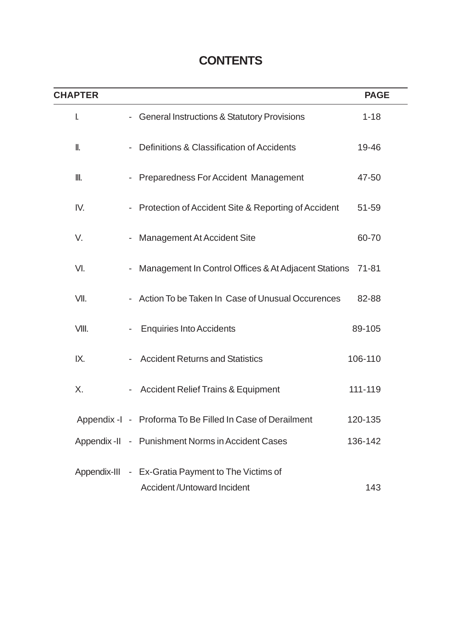### **CONTENTS**

| <b>CHAPTER</b> |                                                                                         |         | <b>PAGE</b> |
|----------------|-----------------------------------------------------------------------------------------|---------|-------------|
| I.             | - General Instructions & Statutory Provisions                                           |         | $1 - 18$    |
| II.            | - Definitions & Classification of Accidents                                             |         | 19-46       |
| Ⅲ.             | <b>Preparedness For Accident Management</b>                                             |         | 47-50       |
| IV.            | - Protection of Accident Site & Reporting of Accident                                   |         | 51-59       |
| V.             | <b>Management At Accident Site</b>                                                      |         | 60-70       |
| VI.            | Management In Control Offices & At Adjacent Stations                                    | 71-81   |             |
| VII.           | - Action To be Taken In Case of Unusual Occurences                                      |         | 82-88       |
| VIII.          | <b>Enquiries Into Accidents</b>                                                         | 89-105  |             |
| IX.            | <b>Accident Returns and Statistics</b>                                                  | 106-110 |             |
| Χ.             | <b>Accident Relief Trains &amp; Equipment</b>                                           | 111-119 |             |
|                | Appendix -I - Proforma To Be Filled In Case of Derailment                               | 120-135 |             |
|                | Appendix -II - Punishment Norms in Accident Cases                                       | 136-142 |             |
|                | Appendix-III - Ex-Gratia Payment to The Victims of<br><b>Accident/Untoward Incident</b> |         | 143         |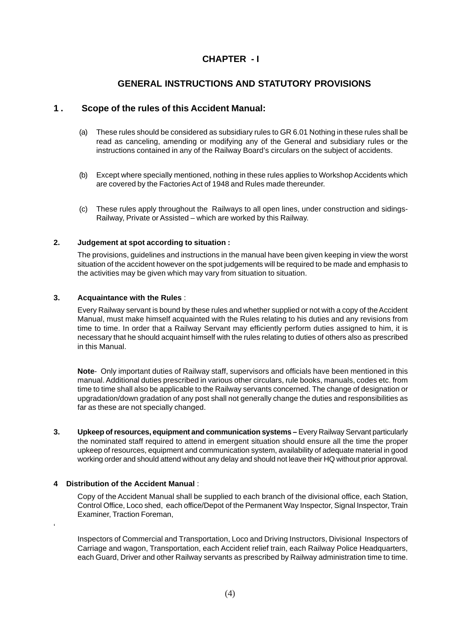#### **CHAPTER - I**

#### **GENERAL INSTRUCTIONS AND STATUTORY PROVISIONS**

#### **1 . Scope of the rules of this Accident Manual:**

- (a) These rules should be considered as subsidiary rules to GR 6.01 Nothing in these rules shall be read as canceling, amending or modifying any of the General and subsidiary rules or the instructions contained in any of the Railway Board's circulars on the subject of accidents.
- (b) Except where specially mentioned, nothing in these rules applies to Workshop Accidents which are covered by the Factories Act of 1948 and Rules made thereunder.
- (c) These rules apply throughout the Railways to all open lines, under construction and sidings-Railway, Private or Assisted – which are worked by this Railway.

#### **2. Judgement at spot according to situation :**

The provisions, guidelines and instructions in the manual have been given keeping in view the worst situation of the accident however on the spot judgements will be required to be made and emphasis to the activities may be given which may vary from situation to situation.

#### **3. Acquaintance with the Rules** :

Every Railway servant is bound by these rules and whether supplied or not with a copy of the Accident Manual, must make himself acquainted with the Rules relating to his duties and any revisions from time to time. In order that a Railway Servant may efficiently perform duties assigned to him, it is necessary that he should acquaint himself with the rules relating to duties of others also as prescribed in this Manual.

**Note**- Only important duties of Railway staff, supervisors and officials have been mentioned in this manual. Additional duties prescribed in various other circulars, rule books, manuals, codes etc. from time to time shall also be applicable to the Railway servants concerned. The change of designation or upgradation/down gradation of any post shall not generally change the duties and responsibilities as far as these are not specially changed.

**3. Upkeep of resources, equipment and communication systems –** Every Railway Servant particularly the nominated staff required to attend in emergent situation should ensure all the time the proper upkeep of resources, equipment and communication system, availability of adequate material in good working order and should attend without any delay and should not leave their HQ without prior approval.

#### **4 Distribution of the Accident Manual** :

'

Copy of the Accident Manual shall be supplied to each branch of the divisional office, each Station, Control Office, Loco shed, each office/Depot of the Permanent Way Inspector, Signal Inspector, Train Examiner, Traction Foreman,

Inspectors of Commercial and Transportation, Loco and Driving Instructors, Divisional Inspectors of Carriage and wagon, Transportation, each Accident relief train, each Railway Police Headquarters, each Guard, Driver and other Railway servants as prescribed by Railway administration time to time.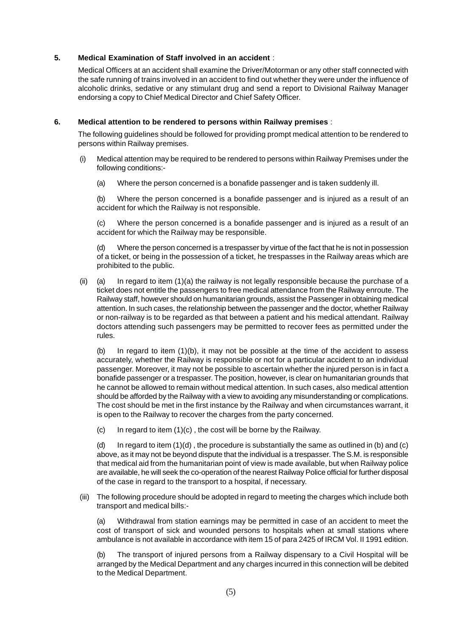#### **5. Medical Examination of Staff involved in an accident** :

Medical Officers at an accident shall examine the Driver/Motorman or any other staff connected with the safe running of trains involved in an accident to find out whether they were under the influence of alcoholic drinks, sedative or any stimulant drug and send a report to Divisional Railway Manager endorsing a copy to Chief Medical Director and Chief Safety Officer.

#### **6. Medical attention to be rendered to persons within Railway premises** :

The following guidelines should be followed for providing prompt medical attention to be rendered to persons within Railway premises.

- (i) Medical attention may be required to be rendered to persons within Railway Premises under the following conditions:-
	- (a) Where the person concerned is a bonafide passenger and is taken suddenly ill.

(b) Where the person concerned is a bonafide passenger and is injured as a result of an accident for which the Railway is not responsible.

(c) Where the person concerned is a bonafide passenger and is injured as a result of an accident for which the Railway may be responsible.

(d) Where the person concerned is a trespasser by virtue of the fact that he is not in possession of a ticket, or being in the possession of a ticket, he trespasses in the Railway areas which are prohibited to the public.

(ii) (a) In regard to item (1)(a) the railway is not legally responsible because the purchase of a ticket does not entitle the passengers to free medical attendance from the Railway enroute. The Railway staff, however should on humanitarian grounds, assist the Passenger in obtaining medical attention. In such cases, the relationship between the passenger and the doctor, whether Railway or non-railway is to be regarded as that between a patient and his medical attendant. Railway doctors attending such passengers may be permitted to recover fees as permitted under the rules.

(b) In regard to item  $(1)(b)$ , it may not be possible at the time of the accident to assess accurately, whether the Railway is responsible or not for a particular accident to an individual passenger. Moreover, it may not be possible to ascertain whether the injured person is in fact a bonafide passenger or a trespasser. The position, however, is clear on humanitarian grounds that he cannot be allowed to remain without medical attention. In such cases, also medical attention should be afforded by the Railway with a view to avoiding any misunderstanding or complications. The cost should be met in the first instance by the Railway and when circumstances warrant, it is open to the Railway to recover the charges from the party concerned.

(c) In regard to item  $(1)(c)$ , the cost will be borne by the Railway.

(d) In regard to item  $(1)(d)$ , the procedure is substantially the same as outlined in (b) and (c) above, as it may not be beyond dispute that the individual is a trespasser. The S.M. is responsible that medical aid from the humanitarian point of view is made available, but when Railway police are available, he will seek the co-operation of the nearest Railway Police official for further disposal of the case in regard to the transport to a hospital, if necessary.

(iii) The following procedure should be adopted in regard to meeting the charges which include both transport and medical bills:-

Withdrawal from station earnings may be permitted in case of an accident to meet the cost of transport of sick and wounded persons to hospitals when at small stations where ambulance is not available in accordance with item 15 of para 2425 of IRCM Vol. II 1991 edition.

(b) The transport of injured persons from a Railway dispensary to a Civil Hospital will be arranged by the Medical Department and any charges incurred in this connection will be debited to the Medical Department.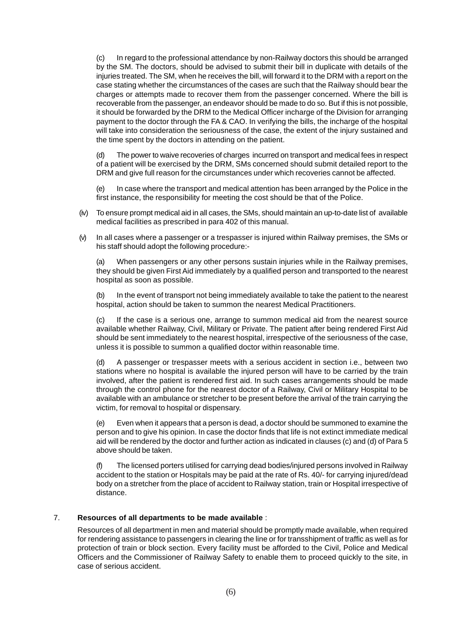(c) In regard to the professional attendance by non-Railway doctors this should be arranged by the SM. The doctors, should be advised to submit their bill in duplicate with details of the injuries treated. The SM, when he receives the bill, will forward it to the DRM with a report on the case stating whether the circumstances of the cases are such that the Railway should bear the charges or attempts made to recover them from the passenger concerned. Where the bill is recoverable from the passenger, an endeavor should be made to do so. But if this is not possible, it should be forwarded by the DRM to the Medical Officer incharge of the Division for arranging payment to the doctor through the FA & CAO. In verifying the bills, the incharge of the hospital will take into consideration the seriousness of the case, the extent of the injury sustained and the time spent by the doctors in attending on the patient.

(d) The power to waive recoveries of charges incurred on transport and medical fees in respect of a patient will be exercised by the DRM, SMs concerned should submit detailed report to the DRM and give full reason for the circumstances under which recoveries cannot be affected.

(e) In case where the transport and medical attention has been arranged by the Police in the first instance, the responsibility for meeting the cost should be that of the Police.

- (iv) To ensure prompt medical aid in all cases, the SMs, should maintain an up-to-date list of available medical facilities as prescribed in para 402 of this manual.
- (v) In all cases where a passenger or a trespasser is injured within Railway premises, the SMs or his staff should adopt the following procedure:-

(a) When passengers or any other persons sustain injuries while in the Railway premises, they should be given First Aid immediately by a qualified person and transported to the nearest hospital as soon as possible.

(b) In the event of transport not being immediately available to take the patient to the nearest hospital, action should be taken to summon the nearest Medical Practitioners.

(c) If the case is a serious one, arrange to summon medical aid from the nearest source available whether Railway, Civil, Military or Private. The patient after being rendered First Aid should be sent immediately to the nearest hospital, irrespective of the seriousness of the case, unless it is possible to summon a qualified doctor within reasonable time.

(d) A passenger or trespasser meets with a serious accident in section i.e., between two stations where no hospital is available the injured person will have to be carried by the train involved, after the patient is rendered first aid. In such cases arrangements should be made through the control phone for the nearest doctor of a Railway, Civil or Military Hospital to be available with an ambulance or stretcher to be present before the arrival of the train carrying the victim, for removal to hospital or dispensary.

(e) Even when it appears that a person is dead, a doctor should be summoned to examine the person and to give his opinion. In case the doctor finds that life is not extinct immediate medical aid will be rendered by the doctor and further action as indicated in clauses (c) and (d) of Para 5 above should be taken.

(f) The licensed porters utilised for carrying dead bodies/injured persons involved in Railway accident to the station or Hospitals may be paid at the rate of Rs. 40/- for carrying injured/dead body on a stretcher from the place of accident to Railway station, train or Hospital irrespective of distance.

#### 7. **Resources of all departments to be made available** :

Resources of all department in men and material should be promptly made available, when required for rendering assistance to passengers in clearing the line or for transshipment of traffic as well as for protection of train or block section. Every facility must be afforded to the Civil, Police and Medical Officers and the Commissioner of Railway Safety to enable them to proceed quickly to the site, in case of serious accident.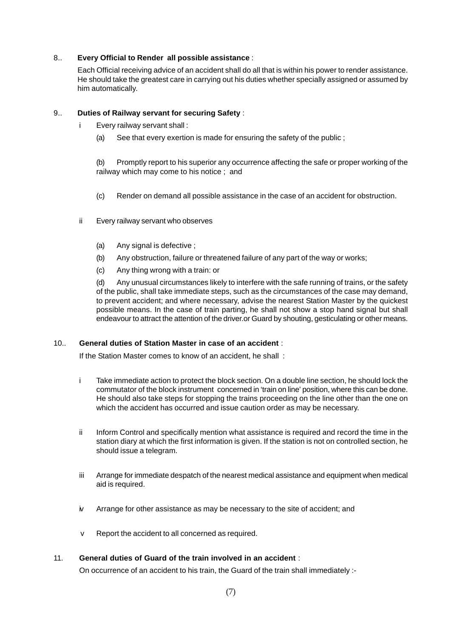#### 8.. **Every Official to Render all possible assistance** :

Each Official receiving advice of an accident shall do all that is within his power to render assistance. He should take the greatest care in carrying out his duties whether specially assigned or assumed by him automatically.

#### 9.. **Duties of Railway servant for securing Safety** :

- i Every railway servant shall :
	- (a) See that every exertion is made for ensuring the safety of the public ;

(b) Promptly report to his superior any occurrence affecting the safe or proper working of the railway which may come to his notice ; and

- (c) Render on demand all possible assistance in the case of an accident for obstruction.
- ii Every railway servant who observes
	- (a) Any signal is defective ;
	- (b) Any obstruction, failure or threatened failure of any part of the way or works;
	- (c) Any thing wrong with a train: or

(d) Any unusual circumstances likely to interfere with the safe running of trains, or the safety of the public, shall take immediate steps, such as the circumstances of the case may demand, to prevent accident; and where necessary, advise the nearest Station Master by the quickest possible means. In the case of train parting, he shall not show a stop hand signal but shall endeavour to attract the attention of the driver.or Guard by shouting, gesticulating or other means.

#### 10.. **General duties of Station Master in case of an accident** :

If the Station Master comes to know of an accident, he shall :

- i Take immediate action to protect the block section. On a double line section, he should lock the commutator of the block instrument concerned in 'train on line' position, where this can be done. He should also take steps for stopping the trains proceeding on the line other than the one on which the accident has occurred and issue caution order as may be necessary.
- ii Inform Control and specifically mention what assistance is required and record the time in the station diary at which the first information is given. If the station is not on controlled section, he should issue a telegram.
- iii Arrange for immediate despatch of the nearest medical assistance and equipment when medical aid is required.
- iv Arrange for other assistance as may be necessary to the site of accident; and
- v Report the accident to all concerned as required.

#### 11. **General duties of Guard of the train involved in an accident** :

On occurrence of an accident to his train, the Guard of the train shall immediately :-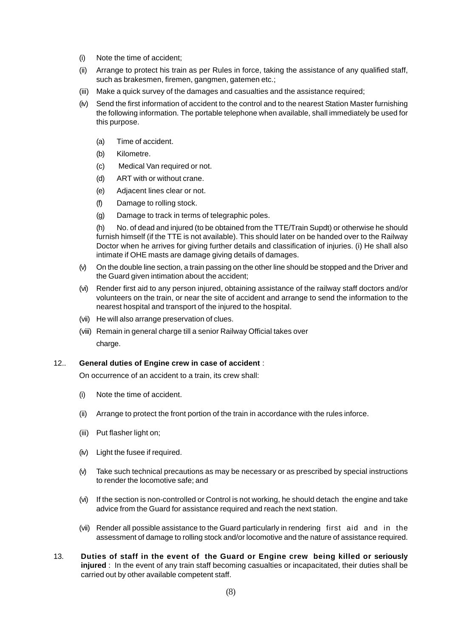- (i) Note the time of accident;
- (ii) Arrange to protect his train as per Rules in force, taking the assistance of any qualified staff, such as brakesmen, firemen, gangmen, gatemen etc.;
- (iii) Make a quick survey of the damages and casualties and the assistance required;
- (iv) Send the first information of accident to the control and to the nearest Station Master furnishing the following information. The portable telephone when available, shall immediately be used for this purpose.
	- (a) Time of accident.
	- (b) Kilometre.
	- (c) Medical Van required or not.
	- (d) ART with or without crane.
	- (e) Adjacent lines clear or not.
	- (f) Damage to rolling stock.
	- (g) Damage to track in terms of telegraphic poles.

(h) No. of dead and injured (to be obtained from the TTE/Train Supdt) or otherwise he should furnish himself (if the TTE is not available). This should later on be handed over to the Railway Doctor when he arrives for giving further details and classification of injuries. (i) He shall also intimate if OHE masts are damage giving details of damages.

- (v) On the double line section, a train passing on the other line should be stopped and the Driver and the Guard given intimation about the accident;
- (vi) Render first aid to any person injured, obtaining assistance of the railway staff doctors and/or volunteers on the train, or near the site of accident and arrange to send the information to the nearest hospital and transport of the injured to the hospital.
- (vii) He will also arrange preservation of clues.
- (viii) Remain in general charge till a senior Railway Official takes over charge.

#### 12.. **General duties of Engine crew in case of accident** :

On occurrence of an accident to a train, its crew shall:

- (i) Note the time of accident.
- (ii) Arrange to protect the front portion of the train in accordance with the rules inforce.
- (iii) Put flasher light on;
- (iv) Light the fusee if required.
- (v) Take such technical precautions as may be necessary or as prescribed by special instructions to render the locomotive safe; and
- (vi) If the section is non-controlled or Control is not working, he should detach the engine and take advice from the Guard for assistance required and reach the next station.
- (vii) Render all possible assistance to the Guard particularly in rendering first aid and in the assessment of damage to rolling stock and/or locomotive and the nature of assistance required.
- 13. **Duties of staff in the event of the Guard or Engine crew being killed or seriously injured** : In the event of any train staff becoming casualties or incapacitated, their duties shall be carried out by other available competent staff.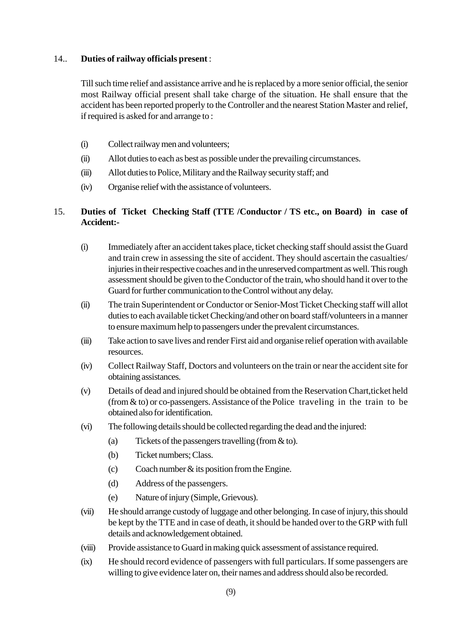#### 14.. **Duties of railway officials present** :

Till such time relief and assistance arrive and he is replaced by a more senior official, the senior most Railway official present shall take charge of the situation. He shall ensure that the accident has been reported properly to the Controller and the nearest Station Master and relief, if required is asked for and arrange to :

- (i) Collect railway men and volunteers;
- (ii) Allot duties to each as best as possible under the prevailing circumstances.
- (iii) Allot duties to Police, Military and the Railway security staff; and
- (iv) Organise relief with the assistance of volunteers.

#### 15. **Duties of Ticket Checking Staff (TTE /Conductor / TS etc., on Board) in case of Accident:-**

- (i) Immediately after an accident takes place, ticket checking staff should assist the Guard and train crew in assessing the site of accident. They should ascertain the casualties/ injuries in their respective coaches and in the unreserved compartment as well. This rough assessment should be given to the Conductor of the train, who should hand it over to the Guard for further communication to the Control without any delay.
- (ii) The train Superintendent or Conductor or Senior-Most Ticket Checking staff will allot duties to each available ticket Checking/and other on board staff/volunteers in a manner to ensure maximum help to passengers under the prevalent circumstances.
- (iii) Take action to save lives and render First aid and organise relief operation with available resources.
- (iv) Collect Railway Staff, Doctors and volunteers on the train or near the accident site for obtaining assistances.
- (v) Details of dead and injured should be obtained from the Reservation Chart,ticket held (from & to) or co-passengers. Assistance of the Police traveling in the train to be obtained also for identification.
- (vi) The following details should be collected regarding the dead and the injured:
	- (a) Tickets of the passengers travelling (from & to).
	- (b) Ticket numbers; Class.
	- $\text{Co}$  Coach number & its position from the Engine.
	- (d) Address of the passengers.
	- (e) Nature of injury (Simple, Grievous).
- (vii) He should arrange custody of luggage and other belonging. In case of injury, this should be kept by the TTE and in case of death, it should be handed over to the GRP with full details and acknowledgement obtained.
- (viii) Provide assistance to Guard in making quick assessment of assistance required.
- (ix) He should record evidence of passengers with full particulars. If some passengers are willing to give evidence later on, their names and address should also be recorded.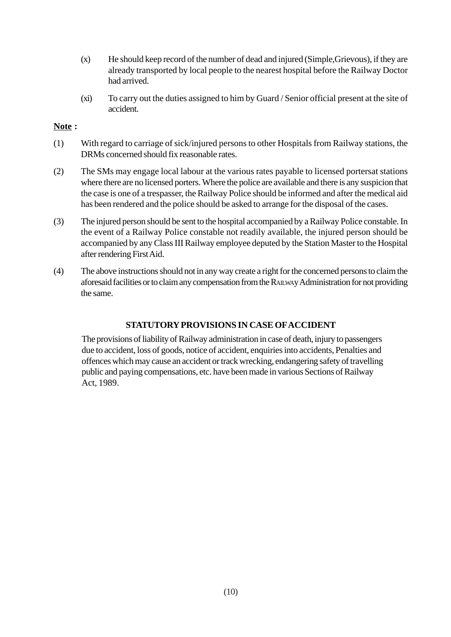- (x) He should keep record of the number of dead and injured (Simple,Grievous), if they are already transported by local people to the nearest hospital before the Railway Doctor had arrived.
- (xi) To carry out the duties assigned to him by Guard / Senior official present at the site of accident.

#### **Note :**

- (1) With regard to carriage of sick/injured persons to other Hospitals from Railway stations, the DRMs concerned should fix reasonable rates.
- (2) The SMs may engage local labour at the various rates payable to licensed portersat stations where there are no licensed porters. Where the police are available and there is any suspicion that the case is one of a trespasser, the Railway Police should be informed and after the medical aid has been rendered and the police should be asked to arrange for the disposal of the cases.
- (3) The injured person should be sent to the hospital accompanied by a Railway Police constable. In the event of a Railway Police constable not readily available, the injured person should be accompanied by any Class III Railway employee deputed by the Station Master to the Hospital after rendering First Aid.
- (4) The above instructions should not in any way create a right for the concerned persons to claim the aforesaid facilities or to claim any compensation from the RAILWAy Administration for not providing the same.

#### **STATUTORY PROVISIONS IN CASE OF ACCIDENT**

The provisions of liability of Railway administration in case of death, injury to passengers due to accident, loss of goods, notice of accident, enquiries into accidents, Penalties and offences which may cause an accident or track wrecking, endangering safety of travelling public and paying compensations, etc. have been made in various Sections of Railway Act, 1989.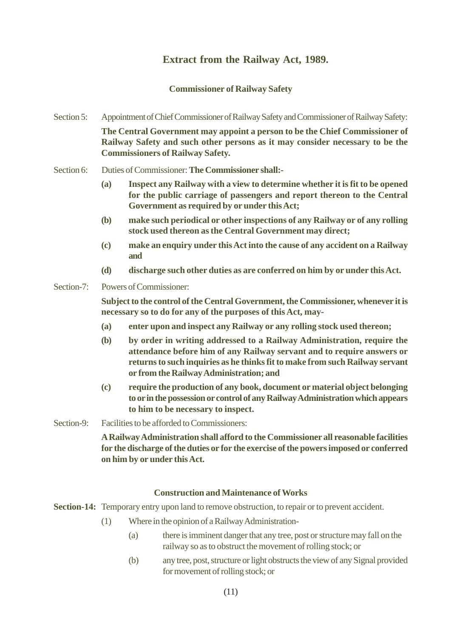#### **Extract from the Railway Act, 1989.**

#### **Commissioner of Railway Safety**

- Section 5: Appointment of Chief Commissioner of Railway Safety and Commissioner of Railway Safety: **The Central Government may appoint a person to be the Chief Commissioner of Railway Safety and such other persons as it may consider necessary to be the Commissioners of Railway Safety.**
- Section 6: Duties of Commissioner: **The Commissioner shall:-**
	- **(a) Inspect any Railway with a view to determine whether it is fit to be opened for the public carriage of passengers and report thereon to the Central Government as required by or under this Act;**
	- **(b) make such periodical or other inspections of any Railway or of any rolling stock used thereon as the Central Government may direct;**
	- **(c) make an enquiry under this Act into the cause of any accident on a Railway and**
	- **(d) discharge such other duties as are conferred on him by or under this Act.**
- Section-7: Powers of Commissioner:

**Subject to the control of the Central Government, the Commissioner, whenever it is necessary so to do for any of the purposes of this Act, may-**

- **(a) enter upon and inspect any Railway or any rolling stock used thereon;**
- **(b) by order in writing addressed to a Railway Administration, require the attendance before him of any Railway servant and to require answers or returns to such inquiries as he thinks fit to make from such Railway servant or from the Railway Administration; and**
- **(c) require the production of any book, document or material object belonging to or in the possession or control of any Railway Administration which appears to him to be necessary to inspect.**
- Section-9: Facilities to be afforded to Commissioners:

**A Railway Administration shall afford to the Commissioner all reasonable facilities for the discharge of the duties or for the exercise of the powers imposed or conferred on him by or under this Act.**

#### **Construction and Maintenance of Works**

**Section-14:** Temporary entry upon land to remove obstruction, to repair or to prevent accident.

- (1) Where in the opinion of a Railway Administration-
	- (a) there is imminent danger that any tree, post or structure may fall on the railway so as to obstruct the movement of rolling stock; or
	- (b) any tree, post, structure or light obstructs the view of any Signal provided for movement of rolling stock; or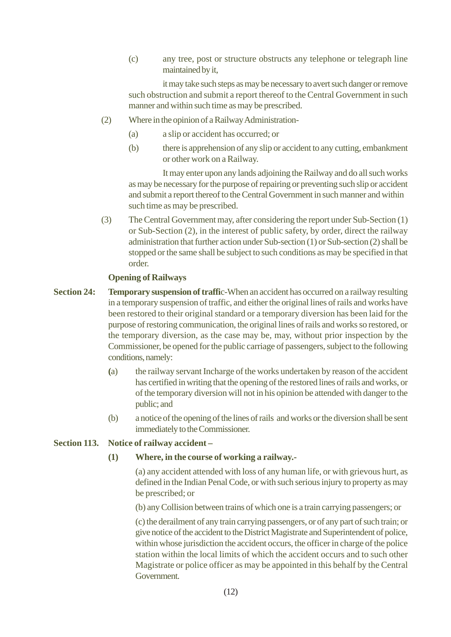(c) any tree, post or structure obstructs any telephone or telegraph line maintained by it,

it may take such steps as may be necessary to avert such danger or remove such obstruction and submit a report thereof to the Central Government in such manner and within such time as may be prescribed.

- (2) Where in the opinion of a Railway Administration-
	- (a) a slip or accident has occurred; or
	- (b) there is apprehension of any slip or accident to any cutting, embankment or other work on a Railway.

It may enter upon any lands adjoining the Railway and do all such works as may be necessary for the purpose of repairing or preventing such slip or accident and submit a report thereof to the Central Government in such manner and within such time as may be prescribed.

(3) The Central Government may, after considering the report under Sub-Section (1) or Sub-Section (2), in the interest of public safety, by order, direct the railway administration that further action under Sub-section (1) or Sub-section (2) shall be stopped or the same shall be subject to such conditions as may be specified in that order.

#### **Opening of Railways**

- **Section 24:** Temporary suspension of traffic-When an accident has occurred on a railway resulting in a temporary suspension of traffic, and either the original lines of rails and works have been restored to their original standard or a temporary diversion has been laid for the purpose of restoring communication, the original lines of rails and works so restored, or the temporary diversion, as the case may be, may, without prior inspection by the Commissioner, be opened for the public carriage of passengers, subject to the following conditions, namely:
	- **(**a) the railway servant Incharge of the works undertaken by reason of the accident has certified in writing that the opening of the restored lines of rails and works, or of the temporary diversion will not in his opinion be attended with danger to the public; and
	- (b) a notice of the opening of the lines of rails and works or the diversion shall be sent immediately to the Commissioner.

#### **Section 113. Notice of railway accident –**

**(1) Where, in the course of working a railway.-**

(a) any accident attended with loss of any human life, or with grievous hurt, as defined in the Indian Penal Code, or with such serious injury to property as may be prescribed; or

(b) any Collision between trains of which one is a train carrying passengers; or

(c) the derailment of any train carrying passengers, or of any part of such train; or give notice of the accident to the District Magistrate and Superintendent of police, within whose jurisdiction the accident occurs, the officer in charge of the police station within the local limits of which the accident occurs and to such other Magistrate or police officer as may be appointed in this behalf by the Central Government.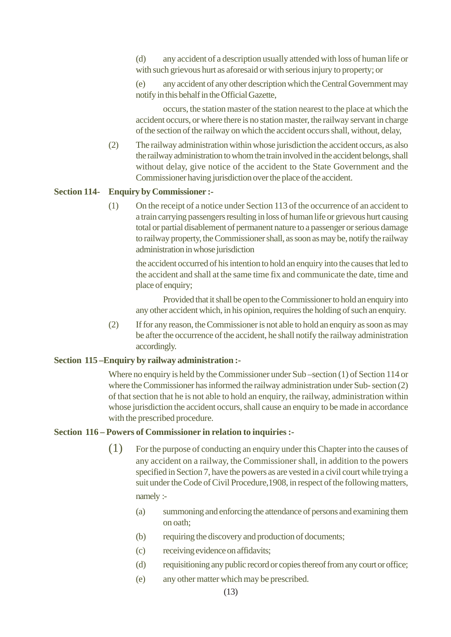(d) any accident of a description usually attended with loss of human life or with such grievous hurt as aforesaid or with serious injury to property; or

(e) any accident of any other description which the Central Government may notify in this behalf in the Official Gazette,

occurs, the station master of the station nearest to the place at which the accident occurs, or where there is no station master, the railway servant in charge of the section of the railway on which the accident occurs shall, without, delay,

(2) The railway administration within whose jurisdiction the accident occurs, as also the railway administration to whom the train involved in the accident belongs, shall without delay, give notice of the accident to the State Government and the Commissioner having jurisdiction over the place of the accident.

#### **Section 114- Enquiry by Commissioner :-**

(1) On the receipt of a notice under Section 113 of the occurrence of an accident to a train carrying passengers resulting in loss of human life or grievous hurt causing total or partial disablement of permanent nature to a passenger or serious damage to railway property, the Commissioner shall, as soon as may be, notify the railway administration in whose jurisdiction

the accident occurred of his intention to hold an enquiry into the causes that led to the accident and shall at the same time fix and communicate the date, time and place of enquiry;

Provided that it shall be open to the Commissioner to hold an enquiry into any other accident which, in his opinion, requires the holding of such an enquiry.

(2) If for any reason, the Commissioner is not able to hold an enquiry as soon as may be after the occurrence of the accident, he shall notify the railway administration accordingly.

#### **Section 115 –Enquiry by railway administration :-**

Where no enquiry is held by the Commissioner under Sub –section (1) of Section 114 or where the Commissioner has informed the railway administration under Sub- section (2) of that section that he is not able to hold an enquiry, the railway, administration within whose jurisdiction the accident occurs, shall cause an enquiry to be made in accordance with the prescribed procedure.

#### **Section 116 – Powers of Commissioner in relation to inquiries :-**

- (1) For the purpose of conducting an enquiry under this Chapter into the causes of any accident on a railway, the Commissioner shall, in addition to the powers specified in Section 7, have the powers as are vested in a civil court while trying a suit under the Code of Civil Procedure,1908, in respect of the following matters, namely :-
	- (a) summoning and enforcing the attendance of persons and examining them on oath;
	- (b) requiring the discovery and production of documents;
	- (c) receiving evidence on affidavits;
	- (d) requisitioning any public record or copies thereof from any court or office;
	- (e) any other matter which may be prescribed.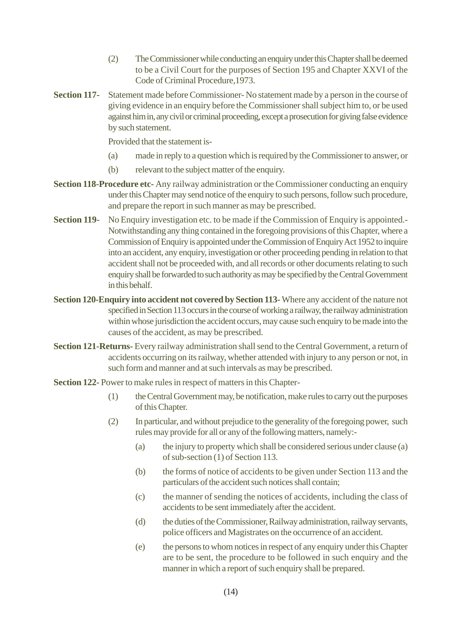- (2) The Commissioner while conducting an enquiry under this Chapter shall be deemed to be a Civil Court for the purposes of Section 195 and Chapter XXVI of the Code of Criminal Procedure,1973.
- **Section 117-** Statement made before Commissioner- No statement made by a person in the course of giving evidence in an enquiry before the Commissioner shall subject him to, or be used against him in, any civil or criminal proceeding, except a prosecution for giving false evidence by such statement.

Provided that the statement is-

- (a) made in reply to a question which is required by the Commissioner to answer, or
- (b) relevant to the subject matter of the enquiry.
- **Section 118-Procedure etc-** Any railway administration or the Commissioner conducting an enquiry under this Chapter may send notice of the enquiry to such persons, follow such procedure, and prepare the report in such manner as may be prescribed.
- **Section 119-** No Enquiry investigation etc. to be made if the Commission of Enquiry is appointed. Notwithstanding any thing contained in the foregoing provisions of this Chapter, where a Commission of Enquiry is appointed under the Commission of Enquiry Act 1952 to inquire into an accident, any enquiry, investigation or other proceeding pending in relation to that accident shall not be proceeded with, and all records or other documents relating to such enquiry shall be forwarded to such authority as may be specified by the Central Government in this behalf.
- **Section 120-Enquiry into accident not covered by Section 113-** Where any accident of the nature not specified in Section 113 occurs in the course of working a railway, the railway administration within whose jurisdiction the accident occurs, may cause such enquiry to be made into the causes of the accident, as may be prescribed.
- **Section 121-Returns-** Every railway administration shall send to the Central Government, a return of accidents occurring on its railway, whether attended with injury to any person or not, in such form and manner and at such intervals as may be prescribed.
- **Section 122-** Power to make rules in respect of matters in this Chapter-
	- (1) the Central Government may, be notification, make rules to carry out the purposes of this Chapter.
	- (2) In particular, and without prejudice to the generality of the foregoing power, such rules may provide for all or any of the following matters, namely:-
		- (a) the injury to property which shall be considered serious under clause (a) of sub-section (1) of Section 113.
		- (b) the forms of notice of accidents to be given under Section 113 and the particulars of the accident such notices shall contain;
		- (c) the manner of sending the notices of accidents, including the class of accidents to be sent immediately after the accident.
		- (d) the duties of the Commissioner, Railway administration, railway servants, police officers and Magistrates on the occurrence of an accident.
		- (e) the persons to whom notices in respect of any enquiry under this Chapter are to be sent, the procedure to be followed in such enquiry and the manner in which a report of such enquiry shall be prepared.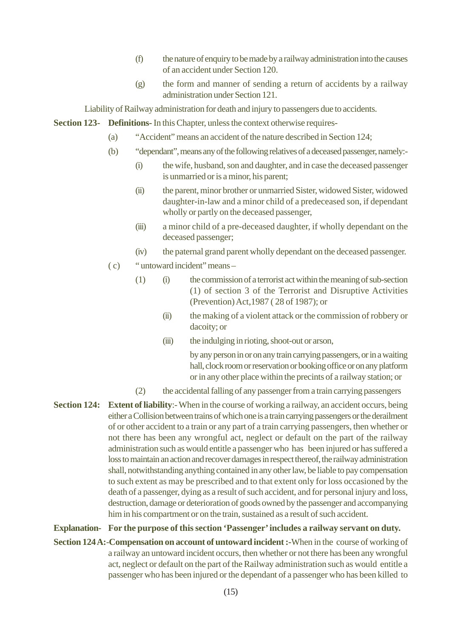- (f) the nature of enquiry to be made by a railway administration into the causes of an accident under Section 120.
- (g) the form and manner of sending a return of accidents by a railway administration under Section 121.

Liability of Railway administration for death and injury to passengers due to accidents.

**Section 123- Definitions-** In this Chapter, unless the context otherwise requires-

- (a) "Accident" means an accident of the nature described in Section 124;
- (b) "dependant", means any of the following relatives of a deceased passenger, namely:-
	- (i) the wife, husband, son and daughter, and in case the deceased passenger is unmarried or is a minor, his parent;
	- (ii) the parent, minor brother or unmarried Sister, widowed Sister, widowed daughter-in-law and a minor child of a predeceased son, if dependant wholly or partly on the deceased passenger,
	- (iii) a minor child of a pre-deceased daughter, if wholly dependant on the deceased passenger;
	- (iv) the paternal grand parent wholly dependant on the deceased passenger.
- ( c) " untoward incident" means
	- (1) (i) the commission of a terrorist act within the meaning of sub-section (1) of section 3 of the Terrorist and Disruptive Activities (Prevention) Act,1987 ( 28 of 1987); or
		- (ii) the making of a violent attack or the commission of robbery or dacoity; or
		- (iii) the indulging in rioting, shoot-out or arson,

by any person in or on any train carrying passengers, or in a waiting hall, clock room or reservation or booking office or on any platform or in any other place within the precints of a railway station; or

- (2) the accidental falling of any passenger from a train carrying passengers
- **Section 124: Extent of liability**:- When in the course of working a railway, an accident occurs, being either a Collision between trains of which one is a train carrying passengers or the derailment of or other accident to a train or any part of a train carrying passengers, then whether or not there has been any wrongful act, neglect or default on the part of the railway administration such as would entitle a passenger who has been injured or has suffered a loss to maintain an action and recover damages in respect thereof, the railway administration shall, notwithstanding anything contained in any other law, be liable to pay compensation to such extent as may be prescribed and to that extent only for loss occasioned by the death of a passenger, dying as a result of such accident, and for personal injury and loss, destruction, damage or deterioration of goods owned by the passenger and accompanying him in his compartment or on the train, sustained as a result of such accident.

#### **Explanation- For the purpose of this section 'Passenger' includes a railway servant on duty.**

**Section 124 A:**-**Compensation on account of untoward incident :-**When in the course of working of a railway an untoward incident occurs, then whether or not there has been any wrongful act, neglect or default on the part of the Railway administration such as would entitle a passenger who has been injured or the dependant of a passenger who has been killed to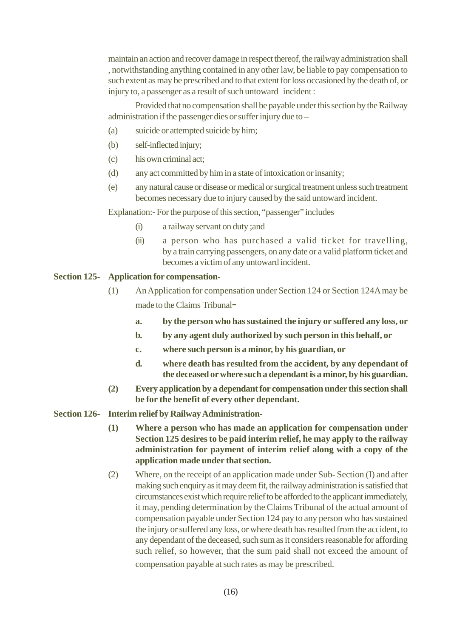maintain an action and recover damage in respect thereof, the railway administration shall , notwithstanding anything contained in any other law, be liable to pay compensation to such extent as may be prescribed and to that extent for loss occasioned by the death of, or injury to, a passenger as a result of such untoward incident :

Provided that no compensation shall be payable under this section by the Railway administration if the passenger dies or suffer injury due to –

- (a) suicide or attempted suicide by him;
- (b) self-inflected injury;
- (c) his own criminal act;
- (d) any act committed by him in a state of intoxication or insanity;
- (e) any natural cause or disease or medical or surgical treatment unless such treatment becomes necessary due to injury caused by the said untoward incident.

Explanation:- For the purpose of this section, "passenger" includes

- (i) a railway servant on duty ;and
- (ii) a person who has purchased a valid ticket for travelling, by a train carrying passengers, on any date or a valid platform ticket and becomes a victim of any untoward incident.

#### **Section 125- Application for compensation-**

- (1) An Application for compensation under Section 124 or Section 124A may be made to the Claims Tribunal
	- **a. by the person who has sustained the injury or suffered any loss, or**
	- **b. by any agent duly authorized by such person in this behalf, or**
	- **c. where such person is a minor, by his guardian, or**
	- **d. where death has resulted from the accident, by any dependant of the deceased or where such a dependant is a minor, by his guardian.**
- **(2) Every application by a dependant for compensation under this section shall be for the benefit of every other dependant.**
- **Section 126- Interim relief by Railway Administration-**
	- **(1) Where a person who has made an application for compensation under Section 125 desires to be paid interim relief, he may apply to the railway administration for payment of interim relief along with a copy of the application made under that section.**
	- (2) Where, on the receipt of an application made under Sub- Section (I) and after making such enquiry as it may deem fit, the railway administration is satisfied that circumstances exist which require relief to be afforded to the applicant immediately, it may, pending determination by the Claims Tribunal of the actual amount of compensation payable under Section 124 pay to any person who has sustained the injury or suffered any loss, or where death has resulted from the accident, to any dependant of the deceased, such sum as it considers reasonable for affording such relief, so however, that the sum paid shall not exceed the amount of compensation payable at such rates as may be prescribed.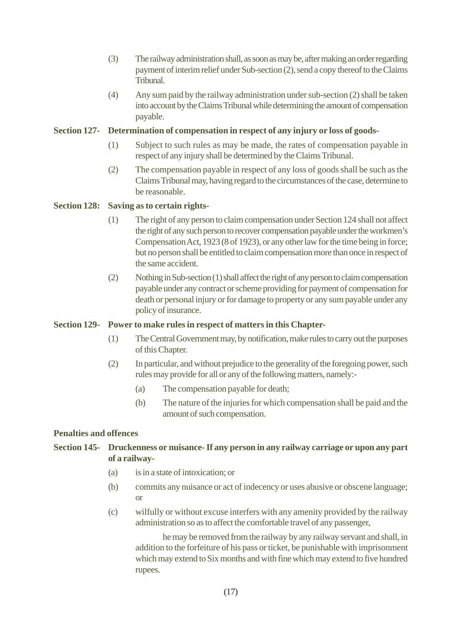- (3) The railway administration shall, as soon as may be, after making an order regarding payment of interim relief under Sub-section (2), send a copy thereof to the Claims Tribunal.
- (4) Any sum paid by the railway administration under sub-section (2) shall be taken into account by the Claims Tribunal while determining the amount of compensation payable.

#### **Section 127- Determination of compensation in respect of any injury or loss of goods-**

- (1) Subject to such rules as may be made, the rates of compensation payable in respect of any injury shall be determined by the Claims Tribunal.
- (2) The compensation payable in respect of any loss of goods shall be such as the Claims Tribunal may, having regard to the circumstances of the case, determine to be reasonable.

#### **Section 128: Saving as to certain rights-**

- (1) The right of any person to claim compensation under Section 124 shall not affect the right of any such person to recover compensation payable under the workmen's Compensation Act, 1923 (8 of 1923), or any other law for the time being in force; but no person shall be entitled to claim compensation more than once in respect of the same accident.
- (2) Nothing in Sub-section (1) shall affect the right of any person to claim compensation payable under any contract or scheme providing for payment of compensation for death or personal injury or for damage to property or any sum payable under any policy of insurance.

#### **Section 129- Power to make rules in respect of matters in this Chapter-**

- (1) The Central Government may, by notification, make rules to carry out the purposes of this Chapter.
- (2) In particular, and without prejudice to the generality of the foregoing power, such rules may provide for all or any of the following matters, namely:-
	- (a) The compensation payable for death;
	- (b) The nature of the injuries for which compensation shall be paid and the amount of such compensation.

#### **Penalties and offences**

#### **Section 145- Druckenness or nuisance- If any person in any railway carriage or upon any part of a railway-**

- (a) is in a state of intoxication; or
- (b) commits any nuisance or act of indecency or uses abusive or obscene language; or
- (c) wilfully or without excuse interfers with any amenity provided by the railway administration so as to affect the comfortable travel of any passenger,

he may be removed from the railway by any railway servant and shall, in addition to the forfeiture of his pass or ticket, be punishable with imprisonment which may extend to Six months and with fine which may extend to five hundred rupees.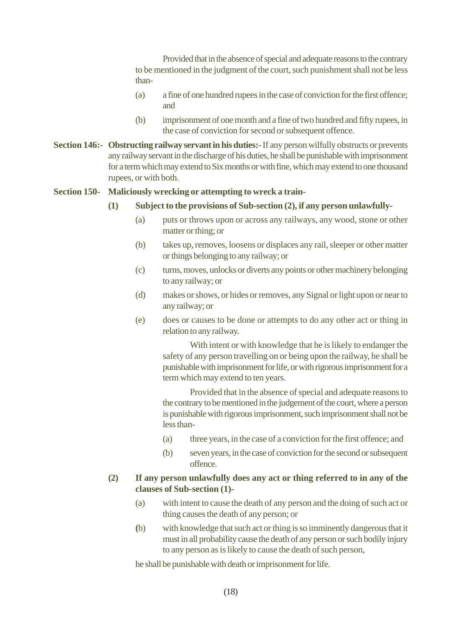Provided that in the absence of special and adequate reasons to the contrary to be mentioned in the judgment of the court, such punishment shall not be less than-

- (a) a fine of one hundred rupees in the case of conviction for the first offence; and
- (b) imprisonment of one month and a fine of two hundred and fifty rupees, in the case of conviction for second or subsequent offence.
- **Section 146:- Obstructing railway servant in his duties:-** If any person wilfully obstructs or prevents any railway servant in the discharge of his duties, he shall be punishable with imprisonment for a term which may extend to Six months or with fine, which may extend to one thousand rupees, or with both.

#### **Section 150- Maliciously wrecking or attempting to wreck a train-**

#### **(1) Subject to the provisions of Sub-section (2), if any person unlawfully-**

- (a) puts or throws upon or across any railways, any wood, stone or other matter or thing; or
- (b) takes up, removes, loosens or displaces any rail, sleeper or other matter or things belonging to any railway; or
- (c) turns, moves, unlocks or diverts any points or other machinery belonging to any railway; or
- (d) makes or shows, or hides or removes, any Signal or light upon or near to any railway; or
- (e) does or causes to be done or attempts to do any other act or thing in relation to any railway.

With intent or with knowledge that he is likely to endanger the safety of any person travelling on or being upon the railway, he shall be punishable with imprisonment for life, or with rigorous imprisonment for a term which may extend to ten years.

Provided that in the absence of special and adequate reasons to the contrary to be mentioned in the judgement of the court, where a person is punishable with rigorous imprisonment, such imprisonment shall not be less than-

- (a) three years, in the case of a conviction for the first offence; and
- (b) seven years, in the case of conviction for the second or subsequent offence.

#### **(2) If any person unlawfully does any act or thing referred to in any of the clauses of Sub-section (1)-**

- (a) with intent to cause the death of any person and the doing of such act or thing causes the death of any person; or
- **(**b) with knowledge that such act or thing is so imminently dangerous that it must in all probability cause the death of any person or such bodily injury to any person as is likely to cause the death of such person,

he shall be punishable with death or imprisonment for life.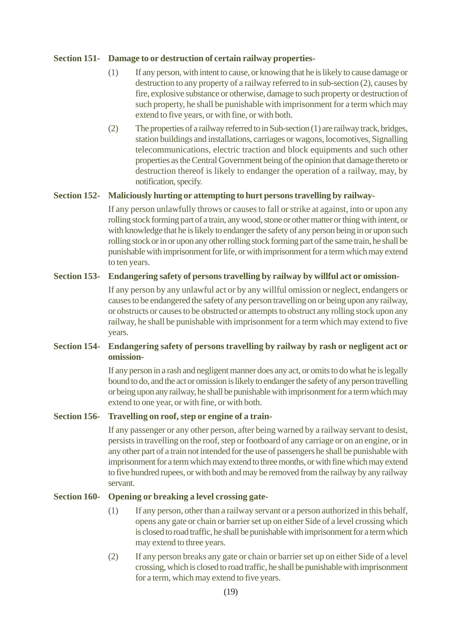#### **Section 151- Damage to or destruction of certain railway properties-**

- (1) If any person, with intent to cause, or knowing that he is likely to cause damage or destruction to any property of a railway referred to in sub-section (2), causes by fire, explosive substance or otherwise, damage to such property or destruction of such property, he shall be punishable with imprisonment for a term which may extend to five years, or with fine, or with both.
- (2) The properties of a railway referred to in Sub-section (1) are railway track, bridges, station buildings and installations, carriages or wagons, locomotives, Signalling telecommunications, electric traction and block equipments and such other properties as the Central Government being of the opinion that damage thereto or destruction thereof is likely to endanger the operation of a railway, may, by notification, specify.

#### **Section 152- Maliciously hurting or attempting to hurt persons travelling by railway-**

If any person unlawfully throws or causes to fall or strike at against, into or upon any rolling stock forming part of a train, any wood, stone or other matter or thing with intent, or with knowledge that he is likely to endanger the safety of any person being in or upon such rolling stock or in or upon any other rolling stock forming part of the same train, he shall be punishable with imprisonment for life, or with imprisonment for a term which may extend to ten years.

#### **Section 153- Endangering safety of persons travelling by railway by willful act or omission-**

If any person by any unlawful act or by any willful omission or neglect, endangers or causes to be endangered the safety of any person travelling on or being upon any railway, or obstructs or causes to be obstructed or attempts to obstruct any rolling stock upon any railway, he shall be punishable with imprisonment for a term which may extend to five years.

#### **Section 154- Endangering safety of persons travelling by railway by rash or negligent act or omission-**

If any person in a rash and negligent manner does any act, or omits to do what he is legally bound to do, and the act or omission is likely to endanger the safety of any person travelling or being upon any railway, he shall be punishable with imprisonment for a term which may extend to one year, or with fine, or with both.

#### **Section 156- Travelling on roof, step or engine of a train-**

If any passenger or any other person, after being warned by a railway servant to desist, persists in travelling on the roof, step or footboard of any carriage or on an engine, or in any other part of a train not intended for the use of passengers he shall be punishable with imprisonment for a term which may extend to three months, or with fine which may extend to five hundred rupees, or with both and may be removed from the railway by any railway servant.

#### **Section 160- Opening or breaking a level crossing gate-**

- (1) If any person, other than a railway servant or a person authorized in this behalf, opens any gate or chain or barrier set up on either Side of a level crossing which is closed to road traffic, he shall be punishable with imprisonment for a term which may extend to three years.
- (2) If any person breaks any gate or chain or barrier set up on either Side of a level crossing, which is closed to road traffic, he shall be punishable with imprisonment for a term, which may extend to five years.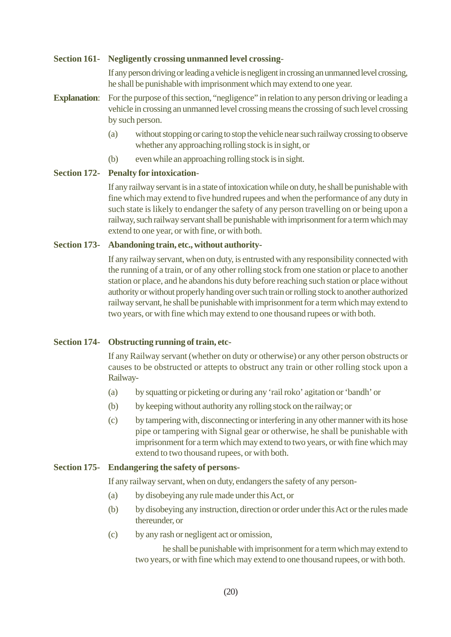#### **Section 161- Negligently crossing unmanned level crossing**-

If any person driving or leading a vehicle is negligent in crossing an unmanned level crossing, he shall be punishable with imprisonment which may extend to one year.

- **Explanation:** For the purpose of this section, "negligence" in relation to any person driving or leading a vehicle in crossing an unmanned level crossing means the crossing of such level crossing by such person.
	- (a) without stopping or caring to stop the vehicle near such railway crossing to observe whether any approaching rolling stock is in sight, or
	- (b) even while an approaching rolling stock is in sight.

#### **Section 172- Penalty for intoxication**-

If any railway servant is in a state of intoxication while on duty, he shall be punishable with fine which may extend to five hundred rupees and when the performance of any duty in such state is likely to endanger the safety of any person travelling on or being upon a railway, such railway servant shall be punishable with imprisonment for a term which may extend to one year, or with fine, or with both.

#### **Section 173- Abandoning train, etc., without authority-**

If any railway servant, when on duty, is entrusted with any responsibility connected with the running of a train, or of any other rolling stock from one station or place to another station or place, and he abandons his duty before reaching such station or place without authority or without properly handing over such train or rolling stock to another authorized railway servant, he shall be punishable with imprisonment for a term which may extend to two years, or with fine which may extend to one thousand rupees or with both.

#### **Section 174- Obstructing running of train, etc-**

If any Railway servant (whether on duty or otherwise) or any other person obstructs or causes to be obstructed or attepts to obstruct any train or other rolling stock upon a Railway-

- (a) by squatting or picketing or during any 'rail roko' agitation or 'bandh' or
- (b) by keeping without authority any rolling stock on the railway; or
- (c) by tampering with, disconnecting or interfering in any other manner with its hose pipe or tampering with Signal gear or otherwise, he shall be punishable with imprisonment for a term which may extend to two years, or with fine which may extend to two thousand rupees, or with both.

#### **Section 175- Endangering the safety of persons-**

If any railway servant, when on duty, endangers the safety of any person-

- (a) by disobeying any rule made under this Act, or
- (b) by disobeying any instruction, direction or order under this Act or the rules made thereunder, or
- (c) by any rash or negligent act or omission,

he shall be punishable with imprisonment for a term which may extend to two years, or with fine which may extend to one thousand rupees, or with both.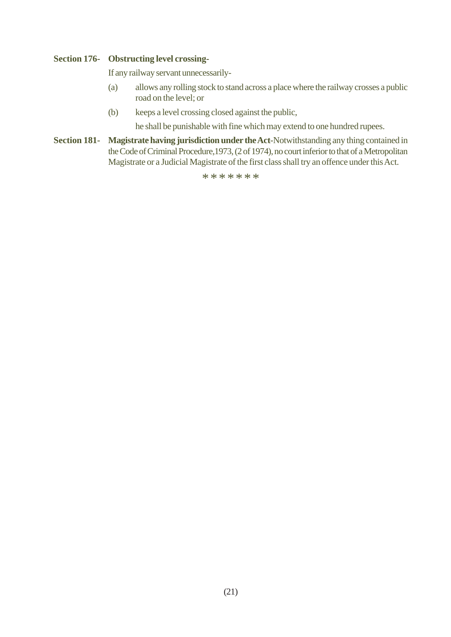#### **Section 176- Obstructing level crossing-**

If any railway servant unnecessarily-

- (a) allows any rolling stock to stand across a place where the railway crosses a public road on the level; or
- (b) keeps a level crossing closed against the public,

he shall be punishable with fine which may extend to one hundred rupees.

**Section 181- Magistrate having jurisdiction under the Act**-Notwithstanding any thing contained in the Code of Criminal Procedure,1973, (2 of 1974), no court inferior to that of a Metropolitan Magistrate or a Judicial Magistrate of the first class shall try an offence under this Act.

\*\*\*\*\*\*\*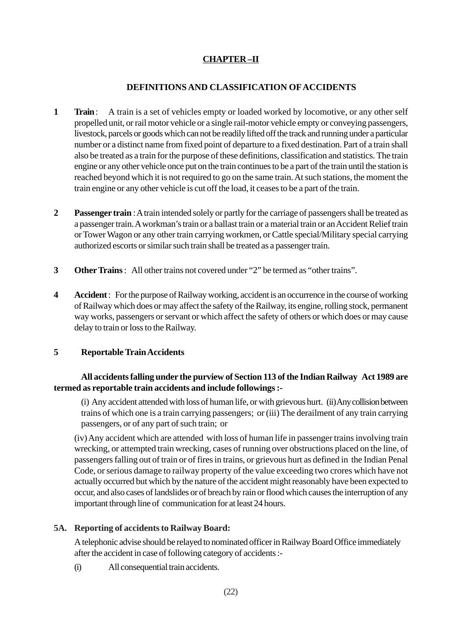#### **CHAPTER –II**

#### **DEFINITIONS AND CLASSIFICATION OF ACCIDENTS**

- **1 Train** : A train is a set of vehicles empty or loaded worked by locomotive, or any other self propelled unit, or rail motor vehicle or a single rail-motor vehicle empty or conveying passengers, livestock, parcels or goods which can not be readily lifted off the track and running under a particular number or a distinct name from fixed point of departure to a fixed destination. Part of a train shall also be treated as a train for the purpose of these definitions, classification and statistics. The train engine or any other vehicle once put on the train continues to be a part of the train until the station is reached beyond which it is not required to go on the same train. At such stations, the moment the train engine or any other vehicle is cut off the load, it ceases to be a part of the train.
- **2 Passenger train** : A train intended solely or partly for the carriage of passengers shall be treated as a passenger train. A workman's train or a ballast train or a material train or an Accident Relief train or Tower Wagon or any other train carrying workmen, or Cattle special/Military special carrying authorized escorts or similar such train shall be treated as a passenger train.
- **3 Other Trains** :All other trains not covered under "2" be termed as "other trains".
- **4 Accident** : For the purpose of Railway working, accident is an occurrence in the course of working of Railway which does or may affect the safety of the Railway, its engine, rolling stock, permanent way works, passengers or servant or which affect the safety of others or which does or may cause delay to train or loss to the Railway.

#### **5 Reportable Train Accidents**

#### **All accidents falling under the purview of Section 113 of the Indian Railway Act 1989 are termed as reportable train accidents and include followings :-**

(i) Any accident attended with loss of human life, or with grievous hurt. (ii) Any collision between trains of which one is a train carrying passengers; or (iii) The derailment of any train carrying passengers, or of any part of such train; or

(iv) Any accident which are attended with loss of human life in passenger trains involving train wrecking, or attempted train wrecking, cases of running over obstructions placed on the line, of passengers falling out of train or of fires in trains, or grievous hurt as defined in the Indian Penal Code, or serious damage to railway property of the value exceeding two crores which have not actually occurred but which by the nature of the accident might reasonably have been expected to occur, and also cases of landslides or of breach by rain or flood which causes the interruption of any important through line of communication for at least 24 hours.

#### **5A. Reporting of accidents to Railway Board:**

A telephonic advise should be relayed to nominated officer in Railway Board Office immediately after the accident in case of following category of accidents :-

(i) All consequential train accidents.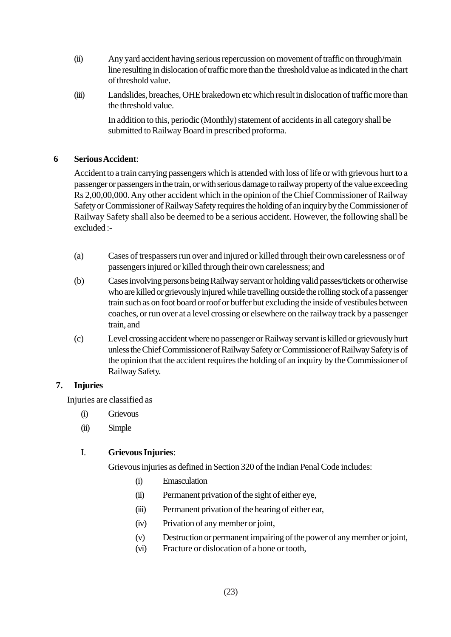- (ii) Any yard accident having serious repercussion on movement of traffic on through/main line resulting in dislocation of traffic more than the threshold value as indicated in the chart of threshold value.
- (iii) Landslides, breaches, OHE brakedown etc which result in dislocation of traffic more than the threshold value.

In addition to this, periodic (Monthly) statement of accidents in all category shall be submitted to Railway Board in prescribed proforma.

#### **6 Serious Accident**:

Accident to a train carrying passengers which is attended with loss of life or with grievous hurt to a passenger or passengers in the train, or with serious damage to railway property of the value exceeding Rs 2,00,00,000. Any other accident which in the opinion of the Chief Commissioner of Railway Safety or Commissioner of Railway Safety requires the holding of an inquiry by the Commissioner of Railway Safety shall also be deemed to be a serious accident. However, the following shall be excluded :-

- (a) Cases of trespassers run over and injured or killed through their own carelessness or of passengers injured or killed through their own carelessness; and
- (b) Cases involving persons being Railway servant or holding valid passes/tickets or otherwise who are killed or grievously injured while travelling outside the rolling stock of a passenger train such as on foot board or roof or buffer but excluding the inside of vestibules between coaches, or run over at a level crossing or elsewhere on the railway track by a passenger train, and
- (c) Level crossing accident where no passenger or Railway servant is killed or grievously hurt unless the Chief Commissioner of Railway Safety or Commissioner of Railway Safety is of the opinion that the accident requires the holding of an inquiry by the Commissioner of Railway Safety.

#### **7. Injuries**

Injuries are classified as

- (i) Grievous
- (ii) Simple

#### I. **Grievous Injuries**:

Grievous injuries as defined in Section 320 of the Indian Penal Code includes:

- (i) Emasculation
- (ii) Permanent privation of the sight of either eye,
- (iii) Permanent privation of the hearing of either ear,
- (iv) Privation of any member or joint,
- (v) Destruction or permanent impairing of the power of any member or joint,
- (vi) Fracture or dislocation of a bone or tooth,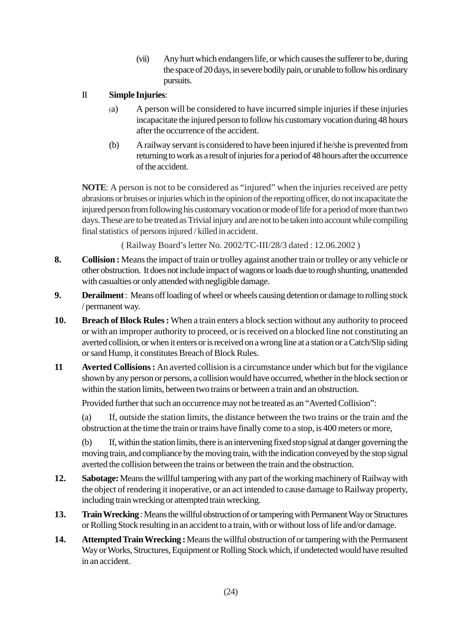(vii) Any hurt which endangers life, or which causes the sufferer to be, during the space of 20 days, in severe bodily pain, or unable to follow his ordinary pursuits.

#### II **Simple Injuries**:

- (a) A person will be considered to have incurred simple injuries if these injuries incapacitate the injured person to follow his customary vocation during 48 hours after the occurrence of the accident.
- (b) A railway servant is considered to have been injured if he/she is prevented from returning to work as a result of injuries for a period of 48 hours after the occurrence of the accident.

**NOTE**: A person is not to be considered as "injured" when the injuries received are petty abrasions or bruises or injuries which in the opinion of the reporting officer, do not incapacitate the injured person from following his customary vocation or mode of life for a period of more than two days. These are to be treated as Trivial injury and are not to be taken into account while compiling final statistics of persons injured / killed in accident.

( Railway Board's letter No. 2002/TC-III/28/3 dated : 12.06.2002 )

- **8.** Collision : Means the impact of train or trolley against another train or trolley or any vehicle or other obstruction. It does not include impact of wagons or loads due to rough shunting, unattended with casualties or only attended with negligible damage.
- **9. Derailment** : Means off loading of wheel or wheels causing detention or damage to rolling stock / permanent way.
- **10. Breach of Block Rules :** When a train enters a block section without any authority to proceed or with an improper authority to proceed, or is received on a blocked line not constituting an averted collision, or when it enters or is received on a wrong line at a station or a Catch/Slip siding or sand Hump, it constitutes Breach of Block Rules.
- **11** Averted Collisions : An averted collision is a circumstance under which but for the vigilance shown by any person or persons, a collision would have occurred, whether in the block section or within the station limits, between two trains or between a train and an obstruction.

Provided further that such an occurrence may not be treated as an "Averted Collision":

(a) If, outside the station limits, the distance between the two trains or the train and the obstruction at the time the train or trains have finally come to a stop, is 400 meters or more,

(b) If, within the station limits, there is an intervening fixed stop signal at danger governing the moving train, and compliance by the moving train, with the indication conveyed by the stop signal averted the collision between the trains or between the train and the obstruction.

- **12. Sabotage:** Means the willful tampering with any part of the working machinery of Railway with the object of rendering it inoperative, or an act intended to cause damage to Railway property, including train wrecking or attempted train wrecking.
- **13. Train Wrecking** : Means the willful obstruction of or tampering with Permanent Way or Structures or Rolling Stock resulting in an accident to a train, with or without loss of life and/or damage.
- **14. Attempted Train Wrecking :** Means the willful obstruction of or tampering with the Permanent Way or Works, Structures, Equipment or Rolling Stock which, if undetected would have resulted in an accident.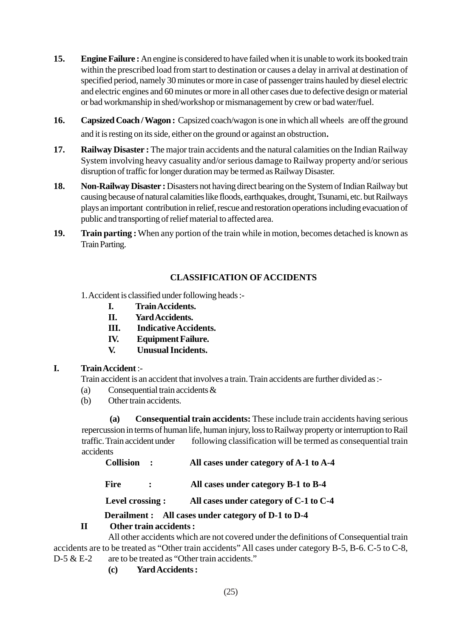- **15.** Engine Failure: An engine is considered to have failed when it is unable to work its booked train within the prescribed load from start to destination or causes a delay in arrival at destination of specified period, namely 30 minutes or more in case of passenger trains hauled by diesel electric and electric engines and 60 minutes or more in all other cases due to defective design or material or bad workmanship in shed/workshop or mismanagement by crew or bad water/fuel.
- 16. Capsized Coach / Wagon : Capsized coach/wagon is one in which all wheels are off the ground and it is resting on its side, either on the ground or against an obstruction.
- 17. Railway Disaster : The major train accidents and the natural calamities on the Indian Railway System involving heavy casuality and/or serious damage to Railway property and/or serious disruption of traffic for longer duration may be termed as Railway Disaster.
- **18. Non-Railway Disaster :** Disasters not having direct bearing on the System of Indian Railway but causing because of natural calamities like floods, earthquakes, drought, Tsunami, etc. but Railways plays an important contribution in relief, rescue and restoration operations including evacuation of public and transporting of relief material to affected area.
- **19. Train parting :** When any portion of the train while in motion, becomes detached is known as Train Parting.

#### **CLASSIFICATION OF ACCIDENTS**

- 1. Accident is classified under following heads :-
	- **I. Train Accidents.**
	- **II. Yard Accidents.**
	- **III. Indicative Accidents.**
	- **IV. Equipment Failure.**
	- **V. Unusual Incidents.**

#### **I. Train Accident** :-

Train accident is an accident that involves a train. Train accidents are further divided as :-

- (a) Consequential train accidents &
- (b) Other train accidents.

**(a) Consequential train accidents:** These include train accidents having serious repercussion in terms of human life, human injury, loss to Railway property or interruption to Rail traffic. Train accident under following classification will be termed as consequential train accidents

| Collision : |  | All cases under category of A-1 to A-4 |
|-------------|--|----------------------------------------|
|-------------|--|----------------------------------------|

Fire : All cases under category B-1 to B-4

 **Level crossing : All cases under category of C-1 to C-4**

 **Derailment : All cases under category of D-1 to D-4**

#### **II Other train accidents :**

All other accidents which are not covered under the definitions of Consequential train accidents are to be treated as "Other train accidents" All cases under category B-5, B-6. C-5 to C-8, D-5 & E-2 are to be treated as "Other train accidents."

**(c) Yard Accidents:**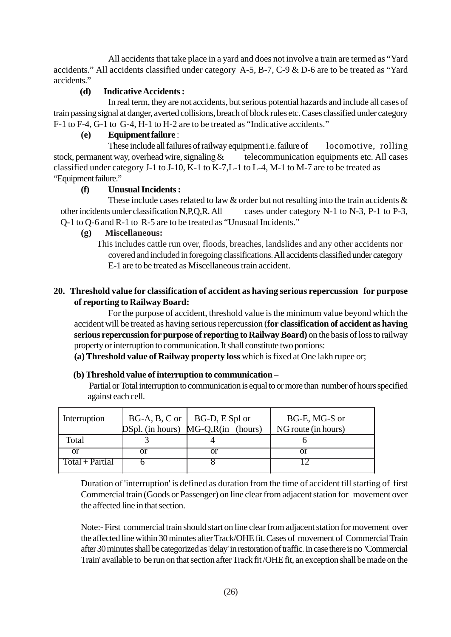All accidents that take place in a yard and does not involve a train are termed as "Yard accidents." All accidents classified under category A-5, B-7, C-9 & D-6 are to be treated as "Yard accidents."

#### **(d) Indicative Accidents :**

In real term, they are not accidents, but serious potential hazards and include all cases of train passing signal at danger, averted collisions, breach of block rules etc. Cases classified under category F-1 to F-4, G-1 to G-4, H-1 to H-2 are to be treated as "Indicative accidents."

#### **(e) Equipment failure** :

These include all failures of railway equipment i.e. failure of locomotive, rolling stock, permanent way, overhead wire, signaling  $\&$  telecommunication equipments etc. All cases classified under category J-1 to J-10, K-1 to K-7,L-1 to L-4, M-1 to M-7 are to be treated as "Equipment failure."

#### **(f) Unusual Incidents :**

These include cases related to law  $\&$  order but not resulting into the train accidents  $\&$ other incidents under classification N,P,Q,R.All cases under category N-1 to N-3, P-1 to P-3, Q-1 to Q-6 and R-1 to R-5 are to be treated as "Unusual Incidents."

#### **(g) Miscellaneous:**

This includes cattle run over, floods, breaches, landslides and any other accidents nor covered and included in foregoing classifications. All accidents classified under category E-1 are to be treated as Miscellaneous train accident.

#### **20. Threshold value for classification of accident as having serious repercussion for purpose of reporting to Railway Board:**

For the purpose of accident, threshold value is the minimum value beyond which the accident will be treated as having serious repercussion (**for classification of accident as having serious repercussion for purpose of reporting to Railway Board)** on the basis of loss to railway property or interruption to communication. It shall constitute two portions:

 **(a) Threshold value of Railway property loss** which is fixed at One lakh rupee or;

#### **(b) Threshold value of interruption to communication** –

 Partial or Total interruption to communication is equal to or more than number of hours specified against each cell.

| Interruption    | $BG-A, B, C$ or $\vert$ | BG-D, E Spl or                          | BG-E, MG-S or       |
|-----------------|-------------------------|-----------------------------------------|---------------------|
|                 |                         | $DSpl.$ (in hours) $MG-Q, R(in$ (hours) | NG route (in hours) |
| Total           |                         |                                         |                     |
| or              | or                      | or                                      | Ωľ                  |
| Total + Partial |                         |                                         |                     |
|                 |                         |                                         |                     |

Duration of 'interruption' is defined as duration from the time of accident till starting of first Commercial train (Goods or Passenger) on line clear from adjacent station for movement over the affected line in that section.

Note:- First commercial train should start on line clear from adjacent station for movement over the affected line within 30 minutes after Track/OHE fit. Cases of movement of Commercial Train after 30 minutes shall be categorized as 'delay' in restoration of traffic. In case there is no 'Commercial Train' available to be run on that section after Track fit /OHE fit, an exception shall be made on the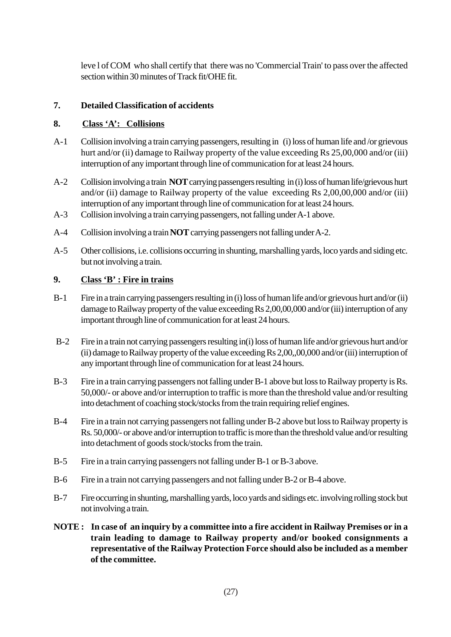leve l of COM who shall certify that there was no 'Commercial Train' to pass over the affected section within 30 minutes of Track fit/OHE fit.

#### **7. Detailed Classification of accidents**

#### **8. Class 'A': Collisions**

- A-1 Collision involving a train carrying passengers, resulting in (i) loss of human life and /or grievous hurt and/or (ii) damage to Railway property of the value exceeding Rs 25,00,000 and/or (iii) interruption of any important through line of communication for at least 24 hours.
- A-2 Collision involving a train **NOT** carrying passengers resulting in (i) loss of human life/grievous hurt and/or (ii) damage to Railway property of the value exceeding Rs  $2,00,00,000$  and/or (iii) interruption of any important through line of communication for at least 24 hours.
- A-3 Collision involving a train carrying passengers, not falling under A-1 above.
- A-4 Collision involving a train **NOT** carrying passengers not falling under A-2.
- A-5 Other collisions, i.e. collisions occurring in shunting, marshalling yards, loco yards and siding etc. but not involving a train.

#### **9. Class 'B' : Fire in trains**

- B-1 Fire in a train carrying passengers resulting in (i) loss of human life and/or grievous hurt and/or (ii) damage to Railway property of the value exceeding Rs 2,00,00,000 and/or (iii) interruption of any important through line of communication for at least 24 hours.
- B-2 Fire in a train not carrying passengers resulting in(i) loss of human life and/or grievous hurt and/or (ii) damage to Railway property of the value exceeding Rs 2,00,,00,000 and/or (iii) interruption of any important through line of communication for at least 24 hours.
- B-3 Fire in a train carrying passengers not falling under B-1 above but loss to Railway property is Rs. 50,000/- or above and/or interruption to traffic is more than the threshold value and/or resulting into detachment of coaching stock/stocks from the train requiring relief engines.
- B-4 Fire in a train not carrying passengers not falling under B-2 above but loss to Railway property is Rs. 50,000/- or above and/or interruption to traffic is more than the threshold value and/or resulting into detachment of goods stock/stocks from the train.
- B-5 Fire in a train carrying passengers not falling under B-1 or B-3 above.
- B-6 Fire in a train not carrying passengers and not falling under B-2 or B-4 above.
- B-7 Fire occurring in shunting, marshalling yards, loco yards and sidings etc. involving rolling stock but not involving a train.
- **NOTE : In case of an inquiry by a committee into a fire accident in Railway Premises or in a train leading to damage to Railway property and/or booked consignments a representative of the Railway Protection Force should also be included as a member of the committee.**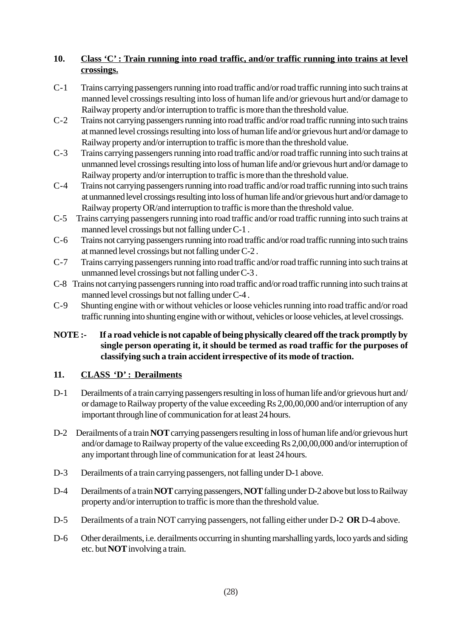#### **10. Class 'C' : Train running into road traffic, and/or traffic running into trains at level crossings.**

- C-1 Trains carrying passengers running into road traffic and/or road traffic running into such trains at manned level crossings resulting into loss of human life and/or grievous hurt and/or damage to Railway property and/or interruption to traffic is more than the threshold value.
- C-2 Trains not carrying passengers running into road traffic and/or road traffic running into such trains at manned level crossings resulting into loss of human life and/or grievous hurt and/or damage to Railway property and/or interruption to traffic is more than the threshold value.
- C-3 Trains carrying passengers running into road traffic and/or road traffic running into such trains at unmanned level crossings resulting into loss of human life and/or grievous hurt and/or damage to Railway property and/or interruption to traffic is more than the threshold value.
- C-4 Trains not carrying passengers running into road traffic and/or road traffic running into such trains at unmanned level crossings resulting into loss of human life and/or grievous hurt and/or damage to Railway property OR/and interruption to traffic is more than the threshold value.
- C-5 Trains carrying passengers running into road traffic and/or road traffic running into such trains at manned level crossings but not falling under C-1 .
- C-6 Trains not carrying passengers running into road traffic and/or road traffic running into such trains at manned level crossings but not falling under C-2 .
- C-7 Trains carrying passengers running into road traffic and/or road traffic running into such trains at unmanned level crossings but not falling under C-3 .
- C-8 Trains not carrying passengers running into road traffic and/or road traffic running into such trains at manned level crossings but not falling under C-4 .
- C-9 Shunting engine with or without vehicles or loose vehicles running into road traffic and/or road traffic running into shunting engine with or without, vehicles or loose vehicles, at level crossings.

#### **NOTE :- If a road vehicle is not capable of being physically cleared off the track promptly by single person operating it, it should be termed as road traffic for the purposes of classifying such a train accident irrespective of its mode of traction.**

#### **11. CLASS 'D' : Derailments**

- D-1 Derailments of a train carrying passengers resulting in loss of human life and/or grievous hurt and/ or damage to Railway property of the value exceeding Rs 2,00,00,000 and/or interruption of any important through line of communication for at least 24 hours.
- D-2 Derailments of a train **NOT** carrying passengers resulting in loss of human life and/or grievous hurt and/or damage to Railway property of the value exceeding Rs 2,00,00,000 and/or interruption of any important through line of communication for at least 24 hours.
- D-3 Derailments of a train carrying passengers, not falling under D-1 above.
- D-4 Derailments of a train **NOT** carrying passengers, **NOT** falling under D-2 above but loss to Railway property and/or interruption to traffic is more than the threshold value.
- D-5 Derailments of a train NOT carrying passengers, not falling either under D-2 **OR** D-4 above.
- D-6 Other derailments, i.e. derailments occurring in shunting marshalling yards, loco yards and siding etc. but **NOT** involving a train.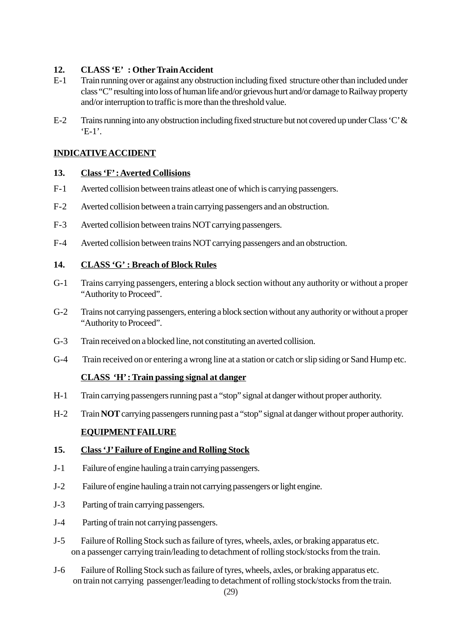#### **12. CLASS 'E' : Other Train Accident**

- E-1 Train running over or against any obstruction including fixed structure other than included under class "C" resulting into loss of human life and/or grievous hurt and/or damage to Railway property and/or interruption to traffic is more than the threshold value.
- E-2 Trains running into any obstruction including fixed structure but not covered up under Class 'C' &  $E-1$ '.

#### **INDICATIVE ACCIDENT**

#### **13. Class 'F' : Averted Collisions**

- F-1 Averted collision between trains atleast one of which is carrying passengers.
- F-2 Averted collision between a train carrying passengers and an obstruction.
- F-3 Averted collision between trains NOT carrying passengers.
- F-4 Averted collision between trains NOT carrying passengers and an obstruction.

#### **14. CLASS 'G' : Breach of Block Rules**

- G-1 Trains carrying passengers, entering a block section without any authority or without a proper "Authority to Proceed".
- G-2 Trains not carrying passengers, entering a block section without any authority or without a proper "Authority to Proceed".
- G-3 Train received on a blocked line, not constituting an averted collision.
- G-4 Train received on or entering a wrong line at a station or catch or slip siding or Sand Hump etc.

#### **CLASS 'H' : Train passing signal at danger**

- H-1 Train carrying passengers running past a "stop" signal at danger without proper authority.
- H-2 Train **NOT** carrying passengers running past a "stop" signal at danger without proper authority.

#### **EQUIPMENT FAILURE**

#### **15. Class 'J' Failure of Engine and Rolling Stock**

- J-1 Failure of engine hauling a train carrying passengers.
- J-2 Failure of engine hauling a train not carrying passengers or light engine.
- J-3 Parting of train carrying passengers.
- J-4 Parting of train not carrying passengers.
- J-5 Failure of Rolling Stock such as failure of tyres, wheels, axles, or braking apparatus etc. on a passenger carrying train/leading to detachment of rolling stock/stocks from the train.
- J-6 Failure of Rolling Stock such as failure of tyres, wheels, axles, or braking apparatus etc. on train not carrying passenger/leading to detachment of rolling stock/stocks from the train.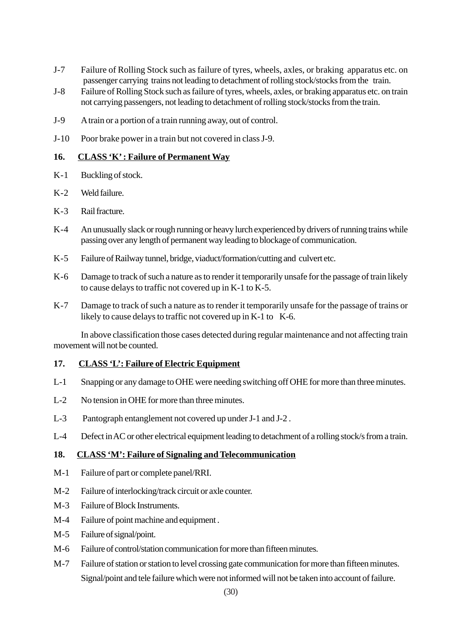- J-7 Failure of Rolling Stock such as failure of tyres, wheels, axles, or braking apparatus etc. on passenger carrying trains not leading to detachment of rolling stock/stocks from the train.
- J-8 Failure of Rolling Stock such as failure of tyres, wheels, axles, or braking apparatus etc. on train not carrying passengers, not leading to detachment of rolling stock/stocks from the train.
- J-9 A train or a portion of a train running away, out of control.
- J-10 Poor brake power in a train but not covered in class J-9.

#### **16. CLASS 'K' : Failure of Permanent Way**

- K-1 Buckling of stock.
- K-2 Weld failure.
- K-3 Rail fracture.
- K-4 An unusually slack or rough running or heavy lurch experienced by drivers of running trains while passing over any length of permanent way leading to blockage of communication.
- K-5 Failure of Railway tunnel, bridge, viaduct/formation/cutting and culvert etc.
- K-6 Damage to track of such a nature as to render it temporarily unsafe for the passage of train likely to cause delays to traffic not covered up in K-1 to K-5.
- K-7 Damage to track of such a nature as to render it temporarily unsafe for the passage of trains or likely to cause delays to traffic not covered up in K-1 to K-6.

In above classification those cases detected during regular maintenance and not affecting train movement will not be counted.

#### **17. CLASS 'L': Failure of Electric Equipment**

- L-1 Snapping or any damage to OHE were needing switching off OHE for more than three minutes.
- L-2 No tension in OHE for more than three minutes.
- L-3 Pantograph entanglement not covered up under J-1 and J-2 .
- L-4 Defect in AC or other electrical equipment leading to detachment of a rolling stock/s from a train.

#### **18. CLASS 'M': Failure of Signaling and Telecommunication**

- M-1 Failure of part or complete panel/RRI.
- M-2 Failure of interlocking/track circuit or axle counter.
- M-3 Failure of Block Instruments.
- M-4 Failure of point machine and equipment .
- M-5 Failure of signal/point.
- M-6 Failure of control/station communication for more than fifteen minutes.
- M-7 Failure of station or station to level crossing gate communication for more than fifteen minutes. Signal/point and tele failure which were not informed will not be taken into account of failure.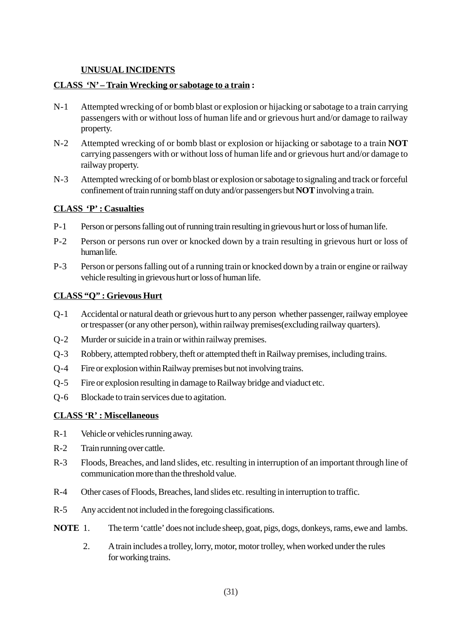#### **UNUSUAL INCIDENTS**

#### **CLASS 'N' – Train Wrecking or sabotage to a train :**

- N-1 Attempted wrecking of or bomb blast or explosion or hijacking or sabotage to a train carrying passengers with or without loss of human life and or grievous hurt and/or damage to railway property.
- N-2 Attempted wrecking of or bomb blast or explosion or hijacking or sabotage to a train **NOT** carrying passengers with or without loss of human life and or grievous hurt and/or damage to railway property.
- N-3 Attempted wrecking of or bomb blast or explosion or sabotage to signaling and track or forceful confinement of train running staff on duty and/or passengers but **NOT** involving a train.

#### **CLASS 'P' : Casualties**

- P-1 Person or persons falling out of running train resulting in grievous hurt or loss of human life.
- P-2 Person or persons run over or knocked down by a train resulting in grievous hurt or loss of human life.
- P-3 Person or persons falling out of a running train or knocked down by a train or engine or railway vehicle resulting in grievous hurt or loss of human life.

#### **CLASS "Q" : Grievous Hurt**

- Q-1 Accidental or natural death or grievous hurt to any person whether passenger, railway employee or trespasser (or any other person), within railway premises(excluding railway quarters).
- Q-2 Murder or suicide in a train or within railway premises.
- Q-3 Robbery, attempted robbery, theft or attempted theft in Railway premises, including trains.
- Q-4 Fire or explosion within Railway premises but not involving trains.
- Q-5 Fire or explosion resulting in damage to Railway bridge and viaduct etc.
- Q-6 Blockade to train services due to agitation.

#### **CLASS 'R' : Miscellaneous**

- R-1 Vehicle or vehicles running away.
- R-2 Train running over cattle.
- R-3 Floods, Breaches, and land slides, etc. resulting in interruption of an important through line of communication more than the threshold value.
- R-4 Other cases of Floods, Breaches, land slides etc. resulting in interruption to traffic.
- R-5 Any accident not included in the foregoing classifications.
- **NOTE** 1. The term 'cattle' does not include sheep, goat, pigs, dogs, donkeys, rams, ewe and lambs.
	- 2. A train includes a trolley, lorry, motor, motor trolley, when worked under the rules for working trains.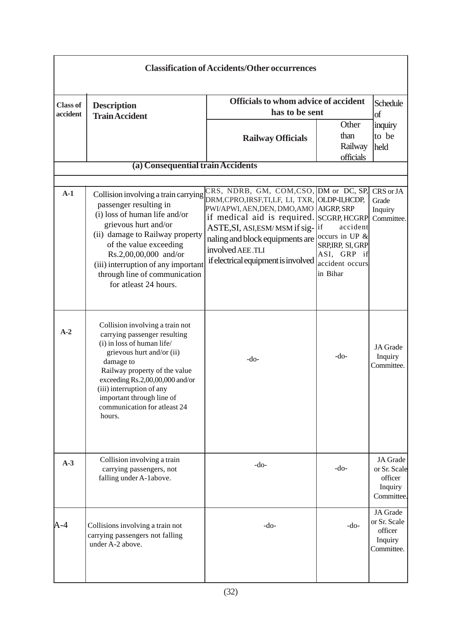| <b>Classification of Accidents/Other occurrences</b> |                                                                                                                                                                                                                                                                                                                 |                                                                                                                                                                                                                                                                                                                 |                                                                                                  |                                                              |  |  |
|------------------------------------------------------|-----------------------------------------------------------------------------------------------------------------------------------------------------------------------------------------------------------------------------------------------------------------------------------------------------------------|-----------------------------------------------------------------------------------------------------------------------------------------------------------------------------------------------------------------------------------------------------------------------------------------------------------------|--------------------------------------------------------------------------------------------------|--------------------------------------------------------------|--|--|
| <b>Class of</b><br>accident                          | <b>Description</b><br><b>Train Accident</b>                                                                                                                                                                                                                                                                     | <b>Officials to whom advice of accident</b><br>has to be sent                                                                                                                                                                                                                                                   | Schedule<br>of                                                                                   |                                                              |  |  |
|                                                      |                                                                                                                                                                                                                                                                                                                 | <b>Railway Officials</b>                                                                                                                                                                                                                                                                                        | Other<br>than<br>Railway<br>officials                                                            | inquiry<br>to be<br>held                                     |  |  |
|                                                      | (a) Consequential train Accidents                                                                                                                                                                                                                                                                               |                                                                                                                                                                                                                                                                                                                 |                                                                                                  |                                                              |  |  |
| $A-1$                                                | Collision involving a train carrying<br>passenger resulting in<br>(i) loss of human life and/or<br>grievous hurt and/or<br>(ii) damage to Railway property<br>of the value exceeding<br>Rs.2,00,00,000 and/or<br>(iii) interruption of any important<br>through line of communication<br>for atleast 24 hours.  | CRS, NDRB, GM, COM, CSO, DM or DC, SP,<br>DRM,CPRO,IRSF,TI,LF, LI, TXR, OLDP-II,HCDP,<br>PWI/APWI, AEN,DEN, DMO,AMO   AIGRP, SRP<br>if medical aid is required. SCGRP, HCGRP<br>ASTE, SI, ASI, ESM/MSM if sig-lif<br>naling and block equipments are<br>involved AEE.TLI<br>if electrical equipment is involved | accident<br>occurs in UP $\&$<br>SRP, IRP, SI, GRP<br>ASI, GRP if<br>accident occurs<br>in Bihar | CRS or JA<br>Grade<br>Inquiry<br>Committee.                  |  |  |
| $A-2$                                                | Collision involving a train not<br>carrying passenger resulting<br>(i) in loss of human life/<br>grievous hurt and/or (ii)<br>damage to<br>Railway property of the value<br>exceeding Rs.2,00,00,000 and/or<br>(iii) interruption of any<br>important through line of<br>communication for atleast 24<br>hours. | -do-                                                                                                                                                                                                                                                                                                            | $-do-$                                                                                           | JA Grade<br>Inquiry<br>Committee.                            |  |  |
| $A-3$                                                | Collision involving a train<br>carrying passengers, not<br>falling under A-1above.                                                                                                                                                                                                                              | -do-                                                                                                                                                                                                                                                                                                            | $-do-$                                                                                           | JA Grade<br>or Sr. Scale<br>officer<br>Inquiry<br>Committee. |  |  |
| A-4                                                  | Collisions involving a train not<br>carrying passengers not falling<br>under A-2 above.                                                                                                                                                                                                                         | $-do-$                                                                                                                                                                                                                                                                                                          | $-do-$                                                                                           | JA Grade<br>or Sr. Scale<br>officer<br>Inquiry<br>Committee. |  |  |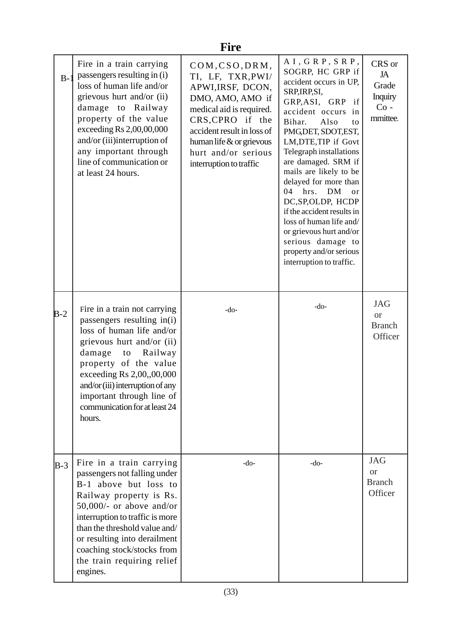|       | <b>Fire</b>                                                                                                                                                                                                                                                                                                             |                                                                                                                                                                                                                                             |                                                                                                                                                                                                                                                                                                                                                                                                                                                                                                                                                        |                                                        |  |  |  |
|-------|-------------------------------------------------------------------------------------------------------------------------------------------------------------------------------------------------------------------------------------------------------------------------------------------------------------------------|---------------------------------------------------------------------------------------------------------------------------------------------------------------------------------------------------------------------------------------------|--------------------------------------------------------------------------------------------------------------------------------------------------------------------------------------------------------------------------------------------------------------------------------------------------------------------------------------------------------------------------------------------------------------------------------------------------------------------------------------------------------------------------------------------------------|--------------------------------------------------------|--|--|--|
| $B-1$ | Fire in a train carrying<br>passengers resulting in (i)<br>loss of human life and/or<br>grievous hurt and/or (ii)<br>damage to Railway<br>property of the value<br>exceeding $Rs 2,00,00,000$<br>and/or (iii)interruption of<br>any important through<br>line of communication or<br>at least 24 hours.                 | COM, CSO, DRM,<br>TI, LF, TXR, PWI/<br>APWI, IRSF, DCON,<br>DMO, AMO, AMO if<br>medical aid is required.<br>CRS, CPRO if the<br>accident result in loss of<br>human life $\&$ or grievous<br>hurt and/or serious<br>interruption to traffic | $A I$ , $G R P$ , $S R P$ , $S R P$<br>SOGRP, HC GRP if<br>accident occurs in UP,<br>SRP, IRP, SI,<br>GRP, ASI, GRP<br>if<br>accident occurs<br>in<br>Bihar.<br>Also<br>to<br>PMG, DET, SDOT, EST,<br>LM, DTE, TIP if Govt<br>Telegraph installations<br>are damaged. SRM if<br>mails are likely to be<br>delayed for more than<br>hrs.<br><b>DM</b><br>04<br>or<br>DC, SP, OLDP, HCDP<br>if the accident results in<br>loss of human life and/<br>or grievous hurt and/or<br>serious damage to<br>property and/or serious<br>interruption to traffic. | CRS or<br>JA<br>Grade<br>Inquiry<br>$Co -$<br>mmittee. |  |  |  |
| $B-2$ | Fire in a train not carrying<br>passengers resulting in(i)<br>loss of human life and/or<br>grievous hurt and/or (ii)<br>damage<br>to<br>Railway<br>property of the value<br>exceeding Rs 2,00,,00,000<br>and/or (iii) interruption of any<br>important through line of<br>communication for at least 24<br>hours.       | $-do-$                                                                                                                                                                                                                                      | $-do-$                                                                                                                                                                                                                                                                                                                                                                                                                                                                                                                                                 | <b>JAG</b><br><b>or</b><br><b>Branch</b><br>Officer    |  |  |  |
| $B-3$ | Fire in a train carrying<br>passengers not falling under<br>B-1 above but loss to<br>Railway property is Rs.<br>$50,000/$ - or above and/or<br>interruption to traffic is more<br>than the threshold value and/<br>or resulting into derailment<br>coaching stock/stocks from<br>the train requiring relief<br>engines. | $-do-$                                                                                                                                                                                                                                      | $-do-$                                                                                                                                                                                                                                                                                                                                                                                                                                                                                                                                                 | <b>JAG</b><br><b>or</b><br><b>Branch</b><br>Officer    |  |  |  |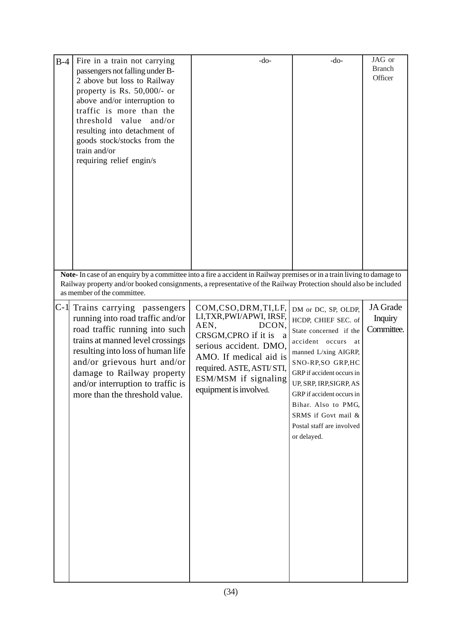| $B-4$ | Fire in a train not carrying<br>passengers not falling under B-<br>2 above but loss to Railway<br>property is Rs. $50,000/-$ or<br>above and/or interruption to<br>traffic is more than the<br>threshold<br>value<br>and/or<br>resulting into detachment of<br>goods stock/stocks from the<br>train and/or<br>requiring relief engin/s<br>Note-In case of an enquiry by a committee into a fire a accident in Railway premises or in a train living to damage to | $-do-$                                                                                                                                                                                                                          | $-do-$                                                                                                                                                                                                                                                                                                                     | JAG or<br><b>Branch</b><br>Officer       |
|-------|------------------------------------------------------------------------------------------------------------------------------------------------------------------------------------------------------------------------------------------------------------------------------------------------------------------------------------------------------------------------------------------------------------------------------------------------------------------|---------------------------------------------------------------------------------------------------------------------------------------------------------------------------------------------------------------------------------|----------------------------------------------------------------------------------------------------------------------------------------------------------------------------------------------------------------------------------------------------------------------------------------------------------------------------|------------------------------------------|
|       | Railway property and/or booked consignments, a representative of the Railway Protection should also be included<br>as member of the committee.                                                                                                                                                                                                                                                                                                                   |                                                                                                                                                                                                                                 |                                                                                                                                                                                                                                                                                                                            |                                          |
|       | C-1 Trains carrying passengers<br>running into road traffic and/or<br>road traffic running into such<br>trains at manned level crossings<br>resulting into loss of human life<br>and/or grievous hurt and/or<br>damage to Railway property<br>and/or interruption to traffic is<br>more than the threshold value.                                                                                                                                                | COM, CSO, DRM, TI, LF,<br>LI,TXR,PWI/APWI, IRSF,<br>AEN,<br>DCON,<br>CRSGM, CPRO if it is a<br>serious accident. DMO,<br>AMO. If medical aid is<br>required. ASTE, ASTI/ STI,<br>ESM/MSM if signaling<br>equipment is involved. | DM or DC, SP, OLDP,<br>HCDP, CHIEF SEC. of<br>State concerned if the<br>accident occurs<br>at<br>manned L/xing AIGRP,<br>SNO-RP, SO GRP, HC<br>GRP if accident occurs in<br>UP, SRP, IRP, SIGRP, AS<br>GRP if accident occurs in<br>Bihar. Also to PMG,<br>SRMS if Govt mail &<br>Postal staff are involved<br>or delayed. | JA Grade<br><b>Inquiry</b><br>Committee. |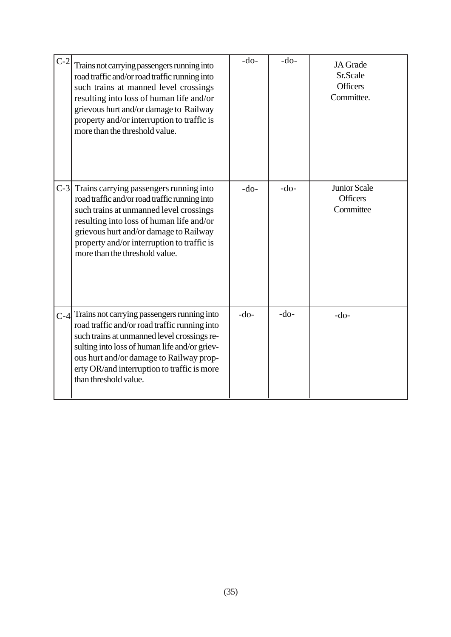| $C-2$ | Trains not carrying passengers running into<br>road traffic and/or road traffic running into<br>such trains at manned level crossings<br>resulting into loss of human life and/or<br>grievous hurt and/or damage to Railway<br>property and/or interruption to traffic is<br>more than the threshold value.     | $-do-$ | $-do-$ | JA Grade<br>Sr.Scale<br><b>Officers</b><br>Committee. |
|-------|-----------------------------------------------------------------------------------------------------------------------------------------------------------------------------------------------------------------------------------------------------------------------------------------------------------------|--------|--------|-------------------------------------------------------|
| $C-3$ | Trains carrying passengers running into<br>road traffic and/or road traffic running into<br>such trains at unmanned level crossings<br>resulting into loss of human life and/or<br>grievous hurt and/or damage to Railway<br>property and/or interruption to traffic is<br>more than the threshold value.       | $-do-$ | $-do-$ | Junior Scale<br><b>Officers</b><br>Committee          |
| $C-4$ | Trains not carrying passengers running into<br>road traffic and/or road traffic running into<br>such trains at unmanned level crossings re-<br>sulting into loss of human life and/or griev-<br>ous hurt and/or damage to Railway prop-<br>erty OR/and interruption to traffic is more<br>than threshold value. | $-do-$ | $-do-$ | $-do-$                                                |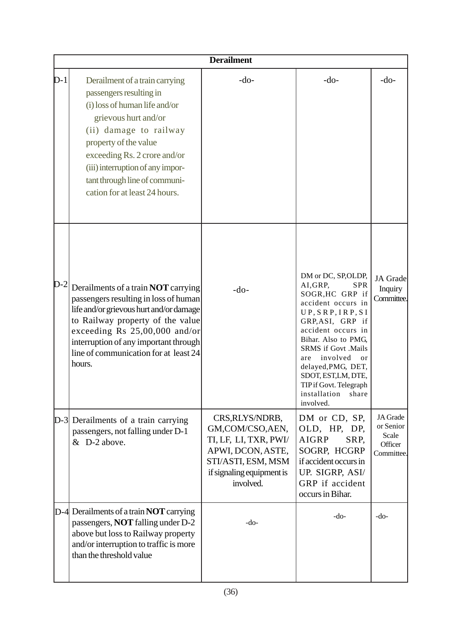|       | <b>Derailment</b>                                                                                                                                                                                                                                                                                           |                                                                                                                                                  |                                                                                                                                                                                                                                                                                                                                                |                                                         |  |  |  |  |
|-------|-------------------------------------------------------------------------------------------------------------------------------------------------------------------------------------------------------------------------------------------------------------------------------------------------------------|--------------------------------------------------------------------------------------------------------------------------------------------------|------------------------------------------------------------------------------------------------------------------------------------------------------------------------------------------------------------------------------------------------------------------------------------------------------------------------------------------------|---------------------------------------------------------|--|--|--|--|
| $D-1$ | Derailment of a train carrying<br>passengers resulting in<br>(i) loss of human life and/or<br>grievous hurt and/or<br>(ii) damage to railway<br>property of the value<br>exceeding Rs. 2 crore and/or<br>(iii) interruption of any impor-<br>tant through line of communi-<br>cation for at least 24 hours. | $-do-$                                                                                                                                           | $-do-$                                                                                                                                                                                                                                                                                                                                         | $-do-$                                                  |  |  |  |  |
| $D-2$ | Derailments of a train <b>NOT</b> carrying<br>passengers resulting in loss of human<br>life and/or grievous hurt and/or damage<br>to Railway property of the value<br>exceeding Rs 25,00,000 and/or<br>interruption of any important through<br>line of communication for at least 24<br>hours.             | $-do-$                                                                                                                                           | DM or DC, SP, OLDP,<br>AI, GRP,<br><b>SPR</b><br>SOGR, HC GRP if<br>accident occurs in<br>UP, SRP, IRP, SI<br>GRP, ASI, GRP if<br>accident occurs in<br>Bihar. Also to PMG,<br><b>SRMS</b> if Govt .Mails<br>involved<br>are<br>or<br>delayed, PMG, DET,<br>SDOT, EST,LM, DTE,<br>TIP if Govt. Telegraph<br>installation<br>share<br>involved. | JA Grade<br>Inquiry<br>Committee.                       |  |  |  |  |
|       | D-3 Derailments of a train carrying<br>passengers, not falling under D-1<br>& D-2 above.                                                                                                                                                                                                                    | CRS, RLYS/NDRB,<br>GM,COM/CSO,AEN,<br>TI, LF, LI, TXR, PWI/<br>APWI, DCON, ASTE,<br>STI/ASTI, ESM, MSM<br>if signaling equipment is<br>involved. | DM or CD, SP,<br>OLD, HP, DP,<br><b>AIGRP</b><br>SRP,<br>SOGRP, HCGRP<br>if accident occurs in<br>UP. SIGRP, ASI/<br>GRP if accident<br>occurs in Bihar.                                                                                                                                                                                       | JA Grade<br>or Senior<br>Scale<br>Officer<br>Committee. |  |  |  |  |
|       | $D-4$ Derailments of a train <b>NOT</b> carrying<br>passengers, <b>NOT</b> falling under D-2<br>above but loss to Railway property<br>and/or interruption to traffic is more<br>than the threshold value                                                                                                    | $-do-$                                                                                                                                           | $-do-$                                                                                                                                                                                                                                                                                                                                         | -do-                                                    |  |  |  |  |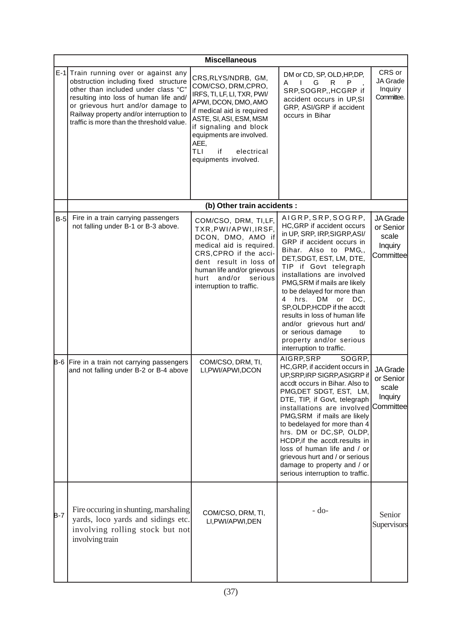|            | <b>Miscellaneous</b>                                                                                                                                                                                                                                                                         |                                                                                                                                                                                                                                                                             |                                                                                                                                                                                                                                                                                                                                                                                                                                                                                                     |                                                        |  |
|------------|----------------------------------------------------------------------------------------------------------------------------------------------------------------------------------------------------------------------------------------------------------------------------------------------|-----------------------------------------------------------------------------------------------------------------------------------------------------------------------------------------------------------------------------------------------------------------------------|-----------------------------------------------------------------------------------------------------------------------------------------------------------------------------------------------------------------------------------------------------------------------------------------------------------------------------------------------------------------------------------------------------------------------------------------------------------------------------------------------------|--------------------------------------------------------|--|
|            | E-1 Train running over or against any<br>obstruction including fixed structure<br>other than included under class "C"<br>resulting into loss of human life and/<br>or grievous hurt and/or damage to<br>Railway property and/or interruption to<br>traffic is more than the threshold value. | CRS, RLYS/NDRB, GM,<br>COM/CSO, DRM, CPRO,<br>IRFS, TI, LF, LI, TXR, PWI/<br>APWI, DCON, DMO, AMO<br>if medical aid is required<br>ASTE, SI, ASI, ESM, MSM<br>if signaling and block<br>equipments are involved.<br>AEE,<br>TLI<br>if<br>electrical<br>equipments involved. | DM or CD, SP, OLD, HP, DP,<br>$\mathbf{L}$<br>G<br>R<br>A<br>P<br>SRP, SOGRP, , HCGRP if<br>accident occurs in UP,SI<br>GRP, ASI/GRP if accident<br>occurs in Bihar                                                                                                                                                                                                                                                                                                                                 | CRS or<br>JA Grade<br>Inquiry<br>Committee.            |  |
|            |                                                                                                                                                                                                                                                                                              | (b) Other train accidents :                                                                                                                                                                                                                                                 |                                                                                                                                                                                                                                                                                                                                                                                                                                                                                                     |                                                        |  |
| $B-5$      | Fire in a train carrying passengers<br>not falling under B-1 or B-3 above.                                                                                                                                                                                                                   | COM/CSO, DRM, TI,LF,<br>TXR, PWI/APWI, IRSF,<br>DCON, DMO, AMO if<br>medical aid is required.<br>CRS, CPRO if the acci-<br>dent result in loss of<br>human life and/or grievous<br>serious<br>and/or<br>hurt<br>interruption to traffic.                                    | AIGRP, SRP, SOGRP,<br>HC, GRP if accident occurs<br>in UP, SRP, IRP, SIGRP, ASI/<br>GRP if accident occurs in<br>Bihar. Also to PMG,,<br>DET, SDGT, EST, LM, DTE,<br>TIP if Govt telegraph<br>installations are involved<br>PMG, SRM if mails are likely<br>to be delayed for more than<br>hrs. DM<br>or<br>DC,<br>4<br>SP, OLDP, HCDP if the accdt<br>results in loss of human life<br>and/or grievous hurt and/<br>or serious damage<br>to<br>property and/or serious<br>interruption to traffic. | JA Grade<br>or Senior<br>scale<br>Inquiry<br>Committee |  |
|            | B-6 Fire in a train not carrying passengers<br>and not falling under B-2 or B-4 above                                                                                                                                                                                                        | COM/CSO, DRM, TI,<br>LI, PWI/APWI, DCON                                                                                                                                                                                                                                     | AIGRP, SRP<br>SOGRP,<br>HC, GRP, if accident occurs in<br>UP, SRP, IRP SIGRP, ASIGRP if<br>accdt occurs in Bihar. Also to<br>PMG, DET SDGT, EST, LM,<br>DTE, TIP, if Govt, telegraph<br>installations are involved<br>PMG, SRM if mails are likely<br>to bedelayed for more than 4<br>hrs. DM or DC, SP, OLDP,<br>HCDP, if the accdt.results in<br>loss of human life and / or<br>grievous hurt and / or serious<br>damage to property and / or<br>serious interruption to traffic.                 | JA Grade<br>or Senior<br>scale<br>Inquiry<br>Committee |  |
| <b>B-7</b> | Fire occuring in shunting, marshaling<br>yards, loco yards and sidings etc.<br>involving rolling stock but not<br>involving train                                                                                                                                                            | COM/CSO, DRM, TI,<br>LI, PWI/APWI, DEN                                                                                                                                                                                                                                      | $-do-$                                                                                                                                                                                                                                                                                                                                                                                                                                                                                              | Senior<br>Supervisors                                  |  |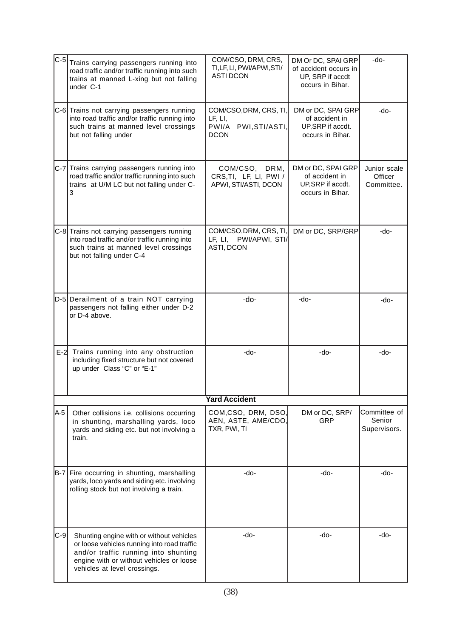| $C-5$   | Trains carrying passengers running into<br>road traffic and/or traffic running into such<br>trains at manned L-xing but not falling<br>under C-1                                                            | COM/CSO, DRM, CRS,<br>TI, LF, LI, PWI/APWI, STI/<br><b>ASTI DCON</b>        | DM Or DC, SPAI GRP<br>of accident occurs in<br>UP, SRP if accdt<br>occurs in Bihar. | -do-                                   |
|---------|-------------------------------------------------------------------------------------------------------------------------------------------------------------------------------------------------------------|-----------------------------------------------------------------------------|-------------------------------------------------------------------------------------|----------------------------------------|
|         | C-6 Trains not carrying passengers running<br>into road traffic and/or traffic running into<br>such trains at manned level crossings<br>but not falling under                                               | COM/CSO, DRM, CRS, TI,<br>LF, LI,<br>PWI/A<br>PWI, STI/ASTI,<br><b>DCON</b> | DM or DC, SPAI GRP<br>of accident in<br>UP, SRP if accdt.<br>occurs in Bihar.       | -do-                                   |
|         | C-7 Trains carrying passengers running into<br>road traffic and/or traffic running into such<br>trains at U/M LC but not falling under C-<br>3                                                              | COM/CSO, DRM,<br>CRS, TI, LF, LI, PWI /<br>APWI, STI/ASTI, DCON             | DM or DC, SPAI GRP<br>of accident in<br>UP, SRP if accdt.<br>occurs in Bihar.       | Junior scale<br>Officer<br>Committee.  |
|         | C-8 Trains not carrying passengers running<br>into road traffic and/or traffic running into<br>such trains at manned level crossings<br>but not falling under C-4                                           | COM/CSO, DRM, CRS, TI,<br>LF, LI, PWI/APWI, STI/<br>ASTI, DCON              | DM or DC, SRP/GRP                                                                   | -do-                                   |
|         | D-5 Derailment of a train NOT carrying<br>passengers not falling either under D-2<br>or D-4 above.                                                                                                          | -do-                                                                        | -do-                                                                                | -do-                                   |
|         | E-2 Trains running into any obstruction<br>including fixed structure but not covered<br>up under Class "C" or "E-1"                                                                                         | -do-                                                                        | -do-                                                                                | -do-                                   |
|         |                                                                                                                                                                                                             | <b>Yard Accident</b>                                                        |                                                                                     |                                        |
| A-5     | Other collisions i.e. collisions occurring<br>in shunting, marshalling yards, loco<br>yards and siding etc. but not involving a<br>train.                                                                   | COM,CSO, DRM, DSO,<br>AEN, ASTE, AME/CDO,<br>TXR, PWI, TI                   | DM or DC, SRP/<br><b>GRP</b>                                                        | Committee of<br>Senior<br>Supervisors. |
|         | B-7 Fire occurring in shunting, marshalling<br>yards, loco yards and siding etc. involving<br>rolling stock but not involving a train.                                                                      | -do-                                                                        | -do-                                                                                | -do-                                   |
| $ C-9 $ | Shunting engine with or without vehicles<br>or loose vehicles running into road traffic<br>and/or traffic running into shunting<br>engine with or without vehicles or loose<br>vehicles at level crossings. | -do-                                                                        | $-do-$                                                                              | -do-                                   |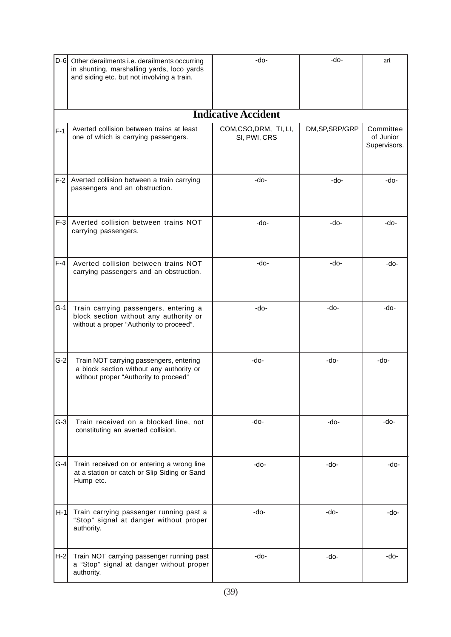| $D-6$ | Other derailments i.e. derailments occurring<br>in shunting, marshalling yards, loco yards<br>and siding etc. but not involving a train. | -do-                                 | $-do-$          | ari                                    |
|-------|------------------------------------------------------------------------------------------------------------------------------------------|--------------------------------------|-----------------|----------------------------------------|
|       |                                                                                                                                          | <b>Indicative Accident</b>           |                 |                                        |
| $F-1$ | Averted collision between trains at least<br>one of which is carrying passengers.                                                        | COM,CSO,DRM, TI, LI,<br>SI, PWI, CRS | DM, SP, SRP/GRP | Committee<br>of Junior<br>Supervisors. |
| $F-2$ | Averted collision between a train carrying<br>passengers and an obstruction.                                                             | -do-                                 | -do-            | -do-                                   |
| $F-3$ | Averted collision between trains NOT<br>carrying passengers.                                                                             | -do-                                 | -do-            | -do-                                   |
| $F-4$ | Averted collision between trains NOT<br>carrying passengers and an obstruction.                                                          | -do-                                 | -do-            | $-do-$                                 |
| $G-1$ | Train carrying passengers, entering a<br>block section without any authority or<br>without a proper "Authority to proceed".              | -do-                                 | $-do-$          | $-do-$                                 |
| $G-2$ | Train NOT carrying passengers, entering<br>a block section without any authority or<br>without proper "Authority to proceed"             | -do-                                 | -do-            | -do-                                   |
| $G-3$ | Train received on a blocked line, not<br>constituting an averted collision.                                                              | -do-                                 | -do-            | -do-                                   |
| $G-4$ | Train received on or entering a wrong line<br>at a station or catch or Slip Siding or Sand<br>Hump etc.                                  | -do-                                 | -do-            | -do-                                   |
| $H-1$ | Train carrying passenger running past a<br>"Stop" signal at danger without proper<br>authority.                                          | -do-                                 | -do-            | -do-                                   |
| H-2   | Train NOT carrying passenger running past<br>a "Stop" signal at danger without proper<br>authority.                                      | -do-                                 | -do-            | -do-                                   |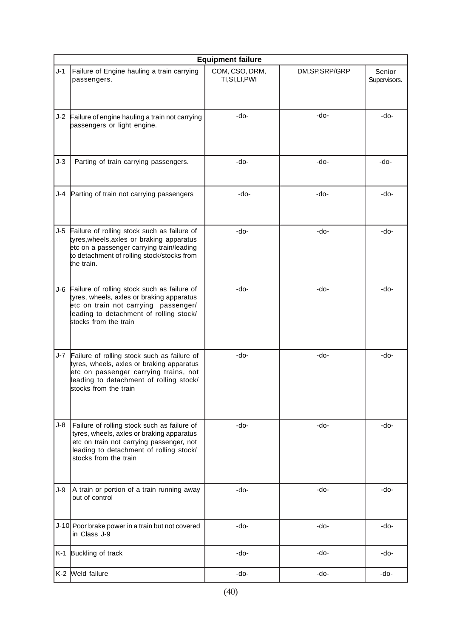|       | <b>Equipment failure</b>                                                                                                                                                                                 |                                   |                 |                        |  |
|-------|----------------------------------------------------------------------------------------------------------------------------------------------------------------------------------------------------------|-----------------------------------|-----------------|------------------------|--|
| $J-1$ | Failure of Engine hauling a train carrying<br>passengers.                                                                                                                                                | COM, CSO, DRM,<br>TI, SI, LI, PWI | DM, SP, SRP/GRP | Senior<br>Supervisors. |  |
|       | J-2 Failure of engine hauling a train not carrying<br>passengers or light engine.                                                                                                                        | -do-                              | $-do-$          | -do-                   |  |
| $J-3$ | Parting of train carrying passengers.                                                                                                                                                                    | -do-                              | -do-            | -do-                   |  |
| J-4   | Parting of train not carrying passengers                                                                                                                                                                 | -do-                              | -do-            | -do-                   |  |
| $J-5$ | Failure of rolling stock such as failure of<br>tyres, wheels, axles or braking apparatus<br>etc on a passenger carrying train/leading<br>to detachment of rolling stock/stocks from<br>the train.        | -do-                              | -do-            | -do-                   |  |
| J-6   | Failure of rolling stock such as failure of<br>tyres, wheels, axles or braking apparatus<br>etc on train not carrying passenger/<br>leading to detachment of rolling stock/<br>stocks from the train     | -do-                              | -do-            | -do-                   |  |
| J-7   | Failure of rolling stock such as failure of<br>tyres, wheels, axles or braking apparatus<br>etc on passenger carrying trains, not<br>leading to detachment of rolling stock/<br>stocks from the train    | -do-                              | -do-            | -do-                   |  |
| J-8   | Failure of rolling stock such as failure of<br>tyres, wheels, axles or braking apparatus<br>etc on train not carrying passenger, not<br>leading to detachment of rolling stock/<br>stocks from the train | -do-                              | -do-            | -do-                   |  |
| J-9   | A train or portion of a train running away<br>out of control                                                                                                                                             | -do-                              | -do-            | -do-                   |  |
|       | J-10 Poor brake power in a train but not covered<br>in Class J-9                                                                                                                                         | -do-                              | -do-            | -do-                   |  |
|       | K-1 Buckling of track                                                                                                                                                                                    | -do-                              | -do-            | -do-                   |  |
|       | K-2 Weld failure                                                                                                                                                                                         | -do-                              | -do-            | -do-                   |  |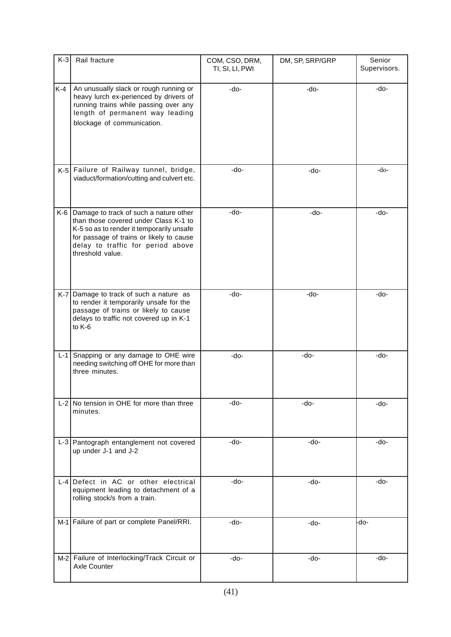| $K-3$   | Rail fracture                                                                                                                                                                                                                     | COM, CSO, DRM,<br>DM, SP, SRP/GRP<br>TI, SI, LI, PWI |        | Senior<br>Supervisors. |  |
|---------|-----------------------------------------------------------------------------------------------------------------------------------------------------------------------------------------------------------------------------------|------------------------------------------------------|--------|------------------------|--|
| K-4     | An unusually slack or rough running or<br>heavy lurch ex-perienced by drivers of<br>running trains while passing over any<br>length of permanent way leading<br>blockage of communication.                                        | -do-                                                 | -do-   | -do-                   |  |
|         | K-5 Failure of Railway tunnel, bridge,<br>viaduct/formation/cutting and culvert etc.                                                                                                                                              | -do-                                                 | $-do-$ | $-do-$                 |  |
| K-6     | Damage to track of such a nature other<br>than those covered under Class K-1 to<br>K-5 so as to render it temporarily unsafe<br>for passage of trains or likely to cause<br>delay to traffic for period above<br>threshold value. | -do-                                                 | -do-   | $-do-$                 |  |
|         | K-7 Damage to track of such a nature as<br>to render it temporarily unsafe for the<br>passage of trains or likely to cause<br>delays to traffic not covered up in K-1<br>to K-6                                                   | -do-                                                 | -do-   | $-do-$                 |  |
| $L - 1$ | Snapping or any damage to OHE wire<br>needing switching off OHE for more than<br>three minutes.                                                                                                                                   | -do-                                                 | -do-   | -do-                   |  |
|         | $L-2$ No tension in OHE for more than three<br>minutes.                                                                                                                                                                           | -do-                                                 | -do-   | -do-                   |  |
|         | L-3 Pantograph entanglement not covered<br>up under J-1 and J-2                                                                                                                                                                   | -do-                                                 | -do-   | -do-                   |  |
|         | L-4 Defect in AC or other electrical<br>equipment leading to detachment of a<br>rolling stock/s from a train.                                                                                                                     | -do-                                                 | -do-   | -do-                   |  |
|         | M-1 Failure of part or complete Panel/RRI.                                                                                                                                                                                        | -do-                                                 | -do-   | -do-                   |  |
|         | M-2 Failure of Interlocking/Track Circuit or<br>Axle Counter                                                                                                                                                                      | -do-                                                 | -do-   | -do-                   |  |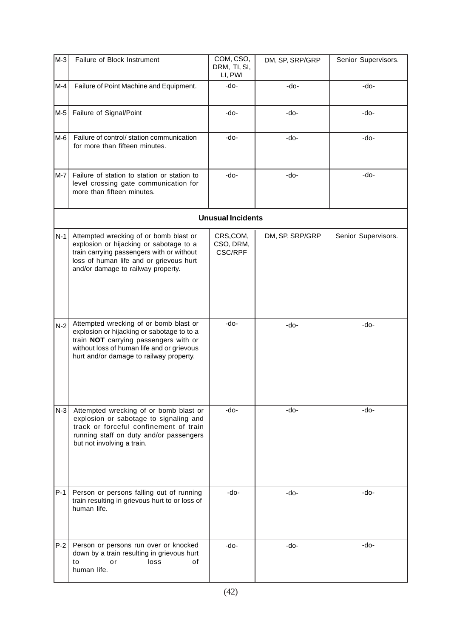| M-3   | Failure of Block Instrument                                                                                                                                                                                            | COM, CSO,<br>DRM, TI, SI,<br>LI, PWI    | DM, SP, SRP/GRP | Senior Supervisors. |
|-------|------------------------------------------------------------------------------------------------------------------------------------------------------------------------------------------------------------------------|-----------------------------------------|-----------------|---------------------|
| M-4   | Failure of Point Machine and Equipment.                                                                                                                                                                                | -do-                                    | -do-            | -do-                |
| M-5   | Failure of Signal/Point                                                                                                                                                                                                | -do-                                    | -do-            | -do-                |
| M-6   | Failure of control/ station communication<br>for more than fifteen minutes.                                                                                                                                            | -do-                                    | $-do-$          | -do-                |
| M-7   | Failure of station to station or station to<br>level crossing gate communication for<br>more than fifteen minutes.                                                                                                     | -do-                                    | -do-            | -do-                |
|       |                                                                                                                                                                                                                        | <b>Unusual Incidents</b>                |                 |                     |
| $N-1$ | Attempted wrecking of or bomb blast or<br>explosion or hijacking or sabotage to a<br>train carrying passengers with or without<br>loss of human life and or grievous hurt<br>and/or damage to railway property.        | CRS,COM,<br>CSO, DRM,<br><b>CSC/RPF</b> | DM, SP, SRP/GRP | Senior Supervisors. |
| $N-2$ | Attempted wrecking of or bomb blast or<br>explosion or hijacking or sabotage to to a<br>train NOT carrying passengers with or<br>without loss of human life and or grievous<br>hurt and/or damage to railway property. | -do-                                    | -do-            | -do-                |
| $N-3$ | Attempted wrecking of or bomb blast or<br>explosion or sabotage to signaling and<br>track or forceful confinement of train<br>running staff on duty and/or passengers<br>but not involving a train.                    | -do-                                    | -do-            | -do-                |
| $P-1$ | Person or persons falling out of running<br>train resulting in grievous hurt to or loss of<br>human life.                                                                                                              | -do-                                    | -do-            | -do-                |
| $P-2$ | Person or persons run over or knocked<br>down by a train resulting in grievous hurt<br>loss<br>to<br>οf<br>or<br>human life.                                                                                           | -do-                                    | -do-            | -do-                |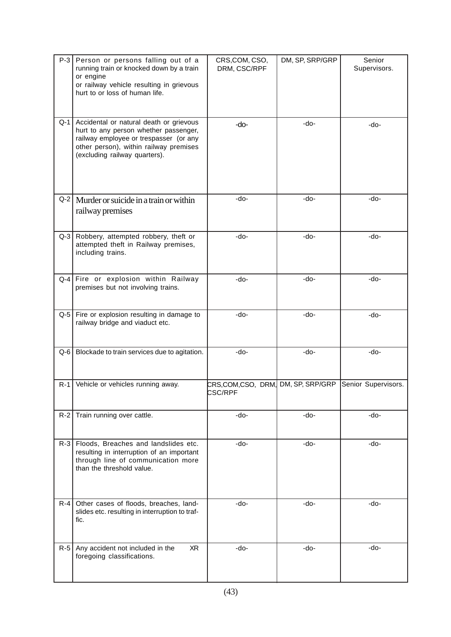| $P-3$   | Person or persons falling out of a<br>running train or knocked down by a train<br>or engine<br>or railway vehicle resulting in grievous<br>hurt to or loss of human life.                             | CRS,COM, CSO,<br>DRM, CSC/RPF                       | DM, SP, SRP/GRP | Senior<br>Supervisors. |
|---------|-------------------------------------------------------------------------------------------------------------------------------------------------------------------------------------------------------|-----------------------------------------------------|-----------------|------------------------|
| Q-1     | Accidental or natural death or grievous<br>hurt to any person whether passenger,<br>railway employee or trespasser (or any<br>other person), within railway premises<br>(excluding railway quarters). | -do-                                                | -do-            | -do-                   |
| $Q-2$   | Murder or suicide in a train or within<br>railway premises                                                                                                                                            | -do-                                                | -do-            | -do-                   |
| $Q-3$   | Robbery, attempted robbery, theft or<br>attempted theft in Railway premises,<br>including trains.                                                                                                     | -do-                                                | -do-            | -do-                   |
| $Q-4$   | Fire or explosion within Railway<br>premises but not involving trains.                                                                                                                                | -do-                                                | -do-            | $-do-$                 |
| $Q-5$   | Fire or explosion resulting in damage to<br>railway bridge and viaduct etc.                                                                                                                           | $-do-$                                              | -do-            | $-do-$                 |
| $Q-6$   | Blockade to train services due to agitation.                                                                                                                                                          | -do-                                                | -do-            | -do-                   |
| $R-1$   | Vehicle or vehicles running away.                                                                                                                                                                     | CRS,COM,CSO, DRM, DM, SP, SRP/GRP<br><b>CSC/RPF</b> |                 | Senior Supervisors.    |
| $R-2$   | Train running over cattle.                                                                                                                                                                            | -do-                                                | -do-            | -do-                   |
| $R-3$   | Floods, Breaches and landslides etc.<br>resulting in interruption of an important<br>through line of communication more<br>than the threshold value.                                                  | -do-                                                | -do-            | -do-                   |
| $R - 4$ | Other cases of floods, breaches, land-<br>slides etc. resulting in interruption to traf-<br>fic.                                                                                                      | -do-                                                | -do-            | -do-                   |
| $R-5$   | Any accident not included in the<br>XR<br>foregoing classifications.                                                                                                                                  | -do-                                                | -do-            | -do-                   |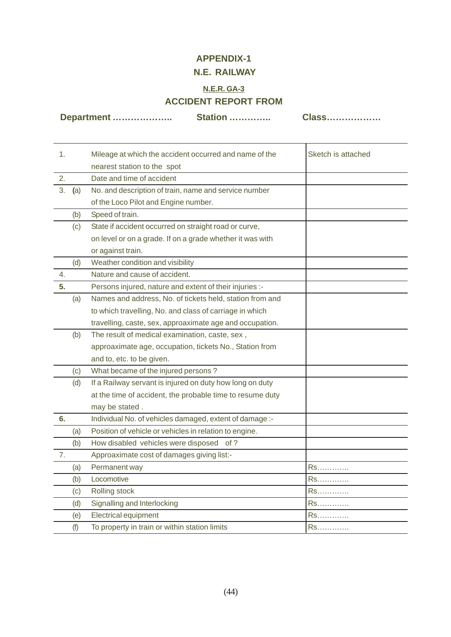# **APPENDIX-1**

# **N.E. RAILWAY**

# **N.E.R. GA-3 ACCIDENT REPORT FROM**

**Department ……………….. Station ………….. Class………………**

| 1. |     | Mileage at which the accident occurred and name of the    | Sketch is attached |
|----|-----|-----------------------------------------------------------|--------------------|
|    |     | nearest station to the spot                               |                    |
| 2. |     | Date and time of accident                                 |                    |
| 3. | (a) | No. and description of train, name and service number     |                    |
|    |     | of the Loco Pilot and Engine number.                      |                    |
|    | (b) | Speed of train.                                           |                    |
|    | (c) | State if accident occurred on straight road or curve,     |                    |
|    |     | on level or on a grade. If on a grade whether it was with |                    |
|    |     | or against train.                                         |                    |
|    | (d) | Weather condition and visibility                          |                    |
| 4. |     | Nature and cause of accident.                             |                    |
| 5. |     | Persons injured, nature and extent of their injuries :-   |                    |
|    | (a) | Names and address, No. of tickets held, station from and  |                    |
|    |     | to which travelling, No. and class of carriage in which   |                    |
|    |     | travelling, caste, sex, approaximate age and occupation.  |                    |
|    | (b) | The result of medical examination, caste, sex,            |                    |
|    |     | approaximate age, occupation, tickets No., Station from   |                    |
|    |     | and to, etc. to be given.                                 |                    |
|    | (c) | What became of the injured persons?                       |                    |
|    | (d) | If a Railway servant is injured on duty how long on duty  |                    |
|    |     | at the time of accident, the probable time to resume duty |                    |
|    |     | may be stated.                                            |                    |
| 6. |     | Individual No. of vehicles damaged, extent of damage :-   |                    |
|    | (a) | Position of vehicle or vehicles in relation to engine.    |                    |
|    | (b) | How disabled vehicles were disposed of?                   |                    |
| 7. |     | Approaximate cost of damages giving list:-                |                    |
|    | (a) | Permanent way                                             | Rs.                |
|    | (b) | Locomotive                                                | Rs                 |
|    | (c) | Rolling stock                                             | Rs.                |
|    | (d) | Signalling and Interlocking                               | Rs                 |
|    | (e) | <b>Electrical equipment</b>                               | Rs.                |
|    | (f) | To property in train or within station limits             | Rs                 |
|    |     |                                                           |                    |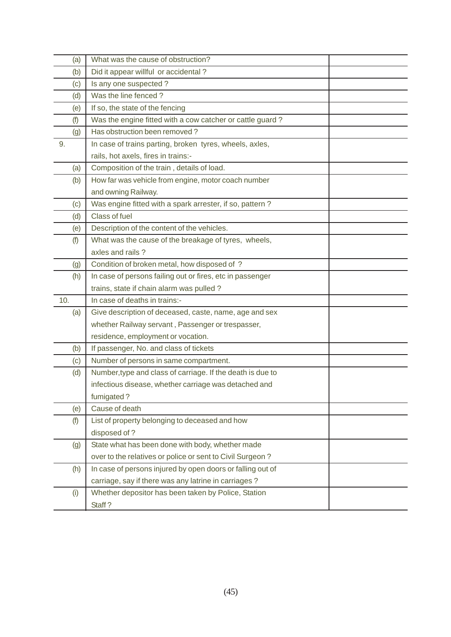| (a) | What was the cause of obstruction?                         |  |
|-----|------------------------------------------------------------|--|
| (b) | Did it appear willful or accidental?                       |  |
| (c) | Is any one suspected?                                      |  |
| (d) | Was the line fenced?                                       |  |
| (e) | If so, the state of the fencing                            |  |
| (f) | Was the engine fitted with a cow catcher or cattle guard?  |  |
| (g) | Has obstruction been removed?                              |  |
| 9.  | In case of trains parting, broken tyres, wheels, axles,    |  |
|     | rails, hot axels, fires in trains:-                        |  |
| (a) | Composition of the train, details of load.                 |  |
| (b) | How far was vehicle from engine, motor coach number        |  |
|     | and owning Railway.                                        |  |
| (c) | Was engine fitted with a spark arrester, if so, pattern?   |  |
| (d) | Class of fuel                                              |  |
| (e) | Description of the content of the vehicles.                |  |
| (f) | What was the cause of the breakage of tyres, wheels,       |  |
|     | axles and rails?                                           |  |
| (g) | Condition of broken metal, how disposed of ?               |  |
| (h) | In case of persons failing out or fires, etc in passenger  |  |
|     | trains, state if chain alarm was pulled?                   |  |
| 10. | In case of deaths in trains:-                              |  |
| (a) | Give description of deceased, caste, name, age and sex     |  |
|     | whether Railway servant, Passenger or trespasser,          |  |
|     | residence, employment or vocation.                         |  |
| (b) | If passenger, No. and class of tickets                     |  |
| (c) | Number of persons in same compartment.                     |  |
| (d) | Number, type and class of carriage. If the death is due to |  |
|     | infectious disease, whether carriage was detached and      |  |
|     | fumigated?                                                 |  |
| (e) | Cause of death                                             |  |
| (f) | List of property belonging to deceased and how             |  |
|     | disposed of ?                                              |  |
| (g) | State what has been done with body, whether made           |  |
|     | over to the relatives or police or sent to Civil Surgeon?  |  |
| (h) | In case of persons injured by open doors or falling out of |  |
|     | carriage, say if there was any latrine in carriages?       |  |
| (i) | Whether depositor has been taken by Police, Station        |  |
|     | Staff?                                                     |  |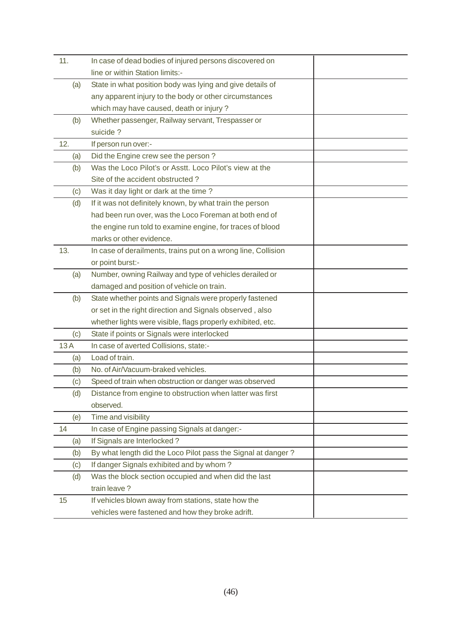| 11. | In case of dead bodies of injured persons discovered on       |  |
|-----|---------------------------------------------------------------|--|
|     | line or within Station limits:-                               |  |
| (a) | State in what position body was lying and give details of     |  |
|     | any apparent injury to the body or other circumstances        |  |
|     | which may have caused, death or injury?                       |  |
| (b) | Whether passenger, Railway servant, Trespasser or             |  |
|     | suicide?                                                      |  |
| 12. | If person run over:-                                          |  |
| (a) | Did the Engine crew see the person?                           |  |
| (b) | Was the Loco Pilot's or Asstt. Loco Pilot's view at the       |  |
|     | Site of the accident obstructed?                              |  |
| (c) | Was it day light or dark at the time?                         |  |
| (d) | If it was not definitely known, by what train the person      |  |
|     | had been run over, was the Loco Foreman at both end of        |  |
|     | the engine run told to examine engine, for traces of blood    |  |
|     | marks or other evidence.                                      |  |
| 13. | In case of derailments, trains put on a wrong line, Collision |  |
|     | or point burst:-                                              |  |
| (a) | Number, owning Railway and type of vehicles derailed or       |  |
|     | damaged and position of vehicle on train.                     |  |
| (b) | State whether points and Signals were properly fastened       |  |
|     | or set in the right direction and Signals observed, also      |  |
|     | whether lights were visible, flags properly exhibited, etc.   |  |
| (c) | State if points or Signals were interlocked                   |  |
| 13A | In case of averted Collisions, state:-                        |  |
| (a) | Load of train.                                                |  |
| (b) | No. of Air/Vacuum-braked vehicles.                            |  |
| (c) | Speed of train when obstruction or danger was observed        |  |
| (d) | Distance from engine to obstruction when latter was first     |  |
|     | observed.                                                     |  |
| (e) | Time and visibility                                           |  |
| 14  | In case of Engine passing Signals at danger:-                 |  |
| (a) | If Signals are Interlocked?                                   |  |
| (b) | By what length did the Loco Pilot pass the Signal at danger?  |  |
| (c) | If danger Signals exhibited and by whom?                      |  |
| (d) | Was the block section occupied and when did the last          |  |
|     | train leave?                                                  |  |
| 15  | If vehicles blown away from stations, state how the           |  |
|     | vehicles were fastened and how they broke adrift.             |  |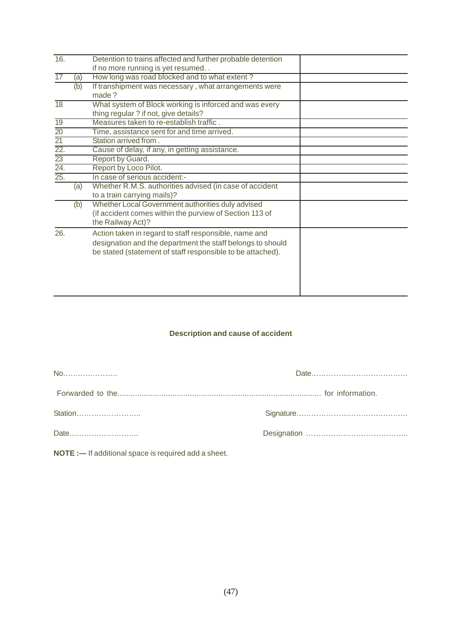| 16.               |     | Detention to trains affected and further probable detention |  |
|-------------------|-----|-------------------------------------------------------------|--|
|                   |     | if no more running is yet resumed                           |  |
| $\overline{17}$   | (a) | How long was road blocked and to what extent?               |  |
|                   | (b) | If transhipment was necessary, what arrangements were       |  |
|                   |     | made?                                                       |  |
| $\overline{18}$   |     | What system of Block working is inforced and was every      |  |
|                   |     | thing regular ? if not, give details?                       |  |
| $\overline{19}$   |     | Measures taken to re-establish traffic.                     |  |
| $\overline{20}$   |     | Time, assistance sent for and time arrived.                 |  |
| $\overline{21}$   |     | Station arrived from.                                       |  |
| $\overline{22}$ . |     | Cause of delay, if any, in getting assistance.              |  |
| $\overline{23}$   |     | Report by Guard.                                            |  |
| $\frac{24}{25}$   |     | Report by Loco Pilot.                                       |  |
|                   |     | In case of serious accident:-                               |  |
|                   | (a) | Whether R.M.S. authorities advised (in case of accident     |  |
|                   |     | to a train carrying mails)?                                 |  |
|                   | (b) | Whether Local Government authorities duly advised           |  |
|                   |     | (if accident comes within the purview of Section 113 of     |  |
|                   |     | the Railway Act)?                                           |  |
| 26.               |     | Action taken in regard to staff responsible, name and       |  |
|                   |     | designation and the department the staff belongs to should  |  |
|                   |     | be stated (statement of staff responsible to be attached).  |  |
|                   |     |                                                             |  |
|                   |     |                                                             |  |
|                   |     |                                                             |  |
|                   |     |                                                             |  |
|                   |     |                                                             |  |

# **Description and cause of accident**

**NOTE :—** If additional space is required add a sheet.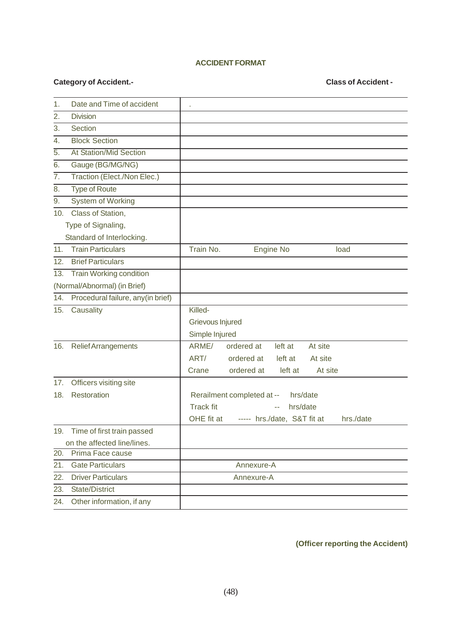### **ACCIDENT FORMAT**

# **Category of Accident.- Class of Accident -**

| 1.  | Date and Time of accident          |                                                        |
|-----|------------------------------------|--------------------------------------------------------|
| 2.  | <b>Division</b>                    |                                                        |
| 3.  | Section                            |                                                        |
| 4.  | <b>Block Section</b>               |                                                        |
| 5.  | <b>At Station/Mid Section</b>      |                                                        |
| 6.  | Gauge (BG/MG/NG)                   |                                                        |
| 7.  | Traction (Elect./Non Elec.)        |                                                        |
| 8.  | <b>Type of Route</b>               |                                                        |
| 9.  | System of Working                  |                                                        |
| 10. | Class of Station,                  |                                                        |
|     | Type of Signaling,                 |                                                        |
|     | Standard of Interlocking.          |                                                        |
| 11. | <b>Train Particulars</b>           | Train No.<br>Engine No<br>load                         |
| 12. | <b>Brief Particulars</b>           |                                                        |
| 13. | <b>Train Working condition</b>     |                                                        |
|     | (Normal/Abnormal) (in Brief)       |                                                        |
| 14. | Procedural failure, any (in brief) |                                                        |
| 15. | Causality                          | Killed-                                                |
|     |                                    | Grievous Injured                                       |
|     |                                    | Simple Injured                                         |
| 16. | <b>Relief Arrangements</b>         | ARME/<br>ordered at<br>left at<br>At site              |
|     |                                    | ART/<br>left at<br>ordered at<br>At site               |
|     |                                    | ordered at<br>left at<br>At site<br>Crane              |
| 17. | Officers visiting site             |                                                        |
| 18. | Restoration                        | Rerailment completed at --<br>hrs/date                 |
|     |                                    | <b>Track fit</b><br>hrs/date                           |
|     |                                    | OHE fit at<br>----- hrs./date, S&T fit at<br>hrs./date |
| 19. | Time of first train passed         |                                                        |
|     | on the affected line/lines.        |                                                        |
| 20. | Prima Face cause                   |                                                        |
| 21. | <b>Gate Particulars</b>            | Annexure-A                                             |
| 22. | <b>Driver Particulars</b>          | Annexure-A                                             |
| 23. | <b>State/District</b>              |                                                        |
| 24. | Other information, if any          |                                                        |

**(Officer reporting the Accident)**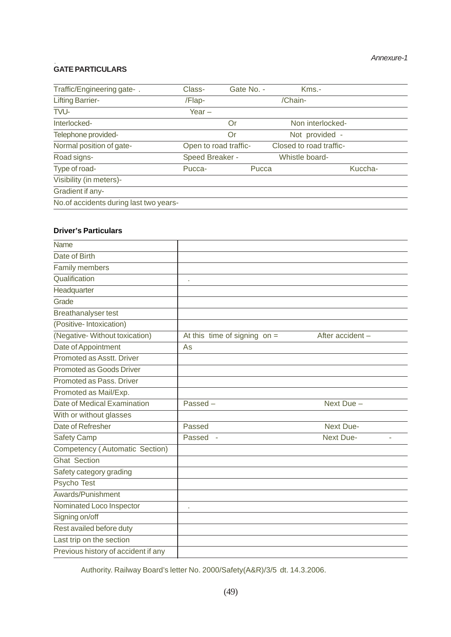# **GATE PARTICULARS**

| Traffic/Engineering gate-.              | Class-                | Gate No. - |         | $Kms. -$                |         |
|-----------------------------------------|-----------------------|------------|---------|-------------------------|---------|
| <b>Lifting Barrier-</b>                 | /Flap-                |            | /Chain- |                         |         |
| TVU-                                    | Year $-$              |            |         |                         |         |
| Interlocked-                            |                       | Or         |         | Non interlocked-        |         |
| Telephone provided-                     |                       | Or         |         | Not provided -          |         |
| Normal position of gate-                | Open to road traffic- |            |         | Closed to road traffic- |         |
| Road signs-                             | Speed Breaker -       |            |         | Whistle board-          |         |
| Type of road-                           | Pucca-                | Pucca      |         |                         | Kuccha- |
| Visibility (in meters)-                 |                       |            |         |                         |         |
| Gradient if any-                        |                       |            |         |                         |         |
| No. of accidents during last two years- |                       |            |         |                         |         |

### **Driver's Particulars**

| Name                                  |                                |                        |
|---------------------------------------|--------------------------------|------------------------|
| Date of Birth                         |                                |                        |
| Family members                        |                                |                        |
| Qualification                         |                                |                        |
| Headquarter                           |                                |                        |
| Grade                                 |                                |                        |
| <b>Breathanalyser test</b>            |                                |                        |
| (Positive-Intoxication)               |                                |                        |
| (Negative-Without toxication)         | At this time of signing on $=$ | After accident -       |
| Date of Appointment                   | As                             |                        |
| Promoted as Asstt. Driver             |                                |                        |
| <b>Promoted as Goods Driver</b>       |                                |                        |
| Promoted as Pass, Driver              |                                |                        |
| Promoted as Mail/Exp.                 |                                |                        |
| Date of Medical Examination           | Passed-                        | Next Due -             |
| With or without glasses               |                                |                        |
| Date of Refresher                     | Passed                         | Next Due-              |
| <b>Safety Camp</b>                    | Passed -                       | <b>Next Due-</b><br>L. |
| <b>Competency (Automatic Section)</b> |                                |                        |
| <b>Ghat Section</b>                   |                                |                        |
| Safety category grading               |                                |                        |
| Psycho Test                           |                                |                        |
| Awards/Punishment                     |                                |                        |
| Nominated Loco Inspector              |                                |                        |
| Signing on/off                        |                                |                        |
| Rest availed before duty              |                                |                        |
| Last trip on the section              |                                |                        |
| Previous history of accident if any   |                                |                        |

Authority. Railway Board's letter No. 2000/Safety(A&R)/3/5 dt. 14.3.2006.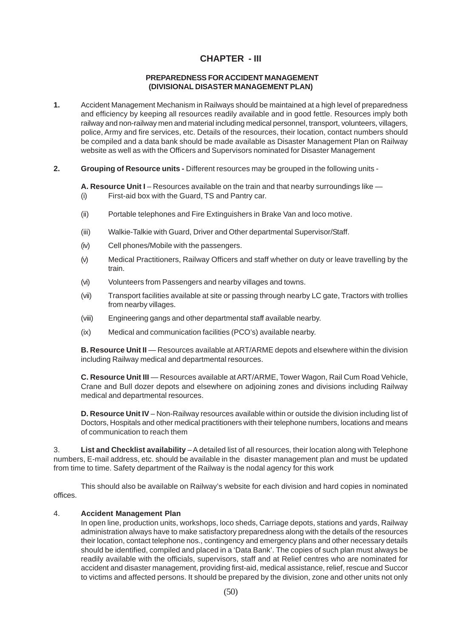## **CHAPTER - III**

#### **PREPAREDNESS FOR ACCIDENT MANAGEMENT (DIVISIONAL DISASTER MANAGEMENT PLAN)**

- **1.** Accident Management Mechanism in Railways should be maintained at a high level of preparedness and efficiency by keeping all resources readily available and in good fettle. Resources imply both railway and non-railway men and material including medical personnel, transport, volunteers, villagers, police, Army and fire services, etc. Details of the resources, their location, contact numbers should be compiled and a data bank should be made available as Disaster Management Plan on Railway website as well as with the Officers and Supervisors nominated for Disaster Management
- **2. Grouping of Resource units -** Different resources may be grouped in the following units -

**A. Resource Unit I** – Resources available on the train and that nearby surroundings like — (i) First-aid box with the Guard, TS and Pantry car.

- (ii) Portable telephones and Fire Extinguishers in Brake Van and loco motive.
- (iii) Walkie-Talkie with Guard, Driver and Other departmental Supervisor/Staff.
- (iv) Cell phones/Mobile with the passengers.
- (v) Medical Practitioners, Railway Officers and staff whether on duty or leave travelling by the train.
- (vi) Volunteers from Passengers and nearby villages and towns.
- (vii) Transport facilities available at site or passing through nearby LC gate, Tractors with trollies from nearby villages.
- (viii) Engineering gangs and other departmental staff available nearby.
- (ix) Medical and communication facilities (PCO's) available nearby.

**B. Resource Unit II** — Resources available at ART/ARME depots and elsewhere within the division including Railway medical and departmental resources.

**C. Resource Unit III** — Resources available at ART/ARME, Tower Wagon, Rail Cum Road Vehicle, Crane and Bull dozer depots and elsewhere on adjoining zones and divisions including Railway medical and departmental resources.

**D. Resource Unit IV** – Non-Railway resources available within or outside the division including list of Doctors, Hospitals and other medical practitioners with their telephone numbers, locations and means of communication to reach them

3. **List and Checklist availability** – A detailed list of all resources, their location along with Telephone numbers, E-mail address, etc. should be available in the disaster management plan and must be updated from time to time. Safety department of the Railway is the nodal agency for this work

This should also be available on Railway's website for each division and hard copies in nominated offices.

#### 4. **Accident Management Plan**

In open line, production units, workshops, loco sheds, Carriage depots, stations and yards, Railway administration always have to make satisfactory preparedness along with the details of the resources their location, contact telephone nos., contingency and emergency plans and other necessary details should be identified, compiled and placed in a 'Data Bank'. The copies of such plan must always be readily available with the officials, supervisors, staff and at Relief centres who are nominated for accident and disaster management, providing first-aid, medical assistance, relief, rescue and Succor to victims and affected persons. It should be prepared by the division, zone and other units not only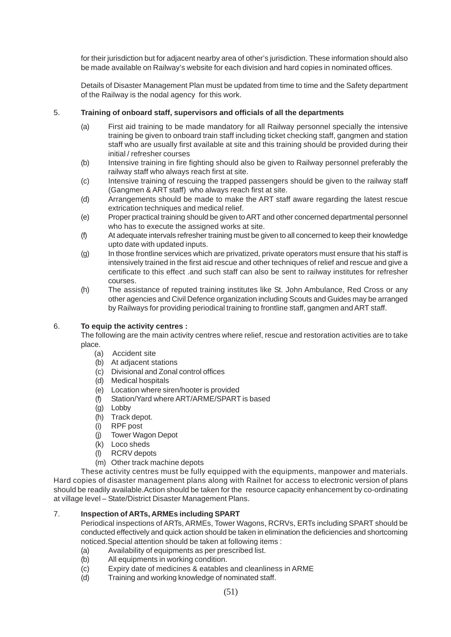for their jurisdiction but for adjacent nearby area of other's jurisdiction. These information should also be made available on Railway's website for each division and hard copies in nominated offices.

Details of Disaster Management Plan must be updated from time to time and the Safety department of the Railway is the nodal agency for this work.

#### 5. **Training of onboard staff, supervisors and officials of all the departments**

- (a) First aid training to be made mandatory for all Railway personnel specially the intensive training be given to onboard train staff including ticket checking staff, gangmen and station staff who are usually first available at site and this training should be provided during their initial / refresher courses
- (b) Intensive training in fire fighting should also be given to Railway personnel preferably the railway staff who always reach first at site.
- (c) Intensive training of rescuing the trapped passengers should be given to the railway staff (Gangmen & ART staff) who always reach first at site.
- (d) Arrangements should be made to make the ART staff aware regarding the latest rescue extrication techniques and medical relief.
- (e) Proper practical training should be given to ART and other concerned departmental personnel who has to execute the assigned works at site.
- (f) At adequate intervals refresher training must be given to all concerned to keep their knowledge upto date with updated inputs.
- (g) In those frontline services which are privatized, private operators must ensure that his staff is intensively trained in the first aid rescue and other techniques of relief and rescue and give a certificate to this effect .and such staff can also be sent to railway institutes for refresher courses.
- (h) The assistance of reputed training institutes like St. John Ambulance, Red Cross or any other agencies and Civil Defence organization including Scouts and Guides may be arranged by Railways for providing periodical training to frontline staff, gangmen and ART staff.

#### 6. **To equip the activity centres :**

The following are the main activity centres where relief, rescue and restoration activities are to take place.

- (a) Accident site
- (b) At adjacent stations
- (c) Divisional and Zonal control offices
- (d) Medical hospitals
- (e) Location where siren/hooter is provided
- (f) Station/Yard where ART/ARME/SPART is based
- (g) Lobby
- (h) Track depot.
- (i) RPF post
- (j) Tower Wagon Depot
- (k) Loco sheds
- (l) RCRV depots
- (m) Other track machine depots

These activity centres must be fully equipped with the equipments, manpower and materials. Hard copies of disaster management plans along with Railnet for access to electronic version of plans should be readily available.Action should be taken for the resource capacity enhancement by co-ordinating at village level – State/District Disaster Management Plans.

#### 7. **Inspection of ARTs, ARMEs including SPART**

Periodical inspections of ARTs, ARMEs, Tower Wagons, RCRVs, ERTs including SPART should be conducted effectively and quick action should be taken in elimination the deficiencies and shortcoming noticed.Special attention should be taken at following items :

- (a) Availability of equipments as per prescribed list.<br>(b) All equipments in working condition.
- All equipments in working condition.
- (c) Expiry date of medicines & eatables and cleanliness in ARME
- (d) Training and working knowledge of nominated staff.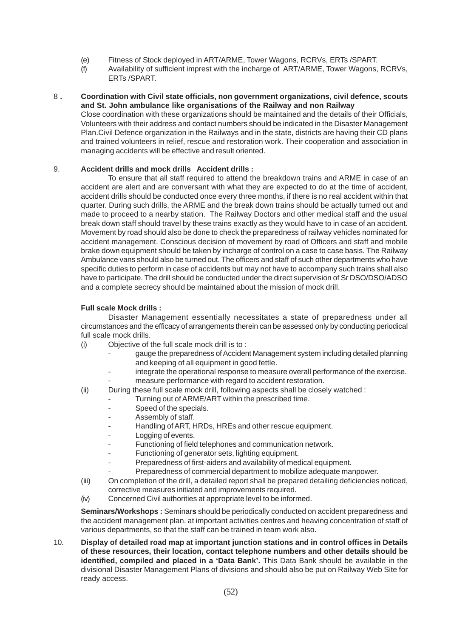- (e) Fitness of Stock deployed in ART/ARME, Tower Wagons, RCRVs, ERTs /SPART.
- (f) Availability of sufficient imprest with the incharge of ART/ARME, Tower Wagons, RCRVs, ERTs /SPART.

#### 8 **. Coordination with Civil state officials, non government organizations, civil defence, scouts and St. John ambulance like organisations of the Railway and non Railway**

Close coordination with these organizations should be maintained and the details of their Officials, Volunteers with their address and contact numbers should be indicated in the Disaster Management Plan.Civil Defence organization in the Railways and in the state, districts are having their CD plans and trained volunteers in relief, rescue and restoration work. Their cooperation and association in managing accidents will be effective and result oriented.

#### 9. **Accident drills and mock drills Accident drills :**

To ensure that all staff required to attend the breakdown trains and ARME in case of an accident are alert and are conversant with what they are expected to do at the time of accident, accident drills should be conducted once every three months, if there is no real accident within that quarter. During such drills, the ARME and the break down trains should be actually turned out and made to proceed to a nearby station. The Railway Doctors and other medical staff and the usual break down staff should travel by these trains exactly as they would have to in case of an accident. Movement by road should also be done to check the preparedness of railway vehicles nominated for accident management. Conscious decision of movement by road of Officers and staff and mobile brake down equipment should be taken by incharge of control on a case to case basis. The Railway Ambulance vans should also be turned out. The officers and staff of such other departments who have specific duties to perform in case of accidents but may not have to accompany such trains shall also have to participate. The drill should be conducted under the direct supervision of Sr DSO/DSO/ADSO and a complete secrecy should be maintained about the mission of mock drill.

#### **Full scale Mock drills :**

Disaster Management essentially necessitates a state of preparedness under all circumstances and the efficacy of arrangements therein can be assessed only by conducting periodical full scale mock drills.

- (i) Objective of the full scale mock drill is to :
	- gauge the preparedness of Accident Management system including detailed planning and keeping of all equipment in good fettle.
	- integrate the operational response to measure overall performance of the exercise.
		- measure performance with regard to accident restoration.
- (ii) During these full scale mock drill, following aspects shall be closely watched :
	- Turning out of ARME/ART within the prescribed time.
	- Speed of the specials.
	- Assembly of staff.
	- Handling of ART, HRDs, HREs and other rescue equipment.
	- Logging of events.
	- Functioning of field telephones and communication network.
	- Functioning of generator sets, lighting equipment.
		- Preparedness of first-aiders and availability of medical equipment.
		- Preparedness of commercial department to mobilize adequate manpower.
- (iii) On completion of the drill, a detailed report shall be prepared detailing deficiencies noticed, corrective measures initiated and improvements required.
- (iv) Concerned Civil authorities at appropriate level to be informed.

**Seminars/Workshops :** Seminar**s** should be periodically conducted on accident preparedness and the accident management plan. at important activities centres and heaving concentration of staff of various departments, so that the staff can be trained in team work also.

10. **Display of detailed road map at important junction stations and in control offices in Details of these resources, their location, contact telephone numbers and other details should be identified, compiled and placed in a 'Data Bank'.** This Data Bank should be available in the divisional Disaster Management Plans of divisions and should also be put on Railway Web Site for ready access.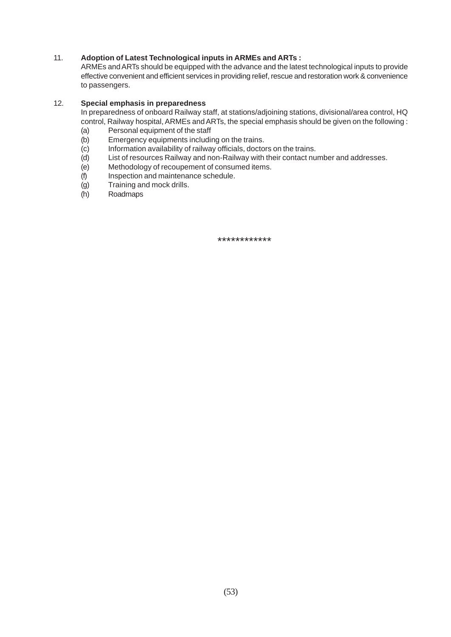#### 11. **Adoption of Latest Technological inputs in ARMEs and ARTs :**

ARMEs and ARTs should be equipped with the advance and the latest technological inputs to provide effective convenient and efficient services in providing relief, rescue and restoration work & convenience to passengers.

#### 12. **Special emphasis in preparedness**

In preparedness of onboard Railway staff, at stations/adjoining stations, divisional/area control, HQ control, Railway hospital, ARMEs and ARTs, the special emphasis should be given on the following :

- (a) Personal equipment of the staff<br>(b) Emergency equipments including
- Emergency equipments including on the trains.
- (c) Information availability of railway officials, doctors on the trains.
- (d) List of resources Railway and non-Railway with their contact number and addresses.
- (e) Methodology of recoupement of consumed items.
- (f) Inspection and maintenance schedule.
- (g) Training and mock drills.
- (h) Roadmaps

\*\*\*\*\*\*\*\*\*\*\*\*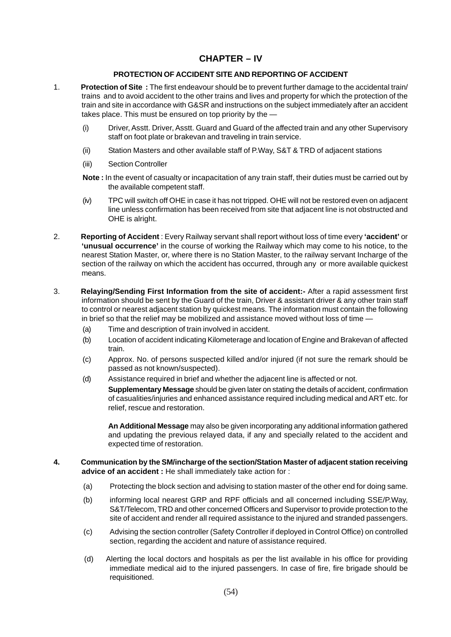### **CHAPTER – IV**

#### **PROTECTION OF ACCIDENT SITE AND REPORTING OF ACCIDENT**

- 1. **Protection of Site :** The first endeavour should be to prevent further damage to the accidental train/ trains and to avoid accident to the other trains and lives and property for which the protection of the train and site in accordance with G&SR and instructions on the subject immediately after an accident takes place. This must be ensured on top priority by the —
	- (i) Driver, Asstt. Driver, Asstt. Guard and Guard of the affected train and any other Supervisory staff on foot plate or brakevan and traveling in train service.
	- (ii) Station Masters and other available staff of P.Way, S&T & TRD of adjacent stations
	- (iii) Section Controller
	- **Note :** In the event of casualty or incapacitation of any train staff, their duties must be carried out by the available competent staff.
	- (iv) TPC will switch off OHE in case it has not tripped. OHE will not be restored even on adjacent line unless confirmation has been received from site that adjacent line is not obstructed and OHE is alright.
- 2. **Reporting of Accident** : Every Railway servant shall report without loss of time every **'accident'** or **'unusual occurrence'** in the course of working the Railway which may come to his notice, to the nearest Station Master, or, where there is no Station Master, to the railway servant Incharge of the section of the railway on which the accident has occurred, through any or more available quickest means.
- 3. **Relaying/Sending First Information from the site of accident:-** After a rapid assessment first information should be sent by the Guard of the train, Driver & assistant driver & any other train staff to control or nearest adjacent station by quickest means. The information must contain the following in brief so that the relief may be mobilized and assistance moved without loss of time —
	- (a) Time and description of train involved in accident.
	- (b) Location of accident indicating Kilometerage and location of Engine and Brakevan of affected train.
	- (c) Approx. No. of persons suspected killed and/or injured (if not sure the remark should be passed as not known/suspected).
	- (d) Assistance required in brief and whether the adjacent line is affected or not.
		- **Supplementary Message** should be given later on stating the details of accident, confirmation of casualities/injuries and enhanced assistance required including medical and ART etc. for relief, rescue and restoration.

**An Additional Message** may also be given incorporating any additional information gathered and updating the previous relayed data, if any and specially related to the accident and expected time of restoration.

#### **4. Communication by the SM/incharge of the section/Station Master of adjacent station receiving advice of an accident :** He shall immediately take action for :

- (a) Protecting the block section and advising to station master of the other end for doing same.
- (b) informing local nearest GRP and RPF officials and all concerned including SSE/P.Way, S&T/Telecom, TRD and other concerned Officers and Supervisor to provide protection to the site of accident and render all required assistance to the injured and stranded passengers.
- (c) Advising the section controller (Safety Controller if deployed in Control Office) on controlled section, regarding the accident and nature of assistance required.
- (d) Alerting the local doctors and hospitals as per the list available in his office for providing immediate medical aid to the injured passengers. In case of fire, fire brigade should be requisitioned.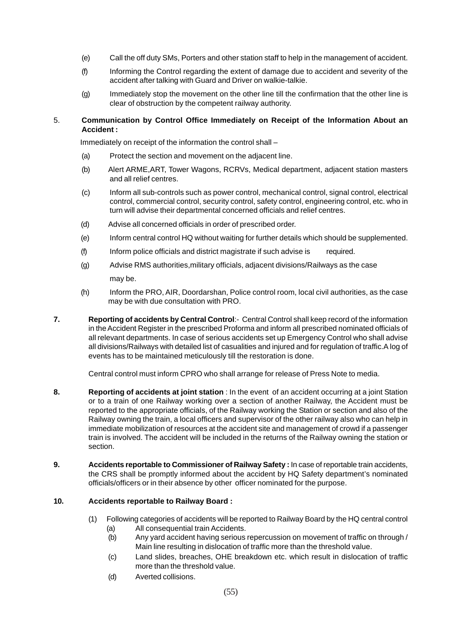- (e) Call the off duty SMs, Porters and other station staff to help in the management of accident.
- (f) Informing the Control regarding the extent of damage due to accident and severity of the accident after talking with Guard and Driver on walkie-talkie.
- (g) Immediately stop the movement on the other line till the confirmation that the other line is clear of obstruction by the competent railway authority.

#### 5. **Communication by Control Office Immediately on Receipt of the Information About an Accident :**

Immediately on receipt of the information the control shall –

- (a) Protect the section and movement on the adjacent line.
- (b) Alert ARME,ART, Tower Wagons, RCRVs, Medical department, adjacent station masters and all relief centres.
- (c) Inform all sub-controls such as power control, mechanical control, signal control, electrical control, commercial control, security control, safety control, engineering control, etc. who in turn will advise their departmental concerned officials and relief centres.
- (d) Advise all concerned officials in order of prescribed order.
- (e) Inform central control HQ without waiting for further details which should be supplemented.
- (f) Inform police officials and district magistrate if such advise is required.
- (g) Advise RMS authorities,military officials, adjacent divisions/Railways as the case may be.
- (h) Inform the PRO, AIR, Doordarshan, Police control room, local civil authorities, as the case may be with due consultation with PRO.
- **7. Reporting of accidents by Central Control**:- Central Control shall keep record of the information in the Accident Register in the prescribed Proforma and inform all prescribed nominated officials of all relevant departments. In case of serious accidents set up Emergency Control who shall advise all divisions/Railways with detailed list of casualities and injured and for regulation of traffic.A log of events has to be maintained meticulously till the restoration is done.

Central control must inform CPRO who shall arrange for release of Press Note to media.

- **8. Reporting of accidents at joint station** : In the event of an accident occurring at a joint Station or to a train of one Railway working over a section of another Railway, the Accident must be reported to the appropriate officials, of the Railway working the Station or section and also of the Railway owning the train, a local officers and supervisor of the other railway also who can help in immediate mobilization of resources at the accident site and management of crowd if a passenger train is involved. The accident will be included in the returns of the Railway owning the station or section.
- **9. Accidents reportable to Commissioner of Railway Safety :** In case of reportable train accidents, the CRS shall be promptly informed about the accident by HQ Safety department's nominated officials/officers or in their absence by other officer nominated for the purpose.

#### **10. Accidents reportable to Railway Board :**

- (1) Following categories of accidents will be reported to Railway Board by the HQ central control (a) All consequential train Accidents.
	- (b) Any yard accident having serious repercussion on movement of traffic on through / Main line resulting in dislocation of traffic more than the threshold value.
	- (c) Land slides, breaches, OHE breakdown etc. which result in dislocation of traffic more than the threshold value.
	- (d) Averted collisions.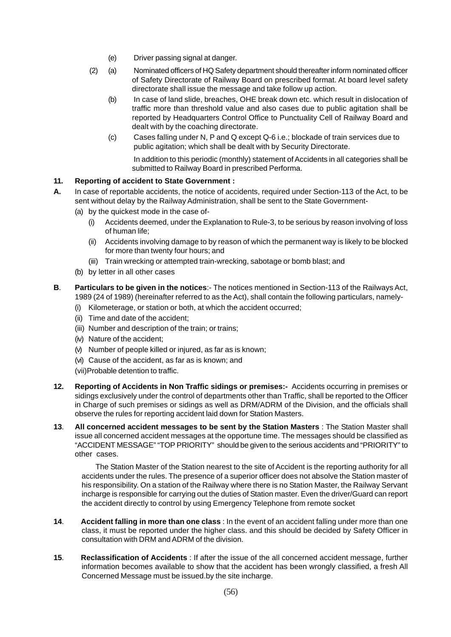- (e) Driver passing signal at danger.
- (2) (a) Nominated officers of HQ Safety department should thereafter inform nominated officer of Safety Directorate of Railway Board on prescribed format. At board level safety directorate shall issue the message and take follow up action.
	- (b) In case of land slide, breaches, OHE break down etc. which result in dislocation of traffic more than threshold value and also cases due to public agitation shall be reported by Headquarters Control Office to Punctuality Cell of Railway Board and dealt with by the coaching directorate.
	- (c) Cases falling under N, P and Q except Q-6 i.e.; blockade of train services due to public agitation; which shall be dealt with by Security Directorate.

In addition to this periodic (monthly) statement of Accidents in all categories shall be submitted to Railway Board in prescribed Performa.

#### **11. Reporting of accident to State Government :**

- **A.** In case of reportable accidents, the notice of accidents, required under Section-113 of the Act, to be sent without delay by the Railway Administration, shall be sent to the State Government-
	- (a) by the quickest mode in the case of-
		- (i) Accidents deemed, under the Explanation to Rule-3, to be serious by reason involving of loss of human life;
		- (ii) Accidents involving damage to by reason of which the permanent way is likely to be blocked for more than twenty four hours; and
		- (iii) Train wrecking or attempted train-wrecking, sabotage or bomb blast; and
	- (b) by letter in all other cases
- **B**. **Particulars to be given in the notices**:- The notices mentioned in Section-113 of the Railways Act, 1989 (24 of 1989) (hereinafter referred to as the Act), shall contain the following particulars, namely-
	- (i) Kilometerage, or station or both, at which the accident occurred;
	- (ii) Time and date of the accident;
	- (iii) Number and description of the train; or trains;
	- (iv) Nature of the accident;
	- (v) Number of people killed or injured, as far as is known;
	- (vi) Cause of the accident, as far as is known; and
	- (vii)Probable detention to traffic.
- **12. Reporting of Accidents in Non Traffic sidings or premises:-** Accidents occurring in premises or sidings exclusively under the control of departments other than Traffic, shall be reported to the Officer in Charge of such premises or sidings as well as DRM/ADRM of the Division, and the officials shall observe the rules for reporting accident laid down for Station Masters.
- **13**. **All concerned accident messages to be sent by the Station Masters** : The Station Master shall issue all concerned accident messages at the opportune time. The messages should be classified as "ACCIDENT MESSAGE" "TOP PRIORITY" should be given to the serious accidents and "PRIORITY" to other cases.

 The Station Master of the Station nearest to the site of Accident is the reporting authority for all accidents under the rules. The presence of a superior officer does not absolve the Station master of his responsibility. On a station of the Railway where there is no Station Master, the Railway Servant incharge is responsible for carrying out the duties of Station master. Even the driver/Guard can report the accident directly to control by using Emergency Telephone from remote socket

- **14**. **Accident falling in more than one class** : In the event of an accident falling under more than one class, it must be reported under the higher class. and this should be decided by Safety Officer in consultation with DRM and ADRM of the division.
- **15**. **Reclassification of Accidents** : If after the issue of the all concerned accident message, further information becomes available to show that the accident has been wrongly classified, a fresh All Concerned Message must be issued.by the site incharge.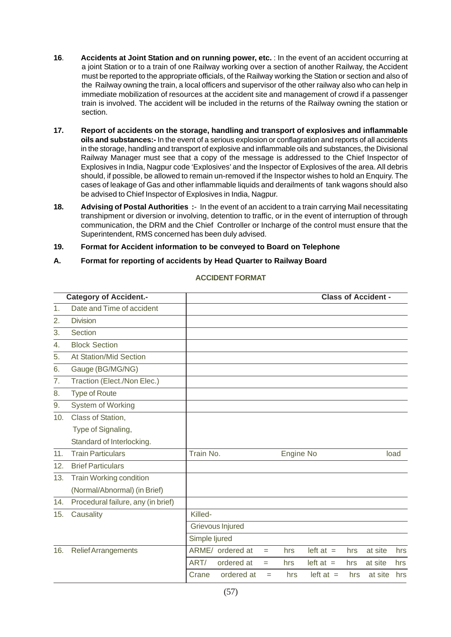- **16**. **Accidents at Joint Station and on running power, etc.** : In the event of an accident occurring at a joint Station or to a train of one Railway working over a section of another Railway, the Accident must be reported to the appropriate officials, of the Railway working the Station or section and also of the Railway owning the train, a local officers and supervisor of the other railway also who can help in immediate mobilization of resources at the accident site and management of crowd if a passenger train is involved. The accident will be included in the returns of the Railway owning the station or section.
- **17. Report of accidents on the storage, handling and transport of explosives and inflammable oils and substances:-** In the event of a serious explosion or conflagration and reports of all accidents in the storage, handling and transport of explosive and inflammable oils and substances, the Divisional Railway Manager must see that a copy of the message is addressed to the Chief Inspector of Explosives in India, Nagpur code 'Explosives' and the Inspector of Explosives of the area. All debris should, if possible, be allowed to remain un-removed if the Inspector wishes to hold an Enquiry. The cases of leakage of Gas and other inflammable liquids and derailments of tank wagons should also be advised to Chief Inspector of Explosives in India, Nagpur.
- **18. Advising of Postal Authorities :** In the event of an accident to a train carrying Mail necessitating transhipment or diversion or involving, detention to traffic, or in the event of interruption of through communication, the DRM and the Chief Controller or Incharge of the control must ensure that the Superintendent, RMS concerned has been duly advised.
- **19. Format for Accident information to be conveyed to Board on Telephone**

#### **A. Format for reporting of accidents by Head Quarter to Railway Board**

| <b>Category of Accident.-</b> |                                    | <b>Class of Accident -</b> |                  |     |                  |             |     |         |      |
|-------------------------------|------------------------------------|----------------------------|------------------|-----|------------------|-------------|-----|---------|------|
| 1.                            | Date and Time of accident          |                            |                  |     |                  |             |     |         |      |
| 2.                            | <b>Division</b>                    |                            |                  |     |                  |             |     |         |      |
| 3.                            | Section                            |                            |                  |     |                  |             |     |         |      |
| 4.                            | <b>Block Section</b>               |                            |                  |     |                  |             |     |         |      |
| 5.                            | At Station/Mid Section             |                            |                  |     |                  |             |     |         |      |
| 6.                            | Gauge (BG/MG/NG)                   |                            |                  |     |                  |             |     |         |      |
| 7.                            | Traction (Elect./Non Elec.)        |                            |                  |     |                  |             |     |         |      |
| 8.                            | <b>Type of Route</b>               |                            |                  |     |                  |             |     |         |      |
| 9.                            | System of Working                  |                            |                  |     |                  |             |     |         |      |
| 10.                           | Class of Station,                  |                            |                  |     |                  |             |     |         |      |
|                               | Type of Signaling,                 |                            |                  |     |                  |             |     |         |      |
|                               | Standard of Interlocking.          |                            |                  |     |                  |             |     |         |      |
| 11.                           | <b>Train Particulars</b>           | Train No.                  |                  |     | <b>Engine No</b> |             |     |         | load |
| 12.                           | <b>Brief Particulars</b>           |                            |                  |     |                  |             |     |         |      |
| 13.                           | <b>Train Working condition</b>     |                            |                  |     |                  |             |     |         |      |
|                               | (Normal/Abnormal) (in Brief)       |                            |                  |     |                  |             |     |         |      |
| 14.                           | Procedural failure, any (in brief) |                            |                  |     |                  |             |     |         |      |
| 15.                           | Causality                          | Killed-                    |                  |     |                  |             |     |         |      |
|                               |                                    | Grievous Injured           |                  |     |                  |             |     |         |      |
|                               |                                    | Simple ljured              |                  |     |                  |             |     |         |      |
| 16.                           | <b>Relief Arrangements</b>         |                            | ARME/ ordered at | $=$ | hrs              | left at $=$ | hrs | at site | hrs  |
|                               |                                    | ART/                       | ordered at       | $=$ | hrs              | $left at =$ | hrs | at site | hrs  |
|                               |                                    | Crane                      | ordered at       | $=$ | hrs              | $left at =$ | hrs | at site | hrs  |
|                               |                                    |                            |                  |     |                  |             |     |         |      |

#### **ACCIDENT FORMAT**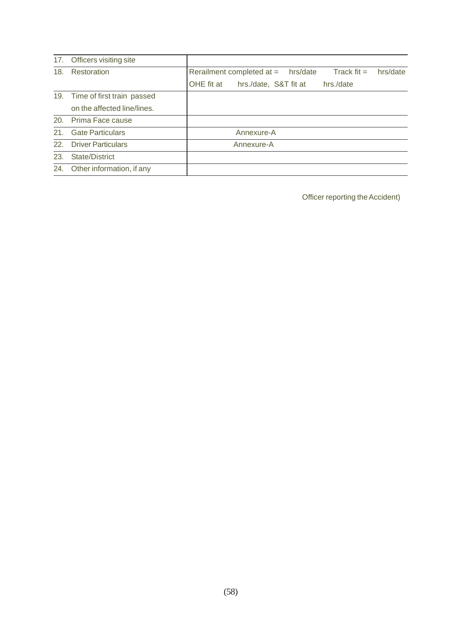|     | 17. Officers visiting site     |                                                                      |
|-----|--------------------------------|----------------------------------------------------------------------|
| 18. | Restoration                    | Track fit $=$<br>Rerailment completed at $=$<br>hrs/date<br>hrs/date |
|     |                                | OHE fit at<br>hrs./date, S&T fit at<br>hrs./date                     |
|     | 19. Time of first train passed |                                                                      |
|     | on the affected line/lines.    |                                                                      |
|     | 20. Prima Face cause           |                                                                      |
| 21. | <b>Gate Particulars</b>        | Annexure-A                                                           |
|     | 22. Driver Particulars         | Annexure-A                                                           |
| 23. | State/District                 |                                                                      |
|     | 24. Other information, if any  |                                                                      |

Officer reporting the Accident)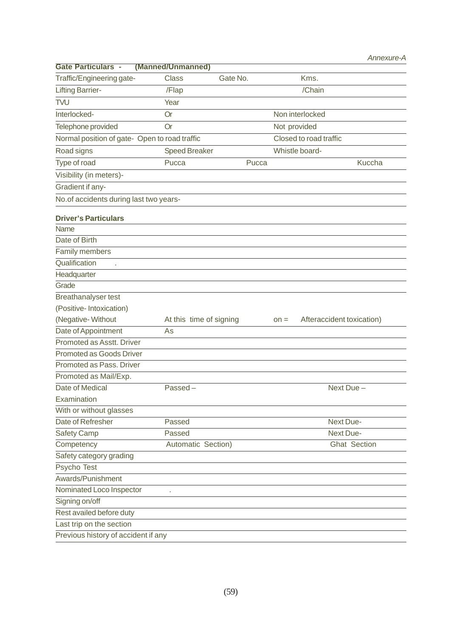| <b>Gate Particulars -</b>                        | (Manned/Unmanned)       |          |                                     |                     |
|--------------------------------------------------|-------------------------|----------|-------------------------------------|---------------------|
| Traffic/Engineering gate-                        | <b>Class</b>            | Gate No. | Kms.                                |                     |
| <b>Lifting Barrier-</b>                          | /Flap                   |          | /Chain                              |                     |
| <b>TVU</b>                                       | Year                    |          |                                     |                     |
| Interlocked-                                     | <b>Or</b>               |          | Non interlocked                     |                     |
| Telephone provided                               | <b>Or</b>               |          | Not provided                        |                     |
| Normal position of gate- Open to road traffic    |                         |          | Closed to road traffic              |                     |
| Road signs                                       | <b>Speed Breaker</b>    |          | Whistle board-                      |                     |
| Type of road                                     | Pucca                   | Pucca    |                                     | <b>Kuccha</b>       |
| Visibility (in meters)-                          |                         |          |                                     |                     |
| Gradient if any-                                 |                         |          |                                     |                     |
| No.of accidents during last two years-           |                         |          |                                     |                     |
|                                                  |                         |          |                                     |                     |
| <b>Driver's Particulars</b>                      |                         |          |                                     |                     |
| Name                                             |                         |          |                                     |                     |
| Date of Birth                                    |                         |          |                                     |                     |
| Family members                                   |                         |          |                                     |                     |
| Qualification<br>à.                              |                         |          |                                     |                     |
| Headquarter<br>Grade                             |                         |          |                                     |                     |
|                                                  |                         |          |                                     |                     |
| <b>Breathanalyser test</b>                       |                         |          |                                     |                     |
| (Positive-Intoxication)                          |                         |          |                                     |                     |
| (Negative-Without                                | At this time of signing |          | Afteraccident toxication)<br>$on =$ |                     |
| Date of Appointment<br>Promoted as Asstt. Driver | As                      |          |                                     |                     |
|                                                  |                         |          |                                     |                     |
| <b>Promoted as Goods Driver</b>                  |                         |          |                                     |                     |
| Promoted as Pass. Driver                         |                         |          |                                     |                     |
| Promoted as Mail/Exp.                            |                         |          |                                     |                     |
| Date of Medical                                  | Passed-                 |          | Next Due-                           |                     |
| Examination                                      |                         |          |                                     |                     |
| With or without glasses                          |                         |          |                                     |                     |
| Date of Refresher                                | Passed                  |          | Next Due-                           |                     |
| <b>Safety Camp</b>                               | Passed                  |          | Next Due-                           |                     |
| Competency                                       | Automatic Section)      |          |                                     | <b>Ghat Section</b> |
| Safety category grading                          |                         |          |                                     |                     |
| Psycho Test                                      |                         |          |                                     |                     |
| Awards/Punishment                                |                         |          |                                     |                     |
| Nominated Loco Inspector                         |                         |          |                                     |                     |
| Signing on/off                                   |                         |          |                                     |                     |
| Rest availed before duty                         |                         |          |                                     |                     |
| Last trip on the section                         |                         |          |                                     |                     |
| Previous history of accident if any              |                         |          |                                     |                     |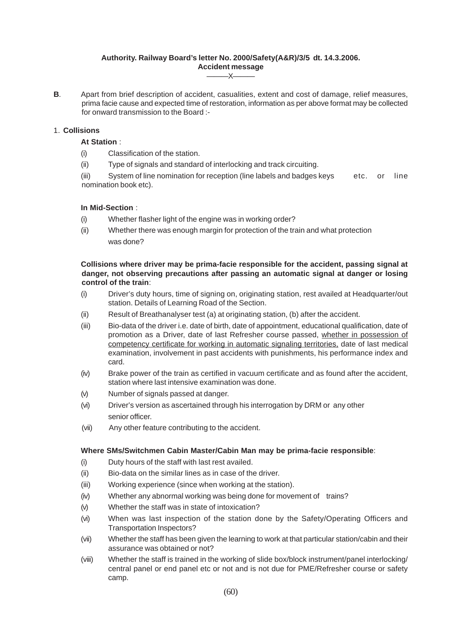#### **Authority. Railway Board's letter No. 2000/Safety(A&R)/3/5 dt. 14.3.2006. Accident message**  $-X-$

**B**. Apart from brief description of accident, casualities, extent and cost of damage, relief measures, prima facie cause and expected time of restoration, information as per above format may be collected for onward transmission to the Board :-

#### 1. **Collisions**

- **At Station** :
- (i) Classification of the station.
- (ii) Type of signals and standard of interlocking and track circuiting.

(iii) System of line nomination for reception (line labels and badges keys etc. or line nomination book etc).

#### **In Mid-Section** :

- (i) Whether flasher light of the engine was in working order?
- (ii) Whether there was enough margin for protection of the train and what protection was done?

#### **Collisions where driver may be prima-facie responsible for the accident, passing signal at danger, not observing precautions after passing an automatic signal at danger or losing control of the train**:

- (i) Driver's duty hours, time of signing on, originating station, rest availed at Headquarter/out station. Details of Learning Road of the Section.
- (ii) Result of Breathanalyser test (a) at originating station, (b) after the accident.
- (iii) Bio-data of the driver i.e. date of birth, date of appointment, educational qualification, date of promotion as a Driver, date of last Refresher course passed, whether in possession of competency certificate for working in automatic signaling territories, date of last medical examination, involvement in past accidents with punishments, his performance index and card.
- (iv) Brake power of the train as certified in vacuum certificate and as found after the accident, station where last intensive examination was done.
- (v) Number of signals passed at danger.
- (vi) Driver's version as ascertained through his interrogation by DRM or any other senior officer.
- (vii) Any other feature contributing to the accident.

#### **Where SMs/Switchmen Cabin Master/Cabin Man may be prima-facie responsible**:

- (i) Duty hours of the staff with last rest availed.
- (ii) Bio-data on the similar lines as in case of the driver.
- (iii) Working experience (since when working at the station).
- (iv) Whether any abnormal working was being done for movement of trains?
- (v) Whether the staff was in state of intoxication?
- (vi) When was last inspection of the station done by the Safety/Operating Officers and Transportation Inspectors?
- (vii) Whether the staff has been given the learning to work at that particular station/cabin and their assurance was obtained or not?
- (viii) Whether the staff is trained in the working of slide box/block instrument/panel interlocking/ central panel or end panel etc or not and is not due for PME/Refresher course or safety camp.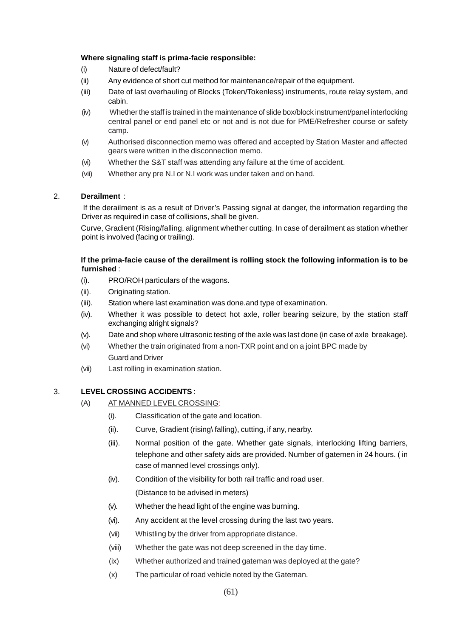#### **Where signaling staff is prima-facie responsible:**

- (i) Nature of defect/fault?
- (ii) Any evidence of short cut method for maintenance/repair of the equipment.
- (iii) Date of last overhauling of Blocks (Token/Tokenless) instruments, route relay system, and cabin.
- (iv) Whether the staff is trained in the maintenance of slide box/block instrument/panel interlocking central panel or end panel etc or not and is not due for PME/Refresher course or safety camp.
- (v) Authorised disconnection memo was offered and accepted by Station Master and affected gears were written in the disconnection memo.
- (vi) Whether the S&T staff was attending any failure at the time of accident.
- (vii) Whether any pre N.I or N.I work was under taken and on hand.

#### 2. **Derailment** :

 If the derailment is as a result of Driver's Passing signal at danger, the information regarding the Driver as required in case of collisions, shall be given.

Curve, Gradient (Rising/falling, alignment whether cutting. In case of derailment as station whether point is involved (facing or trailing).

#### **If the prima-facie cause of the derailment is rolling stock the following information is to be furnished** :

- (i). PRO/ROH particulars of the wagons.
- (ii). Originating station.
- (iii). Station where last examination was done.and type of examination.
- (iv). Whether it was possible to detect hot axle, roller bearing seizure, by the station staff exchanging alright signals?
- (v). Date and shop where ultrasonic testing of the axle was last done (in case of axle breakage).
- (vi) Whether the train originated from a non-TXR point and on a joint BPC made by Guard and Driver
- (vii) Last rolling in examination station.

#### 3. **LEVEL CROSSING ACCIDENTS** :

- (A) AT MANNED LEVEL CROSSING:
	- (i). Classification of the gate and location.
	- (ii). Curve, Gradient (rising\ falling), cutting, if any, nearby.
	- (iii). Normal position of the gate. Whether gate signals, interlocking lifting barriers, telephone and other safety aids are provided. Number of gatemen in 24 hours. ( in case of manned level crossings only).
	- (iv). Condition of the visibility for both rail traffic and road user. (Distance to be advised in meters)
	- (v). Whether the head light of the engine was burning.
	- (vi). Any accident at the level crossing during the last two years.
	- (vii) Whistling by the driver from appropriate distance.
	- (viii) Whether the gate was not deep screened in the day time.
	- (ix) Whether authorized and trained gateman was deployed at the gate?
	- (x) The particular of road vehicle noted by the Gateman.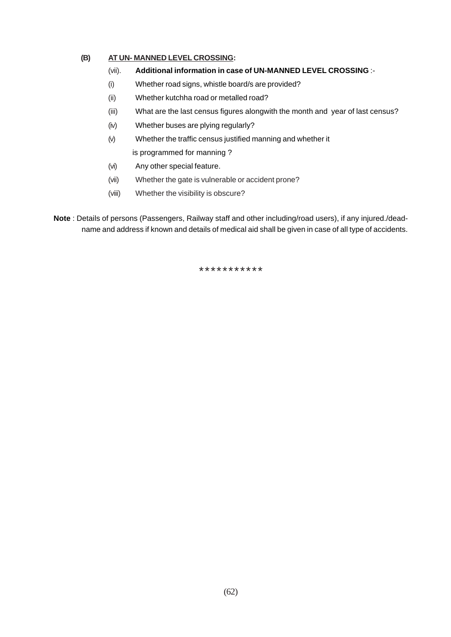#### **(B) AT UN- MANNED LEVEL CROSSING:**

- (vii). **Additional information in case of UN-MANNED LEVEL CROSSING** :-
- (i) Whether road signs, whistle board/s are provided?
- (ii) Whether kutchha road or metalled road?
- (iii) What are the last census figures alongwith the month and year of last census?
- (iv) Whether buses are plying regularly?
- (v) Whether the traffic census justified manning and whether it is programmed for manning ?
- (vi) Any other special feature.
- (vii) Whether the gate is vulnerable or accident prone?
- (viii) Whether the visibility is obscure?

**Note** : Details of persons (Passengers, Railway staff and other including/road users), if any injured./deadname and address if known and details of medical aid shall be given in case of all type of accidents.

\*\*\*\*\*\*\*\*\*\*\*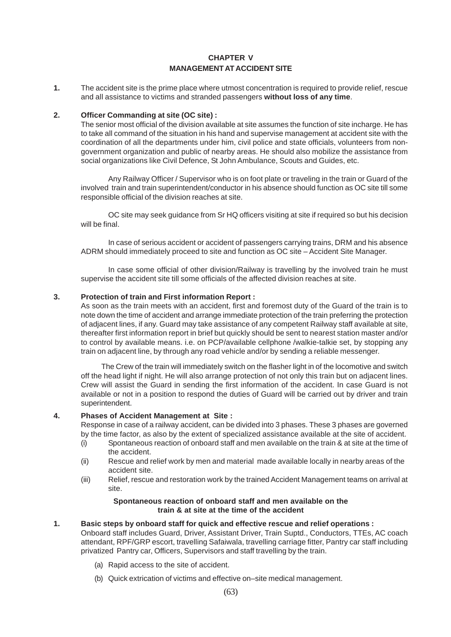### **CHAPTER V MANAGEMENT AT ACCIDENT SITE**

**1.** The accident site is the prime place where utmost concentration is required to provide relief, rescue and all assistance to victims and stranded passengers **without loss of any time**.

#### **2. Officer Commanding at site (OC site) :**

The senior most official of the division available at site assumes the function of site incharge. He has to take all command of the situation in his hand and supervise management at accident site with the coordination of all the departments under him, civil police and state officials, volunteers from nongovernment organization and public of nearby areas. He should also mobilize the assistance from social organizations like Civil Defence, St John Ambulance, Scouts and Guides, etc.

Any Railway Officer / Supervisor who is on foot plate or traveling in the train or Guard of the involved train and train superintendent/conductor in his absence should function as OC site till some responsible official of the division reaches at site.

OC site may seek guidance from Sr HQ officers visiting at site if required so but his decision will be final.

In case of serious accident or accident of passengers carrying trains, DRM and his absence ADRM should immediately proceed to site and function as OC site – Accident Site Manager.

In case some official of other division/Railway is travelling by the involved train he must supervise the accident site till some officials of the affected division reaches at site.

#### **3. Protection of train and First information Report :**

As soon as the train meets with an accident, first and foremost duty of the Guard of the train is to note down the time of accident and arrange immediate protection of the train preferring the protection of adjacent lines, if any. Guard may take assistance of any competent Railway staff available at site, thereafter first information report in brief but quickly should be sent to nearest station master and/or to control by available means. i.e. on PCP/available cellphone /walkie-talkie set, by stopping any train on adjacent line, by through any road vehicle and/or by sending a reliable messenger.

The Crew of the train will immediately switch on the flasher light in of the locomotive and switch off the head light if night. He will also arrange protection of not only this train but on adjacent lines. Crew will assist the Guard in sending the first information of the accident. In case Guard is not available or not in a position to respond the duties of Guard will be carried out by driver and train superintendent.

#### **4. Phases of Accident Management at Site :**

Response in case of a railway accident, can be divided into 3 phases. These 3 phases are governed by the time factor, as also by the extent of specialized assistance available at the site of accident.

- (i) Spontaneous reaction of onboard staff and men available on the train & at site at the time of the accident.
- (ii) Rescue and relief work by men and material made available locally in nearby areas of the accident site.
- (iii) Relief, rescue and restoration work by the trained Accident Management teams on arrival at site.

#### **Spontaneous reaction of onboard staff and men available on the train & at site at the time of the accident**

#### **1. Basic steps by onboard staff for quick and effective rescue and relief operations :**

Onboard staff includes Guard, Driver, Assistant Driver, Train Suptd., Conductors, TTEs, AC coach attendant, RPF/GRP escort, travelling Safaiwala, travelling carriage fitter, Pantry car staff including privatized Pantry car, Officers, Supervisors and staff travelling by the train.

- (a) Rapid access to the site of accident.
- (b) Quick extrication of victims and effective on–site medical management.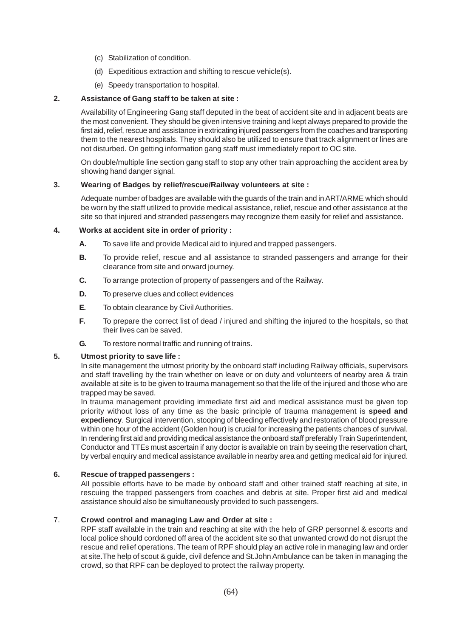- (c) Stabilization of condition.
- (d) Expeditious extraction and shifting to rescue vehicle(s).
- (e) Speedy transportation to hospital.

#### **2. Assistance of Gang staff to be taken at site :**

Availability of Engineering Gang staff deputed in the beat of accident site and in adjacent beats are the most convenient. They should be given intensive training and kept always prepared to provide the first aid, relief, rescue and assistance in extricating injured passengers from the coaches and transporting them to the nearest hospitals. They should also be utilized to ensure that track alignment or lines are not disturbed. On getting information gang staff must immediately report to OC site.

On double/multiple line section gang staff to stop any other train approaching the accident area by showing hand danger signal.

#### **3. Wearing of Badges by relief/rescue/Railway volunteers at site :**

Adequate number of badges are available with the guards of the train and in ART/ARME which should be worn by the staff utilized to provide medical assistance, relief, rescue and other assistance at the site so that injured and stranded passengers may recognize them easily for relief and assistance.

#### **4. Works at accident site in order of priority :**

- **A.** To save life and provide Medical aid to injured and trapped passengers.
- **B.** To provide relief, rescue and all assistance to stranded passengers and arrange for their clearance from site and onward journey.
- **C.** To arrange protection of property of passengers and of the Railway.
- **D.** To preserve clues and collect evidences
- **E.** To obtain clearance by Civil Authorities.
- **F.** To prepare the correct list of dead / injured and shifting the injured to the hospitals, so that their lives can be saved.
- **G.** To restore normal traffic and running of trains.

#### **5. Utmost priority to save life :**

In site management the utmost priority by the onboard staff including Railway officials, supervisors and staff travelling by the train whether on leave or on duty and volunteers of nearby area & train available at site is to be given to trauma management so that the life of the injured and those who are trapped may be saved.

In trauma management providing immediate first aid and medical assistance must be given top priority without loss of any time as the basic principle of trauma management is **speed and expediency**. Surgical intervention, stooping of bleeding effectively and restoration of blood pressure within one hour of the accident (Golden hour) is crucial for increasing the patients chances of survival. In rendering first aid and providing medical assistance the onboard staff preferably Train Superintendent, Conductor and TTEs must ascertain if any doctor is available on train by seeing the reservation chart, by verbal enquiry and medical assistance available in nearby area and getting medical aid for injured.

#### **6. Rescue of trapped passengers :**

All possible efforts have to be made by onboard staff and other trained staff reaching at site, in rescuing the trapped passengers from coaches and debris at site. Proper first aid and medical assistance should also be simultaneously provided to such passengers.

#### 7. **Crowd control and managing Law and Order at site :**

RPF staff available in the train and reaching at site with the help of GRP personnel & escorts and local police should cordoned off area of the accident site so that unwanted crowd do not disrupt the rescue and relief operations. The team of RPF should play an active role in managing law and order at site.The help of scout & guide, civil defence and St.John Ambulance can be taken in managing the crowd, so that RPF can be deployed to protect the railway property.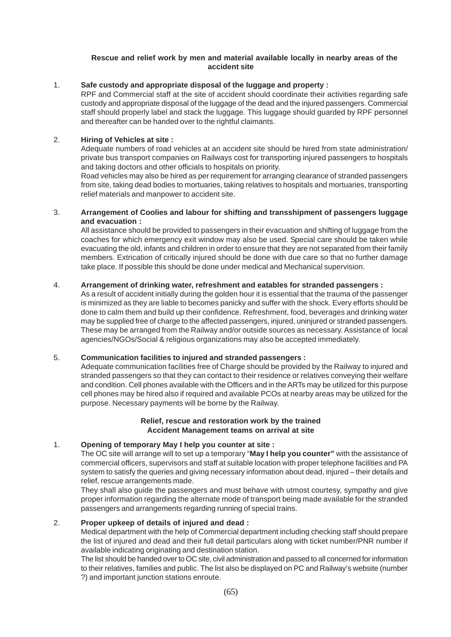#### **Rescue and relief work by men and material available locally in nearby areas of the accident site**

#### 1. **Safe custody and appropriate disposal of the luggage and property :**

RPF and Commercial staff at the site of accident should coordinate their activities regarding safe custody and appropriate disposal of the luggage of the dead and the injured passengers. Commercial staff should properly label and stack the luggage. This luggage should guarded by RPF personnel and thereafter can be handed over to the rightful claimants.

#### 2. **Hiring of Vehicles at site :**

Adequate numbers of road vehicles at an accident site should be hired from state administration/ private bus transport companies on Railways cost for transporting injured passengers to hospitals and taking doctors and other officials to hospitals on priority.

Road vehicles may also be hired as per requirement for arranging clearance of stranded passengers from site, taking dead bodies to mortuaries, taking relatives to hospitals and mortuaries, transporting relief materials and manpower to accident site.

#### 3. **Arrangement of Coolies and labour for shifting and transshipment of passengers luggage and evacuation :**

All assistance should be provided to passengers in their evacuation and shifting of luggage from the coaches for which emergency exit window may also be used. Special care should be taken while evacuating the old, infants and children in order to ensure that they are not separated from their family members. Extrication of critically injured should be done with due care so that no further damage take place. If possible this should be done under medical and Mechanical supervision.

#### 4. **Arrangement of drinking water, refreshment and eatables for stranded passengers :**

As a result of accident initially during the golden hour it is essential that the trauma of the passenger is minimized as they are liable to becomes panicky and suffer with the shock. Every efforts should be done to calm them and build up their confidence. Refreshment, food, beverages and drinking water may be supplied free of charge to the affected passengers, injured, uninjured or stranded passengers. These may be arranged from the Railway and/or outside sources as necessary. Assistance of local agencies/NGOs/Social & religious organizations may also be accepted immediately.

#### 5. **Communication facilities to injured and stranded passengers :**

Adequate communication facilities free of Charge should be provided by the Railway to injured and stranded passengers so that they can contact to their residence or relatives conveying their welfare and condition. Cell phones available with the Officers and in the ARTs may be utilized for this purpose cell phones may be hired also if required and available PCOs at nearby areas may be utilized for the purpose. Necessary payments will be borne by the Railway.

#### **Relief, rescue and restoration work by the trained Accident Management teams on arrival at site**

#### 1. **Opening of temporary May I help you counter at site :**

The OC site will arrange will to set up a temporary "**May I help you counter"** with the assistance of commercial officers, supervisors and staff at suitable location with proper telephone facilities and PA system to satisfy the queries and giving necessary information about dead, injured – their details and relief, rescue arrangements made.

They shall also guide the passengers and must behave with utmost courtesy, sympathy and give proper information regarding the alternate mode of transport being made available for the stranded passengers and arrangements regarding running of special trains.

#### 2. **Proper upkeep of details of injured and dead :**

Medical department with the help of Commercial department including checking staff should prepare the list of injured and dead and their full detail particulars along with ticket number/PNR number if available indicating originating and destination station.

The list should be handed over to OC site, civil administration and passed to all concerned for information to their relatives, families and public. The list also be displayed on PC and Railway's website (number ?) and important junction stations enroute.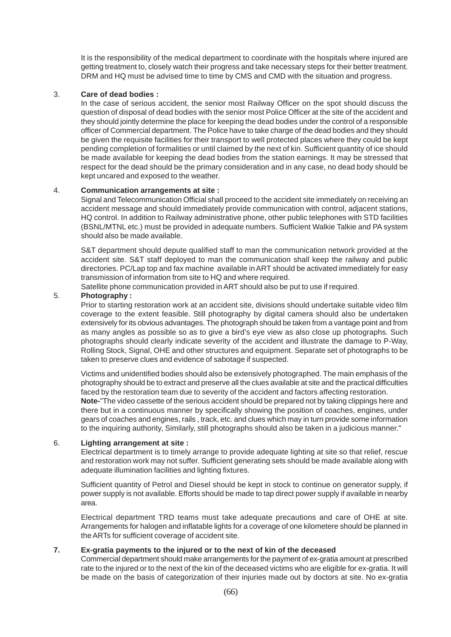It is the responsibility of the medical department to coordinate with the hospitals where injured are getting treatment to, closely watch their progress and take necessary steps for their better treatment. DRM and HQ must be advised time to time by CMS and CMD with the situation and progress.

#### 3. **Care of dead bodies :**

In the case of serious accident, the senior most Railway Officer on the spot should discuss the question of disposal of dead bodies with the senior most Police Officer at the site of the accident and they should jointly determine the place for keeping the dead bodies under the control of a responsible officer of Commercial department. The Police have to take charge of the dead bodies and they should be given the requisite facilities for their transport to well protected places where they could be kept pending completion of formalities or until claimed by the next of kin. Sufficient quantity of ice should be made available for keeping the dead bodies from the station earnings. It may be stressed that respect for the dead should be the primary consideration and in any case, no dead body should be kept uncared and exposed to the weather.

#### 4. **Communication arrangements at site :**

Signal and Telecommunication Official shall proceed to the accident site immediately on receiving an accident message and should immediately provide communication with control, adjacent stations, HQ control. In addition to Railway administrative phone, other public telephones with STD facilities (BSNL/MTNL etc.) must be provided in adequate numbers. Sufficient Walkie Talkie and PA system should also be made available.

S&T department should depute qualified staff to man the communication network provided at the accident site. S&T staff deployed to man the communication shall keep the railway and public directories. PC/Lap top and fax machine available in ART should be activated immediately for easy transmission of information from site to HQ and where required.

Satellite phone communication provided in ART should also be put to use if required.

#### 5. **Photography :**

Prior to starting restoration work at an accident site, divisions should undertake suitable video film coverage to the extent feasible. Still photography by digital camera should also be undertaken extensively for its obvious advantages. The photograph should be taken from a vantage point and from as many angles as possible so as to give a bird's eye view as also close up photographs. Such photographs should clearly indicate severity of the accident and illustrate the damage to P-Way, Rolling Stock, Signal, OHE and other structures and equipment. Separate set of photographs to be taken to preserve clues and evidence of sabotage if suspected.

Victims and unidentified bodies should also be extensively photographed. The main emphasis of the photography should be to extract and preserve all the clues available at site and the practical difficulties faced by the restoration team due to severity of the accident and factors affecting restoration. **Note-**"The video cassette of the serious accident should be prepared not by taking clippings here and there but in a continuous manner by specifically showing the position of coaches, engines, under gears of coaches and engines, rails , track, etc. and clues which may in turn provide some information to the inquiring authority, Similarly, still photographs should also be taken in a judicious manner."

#### 6. **Lighting arrangement at site :**

Electrical department is to timely arrange to provide adequate lighting at site so that relief, rescue and restoration work may not suffer. Sufficient generating sets should be made available along with adequate illumination facilities and lighting fixtures.

Sufficient quantity of Petrol and Diesel should be kept in stock to continue on generator supply, if power supply is not available. Efforts should be made to tap direct power supply if available in nearby area.

Electrical department TRD teams must take adequate precautions and care of OHE at site. Arrangements for halogen and inflatable lights for a coverage of one kilometere should be planned in the ARTs for sufficient coverage of accident site.

#### **7. Ex-gratia payments to the injured or to the next of kin of the deceased**

Commercial department should make arrangements for the payment of ex-gratia amount at prescribed rate to the injured or to the next of the kin of the deceased victims who are eligible for ex-gratia. It will be made on the basis of categorization of their injuries made out by doctors at site. No ex-gratia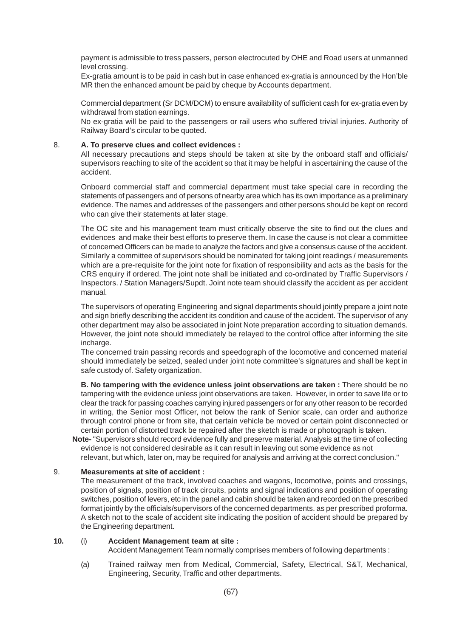payment is admissible to tress passers, person electrocuted by OHE and Road users at unmanned level crossing.

Ex-gratia amount is to be paid in cash but in case enhanced ex-gratia is announced by the Hon'ble MR then the enhanced amount be paid by cheque by Accounts department.

Commercial department (Sr DCM/DCM) to ensure availability of sufficient cash for ex-gratia even by withdrawal from station earnings.

No ex-gratia will be paid to the passengers or rail users who suffered trivial injuries. Authority of Railway Board's circular to be quoted.

#### 8. **A. To preserve clues and collect evidences :**

All necessary precautions and steps should be taken at site by the onboard staff and officials/ supervisors reaching to site of the accident so that it may be helpful in ascertaining the cause of the accident.

Onboard commercial staff and commercial department must take special care in recording the statements of passengers and of persons of nearby area which has its own importance as a preliminary evidence. The names and addresses of the passengers and other persons should be kept on record who can give their statements at later stage.

The OC site and his management team must critically observe the site to find out the clues and evidences and make their best efforts to preserve them. In case the cause is not clear a committee of concerned Officers can be made to analyze the factors and give a consensus cause of the accident. Similarly a committee of supervisors should be nominated for taking joint readings / measurements which are a pre-requisite for the joint note for fixation of responsibility and acts as the basis for the CRS enquiry if ordered. The joint note shall be initiated and co-ordinated by Traffic Supervisors / Inspectors. / Station Managers/Supdt. Joint note team should classify the accident as per accident manual.

The supervisors of operating Engineering and signal departments should jointly prepare a joint note and sign briefly describing the accident its condition and cause of the accident. The supervisor of any other department may also be associated in joint Note preparation according to situation demands. However, the joint note should immediately be relayed to the control office after informing the site incharge.

The concerned train passing records and speedograph of the locomotive and concerned material should immediately be seized, sealed under joint note committee's signatures and shall be kept in safe custody of. Safety organization.

**B. No tampering with the evidence unless joint observations are taken :** There should be no tampering with the evidence unless joint observations are taken. However, in order to save life or to clear the track for passing coaches carrying injured passengers or for any other reason to be recorded in writing, the Senior most Officer, not below the rank of Senior scale, can order and authorize through control phone or from site, that certain vehicle be moved or certain point disconnected or certain portion of distorted track be repaired after the sketch is made or photograph is taken.

 **Note-** "Supervisors should record evidence fully and preserve material. Analysis at the time of collecting evidence is not considered desirable as it can result in leaving out some evidence as not relevant, but which, later on, may be required for analysis and arriving at the correct conclusion."

#### 9. **Measurements at site of accident :**

The measurement of the track, involved coaches and wagons, locomotive, points and crossings, position of signals, position of track circuits, points and signal indications and position of operating switches, position of levers, etc in the panel and cabin should be taken and recorded on the prescribed format jointly by the officials/supervisors of the concerned departments. as per prescribed proforma. A sketch not to the scale of accident site indicating the position of accident should be prepared by the Engineering department.

#### **10.** (i) **Accident Management team at site :**

Accident Management Team normally comprises members of following departments :

(a) Trained railway men from Medical, Commercial, Safety, Electrical, S&T, Mechanical, Engineering, Security, Traffic and other departments.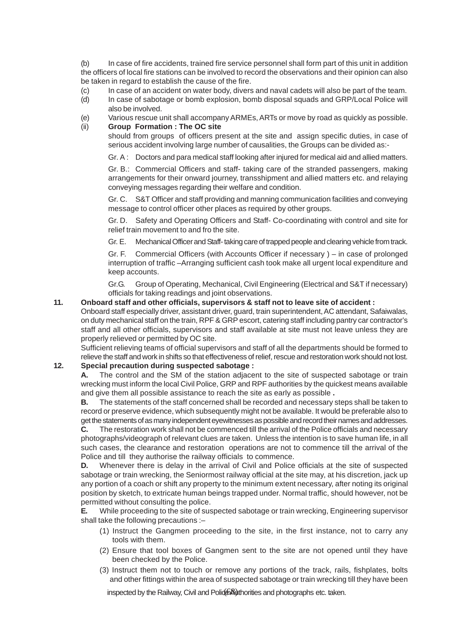(b) In case of fire accidents, trained fire service personnel shall form part of this unit in addition the officers of local fire stations can be involved to record the observations and their opinion can also be taken in regard to establish the cause of the fire.

- (c) In case of an accident on water body, divers and naval cadets will also be part of the team.
- (d) In case of sabotage or bomb explosion, bomb disposal squads and GRP/Local Police will also be involved.
- (e) Various rescue unit shall accompany ARMEs, ARTs or move by road as quickly as possible.

#### (ii) **Group Formation : The OC site**

should from groups of officers present at the site and assign specific duties, in case of serious accident involving large number of causalities, the Groups can be divided as:-

Gr. A : Doctors and para medical staff looking after injured for medical aid and allied matters.

Gr. B.: Commercial Officers and staff- taking care of the stranded passengers, making arrangements for their onward journey, transshipment and allied matters etc. and relaying conveying messages regarding their welfare and condition.

Gr. C. S&T Officer and staff providing and manning communication facilities and conveying message to control officer other places as required by other groups.

Gr. D. Safety and Operating Officers and Staff- Co-coordinating with control and site for relief train movement to and fro the site.

Gr. E. Mechanical Officer and Staff- taking care of trapped people and clearing vehicle from track.

Gr. F. Commercial Officers (with Accounts Officer if necessary ) – in case of prolonged interruption of traffic –Arranging sufficient cash took make all urgent local expenditure and keep accounts.

Gr.G. Group of Operating, Mechanical, Civil Engineering (Electrical and S&T if necessary) officials for taking readings and joint observations.

#### **11. Onboard staff and other officials, supervisors & staff not to leave site of accident :**

Onboard staff especially driver, assistant driver, guard, train superintendent, AC attendant, Safaiwalas, on duty mechanical staff on the train, RPF & GRP escort, catering staff including pantry car contractor's staff and all other officials, supervisors and staff available at site must not leave unless they are properly relieved or permitted by OC site.

Sufficient relieving teams of official supervisors and staff of all the departments should be formed to relieve the staff and work in shifts so that effectiveness of relief, rescue and restoration work should not lost.

#### **12. Special precaution during suspected sabotage :**

**A.** The control and the SM of the station adjacent to the site of suspected sabotage or train wrecking must inform the local Civil Police, GRP and RPF authorities by the quickest means available and give them all possible assistance to reach the site as early as possible **.**

**B.** The statements of the staff concerned shall be recorded and necessary steps shall be taken to record or preserve evidence, which subsequently might not be available. It would be preferable also to get the statements of as many independent eyewitnesses as possible and record their names and addresses.

**C.** The restoration work shall not be commenced till the arrival of the Police officials and necessary photographs/videograph of relevant clues are taken. Unless the intention is to save human life, in all such cases, the clearance and restoration operations are not to commence till the arrival of the Police and till they authorise the railway officials to commence.

**D.** Whenever there is delay in the arrival of Civil and Police officials at the site of suspected sabotage or train wrecking, the Seniormost railway official at the site may, at his discretion, jack up any portion of a coach or shift any property to the minimum extent necessary, after noting its original position by sketch, to extricate human beings trapped under. Normal traffic, should however, not be permitted without consulting the police.

**E.** While proceeding to the site of suspected sabotage or train wrecking, Engineering supervisor shall take the following precautions :–

- (1) Instruct the Gangmen proceeding to the site, in the first instance, not to carry any tools with them.
- (2) Ensure that tool boxes of Gangmen sent to the site are not opened until they have been checked by the Police.
- (3) Instruct them not to touch or remove any portions of the track, rails, fishplates, bolts and other fittings within the area of suspected sabotage or train wrecking till they have been

inspected by the Railway, Civil and Polid & Withorities and photographs etc. taken.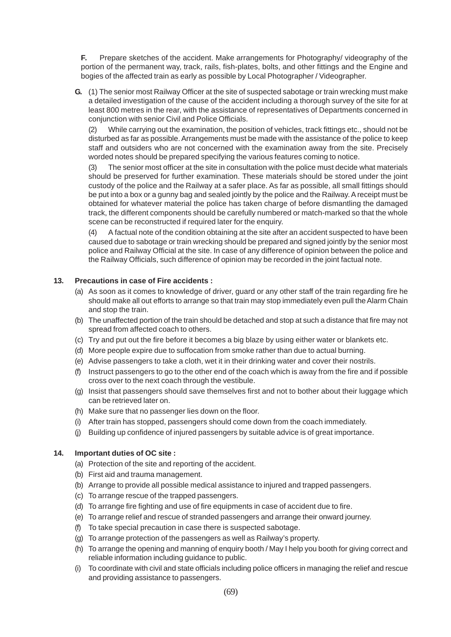**F.** Prepare sketches of the accident. Make arrangements for Photography/ videography of the portion of the permanent way, track, rails, fish-plates, bolts, and other fittings and the Engine and bogies of the affected train as early as possible by Local Photographer / Videographer.

**G.** (1) The senior most Railway Officer at the site of suspected sabotage or train wrecking must make a detailed investigation of the cause of the accident including a thorough survey of the site for at least 800 metres in the rear, with the assistance of representatives of Departments concerned in conjunction with senior Civil and Police Officials.

(2) While carrying out the examination, the position of vehicles, track fittings etc., should not be disturbed as far as possible. Arrangements must be made with the assistance of the police to keep staff and outsiders who are not concerned with the examination away from the site. Precisely worded notes should be prepared specifying the various features coming to notice.

(3) The senior most officer at the site in consultation with the police must decide what materials should be preserved for further examination. These materials should be stored under the joint custody of the police and the Railway at a safer place. As far as possible, all small fittings should be put into a box or a gunny bag and sealed jointly by the police and the Railway. A receipt must be obtained for whatever material the police has taken charge of before dismantling the damaged track, the different components should be carefully numbered or match-marked so that the whole scene can be reconstructed if required later for the enquiry.

(4) A factual note of the condition obtaining at the site after an accident suspected to have been caused due to sabotage or train wrecking should be prepared and signed jointly by the senior most police and Railway Official at the site. In case of any difference of opinion between the police and the Railway Officials, such difference of opinion may be recorded in the joint factual note.

#### **13. Precautions in case of Fire accidents :**

- (a) As soon as it comes to knowledge of driver, guard or any other staff of the train regarding fire he should make all out efforts to arrange so that train may stop immediately even pull the Alarm Chain and stop the train.
- (b) The unaffected portion of the train should be detached and stop at such a distance that fire may not spread from affected coach to others.
- (c) Try and put out the fire before it becomes a big blaze by using either water or blankets etc.
- (d) More people expire due to suffocation from smoke rather than due to actual burning.
- (e) Advise passengers to take a cloth, wet it in their drinking water and cover their nostrils.
- (f) Instruct passengers to go to the other end of the coach which is away from the fire and if possible cross over to the next coach through the vestibule.
- (g) Insist that passengers should save themselves first and not to bother about their luggage which can be retrieved later on.
- (h) Make sure that no passenger lies down on the floor.
- (i) After train has stopped, passengers should come down from the coach immediately.
- (j) Building up confidence of injured passengers by suitable advice is of great importance.

#### **14. Important duties of OC site :**

- (a) Protection of the site and reporting of the accident.
- (b) First aid and trauma management.
- (b) Arrange to provide all possible medical assistance to injured and trapped passengers.
- (c) To arrange rescue of the trapped passengers.
- (d) To arrange fire fighting and use of fire equipments in case of accident due to fire.
- (e) To arrange relief and rescue of stranded passengers and arrange their onward journey.
- (f) To take special precaution in case there is suspected sabotage.
- (g) To arrange protection of the passengers as well as Railway's property.
- (h) To arrange the opening and manning of enquiry booth / May I help you booth for giving correct and reliable information including guidance to public.
- (i) To coordinate with civil and state officials including police officers in managing the relief and rescue and providing assistance to passengers.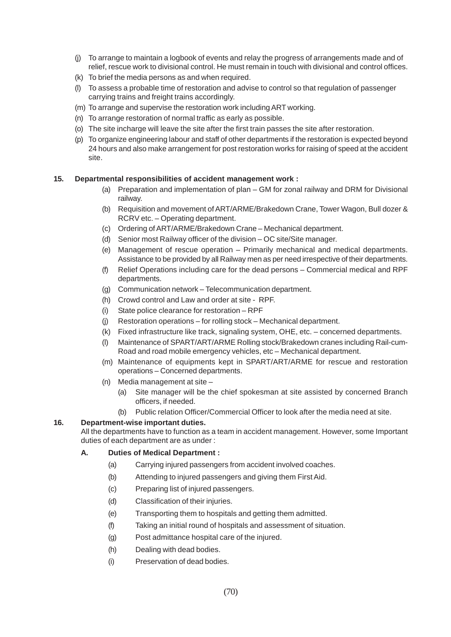- (j) To arrange to maintain a logbook of events and relay the progress of arrangements made and of relief, rescue work to divisional control. He must remain in touch with divisional and control offices.
- (k) To brief the media persons as and when required.
- (l) To assess a probable time of restoration and advise to control so that regulation of passenger carrying trains and freight trains accordingly.
- (m) To arrange and supervise the restoration work including ART working.
- (n) To arrange restoration of normal traffic as early as possible.
- (o) The site incharge will leave the site after the first train passes the site after restoration.
- (p) To organize engineering labour and staff of other departments if the restoration is expected beyond 24 hours and also make arrangement for post restoration works for raising of speed at the accident site.

#### **15. Departmental responsibilities of accident management work :**

- (a) Preparation and implementation of plan GM for zonal railway and DRM for Divisional railway.
- (b) Requisition and movement of ART/ARME/Brakedown Crane, Tower Wagon, Bull dozer & RCRV etc. – Operating department.
- (c) Ordering of ART/ARME/Brakedown Crane Mechanical department.
- (d) Senior most Railway officer of the division OC site/Site manager.
- (e) Management of rescue operation Primarily mechanical and medical departments. Assistance to be provided by all Railway men as per need irrespective of their departments.
- (f) Relief Operations including care for the dead persons Commercial medical and RPF departments.
- (g) Communication network Telecommunication department.
- (h) Crowd control and Law and order at site RPF.
- (i) State police clearance for restoration RPF
- (j) Restoration operations for rolling stock Mechanical department.
- (k) Fixed infrastructure like track, signaling system, OHE, etc. concerned departments.
- (l) Maintenance of SPART/ART/ARME Rolling stock/Brakedown cranes including Rail-cum-Road and road mobile emergency vehicles, etc – Mechanical department.
- (m) Maintenance of equipments kept in SPART/ART/ARME for rescue and restoration operations – Concerned departments.
- (n) Media management at site
	- (a) Site manager will be the chief spokesman at site assisted by concerned Branch officers, if needed.
	- (b) Public relation Officer/Commercial Officer to look after the media need at site.

#### **16. Department-wise important duties.**

All the departments have to function as a team in accident management. However, some Important duties of each department are as under :

#### **A. Duties of Medical Department :**

- (a) Carrying injured passengers from accident involved coaches.
- (b) Attending to injured passengers and giving them First Aid.
- (c) Preparing list of injured passengers.
- (d) Classification of their injuries.
- (e) Transporting them to hospitals and getting them admitted.
- (f) Taking an initial round of hospitals and assessment of situation.
- (g) Post admittance hospital care of the injured.
- (h) Dealing with dead bodies.
- (i) Preservation of dead bodies.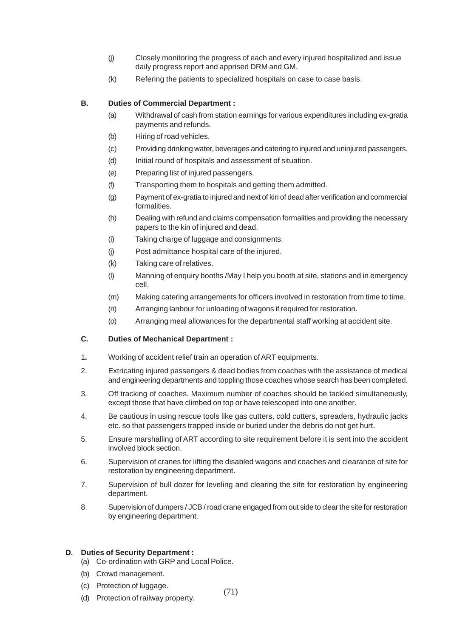- (j) Closely monitoring the progress of each and every injured hospitalized and issue daily progress report and apprised DRM and GM.
- (k) Refering the patients to specialized hospitals on case to case basis.

#### **B. Duties of Commercial Department :**

- (a) Withdrawal of cash from station earnings for various expenditures including ex-gratia payments and refunds.
- (b) Hiring of road vehicles.
- (c) Providing drinking water, beverages and catering to injured and uninjured passengers.
- (d) Initial round of hospitals and assessment of situation.
- (e) Preparing list of injured passengers.
- (f) Transporting them to hospitals and getting them admitted.
- (g) Payment of ex-gratia to injured and next of kin of dead after verification and commercial formalities.
- (h) Dealing with refund and claims compensation formalities and providing the necessary papers to the kin of injured and dead.
- (i) Taking charge of luggage and consignments.
- (j) Post admittance hospital care of the injured.
- (k) Taking care of relatives.
- (l) Manning of enquiry booths /May I help you booth at site, stations and in emergency cell.
- (m) Making catering arrangements for officers involved in restoration from time to time.
- (n) Arranging lanbour for unloading of wagons if required for restoration.
- (o) Arranging meal allowances for the departmental staff working at accident site.

#### **C. Duties of Mechanical Department :**

- 1**.** Working of accident relief train an operation of ART equipments.
- 2. Extricating injured passengers & dead bodies from coaches with the assistance of medical and engineering departments and toppling those coaches whose search has been completed.
- 3. Off tracking of coaches. Maximum number of coaches should be tackled simultaneously, except those that have climbed on top or have telescoped into one another.
- 4. Be cautious in using rescue tools like gas cutters, cold cutters, spreaders, hydraulic jacks etc. so that passengers trapped inside or buried under the debris do not get hurt.
- 5. Ensure marshalling of ART according to site requirement before it is sent into the accident involved block section.
- 6. Supervision of cranes for lifting the disabled wagons and coaches and clearance of site for restoration by engineering department.
- 7. Supervision of bull dozer for leveling and clearing the site for restoration by engineering department.
- 8. Supervision of dumpers / JCB / road crane engaged from out side to clear the site for restoration by engineering department.

(71)

#### **D. Duties of Security Department :**

- (a) Co-ordination with GRP and Local Police.
- (b) Crowd management.
- (c) Protection of luggage.
- (d) Protection of railway property.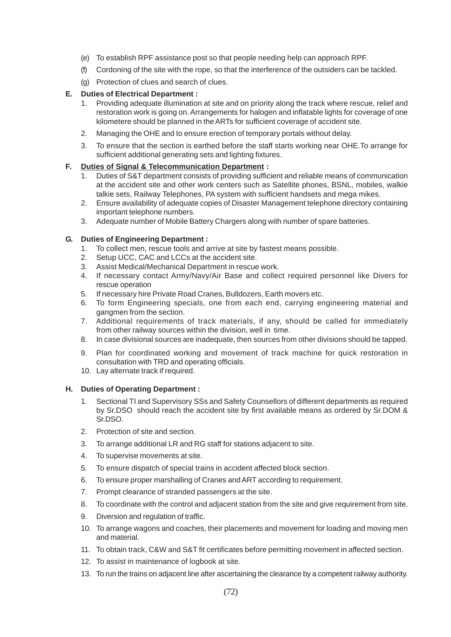- (e) To establish RPF assistance post so that people needing help can approach RPF.
- (f) Cordoning of the site with the rope, so that the interference of the outsiders can be tackled.
- (g) Protection of clues and search of clues.

#### **E. Duties of Electrical Department :**

- 1. Providing adequate illumination at site and on priority along the track where rescue, relief and restoration work is going on. Arrangements for halogen and inflatable lights for coverage of one kilometere should be planned in the ARTs for sufficient coverage of accident site.
- 2. Managing the OHE and to ensure erection of temporary portals without delay.
- 3. To ensure that the section is earthed before the staff starts working near OHE.To arrange for sufficient additional generating sets and lighting fixtures.

#### **F. Duties of Signal & Telecommunication Department :**

- 1. Duties of S&T department consists of providing sufficient and reliable means of communication at the accident site and other work centers such as Satellite phones, BSNL, mobiles, walkie talkie sets, Railway Telephones, PA system with sufficient handsets and mega mikes.
- 2. Ensure availability of adequate copies of Disaster Management telephone directory containing important telephone numbers.
- 3. Adequate number of Mobile Battery Chargers along with number of spare batteries.

#### **G. Duties of Engineering Department :**

- 1. To collect men, rescue tools and arrive at site by fastest means possible.
- 2. Setup UCC, CAC and LCCs at the accident site.
- 3. Assist Medical/Mechanical Department in rescue work.
- 4. If necessary contact Army/Navy/Air Base and collect required personnel like Divers for rescue operation
- 5. If necessary hire Private Road Cranes, Bulldozers, Earth movers etc.
- 6. To form Engineering specials, one from each end, carrying engineering material and gangmen from the section.
- 7. Additional requirements of track materials, if any, should be called for immediately from other railway sources within the division, well in time.
- 8. In case divisional sources are inadequate, then sources from other divisions should be tapped.
- 9. Plan for coordinated working and movement of track machine for quick restoration in consultation with TRD and operating officials.
- 10. Lay alternate track if required.

#### **H. Duties of Operating Department :**

- 1. Sectional TI and Supervisory SSs and Safety Counsellors of different departments as required by Sr.DSO should reach the accident site by first available means as ordered by Sr.DOM & Sr.DSO.
- 2. Protection of site and section.
- 3. To arrange additional LR and RG staff for stations adjacent to site.
- 4. To supervise movements at site.
- 5. To ensure dispatch of special trains in accident affected block section.
- 6. To ensure proper marshalling of Cranes and ART according to requirement.
- 7. Prompt clearance of stranded passengers at the site.
- 8. To coordinate with the control and adjacent station from the site and give requirement from site.
- 9. Diversion and regulation of traffic.
- 10. To arrange wagons and coaches, their placements and movement for loading and moving men and material.
- 11. To obtain track, C&W and S&T fit certificates before permitting movement in affected section.
- 12. To assist in maintenance of logbook at site.
- 13. To run the trains on adjacent line after ascertaining the clearance by a competent railway authority.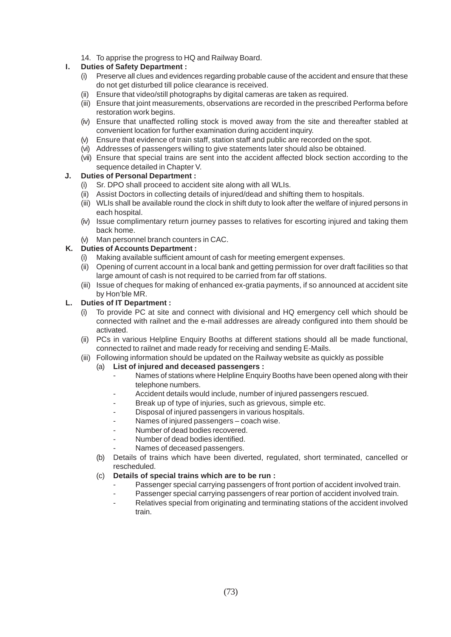14. To apprise the progress to HQ and Railway Board.

# **I. Duties of Safety Department :**

- (i) Preserve all clues and evidences regarding probable cause of the accident and ensure that these do not get disturbed till police clearance is received.
- (ii) Ensure that video/still photographs by digital cameras are taken as required.
- (iii) Ensure that joint measurements, observations are recorded in the prescribed Performa before restoration work begins.
- (iv) Ensure that unaffected rolling stock is moved away from the site and thereafter stabled at convenient location for further examination during accident inquiry.
- (v) Ensure that evidence of train staff, station staff and public are recorded on the spot.
- (vi) Addresses of passengers willing to give statements later should also be obtained.
- (vii) Ensure that special trains are sent into the accident affected block section according to the sequence detailed in Chapter V.

# **J. Duties of Personal Department :**

- (i) Sr. DPO shall proceed to accident site along with all WLIs.
- (ii) Assist Doctors in collecting details of injured/dead and shifting them to hospitals.
- (iii) WLIs shall be available round the clock in shift duty to look after the welfare of injured persons in each hospital.
- (iv) Issue complimentary return journey passes to relatives for escorting injured and taking them back home.
- (v) Man personnel branch counters in CAC.

# **K. Duties of Accounts Department :**

- (i) Making available sufficient amount of cash for meeting emergent expenses.
- (ii) Opening of current account in a local bank and getting permission for over draft facilities so that large amount of cash is not required to be carried from far off stations.
- (iii) Issue of cheques for making of enhanced ex-gratia payments, if so announced at accident site by Hon'ble MR.

### **L. Duties of IT Department :**

- (i) To provide PC at site and connect with divisional and HQ emergency cell which should be connected with railnet and the e-mail addresses are already configured into them should be activated.
- (ii) PCs in various Helpline Enquiry Booths at different stations should all be made functional, connected to railnet and made ready for receiving and sending E-Mails.
- (iii) Following information should be updated on the Railway website as quickly as possible
	- (a) **List of injured and deceased passengers :**
		- Names of stations where Helpline Enquiry Booths have been opened along with their telephone numbers.
		- Accident details would include, number of injured passengers rescued.
		- Break up of type of injuries, such as grievous, simple etc.
		- Disposal of injured passengers in various hospitals.
		- Names of injured passengers coach wise.
		- Number of dead bodies recovered.
		- Number of dead bodies identified.
		- Names of deceased passengers.
	- (b) Details of trains which have been diverted, regulated, short terminated, cancelled or rescheduled.

### (c) **Details of special trains which are to be run :**

- Passenger special carrying passengers of front portion of accident involved train.
- Passenger special carrying passengers of rear portion of accident involved train.
- Relatives special from originating and terminating stations of the accident involved train.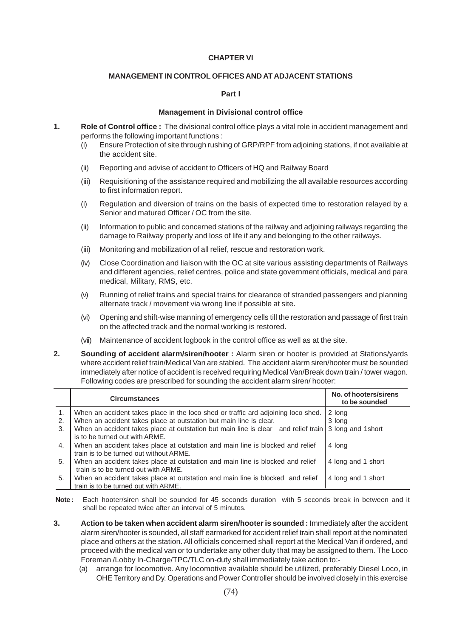#### **CHAPTER VI**

#### **MANAGEMENT IN CONTROL OFFICES AND AT ADJACENT STATIONS**

#### **Part I**

#### **Management in Divisional control office**

- **1. Role of Control office :** The divisional control office plays a vital role in accident management and performs the following important functions :
	- (i) Ensure Protection of site through rushing of GRP/RPF from adjoining stations, if not available at the accident site.
	- (ii) Reporting and advise of accident to Officers of HQ and Railway Board
	- (iii) Requisitioning of the assistance required and mobilizing the all available resources according to first information report.
	- (i) Regulation and diversion of trains on the basis of expected time to restoration relayed by a Senior and matured Officer / OC from the site.
	- (ii) Information to public and concerned stations of the railway and adjoining railways regarding the damage to Railway properly and loss of life if any and belonging to the other railways.
	- (iii) Monitoring and mobilization of all relief, rescue and restoration work.
	- (iv) Close Coordination and liaison with the OC at site various assisting departments of Railways and different agencies, relief centres, police and state government officials, medical and para medical, Military, RMS, etc.
	- (v) Running of relief trains and special trains for clearance of stranded passengers and planning alternate track / movement via wrong line if possible at site.
	- (vi) Opening and shift-wise manning of emergency cells till the restoration and passage of first train on the affected track and the normal working is restored.
	- (vii) Maintenance of accident logbook in the control office as well as at the site.
- **2. Sounding of accident alarm/siren/hooter :** Alarm siren or hooter is provided at Stations/yards where accident relief train/Medical Van are stabled. The accident alarm siren/hooter must be sounded immediately after notice of accident is received requiring Medical Van/Break down train / tower wagon. Following codes are prescribed for sounding the accident alarm siren/ hooter:

|    | <b>Circumstances</b>                                                                                 | No. of hooters/sirens<br>to be sounded |
|----|------------------------------------------------------------------------------------------------------|----------------------------------------|
|    | When an accident takes place in the loco shed or traffic ard adjoining loco shed.                    | $ 2 \rangle$ long                      |
| 2. | When an accident takes place at outstation but main line is clear.                                   | 3 long                                 |
| 3. | When an accident takes place at outstation but main line is clear and relief train 3 long and 1short |                                        |
|    | is to be turned out with ARME.                                                                       |                                        |
| 4. | When an accident takes place at outstation and main line is blocked and relief                       | 4 long                                 |
|    | train is to be turned out without ARME.                                                              |                                        |
| 5. | When an accident takes place at outstation and main line is blocked and relief                       | 4 long and 1 short                     |
|    | train is to be turned out with ARME.                                                                 |                                        |
| 5. | When an accident takes place at outstation and main line is blocked and relief                       | 4 long and 1 short                     |
|    | train is to be turned out with ARME.                                                                 |                                        |

- Note: Each hooter/siren shall be sounded for 45 seconds duration with 5 seconds break in between and it shall be repeated twice after an interval of 5 minutes.
- **3. Action to be taken when accident alarm siren/hooter is sounded :** Immediately after the accident alarm siren/hooter is sounded, all staff earmarked for accident relief train shall report at the nominated place and others at the station. All officials concerned shall report at the Medical Van if ordered, and proceed with the medical van or to undertake any other duty that may be assigned to them. The Loco Foreman /Lobby In-Charge/TPC/TLC on-duty shall immediately take action to:-
	- (a) arrange for locomotive. Any locomotive available should be utilized, preferably Diesel Loco, in OHE Territory and Dy. Operations and Power Controller should be involved closely in this exercise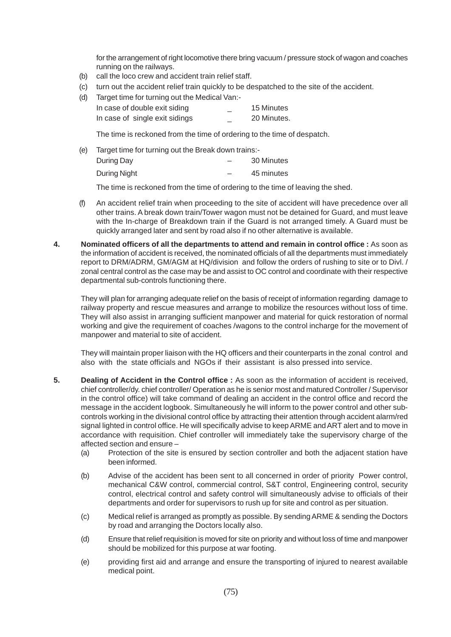for the arrangement of right locomotive there bring vacuum / pressure stock of wagon and coaches running on the railways.

- (b) call the loco crew and accident train relief staff.
- (c) turn out the accident relief train quickly to be despatched to the site of the accident.
- (d) Target time for turning out the Medical Van:-

| In case of double exit siding  | $-$ | 15 Minutes  |
|--------------------------------|-----|-------------|
| In case of single exit sidings |     | 20 Minutes. |

The time is reckoned from the time of ordering to the time of despatch.

(e) Target time for turning out the Break down trains:-

| During Day   | 30 Minutes |
|--------------|------------|
| During Night | 45 minutes |

The time is reckoned from the time of ordering to the time of leaving the shed.

- (f) An accident relief train when proceeding to the site of accident will have precedence over all other trains. A break down train/Tower wagon must not be detained for Guard, and must leave with the In-charge of Breakdown train if the Guard is not arranged timely. A Guard must be quickly arranged later and sent by road also if no other alternative is available.
- **4.** Nominated officers of all the departments to attend and remain in control office : As soon as the information of accident is received, the nominated officials of all the departments must immediately report to DRM/ADRM, GM/AGM at HQ/division and follow the orders of rushing to site or to Divl. / zonal central control as the case may be and assist to OC control and coordinate with their respective departmental sub-controls functioning there.

They will plan for arranging adequate relief on the basis of receipt of information regarding damage to railway property and rescue measures and arrange to mobilize the resources without loss of time. They will also assist in arranging sufficient manpower and material for quick restoration of normal working and give the requirement of coaches /wagons to the control incharge for the movement of manpower and material to site of accident.

They will maintain proper liaison with the HQ officers and their counterparts in the zonal control and also with the state officials and NGOs if their assistant is also pressed into service.

- **5. Dealing of Accident in the Control office :** As soon as the information of accident is received, chief controller/dy. chief controller/ Operation as he is senior most and matured Controller / Supervisor in the control office) will take command of dealing an accident in the control office and record the message in the accident logbook. Simultaneously he will inform to the power control and other subcontrols working in the divisional control office by attracting their attention through accident alarm/red signal lighted in control office. He will specifically advise to keep ARME and ART alert and to move in accordance with requisition. Chief controller will immediately take the supervisory charge of the affected section and ensure –
	- (a) Protection of the site is ensured by section controller and both the adjacent station have been informed.
	- (b) Advise of the accident has been sent to all concerned in order of priority Power control, mechanical C&W control, commercial control, S&T control, Engineering control, security control, electrical control and safety control will simultaneously advise to officials of their departments and order for supervisors to rush up for site and control as per situation.
	- (c) Medical relief is arranged as promptly as possible. By sending ARME & sending the Doctors by road and arranging the Doctors locally also.
	- (d) Ensure that relief requisition is moved for site on priority and without loss of time and manpower should be mobilized for this purpose at war footing.
	- (e) providing first aid and arrange and ensure the transporting of injured to nearest available medical point.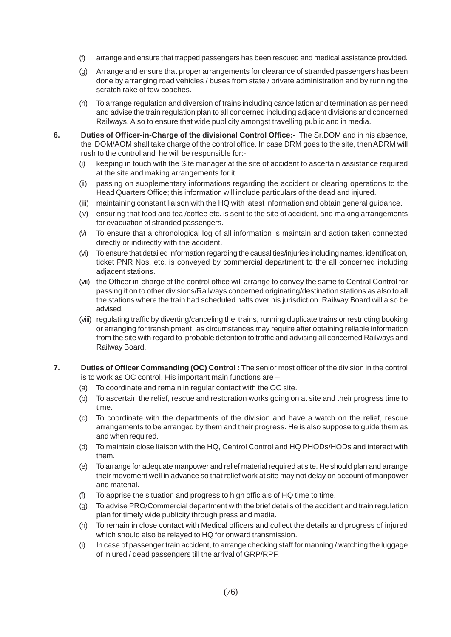- (f) arrange and ensure that trapped passengers has been rescued and medical assistance provided.
- (g) Arrange and ensure that proper arrangements for clearance of stranded passengers has been done by arranging road vehicles / buses from state / private administration and by running the scratch rake of few coaches.
- (h) To arrange regulation and diversion of trains including cancellation and termination as per need and advise the train regulation plan to all concerned including adjacent divisions and concerned Railways. Also to ensure that wide publicity amongst travelling public and in media.
- **6. Duties of Officer-in-Charge of the divisional Control Office:-** The Sr.DOM and in his absence, the DOM/AOM shall take charge of the control office. In case DRM goes to the site, then ADRM will rush to the control and he will be responsible for:-
	- (i) keeping in touch with the Site manager at the site of accident to ascertain assistance required at the site and making arrangements for it.
	- (ii) passing on supplementary informations regarding the accident or clearing operations to the Head Quarters Office; this information will include particulars of the dead and injured.
	- (iii) maintaining constant liaison with the HQ with latest information and obtain general guidance.
	- (iv) ensuring that food and tea /coffee etc. is sent to the site of accident, and making arrangements for evacuation of stranded passengers.
	- (v) To ensure that a chronological log of all information is maintain and action taken connected directly or indirectly with the accident.
	- (vi) To ensure that detailed information regarding the causalities/injuries including names, identification, ticket PNR Nos. etc. is conveyed by commercial department to the all concerned including adjacent stations.
	- (vii) the Officer in-charge of the control office will arrange to convey the same to Central Control for passing it on to other divisions/Railways concerned originating/destination stations as also to all the stations where the train had scheduled halts over his jurisdiction. Railway Board will also be advised.
	- (viii) regulating traffic by diverting/canceling the trains, running duplicate trains or restricting booking or arranging for transhipment as circumstances may require after obtaining reliable information from the site with regard to probable detention to traffic and advising all concerned Railways and Railway Board.
- **7. Duties of Officer Commanding (OC) Control :** The senior most officer of the division in the control is to work as OC control. His important main functions are –
	- (a) To coordinate and remain in regular contact with the OC site.
	- (b) To ascertain the relief, rescue and restoration works going on at site and their progress time to time.
	- (c) To coordinate with the departments of the division and have a watch on the relief, rescue arrangements to be arranged by them and their progress. He is also suppose to guide them as and when required.
	- (d) To maintain close liaison with the HQ, Centrol Control and HQ PHODs/HODs and interact with them.
	- (e) To arrange for adequate manpower and relief material required at site. He should plan and arrange their movement well in advance so that relief work at site may not delay on account of manpower and material.
	- (f) To apprise the situation and progress to high officials of HQ time to time.
	- (g) To advise PRO/Commercial department with the brief details of the accident and train regulation plan for timely wide publicity through press and media.
	- (h) To remain in close contact with Medical officers and collect the details and progress of injured which should also be relayed to HQ for onward transmission.
	- (i) In case of passenger train accident, to arrange checking staff for manning / watching the luggage of injured / dead passengers till the arrival of GRP/RPF.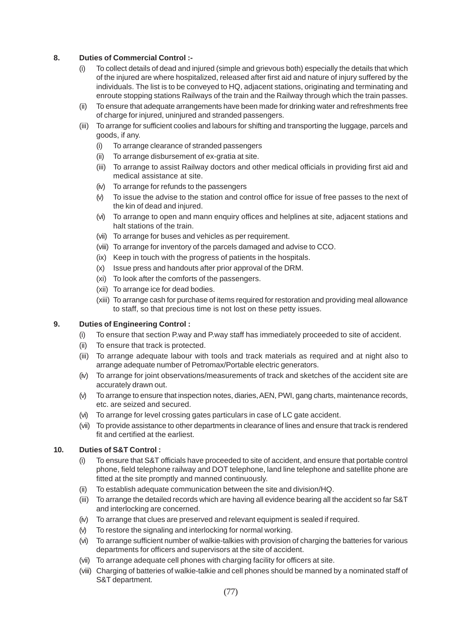# **8. Duties of Commercial Control :-**

- (i) To collect details of dead and injured (simple and grievous both) especially the details that which of the injured are where hospitalized, released after first aid and nature of injury suffered by the individuals. The list is to be conveyed to HQ, adjacent stations, originating and terminating and enroute stopping stations Railways of the train and the Railway through which the train passes.
- (ii) To ensure that adequate arrangements have been made for drinking water and refreshments free of charge for injured, uninjured and stranded passengers.
- (iii) To arrange for sufficient coolies and labours for shifting and transporting the luggage, parcels and goods, if any.
	- (i) To arrange clearance of stranded passengers
	- (ii) To arrange disbursement of ex-gratia at site.
	- (iii) To arrange to assist Railway doctors and other medical officials in providing first aid and medical assistance at site.
	- (iv) To arrange for refunds to the passengers
	- (v) To issue the advise to the station and control office for issue of free passes to the next of the kin of dead and injured.
	- (vi) To arrange to open and mann enquiry offices and helplines at site, adjacent stations and halt stations of the train.
	- (vii) To arrange for buses and vehicles as per requirement.
	- (viii) To arrange for inventory of the parcels damaged and advise to CCO.
	- (ix) Keep in touch with the progress of patients in the hospitals.
	- (x) Issue press and handouts after prior approval of the DRM.
	- (xi) To look after the comforts of the passengers.
	- (xii) To arrange ice for dead bodies.
	- (xiii) To arrange cash for purchase of items required for restoration and providing meal allowance to staff, so that precious time is not lost on these petty issues.

# **9. Duties of Engineering Control :**

- (i) To ensure that section P.way and P.way staff has immediately proceeded to site of accident.
- (ii) To ensure that track is protected.
- (iii) To arrange adequate labour with tools and track materials as required and at night also to arrange adequate number of Petromax/Portable electric generators.
- (iv) To arrange for joint observations/measurements of track and sketches of the accident site are accurately drawn out.
- (v) To arrange to ensure that inspection notes, diaries, AEN, PWI, gang charts, maintenance records, etc. are seized and secured.
- (vi) To arrange for level crossing gates particulars in case of LC gate accident.
- (vii) To provide assistance to other departments in clearance of lines and ensure that track is rendered fit and certified at the earliest.

### **10. Duties of S&T Control :**

- (i) To ensure that S&T officials have proceeded to site of accident, and ensure that portable control phone, field telephone railway and DOT telephone, land line telephone and satellite phone are fitted at the site promptly and manned continuously.
- (ii) To establish adequate communication between the site and division/HQ.
- (iii) To arrange the detailed records which are having all evidence bearing all the accident so far S&T and interlocking are concerned.
- (iv) To arrange that clues are preserved and relevant equipment is sealed if required.
- (v) To restore the signaling and interlocking for normal working.
- (vi) To arrange sufficient number of walkie-talkies with provision of charging the batteries for various departments for officers and supervisors at the site of accident.
- (vii) To arrange adequate cell phones with charging facility for officers at site.
- (viii) Charging of batteries of walkie-talkie and cell phones should be manned by a nominated staff of S&T department.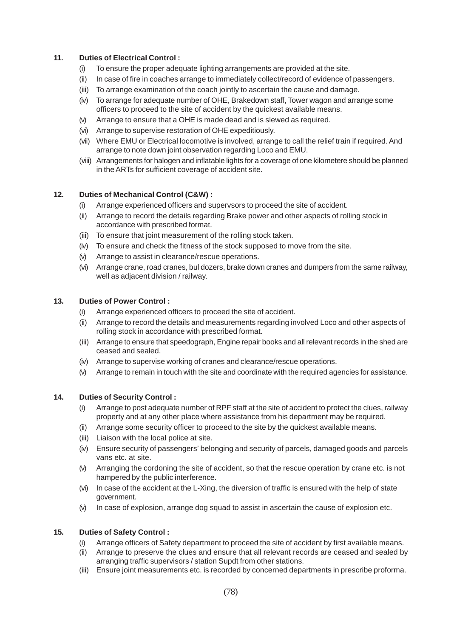# **11. Duties of Electrical Control :**

- (i) To ensure the proper adequate lighting arrangements are provided at the site.
- (ii) In case of fire in coaches arrange to immediately collect/record of evidence of passengers.
- (iii) To arrange examination of the coach jointly to ascertain the cause and damage.
- (iv) To arrange for adequate number of OHE, Brakedown staff, Tower wagon and arrange some officers to proceed to the site of accident by the quickest available means.
- (v) Arrange to ensure that a OHE is made dead and is slewed as required.
- (vi) Arrange to supervise restoration of OHE expeditiously.
- (vii) Where EMU or Electrical locomotive is involved, arrange to call the relief train if required. And arrange to note down joint observation regarding Loco and EMU.
- (viii) Arrangements for halogen and inflatable lights for a coverage of one kilometere should be planned in the ARTs for sufficient coverage of accident site.

# **12. Duties of Mechanical Control (C&W) :**

- (i) Arrange experienced officers and supervsors to proceed the site of accident.
- (ii) Arrange to record the details regarding Brake power and other aspects of rolling stock in accordance with prescribed format.
- (iii) To ensure that joint measurement of the rolling stock taken.
- (iv) To ensure and check the fitness of the stock supposed to move from the site.
- (v) Arrange to assist in clearance/rescue operations.
- (vi) Arrange crane, road cranes, bul dozers, brake down cranes and dumpers from the same railway, well as adjacent division / railway.

# **13. Duties of Power Control :**

- (i) Arrange experienced officers to proceed the site of accident.
- (ii) Arrange to record the details and measurements regarding involved Loco and other aspects of rolling stock in accordance with prescribed format.
- (iii) Arrange to ensure that speedograph, Engine repair books and all relevant records in the shed are ceased and sealed.
- (iv) Arrange to supervise working of cranes and clearance/rescue operations.
- (v) Arrange to remain in touch with the site and coordinate with the required agencies for assistance.

### **14. Duties of Security Control :**

- (i) Arrange to post adequate number of RPF staff at the site of accident to protect the clues, railway property and at any other place where assistance from his department may be required.
- (ii) Arrange some security officer to proceed to the site by the quickest available means.
- (iii) Liaison with the local police at site.
- (iv) Ensure security of passengers' belonging and security of parcels, damaged goods and parcels vans etc. at site.
- (v) Arranging the cordoning the site of accident, so that the rescue operation by crane etc. is not hampered by the public interference.
- (vi) In case of the accident at the L-Xing, the diversion of traffic is ensured with the help of state government.
- (v) In case of explosion, arrange dog squad to assist in ascertain the cause of explosion etc.

### **15. Duties of Safety Control :**

- (i) Arrange officers of Safety department to proceed the site of accident by first available means.
- (ii) Arrange to preserve the clues and ensure that all relevant records are ceased and sealed by arranging traffic supervisors / station Supdt from other stations.
- (iii) Ensure joint measurements etc. is recorded by concerned departments in prescribe proforma.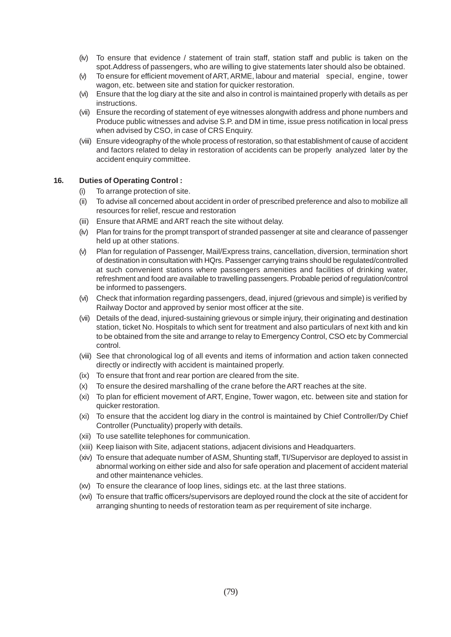- (iv) To ensure that evidence / statement of train staff, station staff and public is taken on the spot.Address of passengers, who are willing to give statements later should also be obtained.
- (v) To ensure for efficient movement of ART, ARME, labour and material special, engine, tower wagon, etc. between site and station for quicker restoration.
- (vi) Ensure that the log diary at the site and also in control is maintained properly with details as per instructions.
- (vii) Ensure the recording of statement of eye witnesses alongwith address and phone numbers and Produce public witnesses and advise S.P. and DM in time, issue press notification in local press when advised by CSO, in case of CRS Enquiry.
- (viii) Ensure videography of the whole process of restoration, so that establishment of cause of accident and factors related to delay in restoration of accidents can be properly analyzed later by the accident enquiry committee.

### **16. Duties of Operating Control :**

- (i) To arrange protection of site.
- (ii) To advise all concerned about accident in order of prescribed preference and also to mobilize all resources for relief, rescue and restoration
- (iii) Ensure that ARME and ART reach the site without delay.
- (iv) Plan for trains for the prompt transport of stranded passenger at site and clearance of passenger held up at other stations.
- (v) Plan for regulation of Passenger, Mail/Express trains, cancellation, diversion, termination short of destination in consultation with HQrs. Passenger carrying trains should be regulated/controlled at such convenient stations where passengers amenities and facilities of drinking water, refreshment and food are available to travelling passengers. Probable period of regulation/control be informed to passengers.
- (vi) Check that information regarding passengers, dead, injured (grievous and simple) is verified by Railway Doctor and approved by senior most officer at the site.
- (vii) Details of the dead, injured-sustaining grievous or simple injury, their originating and destination station, ticket No. Hospitals to which sent for treatment and also particulars of next kith and kin to be obtained from the site and arrange to relay to Emergency Control, CSO etc by Commercial control.
- (viii) See that chronological log of all events and items of information and action taken connected directly or indirectly with accident is maintained properly.
- (ix) To ensure that front and rear portion are cleared from the site.
- (x) To ensure the desired marshalling of the crane before the ART reaches at the site.
- (xi) To plan for efficient movement of ART, Engine, Tower wagon, etc. between site and station for quicker restoration.
- (xi) To ensure that the accident log diary in the control is maintained by Chief Controller/Dy Chief Controller (Punctuality) properly with details.
- (xii) To use satellite telephones for communication.
- (xiii) Keep liaison with Site, adjacent stations, adjacent divisions and Headquarters.
- (xiv) To ensure that adequate number of ASM, Shunting staff, TI/Supervisor are deployed to assist in abnormal working on either side and also for safe operation and placement of accident material and other maintenance vehicles.
- (xv) To ensure the clearance of loop lines, sidings etc. at the last three stations.
- (xvi) To ensure that traffic officers/supervisors are deployed round the clock at the site of accident for arranging shunting to needs of restoration team as per requirement of site incharge.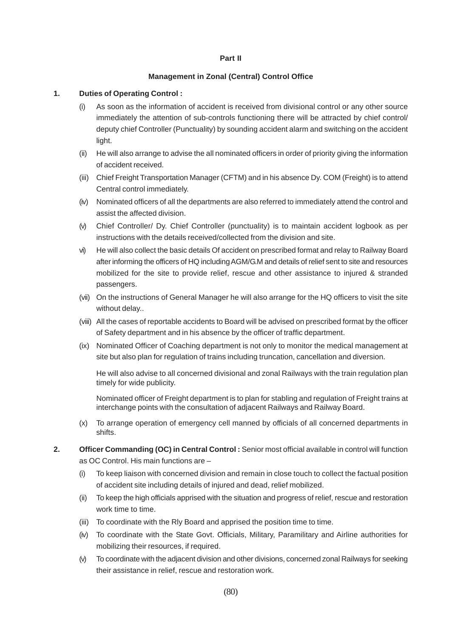#### **Part II**

### **Management in Zonal (Central) Control Office**

#### **1. Duties of Operating Control :**

- (i) As soon as the information of accident is received from divisional control or any other source immediately the attention of sub-controls functioning there will be attracted by chief control/ deputy chief Controller (Punctuality) by sounding accident alarm and switching on the accident light.
- (ii) He will also arrange to advise the all nominated officers in order of priority giving the information of accident received.
- (iii) Chief Freight Transportation Manager (CFTM) and in his absence Dy. COM (Freight) is to attend Central control immediately.
- (iv) Nominated officers of all the departments are also referred to immediately attend the control and assist the affected division.
- (v) Chief Controller/ Dy. Chief Controller (punctuality) is to maintain accident logbook as per instructions with the details received/collected from the division and site.
- vi) He will also collect the basic details Of accident on prescribed format and relay to Railway Board after informing the officers of HQ including AGM/G.M and details of relief sent to site and resources mobilized for the site to provide relief, rescue and other assistance to injured & stranded passengers.
- (vii) On the instructions of General Manager he will also arrange for the HQ officers to visit the site without delay..
- (viii) All the cases of reportable accidents to Board will be advised on prescribed format by the officer of Safety department and in his absence by the officer of traffic department.
- (ix) Nominated Officer of Coaching department is not only to monitor the medical management at site but also plan for regulation of trains including truncation, cancellation and diversion.

He will also advise to all concerned divisional and zonal Railways with the train regulation plan timely for wide publicity.

Nominated officer of Freight department is to plan for stabling and regulation of Freight trains at interchange points with the consultation of adjacent Railways and Railway Board.

- (x) To arrange operation of emergency cell manned by officials of all concerned departments in shifts.
- **2. Officer Commanding (OC) in Central Control :** Senior most official available in control will function as OC Control. His main functions are –
	- (i) To keep liaison with concerned division and remain in close touch to collect the factual position of accident site including details of injured and dead, relief mobilized.
	- (ii) To keep the high officials apprised with the situation and progress of relief, rescue and restoration work time to time.
	- (iii) To coordinate with the Rly Board and apprised the position time to time.
	- (iv) To coordinate with the State Govt. Officials, Military, Paramilitary and Airline authorities for mobilizing their resources, if required.
	- (v) To coordinate with the adjacent division and other divisions, concerned zonal Railways for seeking their assistance in relief, rescue and restoration work.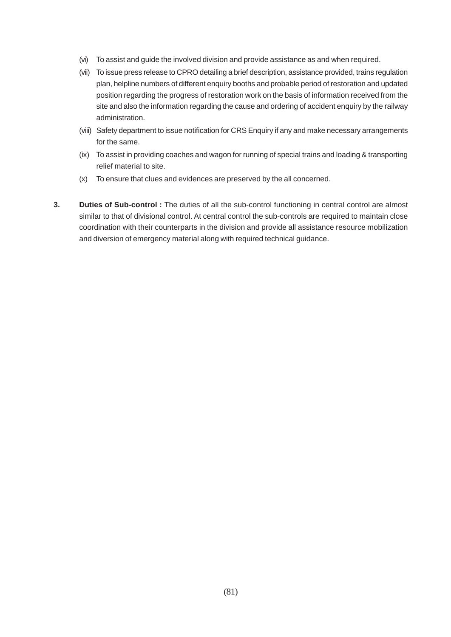- (vi) To assist and guide the involved division and provide assistance as and when required.
- (vii) To issue press release to CPRO detailing a brief description, assistance provided, trains regulation plan, helpline numbers of different enquiry booths and probable period of restoration and updated position regarding the progress of restoration work on the basis of information received from the site and also the information regarding the cause and ordering of accident enquiry by the railway administration.
- (viii) Safety department to issue notification for CRS Enquiry if any and make necessary arrangements for the same.
- (ix) To assist in providing coaches and wagon for running of special trains and loading & transporting relief material to site.
- (x) To ensure that clues and evidences are preserved by the all concerned.
- **3. Duties of Sub-control :** The duties of all the sub-control functioning in central control are almost similar to that of divisional control. At central control the sub-controls are required to maintain close coordination with their counterparts in the division and provide all assistance resource mobilization and diversion of emergency material along with required technical guidance.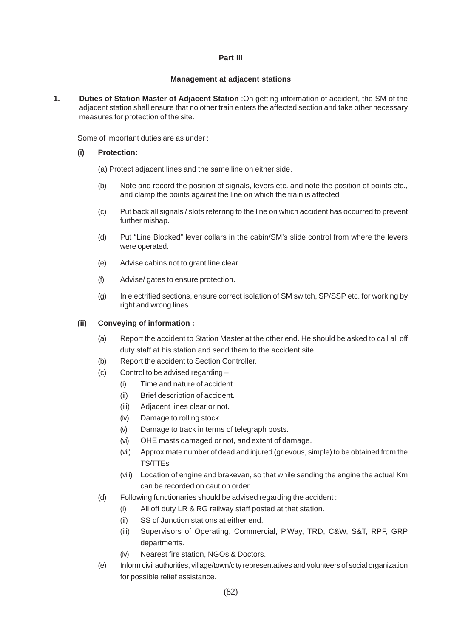#### **Part III**

#### **Management at adjacent stations**

**1. Duties of Station Master of Adjacent Station** :On getting information of accident, the SM of the adjacent station shall ensure that no other train enters the affected section and take other necessary measures for protection of the site.

Some of important duties are as under :

### **(i) Protection:**

- (a) Protect adjacent lines and the same line on either side.
- (b) Note and record the position of signals, levers etc. and note the position of points etc., and clamp the points against the line on which the train is affected
- (c) Put back all signals / slots referring to the line on which accident has occurred to prevent further mishap.
- (d) Put "Line Blocked" lever collars in the cabin/SM's slide control from where the levers were operated.
- (e) Advise cabins not to grant line clear.
- (f) Advise/ gates to ensure protection.
- (g) In electrified sections, ensure correct isolation of SM switch, SP/SSP etc. for working by right and wrong lines.

### **(ii) Conveying of information :**

- (a) Report the accident to Station Master at the other end. He should be asked to call all off duty staff at his station and send them to the accident site.
- (b) Report the accident to Section Controller.
- (c) Control to be advised regarding
	- (i) Time and nature of accident.
	- (ii) Brief description of accident.
	- (iii) Adjacent lines clear or not.
	- (iv) Damage to rolling stock.
	- (v) Damage to track in terms of telegraph posts.
	- (vi) OHE masts damaged or not, and extent of damage.
	- (vii) Approximate number of dead and injured (grievous, simple) to be obtained from the TS/TTEs.
	- (viii) Location of engine and brakevan, so that while sending the engine the actual Km can be recorded on caution order.
- (d) Following functionaries should be advised regarding the accident :
	- (i) All off duty LR & RG railway staff posted at that station.
	- (ii) SS of Junction stations at either end.
	- (iii) Supervisors of Operating, Commercial, P.Way, TRD, C&W, S&T, RPF, GRP departments.
	- (iv) Nearest fire station, NGOs & Doctors.
- (e) Inform civil authorities, village/town/city representatives and volunteers of social organization for possible relief assistance.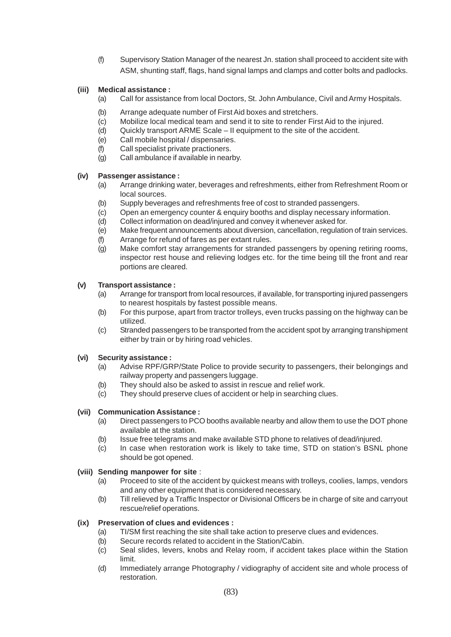(f) Supervisory Station Manager of the nearest Jn. station shall proceed to accident site with ASM, shunting staff, flags, hand signal lamps and clamps and cotter bolts and padlocks.

# **(iii) Medical assistance :**

- (a) Call for assistance from local Doctors, St. John Ambulance, Civil and Army Hospitals.
- (b) Arrange adequate number of First Aid boxes and stretchers.
- (c) Mobilize local medical team and send it to site to render First Aid to the injured.
- (d) Quickly transport ARME Scale II equipment to the site of the accident.
- (e) Call mobile hospital / dispensaries.
- (f) Call specialist private practioners.
- (g) Call ambulance if available in nearby.

### **(iv) Passenger assistance :**

- (a) Arrange drinking water, beverages and refreshments, either from Refreshment Room or local sources.
- (b) Supply beverages and refreshments free of cost to stranded passengers.
- (c) Open an emergency counter & enquiry booths and display necessary information.
- (d) Collect information on dead/injured and convey it whenever asked for.
- (e) Make frequent announcements about diversion, cancellation, regulation of train services.
- (f) Arrange for refund of fares as per extant rules.
- (g) Make comfort stay arrangements for stranded passengers by opening retiring rooms, inspector rest house and relieving lodges etc. for the time being till the front and rear portions are cleared.

# **(v) Transport assistance :**

- (a) Arrange for transport from local resources, if available, for transporting injured passengers to nearest hospitals by fastest possible means.
- (b) For this purpose, apart from tractor trolleys, even trucks passing on the highway can be utilized.
- (c) Stranded passengers to be transported from the accident spot by arranging transhipment either by train or by hiring road vehicles.

### **(vi) Security assistance :**

- (a) Advise RPF/GRP/State Police to provide security to passengers, their belongings and railway property and passengers luggage.
- (b) They should also be asked to assist in rescue and relief work.
- (c) They should preserve clues of accident or help in searching clues.

### **(vii) Communication Assistance :**

- (a) Direct passengers to PCO booths available nearby and allow them to use the DOT phone available at the station.
- (b) Issue free telegrams and make available STD phone to relatives of dead/injured.
- (c) In case when restoration work is likely to take time, STD on station's BSNL phone should be got opened.

### **(viii) Sending manpower for site** :

- (a) Proceed to site of the accident by quickest means with trolleys, coolies, lamps, vendors and any other equipment that is considered necessary.
- (b) Till relieved by a Traffic Inspector or Divisional Officers be in charge of site and carryout rescue/relief operations.

### **(ix) Preservation of clues and evidences :**

- (a) TI/SM first reaching the site shall take action to preserve clues and evidences.
- (b) Secure records related to accident in the Station/Cabin.
- (c) Seal slides, levers, knobs and Relay room, if accident takes place within the Station limit.
- (d) Immediately arrange Photography / vidiography of accident site and whole process of restoration.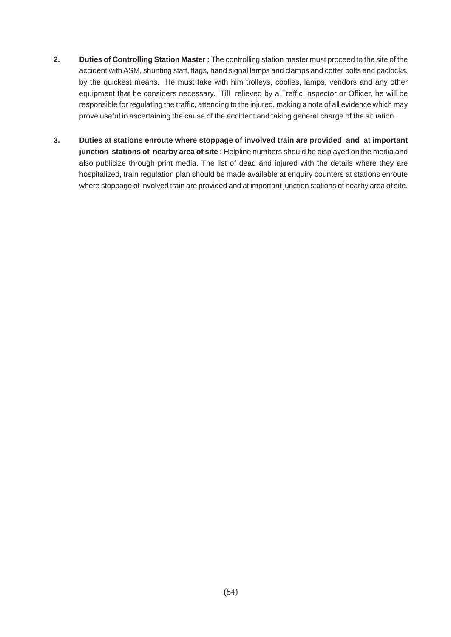- **2. Duties of Controlling Station Master :** The controlling station master must proceed to the site of the accident with ASM, shunting staff, flags, hand signal lamps and clamps and cotter bolts and paclocks. by the quickest means. He must take with him trolleys, coolies, lamps, vendors and any other equipment that he considers necessary. Till relieved by a Traffic Inspector or Officer, he will be responsible for regulating the traffic, attending to the injured, making a note of all evidence which may prove useful in ascertaining the cause of the accident and taking general charge of the situation.
- **3. Duties at stations enroute where stoppage of involved train are provided and at important junction stations of nearby area of site :** Helpline numbers should be displayed on the media and also publicize through print media. The list of dead and injured with the details where they are hospitalized, train regulation plan should be made available at enquiry counters at stations enroute where stoppage of involved train are provided and at important junction stations of nearby area of site.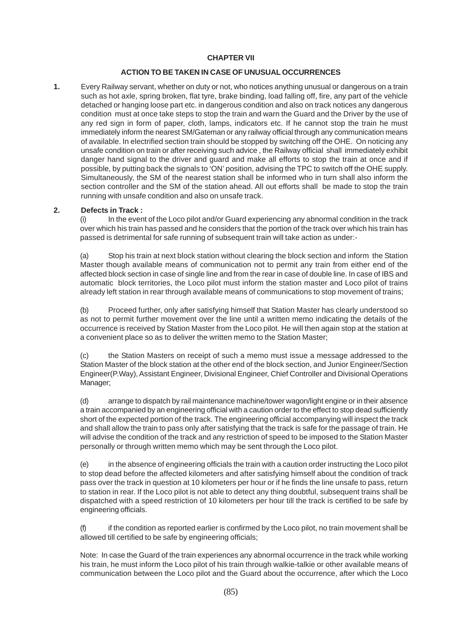#### **CHAPTER VII**

#### **ACTION TO BE TAKEN IN CASE OF UNUSUAL OCCURRENCES**

**1.** Every Railway servant, whether on duty or not, who notices anything unusual or dangerous on a train such as hot axle, spring broken, flat tyre, brake binding, load falling off, fire, any part of the vehicle detached or hanging loose part etc. in dangerous condition and also on track notices any dangerous condition must at once take steps to stop the train and warn the Guard and the Driver by the use of any red sign in form of paper, cloth, lamps, indicators etc. If he cannot stop the train he must immediately inform the nearest SM/Gateman or any railway official through any communication means of available. In electrified section train should be stopped by switching off the OHE. On noticing any unsafe condition on train or after receiving such advice , the Railway official shall immediately exhibit danger hand signal to the driver and guard and make all efforts to stop the train at once and if possible, by putting back the signals to 'ON' position, advising the TPC to switch off the OHE supply. Simultaneously, the SM of the nearest station shall be informed who in turn shall also inform the section controller and the SM of the station ahead. All out efforts shall be made to stop the train running with unsafe condition and also on unsafe track.

#### **2. Defects in Track :**

(i) In the event of the Loco pilot and/or Guard experiencing any abnormal condition in the track over which his train has passed and he considers that the portion of the track over which his train has passed is detrimental for safe running of subsequent train will take action as under:-

(a) Stop his train at next block station without clearing the block section and inform the Station Master though available means of communication not to permit any train from either end of the affected block section in case of single line and from the rear in case of double line. In case of IBS and automatic block territories, the Loco pilot must inform the station master and Loco pilot of trains already left station in rear through available means of communications to stop movement of trains;

(b) Proceed further, only after satisfying himself that Station Master has clearly understood so as not to permit further movement over the line until a written memo indicating the details of the occurrence is received by Station Master from the Loco pilot. He will then again stop at the station at a convenient place so as to deliver the written memo to the Station Master;

(c) the Station Masters on receipt of such a memo must issue a message addressed to the Station Master of the block station at the other end of the block section, and Junior Engineer/Section Engineer(P.Way), Assistant Engineer, Divisional Engineer, Chief Controller and Divisional Operations Manager;

(d) arrange to dispatch by rail maintenance machine/tower wagon/light engine or in their absence a train accompanied by an engineering official with a caution order to the effect to stop dead sufficiently short of the expected portion of the track. The engineering official accompanying will inspect the track and shall allow the train to pass only after satisfying that the track is safe for the passage of train. He will advise the condition of the track and any restriction of speed to be imposed to the Station Master personally or through written memo which may be sent through the Loco pilot.

(e) in the absence of engineering officials the train with a caution order instructing the Loco pilot to stop dead before the affected kilometers and after satisfying himself about the condition of track pass over the track in question at 10 kilometers per hour or if he finds the line unsafe to pass, return to station in rear. If the Loco pilot is not able to detect any thing doubtful, subsequent trains shall be dispatched with a speed restriction of 10 kilometers per hour till the track is certified to be safe by engineering officials.

(f) if the condition as reported earlier is confirmed by the Loco pilot, no train movement shall be allowed till certified to be safe by engineering officials;

Note: In case the Guard of the train experiences any abnormal occurrence in the track while working his train, he must inform the Loco pilot of his train through walkie-talkie or other available means of communication between the Loco pilot and the Guard about the occurrence, after which the Loco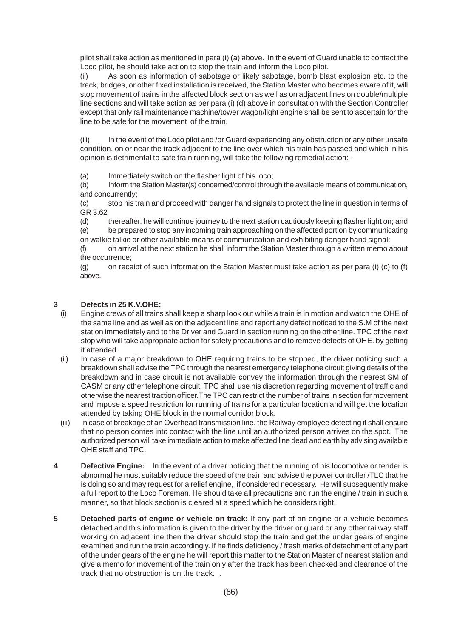pilot shall take action as mentioned in para (i) (a) above. In the event of Guard unable to contact the Loco pilot, he should take action to stop the train and inform the Loco pilot.

As soon as information of sabotage or likely sabotage, bomb blast explosion etc. to the track, bridges, or other fixed installation is received, the Station Master who becomes aware of it, will stop movement of trains in the affected block section as well as on adjacent lines on double/multiple line sections and will take action as per para (i) (d) above in consultation with the Section Controller except that only rail maintenance machine/tower wagon/light engine shall be sent to ascertain for the line to be safe for the movement of the train.

(iii) In the event of the Loco pilot and /or Guard experiencing any obstruction or any other unsafe condition, on or near the track adjacent to the line over which his train has passed and which in his opinion is detrimental to safe train running, will take the following remedial action:-

(a) Immediately switch on the flasher light of his loco;

(b) Inform the Station Master(s) concerned/control through the available means of communication, and concurrently;

(c) stop his train and proceed with danger hand signals to protect the line in question in terms of GR 3.62

(d) thereafter, he will continue journey to the next station cautiously keeping flasher light on; and (e) be prepared to stop any incoming train approaching on the affected portion by communicating on walkie talkie or other available means of communication and exhibiting danger hand signal;

(f) on arrival at the next station he shall inform the Station Master through a written memo about the occurrence;

(g) on receipt of such information the Station Master must take action as per para (i) (c) to (f) above.

# **3 Defects in 25 K.V.OHE:**

- (i) Engine crews of all trains shall keep a sharp look out while a train is in motion and watch the OHE of the same line and as well as on the adjacent line and report any defect noticed to the S.M of the next station immediately and to the Driver and Guard in section running on the other line. TPC of the next stop who will take appropriate action for safety precautions and to remove defects of OHE. by getting it attended.
- (ii) In case of a major breakdown to OHE requiring trains to be stopped, the driver noticing such a breakdown shall advise the TPC through the nearest emergency telephone circuit giving details of the breakdown and in case circuit is not available convey the information through the nearest SM of CASM or any other telephone circuit. TPC shall use his discretion regarding movement of traffic and otherwise the nearest traction officer.The TPC can restrict the number of trains in section for movement and impose a speed restriction for running of trains for a particular location and will get the location attended by taking OHE block in the normal corridor block.
- (iii) In case of breakage of an Overhead transmission line, the Railway employee detecting it shall ensure that no person comes into contact with the line until an authorized person arrives on the spot. The authorized person will take immediate action to make affected line dead and earth by advising available OHE staff and TPC.
- **4** Defective Engine: In the event of a driver noticing that the running of his locomotive or tender is abnormal he must suitably reduce the speed of the train and advise the power controller /TLC that he is doing so and may request for a relief engine, if considered necessary. He will subsequently make a full report to the Loco Foreman. He should take all precautions and run the engine / train in such a manner, so that block section is cleared at a speed which he considers right.
- **5 Detached parts of engine or vehicle on track:** If any part of an engine or a vehicle becomes detached and this information is given to the driver by the driver or guard or any other railway staff working on adjacent line then the driver should stop the train and get the under gears of engine examined and run the train accordingly. If he finds deficiency / fresh marks of detachment of any part of the under gears of the engine he will report this matter to the Station Master of nearest station and give a memo for movement of the train only after the track has been checked and clearance of the track that no obstruction is on the track. .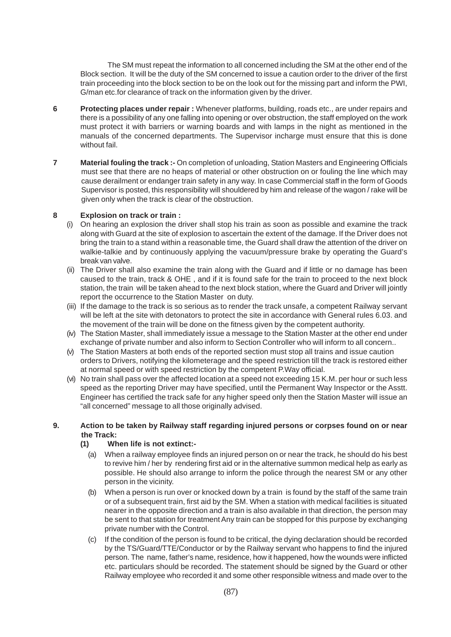The SM must repeat the information to all concerned including the SM at the other end of the Block section. It will be the duty of the SM concerned to issue a caution order to the driver of the first train proceeding into the block section to be on the look out for the missing part and inform the PWI, G/man etc.for clearance of track on the information given by the driver.

- **6 Protecting places under repair :** Whenever platforms, building, roads etc., are under repairs and there is a possibility of any one falling into opening or over obstruction, the staff employed on the work must protect it with barriers or warning boards and with lamps in the night as mentioned in the manuals of the concerned departments. The Supervisor incharge must ensure that this is done without fail.
- **7 Material fouling the track :-** On completion of unloading, Station Masters and Engineering Officials must see that there are no heaps of material or other obstruction on or fouling the line which may cause derailment or endanger train safety in any way. In case Commercial staff in the form of Goods Supervisor is posted, this responsibility will shouldered by him and release of the wagon / rake will be given only when the track is clear of the obstruction.

### **8 Explosion on track or train :**

- (i) On hearing an explosion the driver shall stop his train as soon as possible and examine the track along with Guard at the site of explosion to ascertain the extent of the damage. If the Driver does not bring the train to a stand within a reasonable time, the Guard shall draw the attention of the driver on walkie-talkie and by continuously applying the vacuum/pressure brake by operating the Guard's break van valve.
- (ii) The Driver shall also examine the train along with the Guard and if little or no damage has been caused to the train, track & OHE , and if it is found safe for the train to proceed to the next block station, the train will be taken ahead to the next block station, where the Guard and Driver will jointly report the occurrence to the Station Master on duty.
- (iii) If the damage to the track is so serious as to render the track unsafe, a competent Railway servant will be left at the site with detonators to protect the site in accordance with General rules 6.03. and the movement of the train will be done on the fitness given by the competent authority.
- (iv) The Station Master, shall immediately issue a message to the Station Master at the other end under exchange of private number and also inform to Section Controller who will inform to all concern..
- (v) The Station Masters at both ends of the reported section must stop all trains and issue caution orders to Drivers, notifying the kilometerage and the speed restriction till the track is restored either at normal speed or with speed restriction by the competent P.Way official.
- (vi) No train shall pass over the affected location at a speed not exceeding 15 K.M. per hour or such less speed as the reporting Driver may have specified, until the Permanent Way Inspector or the Asstt. Engineer has certified the track safe for any higher speed only then the Station Master will issue an "all concerned" message to all those originally advised.

#### **9. Action to be taken by Railway staff regarding injured persons or corpses found on or near the Track:**

### **(1) When life is not extinct:-**

- (a) When a railway employee finds an injured person on or near the track, he should do his best to revive him / her by rendering first aid or in the alternative summon medical help as early as possible. He should also arrange to inform the police through the nearest SM or any other person in the vicinity.
- (b) When a person is run over or knocked down by a train is found by the staff of the same train or of a subsequent train, first aid by the SM. When a station with medical facilities is situated nearer in the opposite direction and a train is also available in that direction, the person may be sent to that station for treatment Any train can be stopped for this purpose by exchanging private number with the Control.
- (c) If the condition of the person is found to be critical, the dying declaration should be recorded by the TS/Guard/TTE/Conductor or by the Railway servant who happens to find the injured person. The name, father's name, residence, how it happened, how the wounds were inflicted etc. particulars should be recorded. The statement should be signed by the Guard or other Railway employee who recorded it and some other responsible witness and made over to the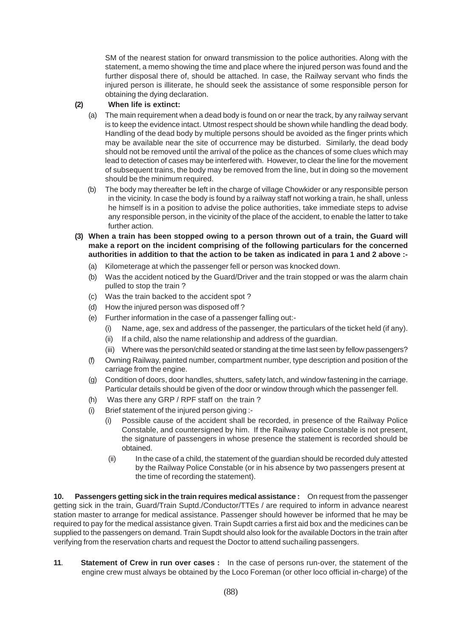SM of the nearest station for onward transmission to the police authorities. Along with the statement, a memo showing the time and place where the injured person was found and the further disposal there of, should be attached. In case, the Railway servant who finds the injured person is illiterate, he should seek the assistance of some responsible person for obtaining the dying declaration.

### **(2) When life is extinct:**

- (a) The main requirement when a dead body is found on or near the track, by any railway servant is to keep the evidence intact. Utmost respect should be shown while handling the dead body. Handling of the dead body by multiple persons should be avoided as the finger prints which may be available near the site of occurrence may be disturbed. Similarly, the dead body should not be removed until the arrival of the police as the chances of some clues which may lead to detection of cases may be interfered with. However, to clear the line for the movement of subsequent trains, the body may be removed from the line, but in doing so the movement should be the minimum required.
- (b) The body may thereafter be left in the charge of village Chowkider or any responsible person in the vicinity. In case the body is found by a railway staff not working a train, he shall, unless he himself is in a position to advise the police authorities, take immediate steps to advise any responsible person, in the vicinity of the place of the accident, to enable the latter to take further action.
- **(3) When a train has been stopped owing to a person thrown out of a train, the Guard will make a report on the incident comprising of the following particulars for the concerned authorities in addition to that the action to be taken as indicated in para 1 and 2 above :-**
	- (a) Kilometerage at which the passenger fell or person was knocked down.
	- (b) Was the accident noticed by the Guard/Driver and the train stopped or was the alarm chain pulled to stop the train ?
	- (c) Was the train backed to the accident spot ?
	- (d) How the injured person was disposed off ?
	- (e) Further information in the case of a passenger falling out:-
		- (i) Name, age, sex and address of the passenger, the particulars of the ticket held (if any).
		- (ii) If a child, also the name relationship and address of the guardian.
		- (iii) Where was the person/child seated or standing at the time last seen by fellow passengers?
	- (f) Owning Railway, painted number, compartment number, type description and position of the carriage from the engine.
	- (g) Condition of doors, door handles, shutters, safety latch, and window fastening in the carriage. Particular details should be given of the door or window through which the passenger fell.
	- (h) Was there any GRP / RPF staff on the train ?
	- (i) Brief statement of the injured person giving :-
		- (i) Possible cause of the accident shall be recorded, in presence of the Railway Police Constable, and countersigned by him. If the Railway police Constable is not present, the signature of passengers in whose presence the statement is recorded should be obtained.
			- (ii) In the case of a child, the statement of the guardian should be recorded duly attested by the Railway Police Constable (or in his absence by two passengers present at the time of recording the statement).

**10. Passengers getting sick in the train requires medical assistance :** On request from the passenger getting sick in the train, Guard/Train Suptd./Conductor/TTEs / are required to inform in advance nearest station master to arrange for medical assistance. Passenger should however be informed that he may be required to pay for the medical assistance given. Train Supdt carries a first aid box and the medicines can be supplied to the passengers on demand. Train Supdt should also look for the available Doctors in the train after verifying from the reservation charts and request the Doctor to attend suchailing passengers.

**11**. **Statement of Crew in run over cases :** In the case of persons run-over, the statement of the engine crew must always be obtained by the Loco Foreman (or other loco official in-charge) of the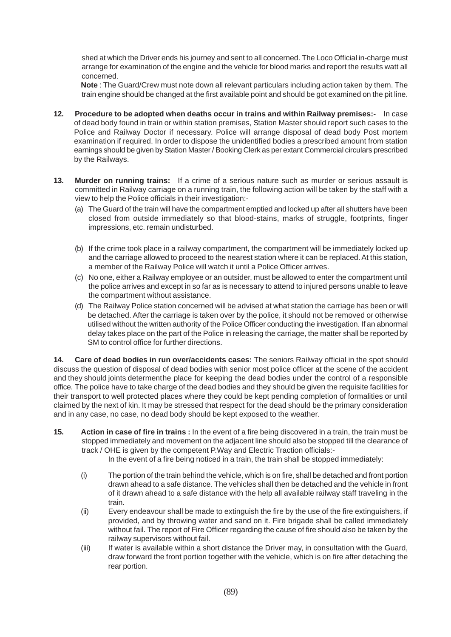shed at which the Driver ends his journey and sent to all concerned. The Loco Official in-charge must arrange for examination of the engine and the vehicle for blood marks and report the results watt all concerned.

**Note** : The Guard/Crew must note down all relevant particulars including action taken by them. The train engine should be changed at the first available point and should be got examined on the pit line.

- **12. Procedure to be adopted when deaths occur in trains and within Railway premises:-** In case of dead body found in train or within station premises, Station Master should report such cases to the Police and Railway Doctor if necessary. Police will arrange disposal of dead body Post mortem examination if required. In order to dispose the unidentified bodies a prescribed amount from station earnings should be given by Station Master / Booking Clerk as per extant Commercial circulars prescribed by the Railways.
- **13. Murder on running trains:** If a crime of a serious nature such as murder or serious assault is committed in Railway carriage on a running train, the following action will be taken by the staff with a view to help the Police officials in their investigation:-
	- (a) The Guard of the train will have the compartment emptied and locked up after all shutters have been closed from outside immediately so that blood-stains, marks of struggle, footprints, finger impressions, etc. remain undisturbed.
	- (b) If the crime took place in a railway compartment, the compartment will be immediately locked up and the carriage allowed to proceed to the nearest station where it can be replaced. At this station, a member of the Railway Police will watch it until a Police Officer arrives.
	- (c) No one, either a Railway employee or an outsider, must be allowed to enter the compartment until the police arrives and except in so far as is necessary to attend to injured persons unable to leave the compartment without assistance.
	- (d) The Railway Police station concerned will be advised at what station the carriage has been or will be detached. After the carriage is taken over by the police, it should not be removed or otherwise utilised without the written authority of the Police Officer conducting the investigation. If an abnormal delay takes place on the part of the Police in releasing the carriage, the matter shall be reported by SM to control office for further directions.

**14. Care of dead bodies in run over/accidents cases:** The seniors Railway official in the spot should discuss the question of disposal of dead bodies with senior most police officer at the scene of the accident and they should joints determenthe place for keeping the dead bodies under the control of a responsible office. The police have to take charge of the dead bodies and they should be given the requisite facilities for their transport to well protected places where they could be kept pending completion of formalities or until claimed by the next of kin. It may be stressed that respect for the dead should be the primary consideration and in any case, no case, no dead body should be kept exposed to the weather.

**15. Action in case of fire in trains :** In the event of a fire being discovered in a train, the train must be stopped immediately and movement on the adjacent line should also be stopped till the clearance of track / OHE is given by the competent P.Way and Electric Traction officials:-

In the event of a fire being noticed in a train, the train shall be stopped immediately:

- (i) The portion of the train behind the vehicle, which is on fire, shall be detached and front portion drawn ahead to a safe distance. The vehicles shall then be detached and the vehicle in front of it drawn ahead to a safe distance with the help all available railway staff traveling in the train.
- (ii) Every endeavour shall be made to extinguish the fire by the use of the fire extinguishers, if provided, and by throwing water and sand on it. Fire brigade shall be called immediately without fail. The report of Fire Officer regarding the cause of fire should also be taken by the railway supervisors without fail.
- (iii) If water is available within a short distance the Driver may, in consultation with the Guard, draw forward the front portion together with the vehicle, which is on fire after detaching the rear portion.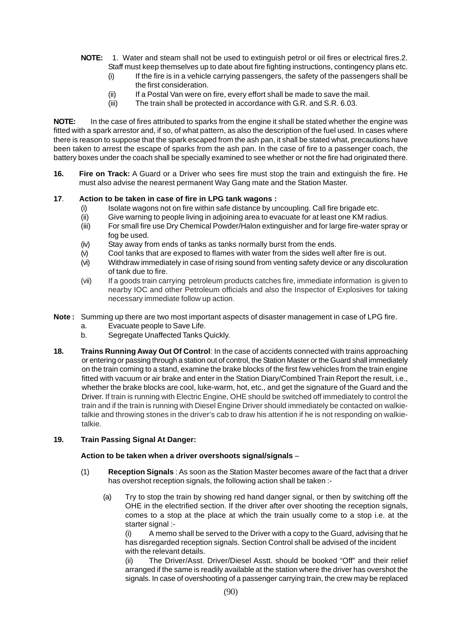- **NOTE:** 1. Water and steam shall not be used to extinguish petrol or oil fires or electrical fires.2. Staff must keep themselves up to date about fire fighting instructions, contingency plans etc.
	- (i) If the fire is in a vehicle carrying passengers, the safety of the passengers shall be the first consideration.
	- (ii) If a Postal Van were on fire, every effort shall be made to save the mail.
	- (iii) The train shall be protected in accordance with G.R. and S.R. 6.03.

**NOTE:** In the case of fires attributed to sparks from the engine it shall be stated whether the engine was fitted with a spark arrestor and, if so, of what pattern, as also the description of the fuel used. In cases where there is reason to suppose that the spark escaped from the ash pan, it shall be stated what, precautions have been taken to arrest the escape of sparks from the ash pan. In the case of fire to a passenger coach, the battery boxes under the coach shall be specially examined to see whether or not the fire had originated there.

**16. Fire on Track:** A Guard or a Driver who sees fire must stop the train and extinguish the fire. He must also advise the nearest permanent Way Gang mate and the Station Master.

# **17**. **Action to be taken in case of fire in LPG tank wagons :**

- (i) Isolate wagons not on fire within safe distance by uncoupling. Call fire brigade etc.
- (ii) Give warning to people living in adjoining area to evacuate for at least one KM radius.
- (iii) For small fire use Dry Chemical Powder/Halon extinguisher and for large fire-water spray or fog be used.
- (iv) Stay away from ends of tanks as tanks normally burst from the ends.
- (v) Cool tanks that are exposed to flames with water from the sides well after fire is out.
- (vi) Withdraw immediately in case of rising sound from venting safety device or any discoluration of tank due to fire.
- (vii) If a goods train carrying petroleum products catches fire, immediate information is given to nearby IOC and other Petroleum officials and also the Inspector of Explosives for taking necessary immediate follow up action.
- **Note :** Summing up there are two most important aspects of disaster management in case of LPG fire.
	- a. Evacuate people to Save Life.
	- b. Segregate Unaffected Tanks Quickly.
- **18. Trains Running Away Out Of Control**: In the case of accidents connected with trains approaching or entering or passing through a station out of control, the Station Master or the Guard shall immediately on the train coming to a stand, examine the brake blocks of the first few vehicles from the train engine fitted with vacuum or air brake and enter in the Station Diary/Combined Train Report the result, i.e., whether the brake blocks are cool, luke-warm, hot, etc., and get the signature of the Guard and the Driver. If train is running with Electric Engine, OHE should be switched off immediately to control the train and if the train is running with Diesel Engine Driver should immediately be contacted on walkietalkie and throwing stones in the driver's cab to draw his attention if he is not responding on walkietalkie.

### **19. Train Passing Signal At Danger:**

### **Action to be taken when a driver overshoots signal/signals** –

- (1) **Reception Signals** : As soon as the Station Master becomes aware of the fact that a driver has overshot reception signals, the following action shall be taken :-
	- (a) Try to stop the train by showing red hand danger signal, or then by switching off the OHE in the electrified section. If the driver after over shooting the reception signals, comes to a stop at the place at which the train usually come to a stop i.e. at the starter signal :-

(i) A memo shall be served to the Driver with a copy to the Guard, advising that he has disregarded reception signals. Section Control shall be advised of the incident with the relevant details.

(ii) The Driver/Asst. Driver/Diesel Asstt. should be booked "Off" and their relief arranged if the same is readily available at the station where the driver has overshot the signals. In case of overshooting of a passenger carrying train, the crew may be replaced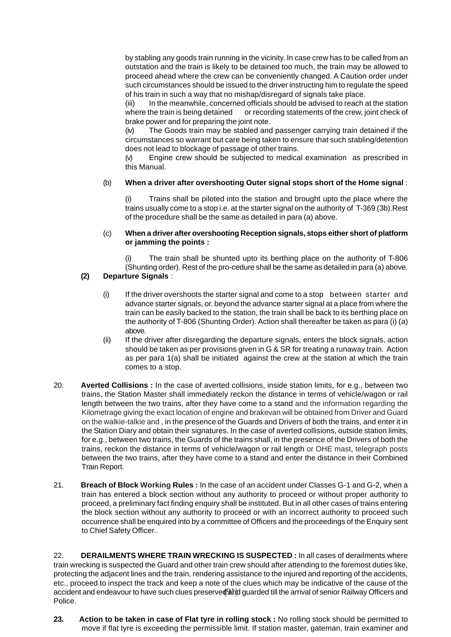by stabling any goods train running in the vicinity. In case crew has to be called from an outstation and the train is likely to be detained too much, the train may be allowed to proceed ahead where the crew can be conveniently changed. A Caution order under such circumstances should be issued to the driver instructing him to regulate the speed of his train in such a way that no mishap/disregard of signals take place.

(iii) In the meanwhile, concerned officials should be advised to reach at the station where the train is being detained or recording statements of the crew, joint check of brake power and for preparing the joint note.

(iv) The Goods train may be stabled and passenger carrying train detained if the circumstances so warrant but care being taken to ensure that such stabling/detention does not lead to blockage of passage of other trains.

(v) Engine crew should be subjected to medical examination as prescribed in this Manual.

# (b) **When a driver after overshooting Outer signal stops short of the Home signal** :

Trains shall be piloted into the station and brought upto the place where the trains usually come to a stop i.e. at the starter signal on the authority of T-369 (3b).Rest of the procedure shall be the same as detailed in para (a) above.

### (c) **When a driver after overshooting Reception signals, stops either short of platform or jamming the points :**

The train shall be shunted upto its berthing place on the authority of T-806 (Shunting order). Rest of the pro-cedure shall be the same as detailed in para (a) above.

# **(2) Departure Signals** :

- (i) If the driver overshoots the starter signal and come to a stop between starter and advance starter signals, or. beyond the advance starter signal at a place from where the train can be easily backed to the station, the train shall be back to its berthing place on the authority of T-806 (Shunting Order). Action shall thereafter be taken as para (i) (a) above.
- (ii) If the driver after disregarding the departure signals, enters the block signals, action should be taken as per provisions given in G & SR for treating a runaway train. Action as per para 1(a) shall be initiated against the crew at the station at which the train comes to a stop.
- 20. **Averted Collisions :** In the case of averted collisions, inside station limits, for e.g., between two trains, the Station Master shall immediately reckon the distance in terms of vehicle/wagon or rail length between the two trains, after they have come to a stand and the information regarding the Kilometrage giving the exact location of engine and brakevan will be obtained from Driver and Guard on the walkie-talkie and , in the presence of the Guards and Drivers of both the trains, and enter it in the Station Diary and obtain their signatures. In the case of averted collisions, outside station limits, for e.g., between two trains, the Guards of the trains shall, in the presence of the Drivers of both the trains, reckon the distance in terms of vehicle/wagon or rail length or OHE mast, telegraph posts between the two trains, after they have come to a stand and enter the distance in their Combined Train Report.
- 21. **Breach of Block Working Rules :** In the case of an accident under Classes G-1 and G-2, when a train has entered a block section without any authority to proceed or without proper authority to proceed, a preliminary fact finding enquiry shall be instituted. But in all other cases of trains entering the block section without any authority to proceed or with an incorrect authority to proceed such occurrence shall be enquired into by a committee of Officers and the proceedings of the Enquiry sent to Chief Safety Officer..

accident and endeavour to have such clues preserved and guarded till the arrival of senior Railway Officers and 22. **DERAILMENTS WHERE TRAIN WRECKING IS SUSPECTED :** In all cases of derailments where train wrecking is suspected the Guard and other train crew should after attending to the foremost duties like, protecting the adjacent lines and the train, rendering assistance to the injured and reporting of the accidents, etc., proceed to inspect the track and keep a note of the clues which may be indicative of the cause of the Police.

**23. Action to be taken in case of Flat tyre in rolling stock :** No rolling stock should be permitted to move if flat tyre is exceeding the permissible limit. If station master, gateman, train examiner and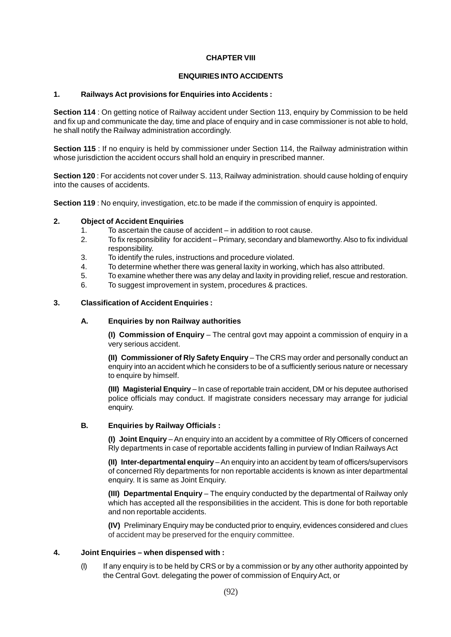### **CHAPTER VIII**

### **ENQUIRIES INTO ACCIDENTS**

### **1. Railways Act provisions for Enquiries into Accidents :**

**Section 114** : On getting notice of Railway accident under Section 113, enquiry by Commission to be held and fix up and communicate the day, time and place of enquiry and in case commissioner is not able to hold, he shall notify the Railway administration accordingly.

**Section 115** : If no enquiry is held by commissioner under Section 114, the Railway administration within whose jurisdiction the accident occurs shall hold an enquiry in prescribed manner.

**Section 120** : For accidents not cover under S. 113, Railway administration. should cause holding of enquiry into the causes of accidents.

**Section 119** : No enquiry, investigation, etc.to be made if the commission of enquiry is appointed.

### **2. Object of Accident Enquiries**

- 1. To ascertain the cause of accident in addition to root cause.
- 2. To fix responsibility for accident Primary, secondary and blameworthy. Also to fix individual responsibility.
- 3. To identify the rules, instructions and procedure violated.
- 4. To determine whether there was general laxity in working, which has also attributed.
- 5. To examine whether there was any delay and laxity in providing relief, rescue and restoration.
- 6. To suggest improvement in system, procedures & practices.

### **3. Classification of Accident Enquiries :**

#### **A. Enquiries by non Railway authorities**

**(I) Commission of Enquiry** – The central govt may appoint a commission of enquiry in a very serious accident.

**(II) Commissioner of Rly Safety Enquiry** – The CRS may order and personally conduct an enquiry into an accident which he considers to be of a sufficiently serious nature or necessary to enquire by himself.

**(III) Magisterial Enquiry** – In case of reportable train accident, DM or his deputee authorised police officials may conduct. If magistrate considers necessary may arrange for judicial enquiry.

#### **B. Enquiries by Railway Officials :**

**(I) Joint Enquiry** – An enquiry into an accident by a committee of Rly Officers of concerned Rly departments in case of reportable accidents falling in purview of Indian Railways Act

**(II) Inter-departmental enquiry** – An enquiry into an accident by team of officers/supervisors of concerned Rly departments for non reportable accidents is known as inter departmental enquiry. It is same as Joint Enquiry.

**(III) Departmental Enquiry** – The enquiry conducted by the departmental of Railway only which has accepted all the responsibilities in the accident. This is done for both reportable and non reportable accidents.

**(IV)** Preliminary Enquiry may be conducted prior to enquiry, evidences considered and clues of accident may be preserved for the enquiry committee.

#### **4. Joint Enquiries – when dispensed with :**

(I) If any enquiry is to be held by CRS or by a commission or by any other authority appointed by the Central Govt. delegating the power of commission of Enquiry Act, or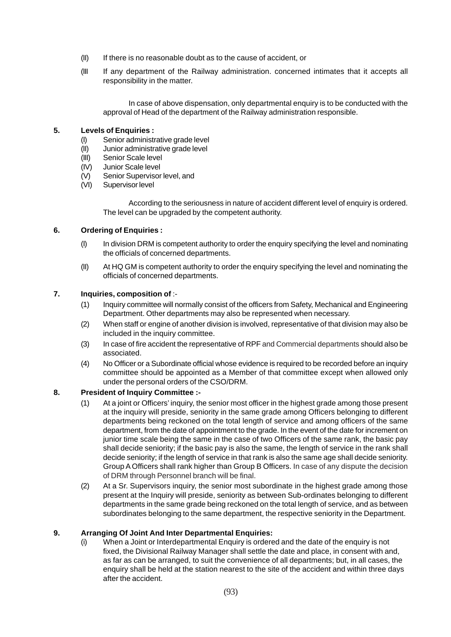- (II) If there is no reasonable doubt as to the cause of accident, or
- (III If any department of the Railway administration. concerned intimates that it accepts all responsibility in the matter.

In case of above dispensation, only departmental enquiry is to be conducted with the approval of Head of the department of the Railway administration responsible.

### **5. Levels of Enquiries :**

- (I) Senior administrative grade level
- (II) Junior administrative grade level
- (III) Senior Scale level
- (IV) Junior Scale level
- (V) Senior Supervisor level, and
- (VI) Supervisor level

According to the seriousness in nature of accident different level of enquiry is ordered. The level can be upgraded by the competent authority.

#### **6. Ordering of Enquiries :**

- (I) In division DRM is competent authority to order the enquiry specifying the level and nominating the officials of concerned departments.
- (II) At HQ GM is competent authority to order the enquiry specifying the level and nominating the officials of concerned departments.

### **7. Inquiries, composition of** :-

- (1) Inquiry committee will normally consist of the officers from Safety, Mechanical and Engineering Department. Other departments may also be represented when necessary.
- (2) When staff or engine of another division is involved, representative of that division may also be included in the inquiry committee.
- (3) In case of fire accident the representative of RPF and Commercial departments should also be associated.
- (4) No Officer or a Subordinate official whose evidence is required to be recorded before an inquiry committee should be appointed as a Member of that committee except when allowed only under the personal orders of the CSO/DRM.

### **8. President of Inquiry Committee :-**

- (1) At a joint or Officers' inquiry, the senior most officer in the highest grade among those present at the inquiry will preside, seniority in the same grade among Officers belonging to different departments being reckoned on the total length of service and among officers of the same department, from the date of appointment to the grade. In the event of the date for increment on junior time scale being the same in the case of two Officers of the same rank, the basic pay shall decide seniority; if the basic pay is also the same, the length of service in the rank shall decide seniority; if the length of service in that rank is also the same age shall decide seniority. Group A Officers shall rank higher than Group B Officers. In case of any dispute the decision of DRM through Personnel branch will be final.
- (2) At a Sr. Supervisors inquiry, the senior most subordinate in the highest grade among those present at the Inquiry will preside, seniority as between Sub-ordinates belonging to different departments in the same grade being reckoned on the total length of service, and as between subordinates belonging to the same department, the respective seniority in the Department.

#### **9. Arranging Of Joint And Inter Departmental Enquiries:**

(i) When a Joint or Interdepartmental Enquiry is ordered and the date of the enquiry is not fixed, the Divisional Railway Manager shall settle the date and place, in consent with and, as far as can be arranged, to suit the convenience of all departments; but, in all cases, the enquiry shall be held at the station nearest to the site of the accident and within three days after the accident.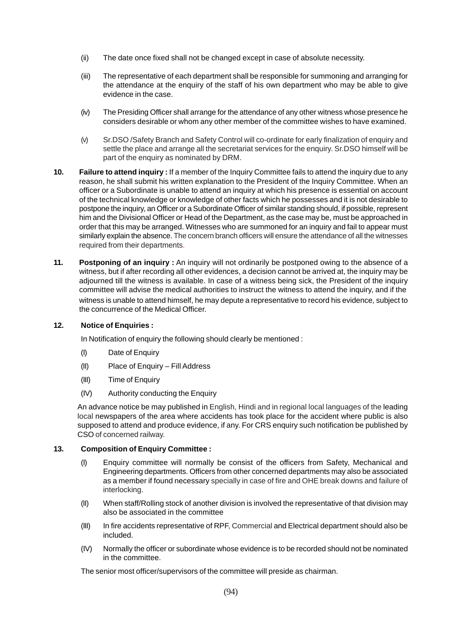- (ii) The date once fixed shall not be changed except in case of absolute necessity.
- (iii) The representative of each department shall be responsible for summoning and arranging for the attendance at the enquiry of the staff of his own department who may be able to give evidence in the case.
- (iv) The Presiding Officer shall arrange for the attendance of any other witness whose presence he considers desirable or whom any other member of the committee wishes to have examined.
- (v) Sr.DSO /Safety Branch and Safety Control will co-ordinate for early finalization of enquiry and settle the place and arrange all the secretariat services for the enquiry. Sr.DSO himself will be part of the enquiry as nominated by DRM.
- **10. Failure to attend inquiry :** If a member of the Inquiry Committee fails to attend the inquiry due to any reason, he shall submit his written explanation to the President of the Inquiry Committee. When an officer or a Subordinate is unable to attend an inquiry at which his presence is essential on account of the technical knowledge or knowledge of other facts which he possesses and it is not desirable to postpone the inquiry, an Officer or a Subordinate Officer of similar standing should, if possible, represent him and the Divisional Officer or Head of the Department, as the case may be, must be approached in order that this may be arranged. Witnesses who are summoned for an inquiry and fail to appear must similarly explain the absence. The concern branch officers will ensure the attendance of all the witnesses required from their departments.
- **11. Postponing of an inquiry :** An inquiry will not ordinarily be postponed owing to the absence of a witness, but if after recording all other evidences, a decision cannot be arrived at, the inquiry may be adjourned till the witness is available. In case of a witness being sick, the President of the inquiry committee will advise the medical authorities to instruct the witness to attend the inquiry, and if the witness is unable to attend himself, he may depute a representative to record his evidence, subject to the concurrence of the Medical Officer.

#### **12. Notice of Enquiries :**

In Notification of enquiry the following should clearly be mentioned :

- (I) Date of Enquiry
- (II) Place of Enquiry Fill Address
- (III) Time of Enquiry
- (IV) Authority conducting the Enquiry

An advance notice be may published in English, Hindi and in regional local languages of the leading local newspapers of the area where accidents has took place for the accident where public is also supposed to attend and produce evidence, if any. For CRS enquiry such notification be published by CSO of concerned railway.

#### **13. Composition of Enquiry Committee :**

- (I) Enquiry committee will normally be consist of the officers from Safety, Mechanical and Engineering departments. Officers from other concerned departments may also be associated as a member if found necessary specially in case of fire and OHE break downs and failure of interlocking.
- (II) When staff/Rolling stock of another division is involved the representative of that division may also be associated in the committee
- (III) In fire accidents representative of RPF, Commercial and Electrical department should also be included.
- (IV) Normally the officer or subordinate whose evidence is to be recorded should not be nominated in the committee.

The senior most officer/supervisors of the committee will preside as chairman.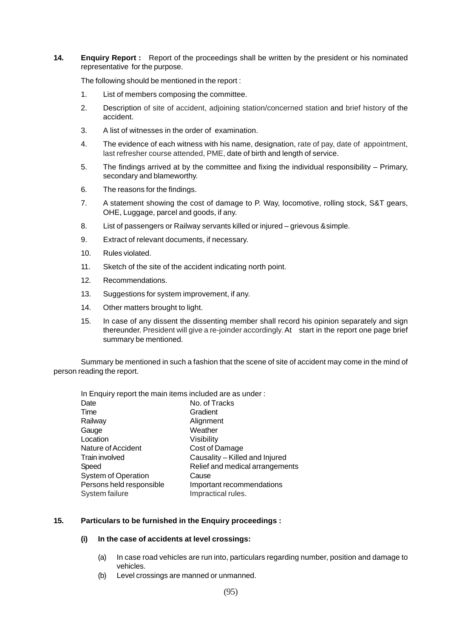#### **14. Enquiry Report :** Report of the proceedings shall be written by the president or his nominated representative for the purpose.

The following should be mentioned in the report :

- 1. List of members composing the committee.
- 2. Description of site of accident, adjoining station/concerned station and brief history of the accident.
- 3. A list of witnesses in the order of examination.
- 4. The evidence of each witness with his name, designation, rate of pay, date of appointment, last refresher course attended, PME, date of birth and length of service.
- 5. The findings arrived at by the committee and fixing the individual responsibility Primary, secondary and blameworthy.
- 6. The reasons for the findings.
- 7. A statement showing the cost of damage to P. Way, locomotive, rolling stock, S&T gears, OHE, Luggage, parcel and goods, if any.
- 8. List of passengers or Railway servants killed or injured grievous &simple.
- 9. Extract of relevant documents, if necessary.
- 10. Rules violated.
- 11. Sketch of the site of the accident indicating north point.
- 12. Recommendations.
- 13. Suggestions for system improvement, if any.
- 14. Other matters brought to light.
- 15. In case of any dissent the dissenting member shall record his opinion separately and sign thereunder. President will give a re-joinder accordingly. At start in the report one page brief summary be mentioned.

Summary be mentioned in such a fashion that the scene of site of accident may come in the mind of person reading the report.

| In Enquiry report the main items included are as under: |
|---------------------------------------------------------|
| No. of Tracks                                           |
| Gradient                                                |
| Alignment                                               |
| Weather                                                 |
| Visibility                                              |
| Cost of Damage                                          |
| Causality - Killed and Injured                          |
| Relief and medical arrangements                         |
| Cause                                                   |
| Important recommendations                               |
| Impractical rules.                                      |
|                                                         |

### **15. Particulars to be furnished in the Enquiry proceedings :**

#### **(i) In the case of accidents at level crossings:**

- (a) In case road vehicles are run into, particulars regarding number, position and damage to vehicles.
- (b) Level crossings are manned or unmanned.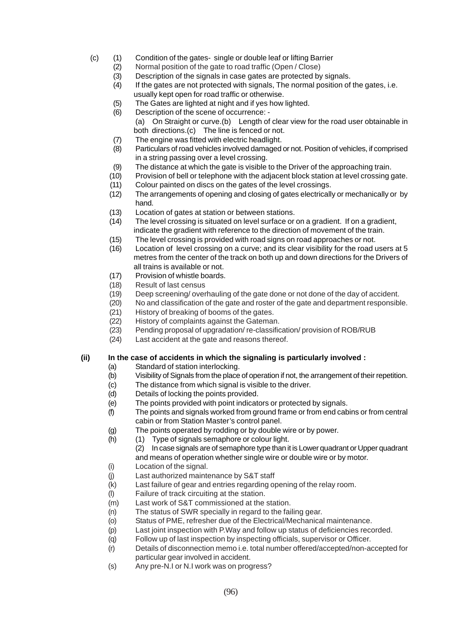- (c) (1) Condition of the gates- single or double leaf or lifting Barrier
	- (2) Normal position of the gate to road traffic (Open / Close)
	- (3) Description of the signals in case gates are protected by signals.
		- (4) If the gates are not protected with signals, The normal position of the gates, i.e. usually kept open for road traffic or otherwise.
		- (5) The Gates are lighted at night and if yes how lighted.
	- (6) Description of the scene of occurrence:
		- (a) On Straight or curve.(b) Length of clear view for the road user obtainable in both directions.(c) The line is fenced or not.
	- (7) The engine was fitted with electric headlight.
	- (8) Particulars of road vehicles involved damaged or not. Position of vehicles, if comprised in a string passing over a level crossing.
	- (9) The distance at which the gate is visible to the Driver of the approaching train.
	- (10) Provision of bell or telephone with the adjacent block station at level crossing gate.
	- (11) Colour painted on discs on the gates of the level crossings.
	- (12) The arrangements of opening and closing of gates electrically or mechanically or by hand.
	- (13) Location of gates at station or between stations.
	- (14) The level crossing is situated on level surface or on a gradient. If on a gradient, indicate the gradient with reference to the direction of movement of the train.
	- (15) The level crossing is provided with road signs on road approaches or not.
	- (16) Location of level crossing on a curve; and its clear visibility for the road users at 5 metres from the center of the track on both up and down directions for the Drivers of all trains is available or not.
	- (17) Provision of whistle boards.
	- (18) Result of last census
	- (19) Deep screening/ overhauling of the gate done or not done of the day of accident.
	- (20) No and classification of the gate and roster of the gate and department responsible.
	- (21) History of breaking of booms of the gates.
	- (22) History of complaints against the Gateman.
	- (23) Pending proposal of upgradation/ re-classification/ provision of ROB/RUB
	- (24) Last accident at the gate and reasons thereof.

### **(ii) In the case of accidents in which the signaling is particularly involved :**

- (a) Standard of station interlocking.
- (b) Visibility of Signals from the place of operation if not, the arrangement of their repetition.
- (c) The distance from which signal is visible to the driver.
- (d) Details of locking the points provided.
- (e) The points provided with point indicators or protected by signals.
- (f) The points and signals worked from ground frame or from end cabins or from central cabin or from Station Master's control panel.
- (g) The points operated by rodding or by double wire or by power.
- (h) (1) Type of signals semaphore or colour light.
	- (2) In case signals are of semaphore type than it is Lower quadrant or Upper quadrant and means of operation whether single wire or double wire or by motor.
- (i) Location of the signal.
- (j) Last authorized maintenance by S&T staff
- (k) Last failure of gear and entries regarding opening of the relay room.
- (l) Failure of track circuiting at the station.
- (m) Last work of S&T commissioned at the station.
- (n) The status of SWR specially in regard to the failing gear.
- (o) Status of PME, refresher due of the Electrical/Mechanical maintenance.
- (p) Last joint inspection with P.Way and follow up status of deficiencies recorded.
- (q) Follow up of last inspection by inspecting officials, supervisor or Officer.
- (r) Details of disconnection memo i.e. total number offered/accepted/non-accepted for particular gear involved in accident.
- (s) Any pre-N.I or N.I work was on progress?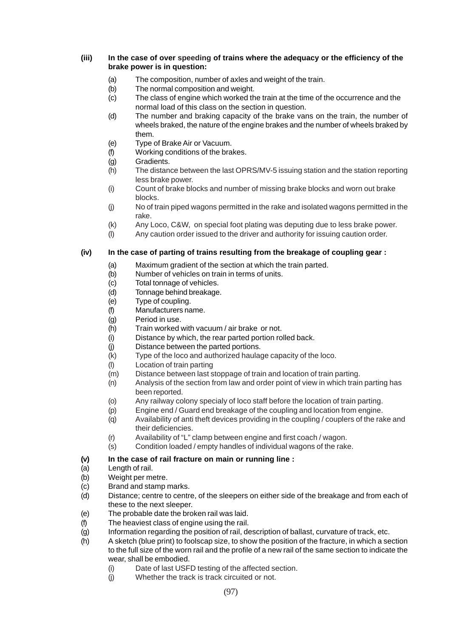### **(iii) In the case of over speeding of trains where the adequacy or the efficiency of the brake power is in question:**

- (a) The composition, number of axles and weight of the train.
- (b) The normal composition and weight.
- (c) The class of engine which worked the train at the time of the occurrence and the normal load of this class on the section in question.
- (d) The number and braking capacity of the brake vans on the train, the number of wheels braked, the nature of the engine brakes and the number of wheels braked by them.
- (e) Type of Brake Air or Vacuum.
- (f) Working conditions of the brakes.
- (g) Gradients.
- (h) The distance between the last OPRS/MV-5 issuing station and the station reporting less brake power.
- (i) Count of brake blocks and number of missing brake blocks and worn out brake blocks.
- (j) No of train piped wagons permitted in the rake and isolated wagons permitted in the rake.
- (k) Any Loco, C&W, on special foot plating was deputing due to less brake power.
- (l) Any caution order issued to the driver and authority for issuing caution order.

# **(iv) In the case of parting of trains resulting from the breakage of coupling gear :**

- (a) Maximum gradient of the section at which the train parted.
- (b) Number of vehicles on train in terms of units.
- (c) Total tonnage of vehicles.
- (d) Tonnage behind breakage.
- (e) Type of coupling.
- (f) Manufacturers name.
- (g) Period in use.
- (h) Train worked with vacuum / air brake or not.
- (i) Distance by which, the rear parted portion rolled back.
- (j) Distance between the parted portions.
- (k) Type of the loco and authorized haulage capacity of the loco.
- (l) Location of train parting
- (m) Distance between last stoppage of train and location of train parting.
- (n) Analysis of the section from law and order point of view in which train parting has been reported.
- (o) Any railway colony specialy of loco staff before the location of train parting.
- (p) Engine end / Guard end breakage of the coupling and location from engine.
- (q) Availability of anti theft devices providing in the coupling / couplers of the rake and their deficiencies.
- (r) Availability of "L" clamp between engine and first coach / wagon.
- (s) Condition loaded / empty handles of individual wagons of the rake.

# **(v) In the case of rail fracture on main or running line :**

- (a) Length of rail.
- (b) Weight per metre.
- (c) Brand and stamp marks.
- (d) Distance; centre to centre, of the sleepers on either side of the breakage and from each of these to the next sleeper.
- (e) The probable date the broken rail was laid.
- (f) The heaviest class of engine using the rail.
- (g) Information regarding the position of rail, description of ballast, curvature of track, etc.
- (h) A sketch (blue print) to foolscap size, to show the position of the fracture, in which a section to the full size of the worn rail and the profile of a new rail of the same section to indicate the wear, shall be embodied.
	- (i) Date of last USFD testing of the affected section.
	- (i) Whether the track is track circuited or not.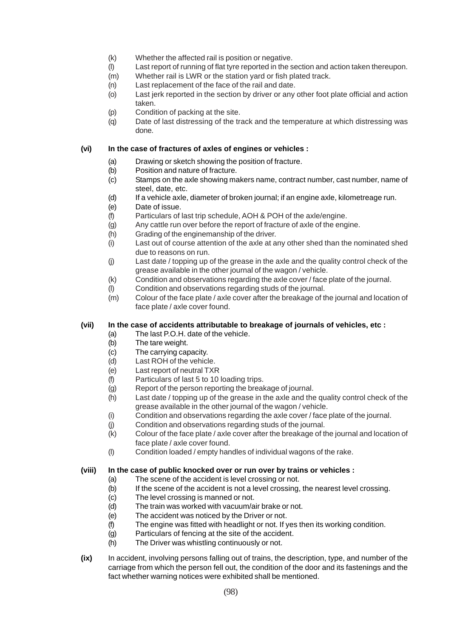- (k) Whether the affected rail is position or negative.
- (l) Last report of running of flat tyre reported in the section and action taken thereupon.
- (m) Whether rail is LWR or the station yard or fish plated track.
- (n) Last replacement of the face of the rail and date.
- (o) Last jerk reported in the section by driver or any other foot plate official and action taken.
- (p) Condition of packing at the site.
- (q) Date of last distressing of the track and the temperature at which distressing was done.

### **(vi) In the case of fractures of axles of engines or vehicles :**

- (a) Drawing or sketch showing the position of fracture.
- (b) Position and nature of fracture.
- (c) Stamps on the axle showing makers name, contract number, cast number, name of steel, date, etc.
- (d) If a vehicle axle, diameter of broken journal; if an engine axle, kilometreage run.
- (e) Date of issue.
- (f) Particulars of last trip schedule, AOH & POH of the axle/engine.
- (g) Any cattle run over before the report of fracture of axle of the engine.
- (h) Grading of the enginemanship of the driver.
- (i) Last out of course attention of the axle at any other shed than the nominated shed due to reasons on run.
- (j) Last date / topping up of the grease in the axle and the quality control check of the grease available in the other journal of the wagon / vehicle.
- (k) Condition and observations regarding the axle cover / face plate of the journal.
- (l) Condition and observations regarding studs of the journal.
- (m) Colour of the face plate / axle cover after the breakage of the journal and location of face plate / axle cover found.

# **(vii) In the case of accidents attributable to breakage of journals of vehicles, etc :**

- (a) The last P.O.H. date of the vehicle.<br>(b) The tare weight.
- The tare weight.
- (c) The carrying capacity.
- (d) Last ROH of the vehicle.
- (e) Last report of neutral TXR
- (f) Particulars of last 5 to 10 loading trips.
- (g) Report of the person reporting the breakage of journal.
- (h) Last date / topping up of the grease in the axle and the quality control check of the grease available in the other journal of the wagon / vehicle.
- (i) Condition and observations regarding the axle cover / face plate of the journal.
- (j) Condition and observations regarding studs of the journal.
- (k) Colour of the face plate / axle cover after the breakage of the journal and location of face plate / axle cover found.
- (l) Condition loaded / empty handles of individual wagons of the rake.

### **(viii) In the case of public knocked over or run over by trains or vehicles :**

- (a) The scene of the accident is level crossing or not.
- (b) If the scene of the accident is not a level crossing, the nearest level crossing.
- (c) The level crossing is manned or not.
- (d) The train was worked with vacuum/air brake or not.
- (e) The accident was noticed by the Driver or not.
- (f) The engine was fitted with headlight or not. If yes then its working condition.
- (g) Particulars of fencing at the site of the accident.
- (h) The Driver was whistling continuously or not.
- **(ix)** In accident, involving persons falling out of trains, the description, type, and number of the carriage from which the person fell out, the condition of the door and its fastenings and the fact whether warning notices were exhibited shall be mentioned.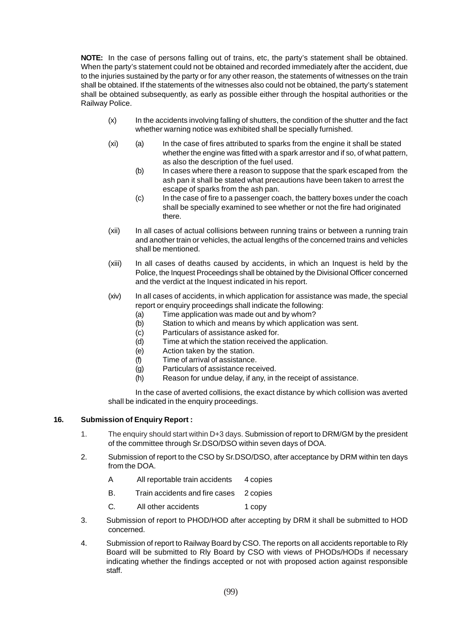**NOTE:** In the case of persons falling out of trains, etc, the party's statement shall be obtained. When the party's statement could not be obtained and recorded immediately after the accident, due to the injuries sustained by the party or for any other reason, the statements of witnesses on the train shall be obtained. If the statements of the witnesses also could not be obtained, the party's statement shall be obtained subsequently, as early as possible either through the hospital authorities or the Railway Police.

- (x) In the accidents involving falling of shutters, the condition of the shutter and the fact whether warning notice was exhibited shall be specially furnished.
- (xi) (a) In the case of fires attributed to sparks from the engine it shall be stated whether the engine was fitted with a spark arrestor and if so, of what pattern, as also the description of the fuel used.
	- (b) In cases where there a reason to suppose that the spark escaped from the ash pan it shall be stated what precautions have been taken to arrest the escape of sparks from the ash pan.
	- (c) In the case of fire to a passenger coach, the battery boxes under the coach shall be specially examined to see whether or not the fire had originated there.
- (xii) In all cases of actual collisions between running trains or between a running train and another train or vehicles, the actual lengths of the concerned trains and vehicles shall be mentioned.
- (xiii) In all cases of deaths caused by accidents, in which an Inquest is held by the Police, the Inquest Proceedings shall be obtained by the Divisional Officer concerned and the verdict at the Inquest indicated in his report.
- (xiv) In all cases of accidents, in which application for assistance was made, the special report or enquiry proceedings shall indicate the following:
	- (a) Time application was made out and by whom?
	- (b) Station to which and means by which application was sent.
	- (c) Particulars of assistance asked for.
	- (d) Time at which the station received the application.
	- (e) Action taken by the station.
	- (f) Time of arrival of assistance.
	- (g) Particulars of assistance received.
	- (h) Reason for undue delay, if any, in the receipt of assistance.

In the case of averted collisions, the exact distance by which collision was averted shall be indicated in the enquiry proceedings.

### **16. Submission of Enquiry Report :**

- 1. The enquiry should start within D+3 days. Submission of report to DRM/GM by the president of the committee through Sr.DSO/DSO within seven days of DOA.
- 2. Submission of report to the CSO by Sr.DSO/DSO, after acceptance by DRM within ten days from the DOA.
	- A All reportable train accidents 4 copies
	- B. Train accidents and fire cases 2 copies
	- C. All other accidents 1 copy
- 3. Submission of report to PHOD/HOD after accepting by DRM it shall be submitted to HOD concerned.
- 4. Submission of report to Railway Board by CSO. The reports on all accidents reportable to Rly Board will be submitted to Rly Board by CSO with views of PHODs/HODs if necessary indicating whether the findings accepted or not with proposed action against responsible staff.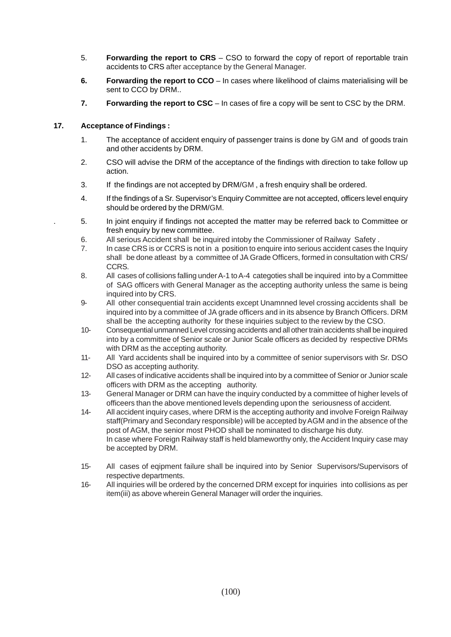- 5. **Forwarding the report to CRS** CSO to forward the copy of report of reportable train accidents to CRS after acceptance by the General Manager.
- **6. Forwarding the report to CCO** In cases where likelihood of claims materialising will be sent to CCO by DRM..
- **7. Forwarding the report to CSC** In cases of fire a copy will be sent to CSC by the DRM.

# **17. Acceptance of Findings :**

- 1. The acceptance of accident enquiry of passenger trains is done by GM and of goods train and other accidents by DRM.
- 2. CSO will advise the DRM of the acceptance of the findings with direction to take follow up action.
- 3. If the findings are not accepted by DRM/GM , a fresh enquiry shall be ordered.
- 4. If the findings of a Sr. Supervisor's Enquiry Committee are not accepted, officers level enquiry should be ordered by the DRM/GM.
- . 5. In joint enquiry if findings not accepted the matter may be referred back to Committee or fresh enquiry by new committee.
- 6. All serious Accident shall be inquired intoby the Commissioner of Railway Safety .
- 7. In case CRS is or CCRS is not in a position to enquire into serious accident cases the Inquiry shall be done atleast by a committee of JA Grade Officers, formed in consultation with CRS/ CCRS.
- 8. All cases of collisions falling under A-1 to A-4 categoties shall be inquired into by a Committee of SAG officers with General Manager as the accepting authority unless the same is being inquired into by CRS.
- 9- All other consequential train accidents except Unamnned level crossing accidents shall be inquired into by a committee of JA grade officers and in its absence by Branch Officers. DRM shall be the accepting authority for these inquiries subject to the review by the CSO.
- 10- Consequential unmanned Level crossing accidents and all other train accidents shall be inquired into by a committee of Senior scale or Junior Scale officers as decided by respective DRMs with DRM as the accepting authority.
- 11- All Yard accidents shall be inquired into by a committee of senior supervisors with Sr. DSO DSO as accepting authority.
- 12- All cases of indicative accidents shall be inquired into by a committee of Senior or Junior scale officers with DRM as the accepting authority.
- 13- General Manager or DRM can have the inquiry conducted by a committee of higher levels of officeers than the above mentioned levels depending upon the seriousness of accident.
- 14- All accident inquiry cases, where DRM is the accepting authority and involve Foreign Railway staff(Primary and Secondary responsible) will be accepted by AGM and in the absence of the post of AGM, the senior most PHOD shall be nominated to discharge his duty. In case where Foreign Railway staff is held blameworthy only, the Accident Inquiry case may be accepted by DRM.
- 15- All cases of eqipment failure shall be inquired into by Senior Supervisors/Supervisors of respective departments.
- 16- All inquiries will be ordered by the concerned DRM except for inquiries into collisions as per item(iii) as above wherein General Manager will order the inquiries.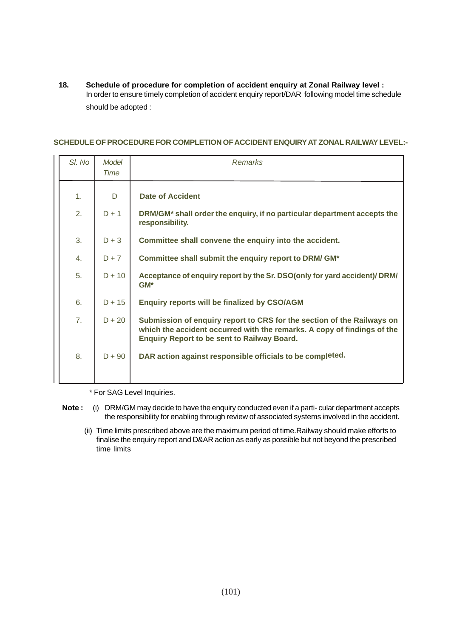**18. Schedule of procedure for completion of accident enquiry at Zonal Railway level :** In order to ensure timely completion of accident enquiry report/DAR following model time schedule should be adopted :

### **SCHEDULE OF PROCEDURE FOR COMPLETION OF ACCIDENT ENQUIRY AT ZONAL RAILWAY LEVEL:-**

| SI. No         | Model<br>Time | <b>Remarks</b>                                                                                                                                                                                          |  |
|----------------|---------------|---------------------------------------------------------------------------------------------------------------------------------------------------------------------------------------------------------|--|
|                |               |                                                                                                                                                                                                         |  |
| 1.             | D             | <b>Date of Accident</b>                                                                                                                                                                                 |  |
| 2.             | $D + 1$       | DRM/GM <sup>*</sup> shall order the enquiry, if no particular department accepts the<br>responsibility.                                                                                                 |  |
| 3.             | $D + 3$       | Committee shall convene the enquiry into the accident.                                                                                                                                                  |  |
| 4.             | $D + 7$       | Committee shall submit the enquiry report to DRM/ GM*                                                                                                                                                   |  |
| 5.             | $D + 10$      | Acceptance of enquiry report by the Sr. DSO(only for yard accident)/ DRM/<br>$GM^*$                                                                                                                     |  |
| 6.             | $D + 15$      | <b>Enquiry reports will be finalized by CSO/AGM</b>                                                                                                                                                     |  |
| 7 <sub>1</sub> | $D + 20$      | Submission of enquiry report to CRS for the section of the Railways on<br>which the accident occurred with the remarks. A copy of findings of the<br><b>Enquiry Report to be sent to Railway Board.</b> |  |
| 8.             | $D + 90$      | DAR action against responsible officials to be completed.                                                                                                                                               |  |

\* For SAG Level Inquiries.

- **Note :** (i) DRM/GM may decide to have the enquiry conducted even if a parti- cular department accepts the responsibility for enabling through review of associated systems involved in the accident.
	- (ii) Time limits prescribed above are the maximum period of time.Railway should make efforts to finalise the enquiry report and D&AR action as early as possible but not beyond the prescribed time limits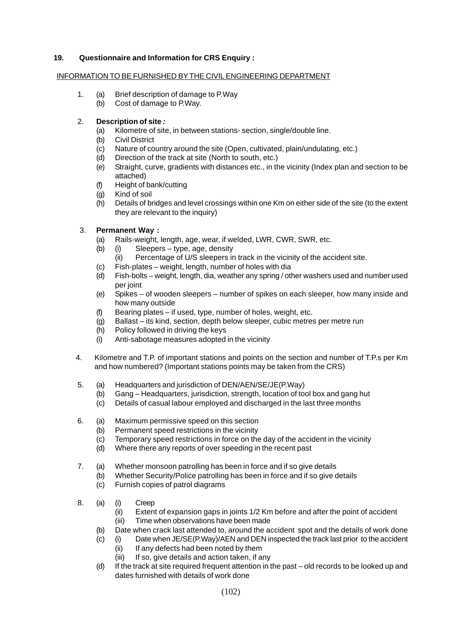### **19. Questionnaire and Information for CRS Enquiry :**

#### INFORMATION TO BE FURNISHED BYTHE CIVIL ENGINEERING DEPARTMENT

- 1. (a) Brief description of damage to P.Way
	- (b) Cost of damage to P.Way.

# 2. **Description of site** *:*

- (a) Kilometre of site, in between stations- section, single/double line.
- (b) Civil District
- (c) Nature of country around the site (Open, cultivated, plain/undulating, etc.)
- (d) Direction of the track at site (North to south, etc.)
- (e) Straight, curve, gradients with distances etc., in the vicinity (Index plan and section to be attached)
- (f) Height of bank/cutting
- (g) Kind of soil
- (h) Details of bridges and level crossings within one Km on either side of the site (to the extent they are relevant to the inquiry)

# 3. **Permanent Way :**

- (a) Rails-weight, length, age, wear, if welded, LWR, CWR, SWR, etc.
- (b) (i) Sleepers type, age, density
	- (ii) Percentage of U/S sleepers in track in the vicinity of the accident site.
- (c) Fish-plates weight, length, number of holes with dia
- (d) Fish-bolts weight, length, dia, weather any spring / other washers used and number used per joint
- (e) Spikes of wooden sleepers number of spikes on each sleeper, how many inside and how many outside
- (f) Bearing plates if used, type, number of holes, weight, etc.
- (g) Ballast its kind, section, depth below sleeper, cubic metres per metre run
- (h) Policy followed in driving the keys
- (i) Anti-sabotage measures adopted in the vicinity
- 4. Kilometre and T.P. of important stations and points on the section and number of T.P.s per Km and how numbered? (Important stations points may be taken from the CRS)
- 5. (a) Headquarters and jurisdiction of DEN/AEN/SE/JE(P.Way)
	- Gang Headquarters, jurisdiction, strength, location of tool box and gang hut
	- (c) Details of casual labour employed and discharged in the last three months
- 6. (a) Maximum permissive speed on this section
	- (b) Permanent speed restrictions in the vicinity
	- (c) Temporary speed restrictions in force on the day of the accident in the vicinity
	- (d) Where there any reports of over speeding in the recent past
- 7. (a) Whether monsoon patrolling has been in force and if so give details
	- (b) Whether Security/Police patrolling has been in force and if so give details
	- (c) Furnish copies of patrol diagrams
- 8. (a) (i) Creep
	- (ii) Extent of expansion gaps in joints 1/2 Km before and after the point of accident (iii) Time when observations have been made
	- (b) Date when crack last attended to, around the accident spot and the details of work done
	- (c) (i) Date when JE/SE(P.Way)/AEN and DEN inspected the track last prior to the accident
		- (ii) If any defects had been noted by them
		- (iii) If so, give details and action taken, if any
	- (d) If the track at site required frequent attention in the past old records to be looked up and dates furnished with details of work done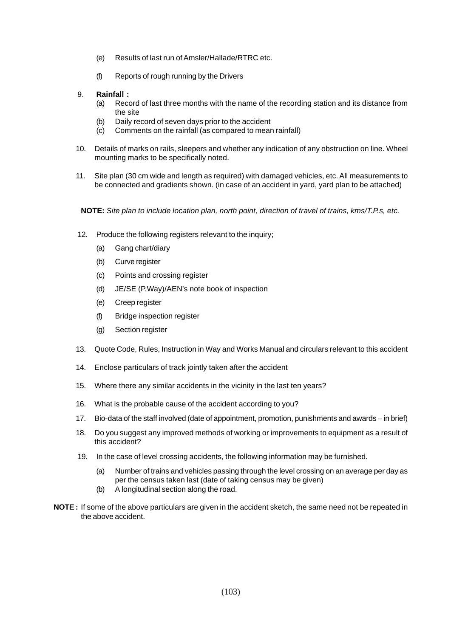- (e) Results of last run of Amsler/Hallade/RTRC etc.
- (f) Reports of rough running by the Drivers
- 9. **Rainfall :**
	- (a) Record of last three months with the name of the recording station and its distance from the site
	- (b) Daily record of seven days prior to the accident
	- (c) Comments on the rainfall (as compared to mean rainfall)
- 10. Details of marks on rails, sleepers and whether any indication of any obstruction on line. Wheel mounting marks to be specifically noted.
- 11. Site plan (30 cm wide and length as required) with damaged vehicles, etc. All measurements to be connected and gradients shown. (in case of an accident in yard, yard plan to be attached)
	- **NOTE:** *Site plan to include location plan, north point, direction of travel of trains, kms/T.P.s, etc.*
- 12. Produce the following registers relevant to the inquiry;
	- (a) Gang chart/diary
	- (b) Curve register
	- (c) Points and crossing register
	- (d) JE/SE (P.Way)/AEN's note book of inspection
	- (e) Creep register
	- (f) Bridge inspection register
	- (g) Section register
- 13. Quote Code, Rules, Instruction in Way and Works Manual and circulars relevant to this accident
- 14. Enclose particulars of track jointly taken after the accident
- 15. Where there any similar accidents in the vicinity in the last ten years?
- 16. What is the probable cause of the accident according to you?
- 17. Bio-data of the staff involved (date of appointment, promotion, punishments and awards in brief)
- 18. Do you suggest any improved methods of working or improvements to equipment as a result of this accident?
- 19. In the case of level crossing accidents, the following information may be furnished.
	- (a) Number of trains and vehicles passing through the level crossing on an average per day as per the census taken last (date of taking census may be given)
	- (b) A longitudinal section along the road.
- **NOTE :** If some of the above particulars are given in the accident sketch, the same need not be repeated in the above accident.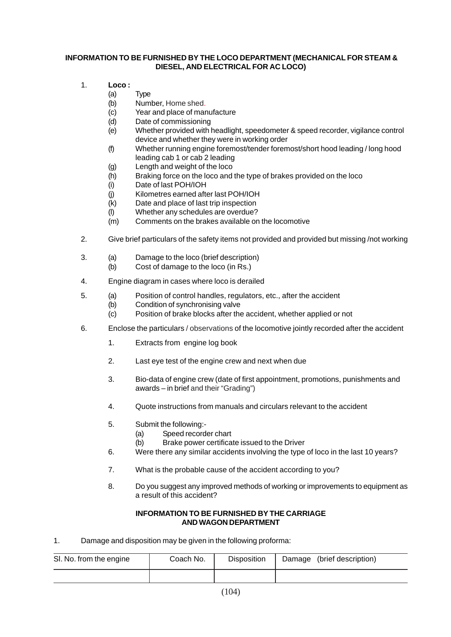### **INFORMATION TO BE FURNISHED BY THE LOCO DEPARTMENT (MECHANICAL FOR STEAM & DIESEL, AND ELECTRICAL FOR AC LOCO)**

- 1. **Loco :**
	- (a) Type
	- (b) Number, Home shed.
	- (c) Year and place of manufacture
	- (d) Date of commissioning
	- (e) Whether provided with headlight, speedometer & speed recorder, vigilance control device and whether they were in working order
	- (f) Whether running engine foremost/tender foremost/short hood leading / long hood leading cab 1 or cab 2 leading
	- (g) Length and weight of the loco
	- (h) Braking force on the loco and the type of brakes provided on the loco
	- (i) Date of last POH/IOH
	- (j) Kilometres earned after last POH/IOH
	- (k) Date and place of last trip inspection
	- (l) Whether any schedules are overdue?
	- (m) Comments on the brakes available on the locomotive
- 2. Give brief particulars of the safety items not provided and provided but missing /not working
- 3. (a) Damage to the loco (brief description)
	- (b) Cost of damage to the loco (in Rs.)
- 4. Engine diagram in cases where loco is derailed
- 5. (a) Position of control handles, regulators, etc., after the accident
	- (b) Condition of synchronising valve
	- (c) Position of brake blocks after the accident, whether applied or not
- 6. Enclose the particulars / observations of the locomotive jointly recorded after the accident
	- 1. Extracts from engine log book
	- 2. Last eye test of the engine crew and next when due
	- 3. Bio-data of engine crew (date of first appointment, promotions, punishments and awards – in brief and their "Grading")
	- 4. Quote instructions from manuals and circulars relevant to the accident
	- 5. Submit the following:-
		- (a) Speed recorder chart
		- (b) Brake power certificate issued to the Driver
	- 6. Were there any similar accidents involving the type of loco in the last 10 years?
	- 7. What is the probable cause of the accident according to you?
	- 8. Do you suggest any improved methods of working or improvements to equipment as a result of this accident?

#### **INFORMATION TO BE FURNISHED BY THE CARRIAGE AND WAGON DEPARTMENT**

1. Damage and disposition may be given in the following proforma:

| SI. No. from the engine | Coach No. | <b>Disposition</b> | Damage (brief description) |
|-------------------------|-----------|--------------------|----------------------------|
|                         |           |                    |                            |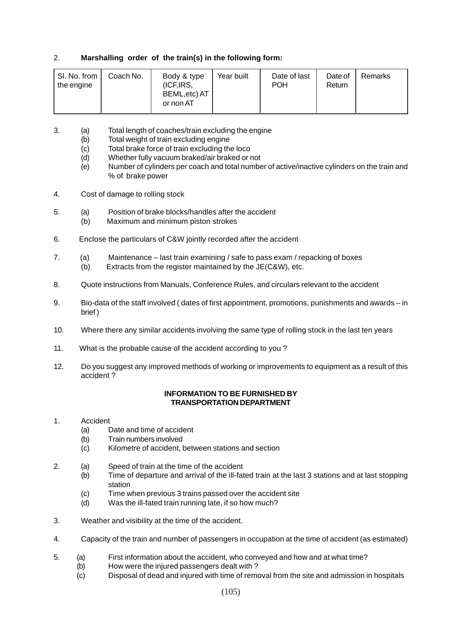# 2. **Marshalling order of the train(s) in the following form:**

3. (a) Total length of coaches/train excluding the engine

- (b) Total weight of train excluding engine
- (c) Total brake force of train excluding the loco
- (d) Whether fully vacuum braked/air braked or not
- (e) Number of cylinders per coach and total number of active/inactive cylinders on the train and % of brake power
- 4. Cost of damage to rolling stock
- 5. (a) Position of brake blocks/handles after the accident (b) Maximum and minimum piston strokes
- 6. Enclose the particulars of C&W jointly recorded after the accident
- 7. (a) Maintenance last train examining / safe to pass exam / repacking of boxes
	- (b) Extracts from the register maintained by the JE(C&W), etc.
- 8. Quote instructions from Manuals, Conference Rules, and circulars relevant to the accident
- 9. Bio-data of the staff involved ( dates of first appointment, promotions, punishments and awards in brief )
- 10. Where there any similar accidents involving the same type of rolling stock in the last ten years
- 11. What is the probable cause of the accident according to you ?
- 12. Do you suggest any improved methods of working or improvements to equipment as a result of this accident ?

# **INFORMATION TO BE FURNISHED BY TRANSPORTATION DEPARTMENT**

### 1. Accident

- (a) Date and time of accident
- (b) Train numbers involved
- (c) Kilometre of accident, between stations and section
- 2. (a) Speed of train at the time of the accident
	- (b) Time of departure and arrival of the ill-fated train at the last 3 stations and at last stopping station
	- (c) Time when previous 3 trains passed over the accident site
	- (d) Was the ill-fated train running late, if so how much?
- 3. Weather and visibility at the time of the accident.
- 4. Capacity of the train and number of passengers in occupation at the time of accident (as estimated)
- 5. (a) First information about the accident, who conveyed and how and at what time?
	- (b) How were the injured passengers dealt with ?
		- (c) Disposal of dead and injured with time of removal from the site and admission in hospitals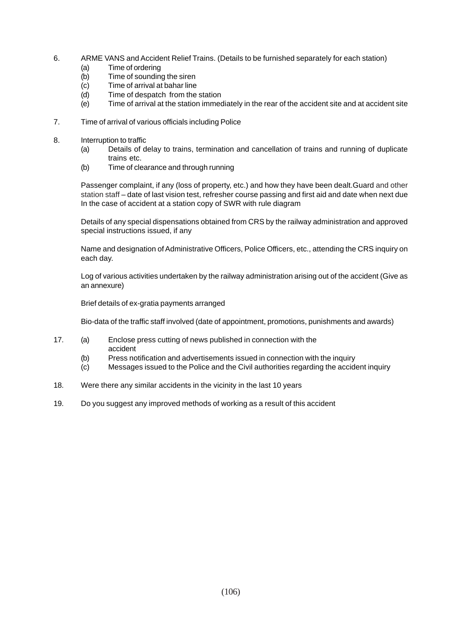- 6. ARME VANS and Accident Relief Trains. (Details to be furnished separately for each station)
	- (a) Time of ordering
	- (b) Time of sounding the siren
	- (c) Time of arrival at bahar line
	- (d) Time of despatch from the station
	- (e) Time of arrival at the station immediately in the rear of the accident site and at accident site
- 7. Time of arrival of various officials including Police
- 8. Interruption to traffic
	- (a) Details of delay to trains, termination and cancellation of trains and running of duplicate trains etc.
	- (b) Time of clearance and through running

Passenger complaint, if any (loss of property, etc.) and how they have been dealt.Guard and other station staff – date of last vision test, refresher course passing and first aid and date when next due In the case of accident at a station copy of SWR with rule diagram

Details of any special dispensations obtained from CRS by the railway administration and approved special instructions issued, if any

Name and designation of Administrative Officers, Police Officers, etc., attending the CRS inquiry on each day.

Log of various activities undertaken by the railway administration arising out of the accident (Give as an annexure)

Brief details of ex-gratia payments arranged

Bio-data of the traffic staff involved (date of appointment, promotions, punishments and awards)

- 17. (a) Enclose press cutting of news published in connection with the accident
	- (b) Press notification and advertisements issued in connection with the inquiry
	- (c) Messages issued to the Police and the Civil authorities regarding the accident inquiry
- 18. Were there any similar accidents in the vicinity in the last 10 years
- 19. Do you suggest any improved methods of working as a result of this accident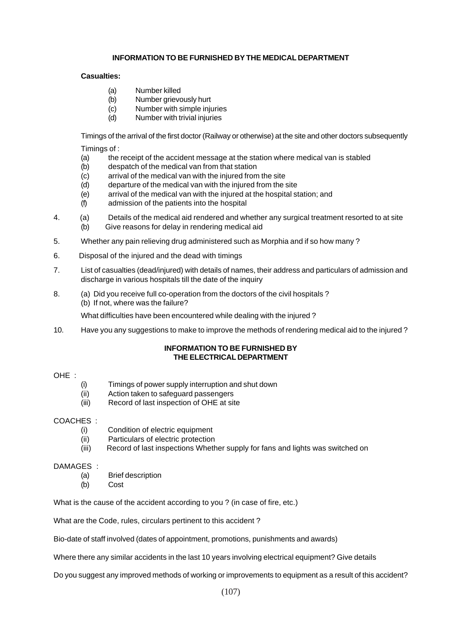### **INFORMATION TO BE FURNISHED BY THE MEDICAL DEPARTMENT**

### **Casualties:**

- (a) Number killed
- (b) Number grievously hurt
- (c) Number with simple injuries
- (d) Number with trivial injuries

Timings of the arrival of the first doctor (Railway or otherwise) at the site and other doctors subsequently

Timings of :

- (a) the receipt of the accident message at the station where medical van is stabled
- (b) despatch of the medical van from that station
- (c) arrival of the medical van with the injured from the site
- (d) departure of the medical van with the injured from the site
- (e) arrival of the medical van with the injured at the hospital station; and
- (f) admission of the patients into the hospital
- 4. (a) Details of the medical aid rendered and whether any surgical treatment resorted to at site (b) Give reasons for delay in rendering medical aid
- 5. Whether any pain relieving drug administered such as Morphia and if so how many ?
- 6. Disposal of the injured and the dead with timings
- 7. List of casualties (dead/injured) with details of names, their address and particulars of admission and discharge in various hospitals till the date of the inquiry
- 8. (a) Did you receive full co-operation from the doctors of the civil hospitals ? (b) If not, where was the failure?

What difficulties have been encountered while dealing with the injured ?

10. Have you any suggestions to make to improve the methods of rendering medical aid to the injured ?

### **INFORMATION TO BE FURNISHED BY THE ELECTRICAL DEPARTMENT**

### OHE :

- (i) Timings of power supply interruption and shut down
- (ii) Action taken to safeguard passengers
- (iii) Record of last inspection of OHE at site

# COACHES :

- (i) Condition of electric equipment
- (ii) Particulars of electric protection
- (iii) Record of last inspections Whether supply for fans and lights was switched on

### DAMAGES :

- (a) Brief description
- (b) Cost

What is the cause of the accident according to you ? (in case of fire, etc.)

What are the Code, rules, circulars pertinent to this accident ?

Bio-date of staff involved (dates of appointment, promotions, punishments and awards)

Where there any similar accidents in the last 10 years involving electrical equipment? Give details

Do you suggest any improved methods of working or improvements to equipment as a result of this accident?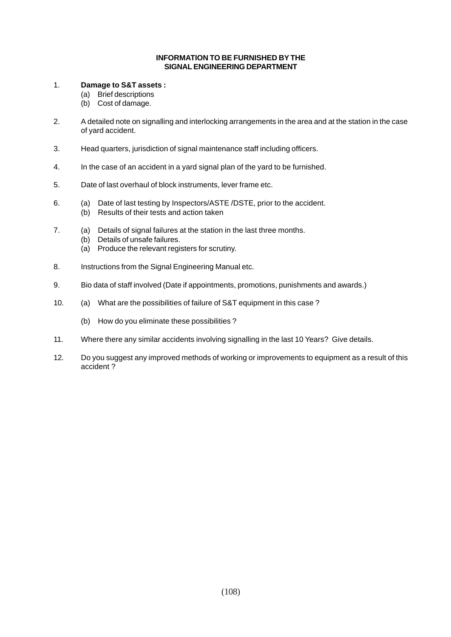#### **INFORMATION TO BE FURNISHED BY THE SIGNAL ENGINEERING DEPARTMENT**

### 1. **Damage to S&T assets :**

- (a) Brief descriptions
- (b) Cost of damage.
- 2. A detailed note on signalling and interlocking arrangements in the area and at the station in the case of yard accident.
- 3. Head quarters, jurisdiction of signal maintenance staff including officers.
- 4. In the case of an accident in a yard signal plan of the yard to be furnished.
- 5. Date of last overhaul of block instruments, lever frame etc.
- 6. (a) Date of last testing by Inspectors/ASTE /DSTE, prior to the accident.
	- (b) Results of their tests and action taken
- 7. (a) Details of signal failures at the station in the last three months.
	- (b) Details of unsafe failures.
	- (a) Produce the relevant registers for scrutiny.
- 8. Instructions from the Signal Engineering Manual etc.
- 9. Bio data of staff involved (Date if appointments, promotions, punishments and awards.)
- 10. (a) What are the possibilities of failure of S&T equipment in this case ?
	- (b) How do you eliminate these possibilities ?
- 11. Where there any similar accidents involving signalling in the last 10 Years? Give details.
- 12. Do you suggest any improved methods of working or improvements to equipment as a result of this accident ?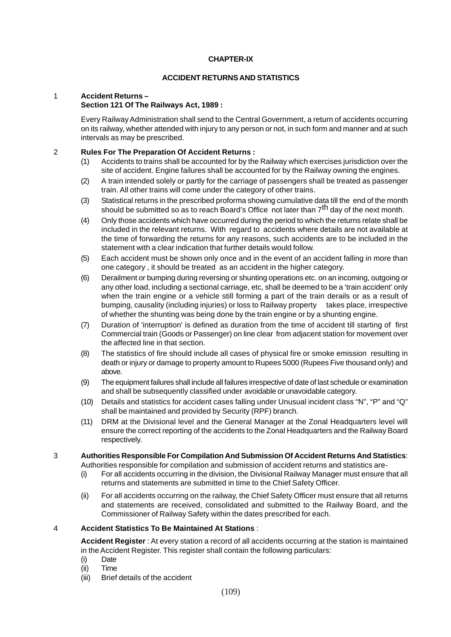### **CHAPTER-IX**

#### **ACCIDENT RETURNS AND STATISTICS**

## 1 **Accident Returns –**

## **Section 121 Of The Railways Act, 1989 :**

Every Railway Administration shall send to the Central Government, a return of accidents occurring on its railway, whether attended with injury to any person or not, in such form and manner and at such intervals as may be prescribed.

#### 2 **Rules For The Preparation Of Accident Returns :**

- (1) Accidents to trains shall be accounted for by the Railway which exercises jurisdiction over the site of accident. Engine failures shall be accounted for by the Railway owning the engines.
- (2) A train intended solely or partly for the carriage of passengers shall be treated as passenger train. All other trains will come under the category of other trains.
- (3) Statistical returns in the prescribed proforma showing cumulative data till the end of the month should be submitted so as to reach Board's Office not later than  $7<sup>th</sup>$  day of the next month.
- (4) Only those accidents which have occurred during the period to which the returns relate shall be included in the relevant returns. With regard to accidents where details are not available at the time of forwarding the returns for any reasons, such accidents are to be included in the statement with a clear indication that further details would follow.
- (5) Each accident must be shown only once and in the event of an accident falling in more than one category , it should be treated as an accident in the higher category.
- (6) Derailment or bumping during reversing or shunting operations etc. on an incoming, outgoing or any other load, including a sectional carriage, etc, shall be deemed to be a 'train accident' only when the train engine or a vehicle still forming a part of the train derails or as a result of bumping, causality (including injuries) or loss to Railway property takes place, irrespective of whether the shunting was being done by the train engine or by a shunting engine.
- (7) Duration of 'interruption' is defined as duration from the time of accident till starting of first Commercial train (Goods or Passenger) on line clear from adjacent station for movement over the affected line in that section.
- (8) The statistics of fire should include all cases of physical fire or smoke emission resulting in death or injury or damage to property amount to Rupees 5000 (Rupees Five thousand only) and above.
- (9) The equipment failures shall include all failures irrespective of date of last schedule or examination and shall be subsequently classified under avoidable or unavoidable category.
- (10) Details and statistics for accident cases falling under Unusual incident class "N", "P" and "Q" shall be maintained and provided by Security (RPF) branch.
- (11) DRM at the Divisional level and the General Manager at the Zonal Headquarters level will ensure the correct reporting of the accidents to the Zonal Headquarters and the Railway Board respectively.

#### 3 **Authorities Responsible For Compilation And Submission Of Accident Returns And Statistics**:

Authorities responsible for compilation and submission of accident returns and statistics are-

- (i) For all accidents occurring in the division, the Divisional Railway Manager must ensure that all returns and statements are submitted in time to the Chief Safety Officer.
- (ii) For all accidents occurring on the railway, the Chief Safety Officer must ensure that all returns and statements are received, consolidated and submitted to the Railway Board, and the Commissioner of Railway Safety within the dates prescribed for each.

### 4 **Accident Statistics To Be Maintained At Stations** :

**Accident Register** : At every station a record of all accidents occurring at the station is maintained in the Accident Register. This register shall contain the following particulars:

- (i) Date
- (ii) Time
- (iii) Brief details of the accident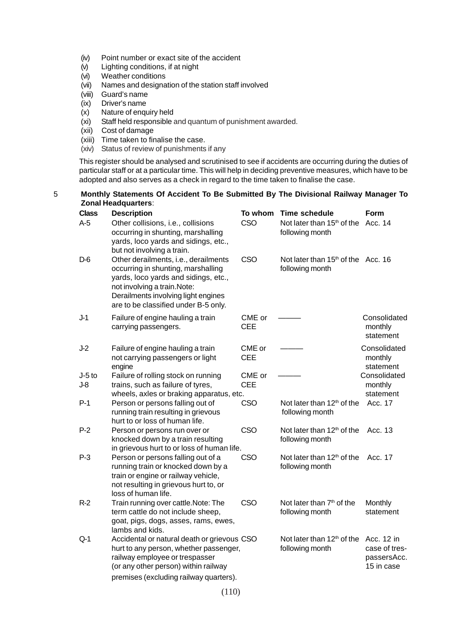- (iv) Point number or exact site of the accident
- (v) Lighting conditions, if at night
- (vi) Weather conditions
- (vii) Names and designation of the station staff involved
- (viii) Guard's name
- (ix) Driver's name
- (x) Nature of enquiry held
- (xi) Staff held responsible and quantum of punishment awarded.
- (xii) Cost of damage
- (xiii) Time taken to finalise the case.
- (xiv) Status of review of punishments if any

This register should be analysed and scrutinised to see if accidents are occurring during the duties of particular staff or at a particular time. This will help in deciding preventive measures, which have to be adopted and also serves as a check in regard to the time taken to finalise the case.

#### 5 **Monthly Statements Of Accident To Be Submitted By The Divisional Railway Manager To Zonal Headquarters**:

| <b>Class</b>      | <b>Description</b>                                                                                                                                                                                                                | To whom              | <b>Time schedule</b>                                                 | Form                                       |
|-------------------|-----------------------------------------------------------------------------------------------------------------------------------------------------------------------------------------------------------------------------------|----------------------|----------------------------------------------------------------------|--------------------------------------------|
| $A-5$             | Other collisions, i.e., collisions<br>occurring in shunting, marshalling<br>yards, loco yards and sidings, etc.,<br>but not involving a train.                                                                                    | CSO                  | Not later than 15 <sup>th</sup> of the Acc. 14<br>following month    |                                            |
| D-6               | Other derailments, i.e., derailments<br>occurring in shunting, marshalling<br>yards, loco yards and sidings, etc.,<br>not involving a train. Note:<br>Derailments involving light engines<br>are to be classified under B-5 only. | CSO                  | Not later than 15 <sup>th</sup> of the Acc. 16<br>following month    |                                            |
| $J-1$             | Failure of engine hauling a train<br>carrying passengers.                                                                                                                                                                         | CME or<br><b>CEE</b> |                                                                      | Consolidated<br>monthly<br>statement       |
| $J-2$             | Failure of engine hauling a train<br>not carrying passengers or light<br>engine                                                                                                                                                   | CME or<br><b>CEE</b> |                                                                      | Consolidated<br>monthly<br>statement       |
| $J-5$ to<br>$J-8$ | Failure of rolling stock on running<br>trains, such as failure of tyres,<br>wheels, axles or braking apparatus, etc.                                                                                                              | CME or<br><b>CEE</b> |                                                                      | Consolidated<br>monthly<br>statement       |
| $P-1$             | Person or persons falling out of<br>running train resulting in grievous<br>hurt to or loss of human life.                                                                                                                         | CSO                  | Not later than $12th$ of the<br>following month                      | Acc. 17                                    |
| $P-2$             | Person or persons run over or<br>knocked down by a train resulting<br>in grievous hurt to or loss of human life.                                                                                                                  | CSO                  | Not later than 12 <sup>th</sup> of the<br>following month            | Acc. 13                                    |
| $P-3$             | Person or persons falling out of a<br>running train or knocked down by a<br>train or engine or railway vehicle,<br>not resulting in grievous hurt to, or<br>loss of human life.                                                   | CSO                  | Not later than 12 <sup>th</sup> of the<br>following month            | Acc. 17                                    |
| $R-2$             | Train running over cattle. Note: The<br>term cattle do not include sheep,<br>goat, pigs, dogs, asses, rams, ewes,<br>lambs and kids.                                                                                              | CSO                  | Not later than 7 <sup>th</sup> of the<br>following month             | Monthly<br>statement                       |
| $Q-1$             | Accidental or natural death or grievous CSO<br>hurt to any person, whether passenger,<br>railway employee or trespasser<br>(or any other person) within railway<br>premises (excluding railway quarters).                         |                      | Not later than 12 <sup>th</sup> of the Acc. 12 in<br>following month | case of tres-<br>passersAcc.<br>15 in case |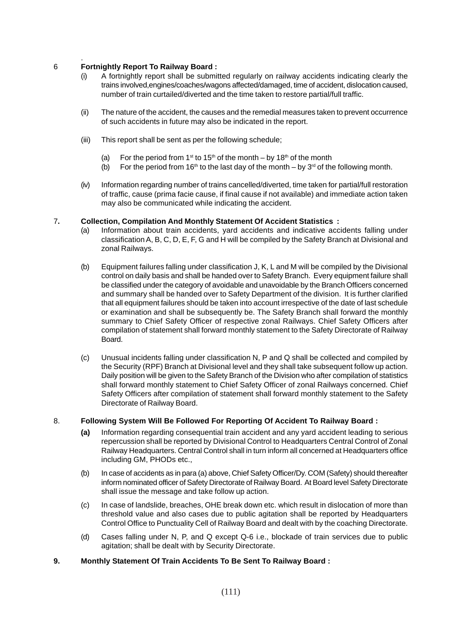#### . 6 **Fortnightly Report To Railway Board :**

- (i) A fortnightly report shall be submitted regularly on railway accidents indicating clearly the trains involved,engines/coaches/wagons affected/damaged, time of accident, dislocation caused, number of train curtailed/diverted and the time taken to restore partial/full traffic.
- (ii) The nature of the accident, the causes and the remedial measures taken to prevent occurrence of such accidents in future may also be indicated in the report.
- (iii) This report shall be sent as per the following schedule;
	- (a) For the period from 1<sup>st</sup> to 15<sup>th</sup> of the month by 18<sup>th</sup> of the month
	- (b) For the period from 16<sup>th</sup> to the last day of the month by 3<sup>rd</sup> of the following month.
- (iv) Information regarding number of trains cancelled/diverted, time taken for partial/full restoration of traffic, cause (prima facie cause, if final cause if not available) and immediate action taken may also be communicated while indicating the accident.

## 7**. Collection, Compilation And Monthly Statement Of Accident Statistics :**

- (a) Information about train accidents, yard accidents and indicative accidents falling under classification A, B, C, D, E, F, G and H will be compiled by the Safety Branch at Divisional and zonal Railways.
- (b) Equipment failures falling under classification J, K, L and M will be compiled by the Divisional control on daily basis and shall be handed over to Safety Branch. Every equipment failure shall be classified under the category of avoidable and unavoidable by the Branch Officers concerned and summary shall be handed over to Safety Department of the division. It is further clarified that all equipment failures should be taken into account irrespective of the date of last schedule or examination and shall be subsequently be. The Safety Branch shall forward the monthly summary to Chief Safety Officer of respective zonal Railways. Chief Safety Officers after compilation of statement shall forward monthly statement to the Safety Directorate of Railway Board.
- (c) Unusual incidents falling under classification N, P and Q shall be collected and compiled by the Security (RPF) Branch at Divisional level and they shall take subsequent follow up action. Daily position will be given to the Safety Branch of the Division who after compilation of statistics shall forward monthly statement to Chief Safety Officer of zonal Railways concerned. Chief Safety Officers after compilation of statement shall forward monthly statement to the Safety Directorate of Railway Board.

## 8. **Following System Will Be Followed For Reporting Of Accident To Railway Board :**

- **(a)** Information regarding consequential train accident and any yard accident leading to serious repercussion shall be reported by Divisional Control to Headquarters Central Control of Zonal Railway Headquarters. Central Control shall in turn inform all concerned at Headquarters office including GM, PHODs etc.,
- (b) In case of accidents as in para (a) above, Chief Safety Officer/Dy. COM (Safety) should thereafter inform nominated officer of Safety Directorate of Railway Board. At Board level Safety Directorate shall issue the message and take follow up action.
- (c) In case of landslide, breaches, OHE break down etc. which result in dislocation of more than threshold value and also cases due to public agitation shall be reported by Headquarters Control Office to Punctuality Cell of Railway Board and dealt with by the coaching Directorate.
- (d) Cases falling under N, P, and Q except Q-6 i.e., blockade of train services due to public agitation; shall be dealt with by Security Directorate.

## **9. Monthly Statement Of Train Accidents To Be Sent To Railway Board :**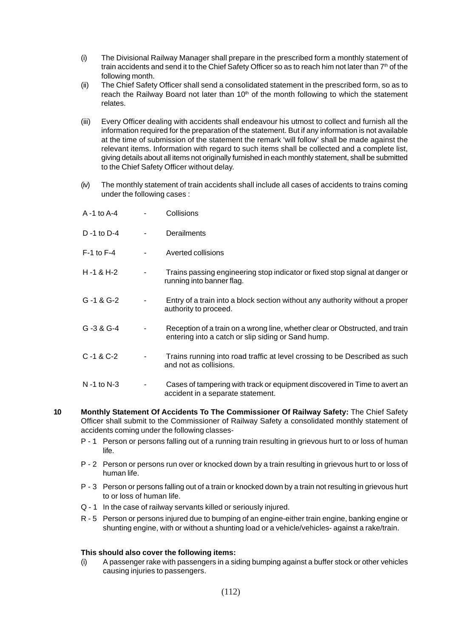- (i) The Divisional Railway Manager shall prepare in the prescribed form a monthly statement of train accidents and send it to the Chief Safety Officer so as to reach him not later than 7<sup>th</sup> of the following month.
- (ii) The Chief Safety Officer shall send a consolidated statement in the prescribed form, so as to reach the Railway Board not later than 10<sup>th</sup> of the month following to which the statement relates.
- (iii) Every Officer dealing with accidents shall endeavour his utmost to collect and furnish all the information required for the preparation of the statement. But if any information is not available at the time of submission of the statement the remark 'will follow' shall be made against the relevant items. Information with regard to such items shall be collected and a complete list, giving details about all items not originally furnished in each monthly statement, shall be submitted to the Chief Safety Officer without delay.
- (iv) The monthly statement of train accidents shall include all cases of accidents to trains coming under the following cases :

| A -1 to A-4        | Collisions                                                                                                                         |
|--------------------|------------------------------------------------------------------------------------------------------------------------------------|
| D -1 to D-4        | <b>Derailments</b>                                                                                                                 |
| $F-1$ to $F-4$     | Averted collisions                                                                                                                 |
| $H - 1 & H - 2$    | Trains passing engineering stop indicator or fixed stop signal at danger or<br>running into banner flag.                           |
| $G - 1 & G - 2$    | Entry of a train into a block section without any authority without a proper<br>authority to proceed.                              |
| G-3 & G-4          | Reception of a train on a wrong line, whether clear or Obstructed, and train<br>entering into a catch or slip siding or Sand hump. |
| $C - 1 & C - 2$    | Trains running into road traffic at level crossing to be Described as such<br>and not as collisions.                               |
| $N - 1$ to $N - 3$ | Cases of tampering with track or equipment discovered in Time to avert an<br>accident in a separate statement.                     |

- **10 Monthly Statement Of Accidents To The Commissioner Of Railway Safety:** The Chief Safety Officer shall submit to the Commissioner of Railway Safety a consolidated monthly statement of accidents coming under the following classes-
	- P 1 Person or persons falling out of a running train resulting in grievous hurt to or loss of human life.
	- P 2 Person or persons run over or knocked down by a train resulting in grievous hurt to or loss of human life.
	- P 3 Person or persons falling out of a train or knocked down by a train not resulting in grievous hurt to or loss of human life.
	- Q 1 In the case of railway servants killed or seriously injured.
	- R 5 Person or persons injured due to bumping of an engine-either train engine, banking engine or shunting engine, with or without a shunting load or a vehicle/vehicles- against a rake/train.

### **This should also cover the following items:**

(i) A passenger rake with passengers in a siding bumping against a buffer stock or other vehicles causing injuries to passengers.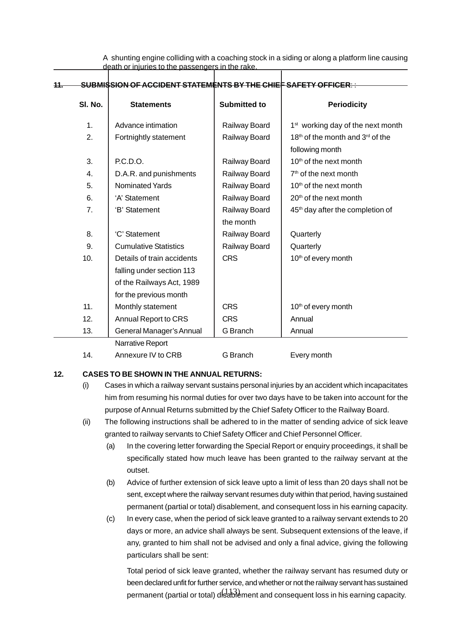A shunting engine colliding with a coaching stock in a siding or along a platform line causing death or injuries to the passengers in the rake.

| 44. |         | <del>SUBMISSION OF ACCIDENT STATEMENTS BY THE CHIEF SAFETY OFFICER::</del> |                     |                                                          |
|-----|---------|----------------------------------------------------------------------------|---------------------|----------------------------------------------------------|
|     |         |                                                                            |                     |                                                          |
|     | SI. No. | <b>Statements</b>                                                          | <b>Submitted to</b> | <b>Periodicity</b>                                       |
|     | 1.      | Advance intimation                                                         | Railway Board       | 1 <sup>st</sup> working day of the next month            |
|     | 2.      | Fortnightly statement                                                      | Railway Board       | 18 <sup>th</sup> of the month and 3 <sup>rd</sup> of the |
|     |         |                                                                            |                     | following month                                          |
|     | 3.      | P.C.D.O.                                                                   | Railway Board       | 10 <sup>th</sup> of the next month                       |
|     | 4.      | D.A.R. and punishments                                                     | Railway Board       | 7 <sup>th</sup> of the next month                        |
|     | 5.      | <b>Nominated Yards</b>                                                     | Railway Board       | 10 <sup>th</sup> of the next month                       |
|     | 6.      | 'A' Statement                                                              | Railway Board       | 20 <sup>th</sup> of the next month                       |
|     | 7.      | 'B' Statement                                                              | Railway Board       | 45 <sup>th</sup> day after the completion of             |
|     |         |                                                                            | the month           |                                                          |
|     | 8.      | 'C' Statement                                                              | Railway Board       | Quarterly                                                |
|     | 9.      | <b>Cumulative Statistics</b>                                               | Railway Board       | Quarterly                                                |
|     | 10.     | Details of train accidents                                                 | <b>CRS</b>          | 10 <sup>th</sup> of every month                          |
|     |         | falling under section 113                                                  |                     |                                                          |
|     |         | of the Railways Act, 1989                                                  |                     |                                                          |
|     |         | for the previous month                                                     |                     |                                                          |
|     | 11.     | Monthly statement                                                          | <b>CRS</b>          | 10 <sup>th</sup> of every month                          |
|     | 12.     | Annual Report to CRS                                                       | <b>CRS</b>          | Annual                                                   |
|     | 13.     | General Manager's Annual                                                   | G Branch            | Annual                                                   |
|     |         | Narrative Report                                                           |                     |                                                          |
|     | 14.     | Annexure IV to CRB                                                         | G Branch            | Every month                                              |

### **12. CASES TO BE SHOWN IN THE ANNUAL RETURNS:**

- (i) Cases in which a railway servant sustains personal injuries by an accident which incapacitates him from resuming his normal duties for over two days have to be taken into account for the purpose of Annual Returns submitted by the Chief Safety Officer to the Railway Board.
- (ii) The following instructions shall be adhered to in the matter of sending advice of sick leave granted to railway servants to Chief Safety Officer and Chief Personnel Officer.
	- (a) In the covering letter forwarding the Special Report or enquiry proceedings, it shall be specifically stated how much leave has been granted to the railway servant at the outset.
	- (b) Advice of further extension of sick leave upto a limit of less than 20 days shall not be sent, except where the railway servant resumes duty within that period, having sustained permanent (partial or total) disablement, and consequent loss in his earning capacity.
	- (c) In every case, when the period of sick leave granted to a railway servant extends to 20 days or more, an advice shall always be sent. Subsequent extensions of the leave, if any, granted to him shall not be advised and only a final advice, giving the following particulars shall be sent:

permanent (partial or total) disablement and consequent loss in his earning capacity. Total period of sick leave granted, whether the railway servant has resumed duty or been declared unfit for further service, and whether or not the railway servant has sustained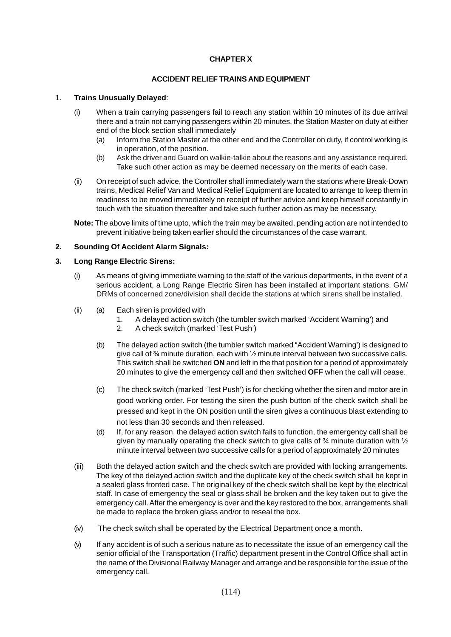## **CHAPTER X**

### **ACCIDENT RELIEF TRAINS AND EQUIPMENT**

### 1. **Trains Unusually Delayed**:

- (i) When a train carrying passengers fail to reach any station within 10 minutes of its due arrival there and a train not carrying passengers within 20 minutes, the Station Master on duty at either end of the block section shall immediately
	- (a) Inform the Station Master at the other end and the Controller on duty, if control working is in operation, of the position.
	- (b) Ask the driver and Guard on walkie-talkie about the reasons and any assistance required. Take such other action as may be deemed necessary on the merits of each case.
- (ii) On receipt of such advice, the Controller shall immediately warn the stations where Break-Down trains, Medical Relief Van and Medical Relief Equipment are located to arrange to keep them in readiness to be moved immediately on receipt of further advice and keep himself constantly in touch with the situation thereafter and take such further action as may be necessary.

**Note:** The above limits of time upto, which the train may be awaited, pending action are not intended to prevent initiative being taken earlier should the circumstances of the case warrant.

## **2. Sounding Of Accident Alarm Signals:**

### **3. Long Range Electric Sirens:**

- (i) As means of giving immediate warning to the staff of the various departments, in the event of a serious accident, a Long Range Electric Siren has been installed at important stations. GM/ DRMs of concerned zone/division shall decide the stations at which sirens shall be installed.
- (ii) (a) Each siren is provided with
	- 1. A delayed action switch (the tumbler switch marked 'Accident Warning') and
	- 2. A check switch (marked 'Test Push')
	- (b) The delayed action switch (the tumbler switch marked "Accident Warning') is designed to give call of  $\frac{3}{4}$  minute duration, each with  $\frac{1}{2}$  minute interval between two successive calls. This switch shall be switched **ON** and left in the that position for a period of approximately 20 minutes to give the emergency call and then switched **OFF** when the call will cease.
	- (c) The check switch (marked 'Test Push') is for checking whether the siren and motor are in good working order. For testing the siren the push button of the check switch shall be pressed and kept in the ON position until the siren gives a continuous blast extending to not less than 30 seconds and then released.
	- (d) If, for any reason, the delayed action switch fails to function, the emergency call shall be given by manually operating the check switch to give calls of ¾ minute duration with ½ minute interval between two successive calls for a period of approximately 20 minutes
- (iii) Both the delayed action switch and the check switch are provided with locking arrangements. The key of the delayed action switch and the duplicate key of the check switch shall be kept in a sealed glass fronted case. The original key of the check switch shall be kept by the electrical staff. In case of emergency the seal or glass shall be broken and the key taken out to give the emergency call. After the emergency is over and the key restored to the box, arrangements shall be made to replace the broken glass and/or to reseal the box.
- (iv) The check switch shall be operated by the Electrical Department once a month.
- (v) If any accident is of such a serious nature as to necessitate the issue of an emergency call the senior official of the Transportation (Traffic) department present in the Control Office shall act in the name of the Divisional Railway Manager and arrange and be responsible for the issue of the emergency call.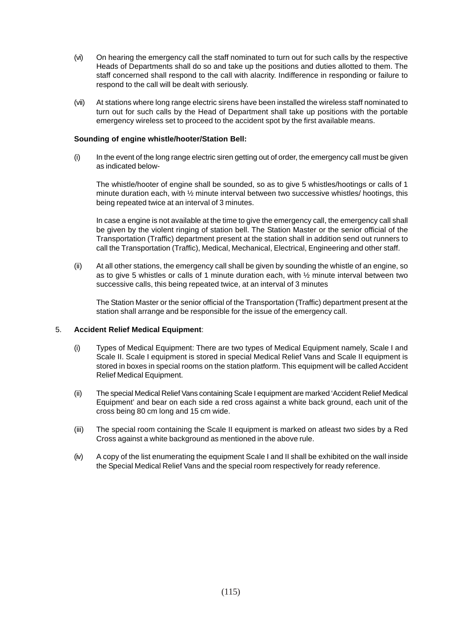- (vi) On hearing the emergency call the staff nominated to turn out for such calls by the respective Heads of Departments shall do so and take up the positions and duties allotted to them. The staff concerned shall respond to the call with alacrity. Indifference in responding or failure to respond to the call will be dealt with seriously.
- (vii) At stations where long range electric sirens have been installed the wireless staff nominated to turn out for such calls by the Head of Department shall take up positions with the portable emergency wireless set to proceed to the accident spot by the first available means.

### **Sounding of engine whistle/hooter/Station Bell:**

(i) In the event of the long range electric siren getting out of order, the emergency call must be given as indicated below-

The whistle/hooter of engine shall be sounded, so as to give 5 whistles/hootings or calls of 1 minute duration each, with ½ minute interval between two successive whistles/ hootings, this being repeated twice at an interval of 3 minutes.

In case a engine is not available at the time to give the emergency call, the emergency call shall be given by the violent ringing of station bell. The Station Master or the senior official of the Transportation (Traffic) department present at the station shall in addition send out runners to call the Transportation (Traffic), Medical, Mechanical, Electrical, Engineering and other staff.

(ii) At all other stations, the emergency call shall be given by sounding the whistle of an engine, so as to give 5 whistles or calls of 1 minute duration each, with  $\frac{1}{2}$  minute interval between two successive calls, this being repeated twice, at an interval of 3 minutes

The Station Master or the senior official of the Transportation (Traffic) department present at the station shall arrange and be responsible for the issue of the emergency call.

### 5. **Accident Relief Medical Equipment**:

- (i) Types of Medical Equipment: There are two types of Medical Equipment namely, Scale I and Scale II. Scale I equipment is stored in special Medical Relief Vans and Scale II equipment is stored in boxes in special rooms on the station platform. This equipment will be called Accident Relief Medical Equipment.
- (ii) The special Medical Relief Vans containing Scale I equipment are marked 'Accident Relief Medical Equipment' and bear on each side a red cross against a white back ground, each unit of the cross being 80 cm long and 15 cm wide.
- (iii) The special room containing the Scale II equipment is marked on atleast two sides by a Red Cross against a white background as mentioned in the above rule.
- (iv) A copy of the list enumerating the equipment Scale I and II shall be exhibited on the wall inside the Special Medical Relief Vans and the special room respectively for ready reference.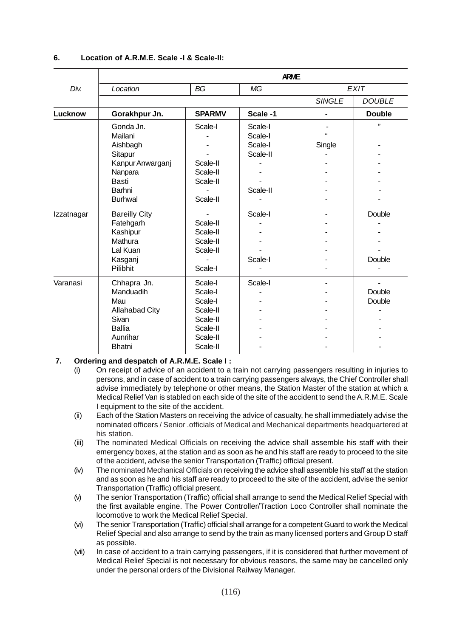|            | <b>ARME</b>                                                                                                            |                                                                                           |                                                       |                    |                  |  |  |  |
|------------|------------------------------------------------------------------------------------------------------------------------|-------------------------------------------------------------------------------------------|-------------------------------------------------------|--------------------|------------------|--|--|--|
| Div.       | Location                                                                                                               | <b>BG</b>                                                                                 | <b>MG</b>                                             |                    | <b>EXIT</b>      |  |  |  |
|            |                                                                                                                        |                                                                                           |                                                       | <b>SINGLE</b>      | <b>DOUBLE</b>    |  |  |  |
| Lucknow    | Gorakhpur Jn.                                                                                                          | <b>SPARMV</b>                                                                             | Scale -1                                              |                    | <b>Double</b>    |  |  |  |
|            | Gonda Jn.<br>Mailani<br>Aishbagh<br>Sitapur<br>Kanpur Anwarganj<br>Nanpara<br><b>Basti</b><br>Barhni<br><b>Burhwal</b> | Scale-I<br>Scale-II<br>Scale-II<br>Scale-II<br>Scale-II                                   | Scale-I<br>Scale-I<br>Scale-I<br>Scale-II<br>Scale-II | $\alpha$<br>Single | , 1              |  |  |  |
| Izzatnagar | <b>Bareilly City</b><br>Fatehgarh<br>Kashipur<br>Mathura<br>Lal Kuan<br>Kasganj<br>Pilibhit                            | Scale-II<br>Scale-II<br>Scale-II<br>Scale-II<br>Scale-I                                   | Scale-I<br>Scale-I                                    |                    | Double<br>Double |  |  |  |
| Varanasi   | Chhapra Jn.<br>Manduadih<br>Mau<br>Allahabad City<br>Sivan<br><b>Ballia</b><br>Aunrihar<br><b>Bhatni</b>               | Scale-I<br>Scale-I<br>Scale-I<br>Scale-II<br>Scale-II<br>Scale-II<br>Scale-II<br>Scale-II | Scale-I                                               |                    | Double<br>Double |  |  |  |

#### **6. Location of A.R.M.E. Scale -I & Scale-II:**

### **7. Ordering and despatch of A.R.M.E. Scale I :**

- (i) On receipt of advice of an accident to a train not carrying passengers resulting in injuries to persons, and in case of accident to a train carrying passengers always, the Chief Controller shall advise immediately by telephone or other means, the Station Master of the station at which a Medical Relief Van is stabled on each side of the site of the accident to send the A.R.M.E. Scale I equipment to the site of the accident.
- (ii) Each of the Station Masters on receiving the advice of casualty, he shall immediately advise the nominated officers / Senior .officials of Medical and Mechanical departments headquartered at his station.
- (iii) The nominated Medical Officials on receiving the advice shall assemble his staff with their emergency boxes, at the station and as soon as he and his staff are ready to proceed to the site of the accident, advise the senior Transportation (Traffic) official present.
- (iv) The nominated Mechanical Officials on receiving the advice shall assemble his staff at the station and as soon as he and his staff are ready to proceed to the site of the accident, advise the senior Transportation (Traffic) official present.
- (v) The senior Transportation (Traffic) official shall arrange to send the Medical Relief Special with the first available engine. The Power Controller/Traction Loco Controller shall nominate the locomotive to work the Medical Relief Special.
- (vi) The senior Transportation (Traffic) official shall arrange for a competent Guard to work the Medical Relief Special and also arrange to send by the train as many licensed porters and Group D staff as possible.
- (vii) In case of accident to a train carrying passengers, if it is considered that further movement of Medical Relief Special is not necessary for obvious reasons, the same may be cancelled only under the personal orders of the Divisional Railway Manager.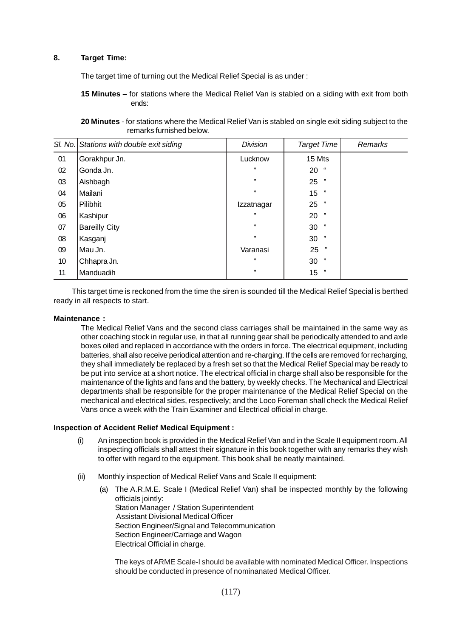### **8. Target Time:**

The target time of turning out the Medical Relief Special is as under :

**15 Minutes** – for stations where the Medical Relief Van is stabled on a siding with exit from both ends:

**20 Minutes** - for stations where the Medical Relief Van is stabled on single exit siding subject to the remarks furnished below.

|    | SI. No. Stations with double exit siding | <b>Division</b> | <b>Target Time</b> | <b>Remarks</b> |
|----|------------------------------------------|-----------------|--------------------|----------------|
| 01 | Gorakhpur Jn.                            | Lucknow         | 15 Mts             |                |
| 02 | Gonda Jn.                                | ,,              | $20$ "             |                |
| 03 | Aishbagh                                 | ,,              | 25<br>,,           |                |
| 04 | Mailani                                  | ,,              | 15<br>,,           |                |
| 05 | Pilibhit                                 | Izzatnagar      | 25<br>,,           |                |
| 06 | Kashipur                                 | ,,              | 20<br>,,           |                |
| 07 | <b>Bareilly City</b>                     | ,,              | 30<br>,,           |                |
| 08 | Kasganj                                  | ,,              | ,,<br>30           |                |
| 09 | Mau Jn.                                  | Varanasi        | 25<br>,,           |                |
| 10 | Chhapra Jn.                              | ,,              | ,,<br>30           |                |
| 11 | Manduadih                                | ,,              | , 99<br>15         |                |

This target time is reckoned from the time the siren is sounded till the Medical Relief Special is berthed ready in all respects to start.

#### **Maintenance :**

The Medical Relief Vans and the second class carriages shall be maintained in the same way as other coaching stock in regular use, in that all running gear shall be periodically attended to and axle boxes oiled and replaced in accordance with the orders in force. The electrical equipment, including batteries, shall also receive periodical attention and re-charging. If the cells are removed for recharging, they shall immediately be replaced by a fresh set so that the Medical Relief Special may be ready to be put into service at a short notice. The electrical official in charge shall also be responsible for the maintenance of the lights and fans and the battery, by weekly checks. The Mechanical and Electrical departments shall be responsible for the proper maintenance of the Medical Relief Special on the mechanical and electrical sides, respectively; and the Loco Foreman shall check the Medical Relief Vans once a week with the Train Examiner and Electrical official in charge.

#### **Inspection of Accident Relief Medical Equipment :**

- (i) An inspection book is provided in the Medical Relief Van and in the Scale II equipment room. All inspecting officials shall attest their signature in this book together with any remarks they wish to offer with regard to the equipment. This book shall be neatly maintained.
- (ii) Monthly inspection of Medical Relief Vans and Scale II equipment:
	- (a) The A.R.M.E. Scale I (Medical Relief Van) shall be inspected monthly by the following officials jointly: Station Manager / Station Superintendent Assistant Divisional Medical Officer Section Engineer/Signal and Telecommunication Section Engineer/Carriage and Wagon Electrical Official in charge.

The keys of ARME Scale-I should be available with nominated Medical Officer. Inspections should be conducted in presence of nominanated Medical Officer.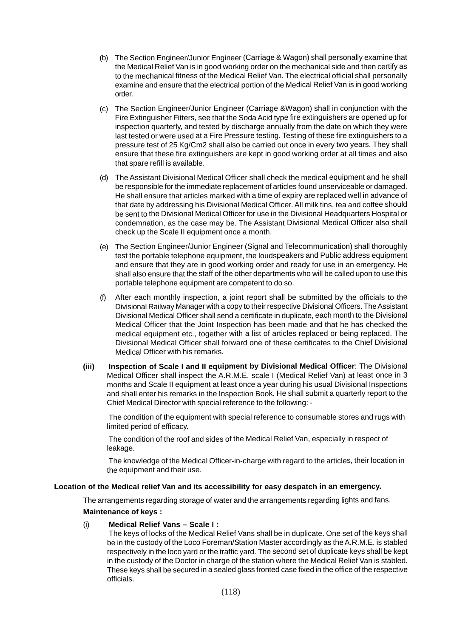- (b) The Section Engineer/Junior Engineer (Carriage & Wagon) shall personally examine that the Medical Relief Van is in good working order on the mechanical side and then certify as to the mechanical fitness of the Medical Relief Van. The electrical official shall personally examine and ensure that the electrical portion of the Medical Relief Van is in good working order.
- (c) The Section Engineer/Junior Engineer (Carriage &Wagon) shall in conjunction with the Fire Extinguisher Fitters, see that the Soda Acid type fire extinguishers are opened up for inspection quarterly, and tested by discharge annually from the date on which they were last tested or were used at a Fire Pressure testing. Testing of these fire extinguishers to a pressure test of 25 Kg/Cm2 shall also be carried out once in every two years. They shall ensure that these fire extinguishers are kept in good working order at all times and also that spare refill is available.
- (d) The Assistant Divisional Medical Officer shall check the medical equipment and he shall be responsible for the immediate replacement of articles found unserviceable or damaged. He shall ensure that articles marked with a time of expiry are replaced well in advance of that date by addressing his Divisional Medical Officer. All milk tins, tea and coffee should be sent to the Divisional Medical Officer for use in the Divisional Headquarters Hospital or condemnation, as the case may be. The Assistant Divisional Medical Officer also shall check up the Scale II equipment once a month.
- (e) The Section Engineer/Junior Engineer (Signal and Telecommunication) shall thoroughly test the portable telephone equipment, the loudspeakers and Public address equipment and ensure that they are in good working order and ready for use in an emergency. He shall also ensure that the staff of the other departments who will be called upon to use this portable telephone equipment are competent to do so.
- (f) After each monthly inspection, a joint report shall be submitted by the officials to the Divisional Railway Manager with a copy to their respective Divisional Officers. The Assistant Divisional Medical Officer shall send a certificate in duplicate, each month to the Divisional Medical Officer that the Joint Inspection has been made and that he has checked the medical equipment etc., together with a list of articles replaced or being replaced. The Divisional Medical Officer shall forward one of these certificates to the Chief Divisional Medical Officer with his remarks.
- **(iii) Inspection of Scale I and II equipment by Divisional Medical Officer**: The Divisional Medical Officer shall inspect the A.R.M.E. scale I (Medical Relief Van) at least once in 3 months and Scale II equipment at least once a year during his usual Divisional Inspections and shall enter his remarks in the Inspection Book. He shall submit a quarterly report to the Chief Medical Director with special reference to the following: -

The condition of the equipment with special reference to consumable stores and rugs with limited period of efficacy.

The condition of the roof and sides of the Medical Relief Van, especially in respect of leakage.

The knowledge of the Medical Officer-in-charge with regard to the articles, their location in the equipment and their use.

### **Location of the Medical relief Van and its accessibility for easy despatch in an emergency.**

The arrangements regarding storage of water and the arrangements regarding lights and fans. **Maintenance of keys :**

#### (i) **Medical Relief Vans – Scale I :**

The keys of locks of the Medical Relief Vans shall be in duplicate. One set of the keys shall be in the custody of the Loco Foreman/Station Master accordingly as the A.R.M.E. is stabled respectively in the loco yard or the traffic yard. The second set of duplicate keys shall be kept in the custody of the Doctor in charge of the station where the Medical Relief Van is stabled. These keys shall be secured in a sealed glass fronted case fixed in the office of the respective officials.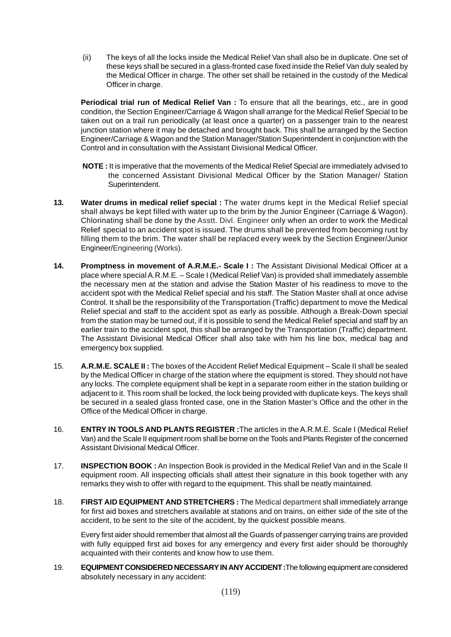(ii) The keys of all the locks inside the Medical Relief Van shall also be in duplicate. One set of these keys shall be secured in a glass-fronted case fixed inside the Relief Van duly sealed by the Medical Officer in charge. The other set shall be retained in the custody of the Medical Officer in charge.

**Periodical trial run of Medical Relief Van :** To ensure that all the bearings, etc., are in good condition, the Section Engineer/Carriage & Wagon shall arrange for the Medical Relief Special to be taken out on a trail run periodically (at least once a quarter) on a passenger train to the nearest junction station where it may be detached and brought back. This shall be arranged by the Section Engineer/Carriage & Wagon and the Station Manager/Station Superintendent in conjunction with the Control and in consultation with the Assistant Divisional Medical Officer.

- **NOTE :** It is imperative that the movements of the Medical Relief Special are immediately advised to the concerned Assistant Divisional Medical Officer by the Station Manager/ Station Superintendent.
- **13. Water drums in medical relief special :** The water drums kept in the Medical Relief special shall always be kept filled with water up to the brim by the Junior Engineer (Carriage & Wagon). Chlorinating shall be done by the Asstt. Divl. Engineer only when an order to work the Medical Relief special to an accident spot is issued. The drums shall be prevented from becoming rust by filling them to the brim. The water shall be replaced every week by the Section Engineer/Junior Engineer/Engineering (Works).
- **14. Promptness in movement of A.R.M.E.- Scale I :** The Assistant Divisional Medical Officer at a place where special A.R.M.E. – Scale I (Medical Relief Van) is provided shall immediately assemble the necessary men at the station and advise the Station Master of his readiness to move to the accident spot with the Medical Relief special and his staff. The Station Master shall at once advise Control. It shall be the responsibility of the Transportation (Traffic) department to move the Medical Relief special and staff to the accident spot as early as possible. Although a Break-Down special from the station may be turned out, if it is possible to send the Medical Relief special and staff by an earlier train to the accident spot, this shall be arranged by the Transportation (Traffic) department. The Assistant Divisional Medical Officer shall also take with him his line box, medical bag and emergency box supplied.
- 15. **A.R.M.E. SCALE II :** The boxes of the Accident Relief Medical Equipment Scale II shall be sealed by the Medical Officer in charge of the station where the equipment is stored. They should not have any locks. The complete equipment shall be kept in a separate room either in the station building or adjacent to it. This room shall be locked, the lock being provided with duplicate keys. The keys shall be secured in a sealed glass fronted case, one in the Station Master's Office and the other in the Office of the Medical Officer in charge.
- 16. **ENTRY IN TOOLS AND PLANTS REGISTER :**The articles in the A.R.M.E. Scale I (Medical Relief Van) and the Scale II equipment room shall be borne on the Tools and Plants Register of the concerned Assistant Divisional Medical Officer.
- 17. **INSPECTION BOOK :** An Inspection Book is provided in the Medical Relief Van and in the Scale II equipment room. All inspecting officials shall attest their signature in this book together with any remarks they wish to offer with regard to the equipment. This shall be neatly maintained.
- 18. **FIRST AID EQUIPMENT AND STRETCHERS :** The Medical department shall immediately arrange for first aid boxes and stretchers available at stations and on trains, on either side of the site of the accident, to be sent to the site of the accident, by the quickest possible means.

Every first aider should remember that almost all the Guards of passenger carrying trains are provided with fully equipped first aid boxes for any emergency and every first aider should be thoroughly acquainted with their contents and know how to use them.

19. **EQUIPMENT CONSIDERED NECESSARY IN ANY ACCIDENT :**The following equipment are considered absolutely necessary in any accident: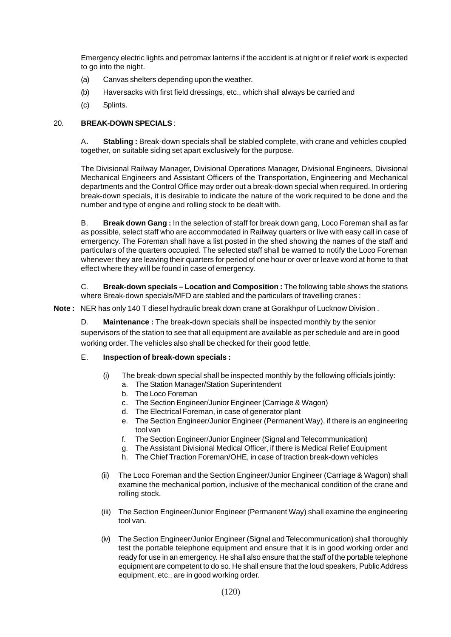Emergency electric lights and petromax lanterns if the accident is at night or if relief work is expected to go into the night.

- (a) Canvas shelters depending upon the weather.
- (b) Haversacks with first field dressings, etc., which shall always be carried and
- (c) Splints.

### 20. **BREAK-DOWN SPECIALS** :

A**. Stabling :** Break-down specials shall be stabled complete, with crane and vehicles coupled together, on suitable siding set apart exclusively for the purpose.

The Divisional Railway Manager, Divisional Operations Manager, Divisional Engineers, Divisional Mechanical Engineers and Assistant Officers of the Transportation, Engineering and Mechanical departments and the Control Office may order out a break-down special when required. In ordering break-down specials, it is desirable to indicate the nature of the work required to be done and the number and type of engine and rolling stock to be dealt with.

B. **Break down Gang :** In the selection of staff for break down gang, Loco Foreman shall as far as possible, select staff who are accommodated in Railway quarters or live with easy call in case of emergency. The Foreman shall have a list posted in the shed showing the names of the staff and particulars of the quarters occupied. The selected staff shall be warned to notify the Loco Foreman whenever they are leaving their quarters for period of one hour or over or leave word at home to that effect where they will be found in case of emergency.

C. **Break-down specials – Location and Composition :** The following table shows the stations where Break-down specials/MFD are stabled and the particulars of travelling cranes :

**Note :** NER has only 140 T diesel hydraulic break down crane at Gorakhpur of Lucknow Division .

D. **Maintenance :** The break-down specials shall be inspected monthly by the senior supervisors of the station to see that all equipment are available as per schedule and are in good working order. The vehicles also shall be checked for their good fettle.

### E. **Inspection of break-down specials :**

- (i) The break-down special shall be inspected monthly by the following officials jointly:
	- a. The Station Manager/Station Superintendent
	- b. The Loco Foreman
	- c. The Section Engineer/Junior Engineer (Carriage & Wagon)
	- d. The Electrical Foreman, in case of generator plant
	- e. The Section Engineer/Junior Engineer (Permanent Way), if there is an engineering tool van
	- f. The Section Engineer/Junior Engineer (Signal and Telecommunication)
	- g. The Assistant Divisional Medical Officer, if there is Medical Relief Equipment
	- h. The Chief Traction Foreman/OHE, in case of traction break-down vehicles
- (ii) The Loco Foreman and the Section Engineer/Junior Engineer (Carriage & Wagon) shall examine the mechanical portion, inclusive of the mechanical condition of the crane and rolling stock.
- (iii) The Section Engineer/Junior Engineer (Permanent Way) shall examine the engineering tool van.
- (iv) The Section Engineer/Junior Engineer (Signal and Telecommunication) shall thoroughly test the portable telephone equipment and ensure that it is in good working order and ready for use in an emergency. He shall also ensure that the staff of the portable telephone equipment are competent to do so. He shall ensure that the loud speakers, Public Address equipment, etc., are in good working order.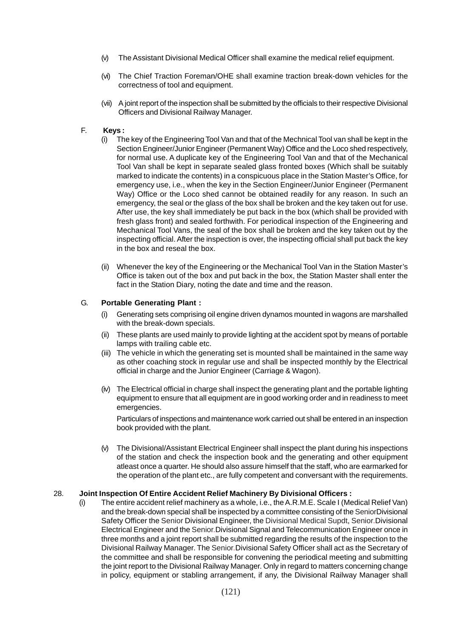- (v) The Assistant Divisional Medical Officer shall examine the medical relief equipment.
- (vi) The Chief Traction Foreman/OHE shall examine traction break-down vehicles for the correctness of tool and equipment.
- (vii) A joint report of the inspection shall be submitted by the officials to their respective Divisional Officers and Divisional Railway Manager.

#### F. **Keys :**

- (i) The key of the Engineering Tool Van and that of the Mechnical Tool van shall be kept in the Section Engineer/Junior Engineer (Permanent Way) Office and the Loco shed respectively, for normal use. A duplicate key of the Engineering Tool Van and that of the Mechanical Tool Van shall be kept in separate sealed glass fronted boxes (Which shall be suitably marked to indicate the contents) in a conspicuous place in the Station Master's Office, for emergency use, i.e., when the key in the Section Engineer/Junior Engineer (Permanent Way) Office or the Loco shed cannot be obtained readily for any reason. In such an emergency, the seal or the glass of the box shall be broken and the key taken out for use. After use, the key shall immediately be put back in the box (which shall be provided with fresh glass front) and sealed forthwith. For periodical inspection of the Engineering and Mechanical Tool Vans, the seal of the box shall be broken and the key taken out by the inspecting official. After the inspection is over, the inspecting official shall put back the key in the box and reseal the box.
- (ii) Whenever the key of the Engineering or the Mechanical Tool Van in the Station Master's Office is taken out of the box and put back in the box, the Station Master shall enter the fact in the Station Diary, noting the date and time and the reason.

#### G. **Portable Generating Plant :**

- (i) Generating sets comprising oil engine driven dynamos mounted in wagons are marshalled with the break-down specials.
- (ii) These plants are used mainly to provide lighting at the accident spot by means of portable lamps with trailing cable etc.
- (iii) The vehicle in which the generating set is mounted shall be maintained in the same way as other coaching stock in regular use and shall be inspected monthly by the Electrical official in charge and the Junior Engineer (Carriage & Wagon).
- (iv) The Electrical official in charge shall inspect the generating plant and the portable lighting equipment to ensure that all equipment are in good working order and in readiness to meet emergencies.

Particulars of inspections and maintenance work carried out shall be entered in an inspection book provided with the plant.

(v) The Divisional/Assistant Electrical Engineer shall inspect the plant during his inspections of the station and check the inspection book and the generating and other equipment atleast once a quarter. He should also assure himself that the staff, who are earmarked for the operation of the plant etc., are fully competent and conversant with the requirements.

### 28. **Joint Inspection Of Entire Accident Relief Machinery By Divisional Officers :**

(i) The entire accident relief machinery as a whole, i.e., the A.R.M.E. Scale I (Medical Relief Van) and the break-down special shall be inspected by a committee consisting of the SeniorDivisional Safety Officer the Senior Divisional Engineer, the Divisional Medical Supdt, Senior.Divisional Electrical Engineer and the Senior.Divisional Signal and Telecommunication Engineer once in three months and a joint report shall be submitted regarding the results of the inspection to the Divisional Railway Manager. The Senior.Divisional Safety Officer shall act as the Secretary of the committee and shall be responsible for convening the periodical meeting and submitting the joint report to the Divisional Railway Manager. Only in regard to matters concerning change in policy, equipment or stabling arrangement, if any, the Divisional Railway Manager shall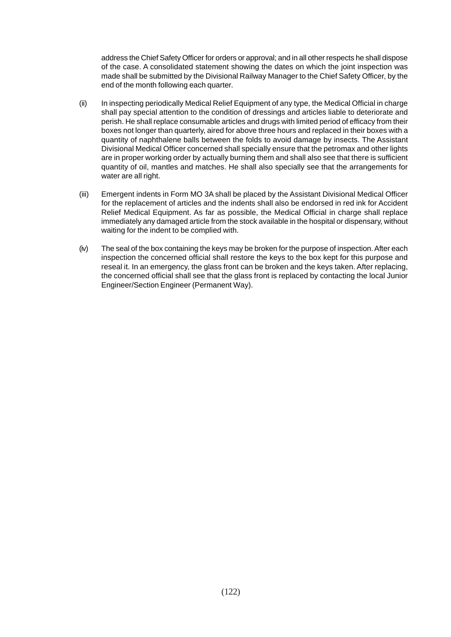address the Chief Safety Officer for orders or approval; and in all other respects he shall dispose of the case. A consolidated statement showing the dates on which the joint inspection was made shall be submitted by the Divisional Railway Manager to the Chief Safety Officer, by the end of the month following each quarter.

- (ii) In inspecting periodically Medical Relief Equipment of any type, the Medical Official in charge shall pay special attention to the condition of dressings and articles liable to deteriorate and perish. He shall replace consumable articles and drugs with limited period of efficacy from their boxes not longer than quarterly, aired for above three hours and replaced in their boxes with a quantity of naphthalene balls between the folds to avoid damage by insects. The Assistant Divisional Medical Officer concerned shall specially ensure that the petromax and other lights are in proper working order by actually burning them and shall also see that there is sufficient quantity of oil, mantles and matches. He shall also specially see that the arrangements for water are all right.
- (iii) Emergent indents in Form MO 3A shall be placed by the Assistant Divisional Medical Officer for the replacement of articles and the indents shall also be endorsed in red ink for Accident Relief Medical Equipment. As far as possible, the Medical Official in charge shall replace immediately any damaged article from the stock available in the hospital or dispensary, without waiting for the indent to be complied with.
- (iv) The seal of the box containing the keys may be broken for the purpose of inspection. After each inspection the concerned official shall restore the keys to the box kept for this purpose and reseal it. In an emergency, the glass front can be broken and the keys taken. After replacing, the concerned official shall see that the glass front is replaced by contacting the local Junior Engineer/Section Engineer (Permanent Way).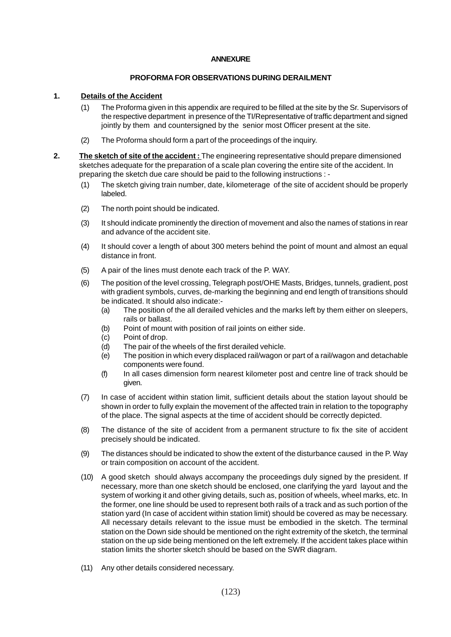#### **ANNEXURE**

#### **PROFORMA FOR OBSERVATIONS DURING DERAILMENT**

### **1. Details of the Accident**

- (1) The Proforma given in this appendix are required to be filled at the site by the Sr. Supervisors of the respective department in presence of the TI/Representative of traffic department and signed jointly by them and countersigned by the senior most Officer present at the site.
- (2) The Proforma should form a part of the proceedings of the inquiry.
- **2. The sketch of site of the accident :** The engineering representative should prepare dimensioned sketches adequate for the preparation of a scale plan covering the entire site of the accident. In preparing the sketch due care should be paid to the following instructions : -
	- (1) The sketch giving train number, date, kilometerage of the site of accident should be properly labeled.
	- (2) The north point should be indicated.
	- (3) It should indicate prominently the direction of movement and also the names of stations in rear and advance of the accident site.
	- (4) It should cover a length of about 300 meters behind the point of mount and almost an equal distance in front.
	- (5) A pair of the lines must denote each track of the P. WAY.
	- (6) The position of the level crossing, Telegraph post/OHE Masts, Bridges, tunnels, gradient, post with gradient symbols, curves, de-marking the beginning and end length of transitions should be indicated. It should also indicate:-
		- (a) The position of the all derailed vehicles and the marks left by them either on sleepers, rails or ballast.
		- (b) Point of mount with position of rail joints on either side.
		- (c) Point of drop.
		- (d) The pair of the wheels of the first derailed vehicle.
		- (e) The position in which every displaced rail/wagon or part of a rail/wagon and detachable components were found.
		- (f) In all cases dimension form nearest kilometer post and centre line of track should be given.
	- (7) In case of accident within station limit, sufficient details about the station layout should be shown in order to fully explain the movement of the affected train in relation to the topography of the place. The signal aspects at the time of accident should be correctly depicted.
	- (8) The distance of the site of accident from a permanent structure to fix the site of accident precisely should be indicated.
	- (9) The distances should be indicated to show the extent of the disturbance caused in the P. Way or train composition on account of the accident.
	- (10) A good sketch should always accompany the proceedings duly signed by the president. If necessary, more than one sketch should be enclosed, one clarifying the yard layout and the system of working it and other giving details, such as, position of wheels, wheel marks, etc. In the former, one line should be used to represent both rails of a track and as such portion of the station yard (In case of accident within station limit) should be covered as may be necessary. All necessary details relevant to the issue must be embodied in the sketch. The terminal station on the Down side should be mentioned on the right extremity of the sketch, the terminal station on the up side being mentioned on the left extremely. If the accident takes place within station limits the shorter sketch should be based on the SWR diagram.
	- (11) Any other details considered necessary.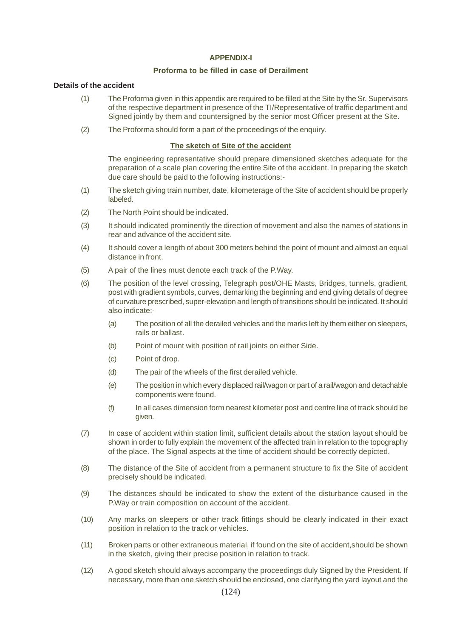#### **APPENDIX-I**

#### **Proforma to be filled in case of Derailment**

#### **Details of the accident**

- (1) The Proforma given in this appendix are required to be filled at the Site by the Sr. Supervisors of the respective department in presence of the TI/Representative of traffic department and Signed jointly by them and countersigned by the senior most Officer present at the Site.
- (2) The Proforma should form a part of the proceedings of the enquiry.

#### **The sketch of Site of the accident**

The engineering representative should prepare dimensioned sketches adequate for the preparation of a scale plan covering the entire Site of the accident. In preparing the sketch due care should be paid to the following instructions:-

- (1) The sketch giving train number, date, kilometerage of the Site of accident should be properly labeled.
- (2) The North Point should be indicated.
- (3) It should indicated prominently the direction of movement and also the names of stations in rear and advance of the accident site.
- (4) It should cover a length of about 300 meters behind the point of mount and almost an equal distance in front.
- (5) A pair of the lines must denote each track of the P.Way.
- (6) The position of the level crossing, Telegraph post/OHE Masts, Bridges, tunnels, gradient, post with gradient symbols, curves, demarking the beginning and end giving details of degree of curvature prescribed, super-elevation and length of transitions should be indicated. It should also indicate:-
	- (a) The position of all the derailed vehicles and the marks left by them either on sleepers, rails or ballast.
	- (b) Point of mount with position of rail joints on either Side.
	- (c) Point of drop.
	- (d) The pair of the wheels of the first derailed vehicle.
	- (e) The position in which every displaced rail/wagon or part of a rail/wagon and detachable components were found.
	- (f) In all cases dimension form nearest kilometer post and centre line of track should be given.
- (7) In case of accident within station limit, sufficient details about the station layout should be shown in order to fully explain the movement of the affected train in relation to the topography of the place. The Signal aspects at the time of accident should be correctly depicted.
- (8) The distance of the Site of accident from a permanent structure to fix the Site of accident precisely should be indicated.
- (9) The distances should be indicated to show the extent of the disturbance caused in the P.Way or train composition on account of the accident.
- (10) Any marks on sleepers or other track fittings should be clearly indicated in their exact position in relation to the track or vehicles.
- (11) Broken parts or other extraneous material, if found on the site of accident,should be shown in the sketch, giving their precise position in relation to track.
- (12) A good sketch should always accompany the proceedings duly Signed by the President. If necessary, more than one sketch should be enclosed, one clarifying the yard layout and the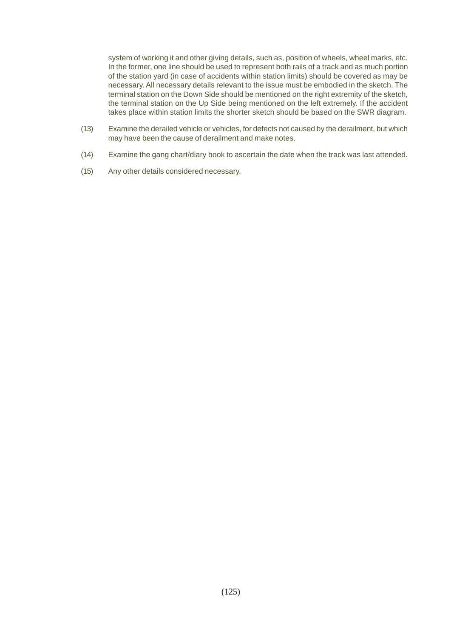system of working it and other giving details, such as, position of wheels, wheel marks, etc. In the former, one line should be used to represent both rails of a track and as much portion of the station yard (in case of accidents within station limits) should be covered as may be necessary. All necessary details relevant to the issue must be embodied in the sketch. The terminal station on the Down Side should be mentioned on the right extremity of the sketch, the terminal station on the Up Side being mentioned on the left extremely. If the accident takes place within station limits the shorter sketch should be based on the SWR diagram.

- (13) Examine the derailed vehicle or vehicles, for defects not caused by the derailment, but which may have been the cause of derailment and make notes.
- (14) Examine the gang chart/diary book to ascertain the date when the track was last attended.
- (15) Any other details considered necessary.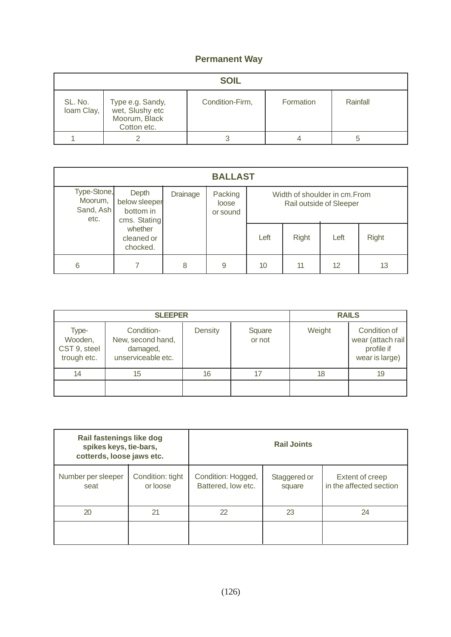# **Permanent Way**

|                       | <b>SOIL</b>                                                         |                 |           |          |  |  |  |
|-----------------------|---------------------------------------------------------------------|-----------------|-----------|----------|--|--|--|
| SL. No.<br>loam Clay, | Type e.g. Sandy,<br>wet, Slushy etc<br>Moorum, Black<br>Cotton etc. | Condition-Firm, | Formation | Rainfall |  |  |  |
|                       |                                                                     |                 |           |          |  |  |  |

| <b>BALLAST</b>                              |                                                     |          |                              |      |              |                                                          |              |
|---------------------------------------------|-----------------------------------------------------|----------|------------------------------|------|--------------|----------------------------------------------------------|--------------|
| Type-Stone,<br>Moorum,<br>Sand, Ash<br>etc. | Depth<br>below sleeper<br>bottom in<br>cms. Stating | Drainage | Packing<br>loose<br>or sound |      |              | Width of shoulder in cm. From<br>Rail outside of Sleeper |              |
|                                             | whether<br>cleaned or<br>chocked.                   |          |                              | Left | <b>Right</b> | Left                                                     | <b>Right</b> |
| 6                                           |                                                     | 8        | 9                            | 10   | 11           | 12                                                       | 13           |

|                                                 | <b>SLEEPER</b>                                                    | <b>RAILS</b>   |                  |        |                                                                   |
|-------------------------------------------------|-------------------------------------------------------------------|----------------|------------------|--------|-------------------------------------------------------------------|
| Type-<br>Wooden,<br>CST 9, steel<br>trough etc. | Condition-<br>New, second hand,<br>damaged,<br>unserviceable etc. | <b>Density</b> | Square<br>or not | Weight | Condition of<br>wear (attach rail<br>profile if<br>wear is large) |
| 14                                              | 15                                                                | 16             | 17               | 18     | 19                                                                |
|                                                 |                                                                   |                |                  |        |                                                                   |

| Rail fastenings like dog<br>spikes keys, tie-bars,<br>cotterds, loose jaws etc. |    | <b>Rail Joints</b>                       |                        |                                            |  |
|---------------------------------------------------------------------------------|----|------------------------------------------|------------------------|--------------------------------------------|--|
| Condition: tight<br>Number per sleeper<br>or loose<br>seat                      |    | Condition: Hogged,<br>Battered, low etc. | Staggered or<br>square | Extent of creep<br>in the affected section |  |
| 20                                                                              | 21 | 22                                       | 23                     | 24                                         |  |
|                                                                                 |    |                                          |                        |                                            |  |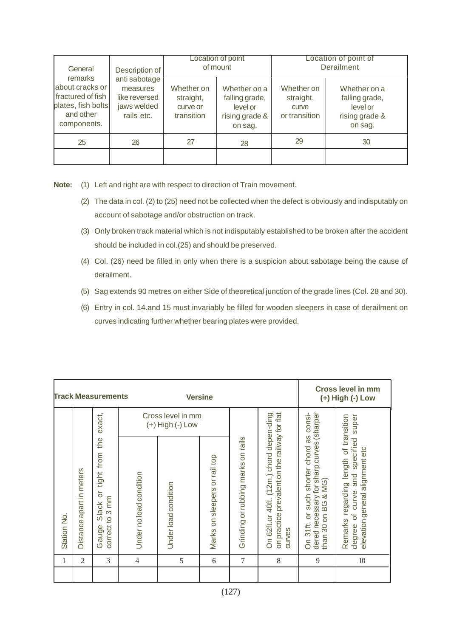| General<br>remarks<br>about cracks or<br>fractured of fish<br>plates, fish bolts<br>and other<br>components. | Description of<br>anti sabotage<br>measures<br>like reversed<br>jaws welded<br>rails etc. |                                                   | Location of point<br>of mount                                           | Location of point of<br><b>Derailment</b>         |                                                                         |  |
|--------------------------------------------------------------------------------------------------------------|-------------------------------------------------------------------------------------------|---------------------------------------------------|-------------------------------------------------------------------------|---------------------------------------------------|-------------------------------------------------------------------------|--|
|                                                                                                              |                                                                                           | Whether on<br>straight,<br>curve or<br>transition | Whether on a<br>falling grade,<br>level or<br>rising grade &<br>on sag. | Whether on<br>straight,<br>curve<br>or transition | Whether on a<br>falling grade,<br>level or<br>rising grade &<br>on sag. |  |
| 25                                                                                                           | 26                                                                                        | 27                                                | 28                                                                      | 29                                                | 30                                                                      |  |
|                                                                                                              |                                                                                           |                                                   |                                                                         |                                                   |                                                                         |  |

**Note:** (1) Left and right are with respect to direction of Train movement.

- (2) The data in col. (2) to (25) need not be collected when the defect is obviously and indisputably on account of sabotage and/or obstruction on track.
- (3) Only broken track material which is not indisputably established to be broken after the accident should be included in col.(25) and should be preserved.
- (4) Col. (26) need be filled in only when there is a suspicion about sabotage being the cause of derailment.
- (5) Sag extends 90 metres on either Side of theoretical junction of the grade lines (Col. 28 and 30).
- (6) Entry in col. 14.and 15 must invariably be filled for wooden sleepers in case of derailment on curves indicating further whether bearing plates were provided.

|             | <b>Track Measurements</b><br><b>Versine</b> |                                                                |                         |                                           |                               |                                    | <b>Cross level in mm</b><br>(+) High (-) Low                                                        |                                                                                                             |                                                                                                                  |
|-------------|---------------------------------------------|----------------------------------------------------------------|-------------------------|-------------------------------------------|-------------------------------|------------------------------------|-----------------------------------------------------------------------------------------------------|-------------------------------------------------------------------------------------------------------------|------------------------------------------------------------------------------------------------------------------|
|             |                                             | exact,                                                         |                         | Cross level in mm<br>$(+)$ High $(-)$ Low |                               |                                    | consi-                                                                                              | super                                                                                                       |                                                                                                                  |
| Station No. | apart in meters<br>Distance                 | the<br>tight from<br>ŏ<br>to 3 mm<br>Slack<br>correct<br>Gauge | Under no load condition | Under load condition                      | Marks on sleepers or rail top | Grinding or rubbing marks on rails | on practice prevalent on the railway for flat<br>On 62ft.or 40ft. (12m.) chord depen-ding<br>curves | dered necessary for sharp curves (sharper<br>as<br>or such shorter chord<br>than 30 on BG & MG)<br>On 31ft. | Remarks regarding length of transition<br>and specified<br>elevation general alignment etc<br>of curve<br>degree |
| 1           | $\mathfrak{2}$                              | 3                                                              | 4                       | 5                                         | 6                             | 7                                  | 8                                                                                                   | 9                                                                                                           | 10                                                                                                               |
|             |                                             |                                                                |                         |                                           |                               |                                    |                                                                                                     |                                                                                                             |                                                                                                                  |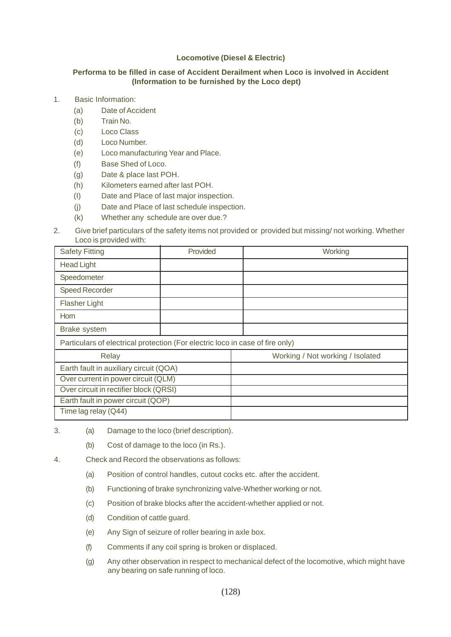## **Locomotive (Diesel & Electric)**

### **Performa to be filled in case of Accident Derailment when Loco is involved in Accident (Information to be furnished by the Loco dept)**

- 1. Basic Information:
	- (a) Date of Accident
	- (b) Train No.
	- (c) Loco Class
	- (d) Loco Number.
	- (e) Loco manufacturing Year and Place.
	- (f) Base Shed of Loco.
	- (g) Date & place last POH.
	- (h) Kilometers earned after last POH.
	- (I) Date and Place of last major inspection.
	- (j) Date and Place of last schedule inspection.
	- (k) Whether any schedule are over due.?
- 2. Give brief particulars of the safety items not provided or provided but missing/ not working. Whether Loco is provided with:

| <b>Safety Fitting</b>                                                         | Provided | Working                          |
|-------------------------------------------------------------------------------|----------|----------------------------------|
| <b>Head Light</b>                                                             |          |                                  |
| Speedometer                                                                   |          |                                  |
| <b>Speed Recorder</b>                                                         |          |                                  |
| <b>Flasher Light</b>                                                          |          |                                  |
| Horn                                                                          |          |                                  |
| Brake system                                                                  |          |                                  |
| Particulars of electrical protection (For electric loco in case of fire only) |          |                                  |
| Relay                                                                         |          | Working / Not working / Isolated |
| Earth fault in auxiliary circuit (QOA)                                        |          |                                  |
| Over current in power circuit (QLM)                                           |          |                                  |
| Over circuit in rectifier block (QRSI)                                        |          |                                  |
| Earth fault in power circuit (QOP)                                            |          |                                  |
| Time lag relay (Q44)                                                          |          |                                  |

- 3. (a) Damage to the loco (brief description).
	- (b) Cost of damage to the loco (in Rs.).
- 4. Check and Record the observations as follows:
	- (a) Position of control handles, cutout cocks etc. after the accident.
	- (b) Functioning of brake synchronizing valve-Whether working or not.
	- (c) Position of brake blocks after the accident-whether applied or not.
	- (d) Condition of cattle guard.
	- (e) Any Sign of seizure of roller bearing in axle box.
	- (f) Comments if any coil spring is broken or displaced.
	- (g) Any other observation in respect to mechanical defect of the locomotive, which might have any bearing on safe running of loco.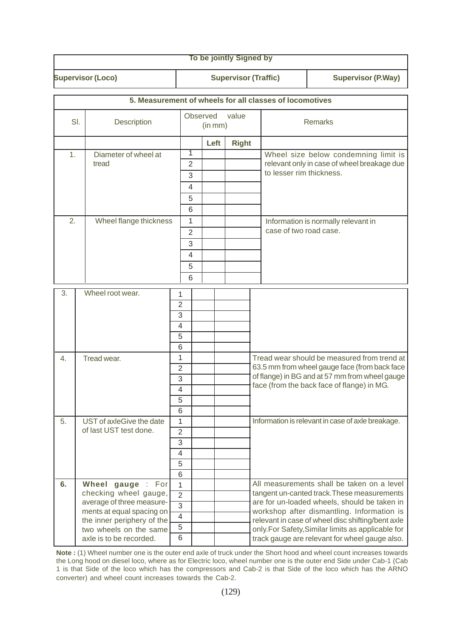|                    |                                                    |                     |                                                         |                     | To be jointly Signed by     |  |                          |                                                                                              |
|--------------------|----------------------------------------------------|---------------------|---------------------------------------------------------|---------------------|-----------------------------|--|--------------------------|----------------------------------------------------------------------------------------------|
|                    | <b>Supervisor (Loco)</b>                           |                     |                                                         |                     | <b>Supervisor (Traffic)</b> |  |                          | <b>Supervisor (P.Way)</b>                                                                    |
|                    |                                                    |                     | 5. Measurement of wheels for all classes of locomotives |                     |                             |  |                          |                                                                                              |
|                    |                                                    |                     |                                                         |                     |                             |  |                          |                                                                                              |
| SI.<br>Description |                                                    |                     |                                                         | Observed<br>(in mm) | value                       |  |                          | <b>Remarks</b>                                                                               |
|                    |                                                    |                     |                                                         | Left                | <b>Right</b>                |  |                          |                                                                                              |
| 1.                 | Diameter of wheel at                               |                     | 1                                                       |                     |                             |  |                          | Wheel size below condemning limit is                                                         |
|                    | tread                                              |                     | 2                                                       |                     |                             |  | to lesser rim thickness. | relevant only in case of wheel breakage due                                                  |
|                    |                                                    |                     | 3                                                       |                     |                             |  |                          |                                                                                              |
|                    |                                                    |                     | $\overline{4}$<br>5                                     |                     |                             |  |                          |                                                                                              |
|                    |                                                    |                     | 6                                                       |                     |                             |  |                          |                                                                                              |
| 2.                 | Wheel flange thickness                             |                     | $\mathbf{1}$                                            |                     |                             |  |                          | Information is normally relevant in                                                          |
|                    |                                                    |                     | $\overline{2}$                                          |                     |                             |  | case of two road case.   |                                                                                              |
|                    |                                                    |                     | 3                                                       |                     |                             |  |                          |                                                                                              |
|                    |                                                    |                     | $\overline{4}$                                          |                     |                             |  |                          |                                                                                              |
|                    |                                                    |                     | 5                                                       |                     |                             |  |                          |                                                                                              |
|                    |                                                    |                     | 6                                                       |                     |                             |  |                          |                                                                                              |
| 3.                 | Wheel root wear.                                   | 1                   |                                                         |                     |                             |  |                          |                                                                                              |
|                    |                                                    | $\overline{2}$      |                                                         |                     |                             |  |                          |                                                                                              |
|                    |                                                    | 3                   |                                                         |                     |                             |  |                          |                                                                                              |
|                    |                                                    | $\overline{4}$      |                                                         |                     |                             |  |                          |                                                                                              |
|                    |                                                    | 5                   |                                                         |                     |                             |  |                          |                                                                                              |
|                    |                                                    | 6                   |                                                         |                     |                             |  |                          |                                                                                              |
| 4.                 | Tread wear.                                        | 1<br>$\overline{2}$ |                                                         |                     |                             |  |                          | Tread wear should be measured from trend at<br>63.5 mm from wheel gauge face (from back face |
|                    |                                                    | 3                   |                                                         |                     |                             |  |                          | of flange) in BG and at 57 mm from wheel gauge                                               |
|                    | 4                                                  |                     | face (from the back face of flange) in MG.              |                     |                             |  |                          |                                                                                              |
|                    |                                                    | 5                   |                                                         |                     |                             |  |                          |                                                                                              |
|                    |                                                    | 6                   |                                                         |                     |                             |  |                          |                                                                                              |
| 5.                 | UST of axleGive the date<br>of last UST test done. | 1                   |                                                         |                     |                             |  |                          | Information is relevant in case of axle breakage.                                            |
|                    |                                                    | $\overline{2}$<br>3 |                                                         |                     |                             |  |                          |                                                                                              |
|                    |                                                    | 4                   |                                                         |                     |                             |  |                          |                                                                                              |
|                    |                                                    | 5                   |                                                         |                     |                             |  |                          |                                                                                              |
|                    |                                                    | 6                   |                                                         |                     |                             |  |                          |                                                                                              |
| 6.                 | Wheel gauge : For                                  | 1                   |                                                         |                     |                             |  |                          | All measurements shall be taken on a level                                                   |
|                    | checking wheel gauge,<br>average of three measure- | $\overline{2}$      |                                                         |                     |                             |  |                          | tangent un-canted track. These measurements<br>are for un-loaded wheels, should be taken in  |
|                    | ments at equal spacing on                          | $\overline{3}$      |                                                         |                     |                             |  |                          | workshop after dismantling. Information is                                                   |
|                    | the inner periphery of the                         | $\overline{4}$      |                                                         |                     |                             |  |                          | relevant in case of wheel disc shifting/bent axle                                            |
|                    | two wheels on the same                             | 5<br>6              |                                                         |                     |                             |  |                          | only.For Safety, Similar limits as applicable for                                            |
|                    | axle is to be recorded.                            |                     |                                                         |                     |                             |  |                          | track gauge are relevant for wheel gauge also.                                               |

**Note :** (1) Wheel number one is the outer end axle of truck under the Short hood and wheel count increases towards the Long hood on diesel loco, where as for Electric loco, wheel number one is the outer end Side under Cab-1 (Cab 1 is that Side of the loco which has the compressors and Cab-2 is that Side of the loco which has the ARNO converter) and wheel count increases towards the Cab-2.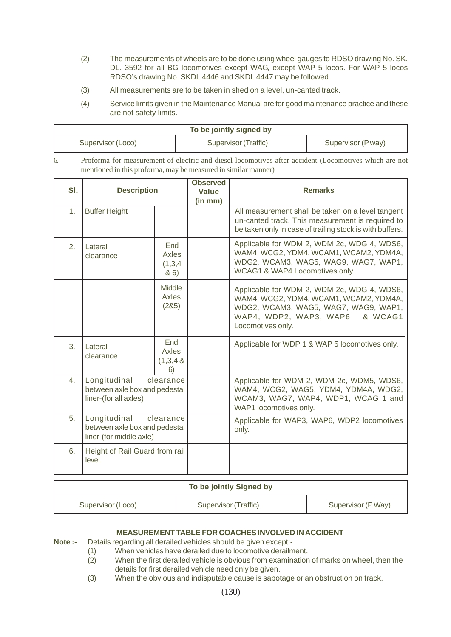- (2) The measurements of wheels are to be done using wheel gauges to RDSO drawing No. SK. DL. 3592 for all BG locomotives except WAG, except WAP 5 locos. For WAP 5 locos RDSO's drawing No. SKDL 4446 and SKDL 4447 may be followed.
- (3) All measurements are to be taken in shed on a level, un-canted track.
- (4) Service limits given in the Maintenance Manual are for good maintenance practice and these are not safety limits.

| To be jointly signed by |                      |                    |  |  |  |
|-------------------------|----------------------|--------------------|--|--|--|
| Supervisor (Loco)       | Supervisor (Traffic) | Supervisor (P.way) |  |  |  |

6. Proforma for measurement of electric and diesel locomotives after accident (Locomotives which are not mentioned in this proforma, may be measured in similar manner)

| SI.              | <b>Description</b>                                                       |                                 | <b>Observed</b><br><b>Value</b><br>(in mm) | <b>Remarks</b>                                                                                                                                                                         |
|------------------|--------------------------------------------------------------------------|---------------------------------|--------------------------------------------|----------------------------------------------------------------------------------------------------------------------------------------------------------------------------------------|
| 1.               | <b>Buffer Height</b>                                                     |                                 |                                            | All measurement shall be taken on a level tangent<br>un-canted track. This measurement is required to<br>be taken only in case of trailing stock is with buffers.                      |
| 2.               | Lateral<br>clearance                                                     | End<br>Axles<br>(1,3,4)<br>86)  |                                            | Applicable for WDM 2, WDM 2c, WDG 4, WDS6,<br>WAM4, WCG2, YDM4, WCAM1, WCAM2, YDM4A,<br>WDG2, WCAM3, WAG5, WAG9, WAG7, WAP1,<br>WCAG1 & WAP4 Locomotives only.                         |
|                  |                                                                          | <b>Middle</b><br>Axles<br>(285) |                                            | Applicable for WDM 2, WDM 2c, WDG 4, WDS6,<br>WAM4, WCG2, YDM4, WCAM1, WCAM2, YDM4A,<br>WDG2, WCAM3, WAG5, WAG7, WAG9, WAP1,<br>WAP4, WDP2, WAP3, WAP6<br>& WCAG1<br>Locomotives only. |
| 3.               | Lateral<br>clearance                                                     | End<br>Axles<br>(1,3,4,8)<br>6) |                                            | Applicable for WDP 1 & WAP 5 locomotives only.                                                                                                                                         |
| $\overline{4}$ . | Longitudinal<br>between axle box and pedestal<br>liner-(for all axles)   | clearance                       |                                            | Applicable for WDM 2, WDM 2c, WDM5, WDS6,<br>WAM4, WCG2, WAG5, YDM4, YDM4A, WDG2,<br>WCAM3, WAG7, WAP4, WDP1, WCAG 1 and<br>WAP1 locomotives only.                                     |
| 5.               | Longitudinal<br>between axle box and pedestal<br>liner-(for middle axle) | clearance                       |                                            | Applicable for WAP3, WAP6, WDP2 locomotives<br>only.                                                                                                                                   |
| 6.               | Height of Rail Guard from rail<br>level.                                 |                                 |                                            |                                                                                                                                                                                        |

#### **To be jointly Signed by**

| Supervisor (Loco) | Supervisor (Traffic) | Supervisor (P.Way) |
|-------------------|----------------------|--------------------|

### **MEASUREMENT TABLE FOR COACHES INVOLVED IN ACCIDENT**

**Note :-** Details regarding all derailed vehicles should be given except:-

- (1) When vehicles have derailed due to locomotive derailment.<br>(2) When the first derailed vehicle is obvious from examination
	- When the first derailed vehicle is obvious from examination of marks on wheel, then the details for first derailed vehicle need only be given.
- (3) When the obvious and indisputable cause is sabotage or an obstruction on track.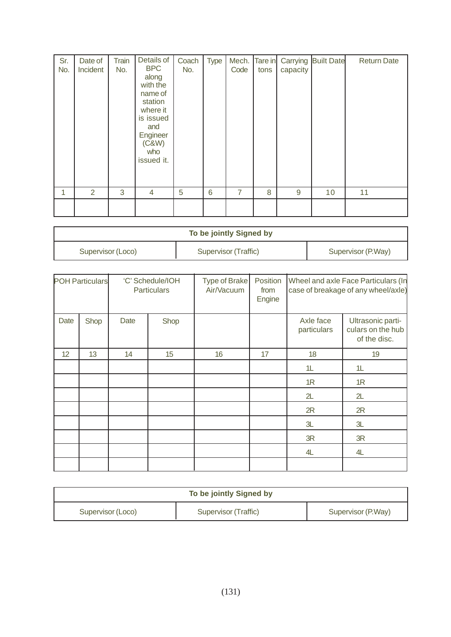| Sr.<br>No. | Date of<br>Incident | Train<br>No. | Details of<br><b>BPC</b><br>along<br>with the<br>name of<br>station<br>where it<br>is issued<br>and<br>Engineer<br>(C&W)<br>who<br>issued it. | Coach<br>No. | <b>Type</b> | Mech.<br>Code  | Tare in<br>tons | Carrying<br>capacity | <b>Built Date</b> | <b>Return Date</b> |
|------------|---------------------|--------------|-----------------------------------------------------------------------------------------------------------------------------------------------|--------------|-------------|----------------|-----------------|----------------------|-------------------|--------------------|
| 1          | 2                   | 3            | 4                                                                                                                                             | 5            | 6           | $\overline{7}$ | 8               | 9                    | 10                | 11                 |
|            |                     |              |                                                                                                                                               |              |             |                |                 |                      |                   |                    |

| To be jointly Signed by |                      |                    |  |  |  |
|-------------------------|----------------------|--------------------|--|--|--|
| Supervisor (Loco)       | Supervisor (Traffic) | Supervisor (P.Way) |  |  |  |

| <b>POH Particulars</b> |      | 'C' Schedule/IOH<br><b>Particulars</b> |      | Type of Brake<br>Air/Vacuum | Position<br>from<br>Engine | Wheel and axle Face Particulars (In<br>case of breakage of any wheel/axle) |                                                        |
|------------------------|------|----------------------------------------|------|-----------------------------|----------------------------|----------------------------------------------------------------------------|--------------------------------------------------------|
| Date                   | Shop | Date                                   | Shop |                             |                            | Axle face<br>particulars                                                   | Ultrasonic parti-<br>culars on the hub<br>of the disc. |
| 12                     | 13   | 14                                     | 15   | 16                          | 17                         | 18                                                                         | 19                                                     |
|                        |      |                                        |      |                             |                            | 1L                                                                         | 1L                                                     |
|                        |      |                                        |      |                             |                            | 1R                                                                         | 1R                                                     |
|                        |      |                                        |      |                             |                            | 2L                                                                         | 2L                                                     |
|                        |      |                                        |      |                             |                            | 2R                                                                         | 2R                                                     |
|                        |      |                                        |      |                             |                            | 3L                                                                         | 3L                                                     |
|                        |      |                                        |      |                             |                            | 3R                                                                         | 3R                                                     |
|                        |      |                                        |      |                             |                            | 4L                                                                         | 4L                                                     |
|                        |      |                                        |      |                             |                            |                                                                            |                                                        |

| To be jointly Signed by |                      |                    |  |  |
|-------------------------|----------------------|--------------------|--|--|
| Supervisor (Loco)       | Supervisor (Traffic) | Supervisor (P.Way) |  |  |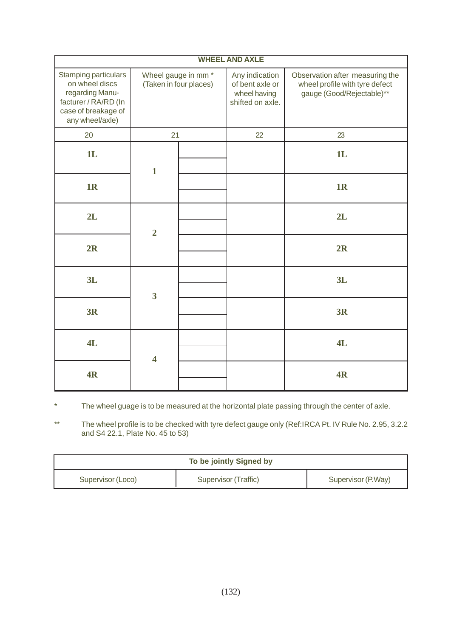| <b>WHEEL AND AXLE</b>                                                                                                       |                                                          |  |                                                                       |                                                                                                |  |  |  |
|-----------------------------------------------------------------------------------------------------------------------------|----------------------------------------------------------|--|-----------------------------------------------------------------------|------------------------------------------------------------------------------------------------|--|--|--|
| Stamping particulars<br>on wheel discs<br>regarding Manu-<br>facturer / RA/RD (In<br>case of breakage of<br>any wheel/axle) | Wheel gauge in mm <sup>*</sup><br>(Taken in four places) |  | Any indication<br>of bent axle or<br>wheel having<br>shifted on axle. | Observation after measuring the<br>wheel profile with tyre defect<br>gauge (Good/Rejectable)** |  |  |  |
| 20                                                                                                                          | 21                                                       |  | 22                                                                    | 23                                                                                             |  |  |  |
| 1L                                                                                                                          | $\mathbf{1}$                                             |  |                                                                       | 1L                                                                                             |  |  |  |
| 1R                                                                                                                          |                                                          |  |                                                                       | 1 <sub>R</sub>                                                                                 |  |  |  |
| 2L                                                                                                                          | $\overline{2}$                                           |  |                                                                       | 2L                                                                                             |  |  |  |
| 2R                                                                                                                          |                                                          |  |                                                                       | 2R                                                                                             |  |  |  |
| 3L                                                                                                                          | $\overline{\mathbf{3}}$                                  |  |                                                                       | 3L                                                                                             |  |  |  |
| <b>3R</b>                                                                                                                   |                                                          |  |                                                                       | 3R                                                                                             |  |  |  |
| 4L                                                                                                                          | $\overline{\mathbf{4}}$                                  |  |                                                                       | 4L                                                                                             |  |  |  |
| 4R                                                                                                                          |                                                          |  |                                                                       | 4R                                                                                             |  |  |  |

\* The wheel guage is to be measured at the horizontal plate passing through the center of axle.

\*\* The wheel profile is to be checked with tyre defect gauge only (Ref:IRCA Pt. IV Rule No. 2.95, 3.2.2 and S4 22.1, Plate No. 45 to 53)

| To be jointly Signed by |                      |                    |  |  |  |
|-------------------------|----------------------|--------------------|--|--|--|
| Supervisor (Loco)       | Supervisor (Traffic) | Supervisor (P.Way) |  |  |  |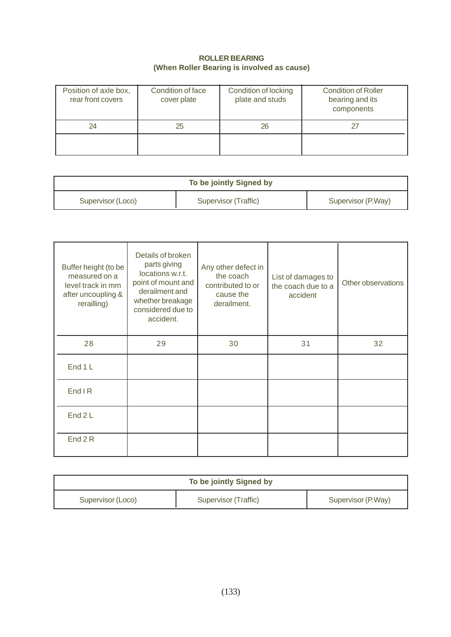## **ROLLER BEARING (When Roller Bearing is involved as cause)**

| Position of axle box,<br>rear front covers | Condition of face<br>cover plate | Condition of locking<br>plate and studs | <b>Condition of Roller</b><br>bearing and its<br>components |
|--------------------------------------------|----------------------------------|-----------------------------------------|-------------------------------------------------------------|
| 24                                         | 25                               | 26                                      |                                                             |
|                                            |                                  |                                         |                                                             |

| To be jointly Signed by |                      |                    |  |  |  |
|-------------------------|----------------------|--------------------|--|--|--|
| Supervisor (Loco)       | Supervisor (Traffic) | Supervisor (P.Way) |  |  |  |

| Buffer height (to be<br>measured on a<br>level track in mm<br>after uncoupling &<br>rerailling) | Details of broken<br>parts giving<br>locations w.r.t.<br>point of mount and<br>derailment and<br>whether breakage<br>considered due to<br>accident. | Any other defect in<br>the coach<br>contributed to or<br>cause the<br>derailment. | List of damages to<br>the coach due to a<br>accident | Other observations |
|-------------------------------------------------------------------------------------------------|-----------------------------------------------------------------------------------------------------------------------------------------------------|-----------------------------------------------------------------------------------|------------------------------------------------------|--------------------|
| 28                                                                                              | 29                                                                                                                                                  | 30                                                                                | 31                                                   | 32                 |
| End 1 L                                                                                         |                                                                                                                                                     |                                                                                   |                                                      |                    |
| <b>End IR</b>                                                                                   |                                                                                                                                                     |                                                                                   |                                                      |                    |
| End 2 L                                                                                         |                                                                                                                                                     |                                                                                   |                                                      |                    |
| End 2 R                                                                                         |                                                                                                                                                     |                                                                                   |                                                      |                    |

| To be jointly Signed by |                      |                    |  |  |
|-------------------------|----------------------|--------------------|--|--|
| Supervisor (Loco)       | Supervisor (Traffic) | Supervisor (P.Way) |  |  |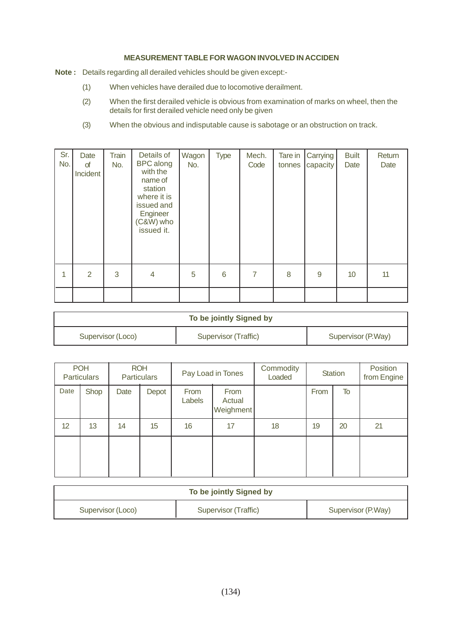### **MEASUREMENT TABLE FOR WAGON INVOLVED IN ACCIDEN**

- **Note :** Details regarding all derailed vehicles should be given except:-
	- (1) When vehicles have derailed due to locomotive derailment.
	- (2) When the first derailed vehicle is obvious from examination of marks on wheel, then the details for first derailed vehicle need only be given
	- (3) When the obvious and indisputable cause is sabotage or an obstruction on track.

| Sr.<br>No. | Date<br>of<br>Incident | Train<br>No. | Details of<br><b>BPC</b> along<br>with the<br>name of<br>station<br>where it is<br>issued and<br>Engineer<br>(C&W) who<br>issued it. | Wagon<br>No. | <b>Type</b> | Mech.<br>Code | Tare in<br>tonnes | Carrying<br>capacity | <b>Built</b><br>Date | Return<br>Date |
|------------|------------------------|--------------|--------------------------------------------------------------------------------------------------------------------------------------|--------------|-------------|---------------|-------------------|----------------------|----------------------|----------------|
| 1          | $\overline{2}$         | 3            | 4                                                                                                                                    | 5            | 6           | 7             | 8                 | 9                    | 10                   | 11             |
|            |                        |              |                                                                                                                                      |              |             |               |                   |                      |                      |                |

| To be jointly Signed by |                      |                    |  |  |
|-------------------------|----------------------|--------------------|--|--|
| Supervisor (Loco)       | Supervisor (Traffic) | Supervisor (P.Way) |  |  |

|      | <b>POH</b><br><b>Particulars</b> |      | <b>ROH</b><br><b>Particulars</b> |                | Pay Load in Tones           | Commodity<br>Loaded |      | <b>Station</b> | Position<br>from Engine |
|------|----------------------------------|------|----------------------------------|----------------|-----------------------------|---------------------|------|----------------|-------------------------|
| Date | Shop                             | Date | Depot                            | From<br>Labels | From<br>Actual<br>Weighment |                     | From | To             |                         |
| 12   | 13                               | 14   | 15                               | 16             | 17                          | 18                  | 19   | 20             | 21                      |
|      |                                  |      |                                  |                |                             |                     |      |                |                         |

| To be jointly Signed by |                      |                    |  |  |
|-------------------------|----------------------|--------------------|--|--|
| Supervisor (Loco)       | Supervisor (Traffic) | Supervisor (P.Way) |  |  |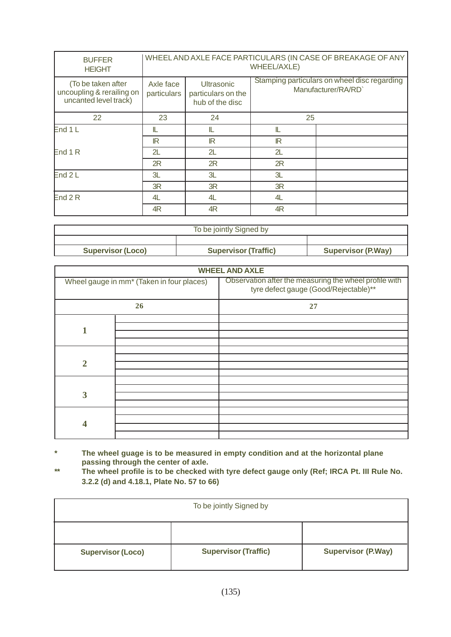| <b>BUFFER</b><br><b>HEIGHT</b>                                           | WHEEL AND AXLE FACE PARTICULARS (IN CASE OF BREAKAGE OF ANY<br>WHEEL/AXLE) |                                                            |                                                                    |  |  |
|--------------------------------------------------------------------------|----------------------------------------------------------------------------|------------------------------------------------------------|--------------------------------------------------------------------|--|--|
| (To be taken after<br>uncoupling & rerailing on<br>uncanted level track) | Axle face<br>particulars                                                   | <b>Ultrasonic</b><br>particulars on the<br>hub of the disc | Stamping particulars on wheel disc regarding<br>Manufacturer/RA/RD |  |  |
| 22                                                                       | 23                                                                         | 24                                                         | 25                                                                 |  |  |
| End 1 L                                                                  | IL                                                                         | IL                                                         | IL                                                                 |  |  |
|                                                                          | IR                                                                         | $\mathbb{R}$                                               | $\mathbb{R}$                                                       |  |  |
| End 1 R                                                                  | 2L                                                                         | 2L                                                         | 2L                                                                 |  |  |
|                                                                          | 2R                                                                         | 2R                                                         | 2R                                                                 |  |  |
| End 2L                                                                   | 3L                                                                         | 3L                                                         | 3L                                                                 |  |  |
|                                                                          | 3R                                                                         | 3R                                                         | 3R                                                                 |  |  |
| End $2R$                                                                 | 4L                                                                         | 4L                                                         | 4L                                                                 |  |  |
|                                                                          | 4R                                                                         | 4R                                                         | 4R                                                                 |  |  |

| To be jointly Signed by  |                             |                           |  |  |
|--------------------------|-----------------------------|---------------------------|--|--|
|                          |                             |                           |  |  |
| <b>Supervisor (Loco)</b> | <b>Supervisor (Traffic)</b> | <b>Supervisor (P.Way)</b> |  |  |

|                         | <b>WHEEL AND AXLE</b>                     |                                                                                                 |  |  |  |  |
|-------------------------|-------------------------------------------|-------------------------------------------------------------------------------------------------|--|--|--|--|
|                         | Wheel gauge in mm* (Taken in four places) | Observation after the measuring the wheel profile with<br>tyre defect gauge (Good/Rejectable)** |  |  |  |  |
|                         | 26                                        | 27                                                                                              |  |  |  |  |
|                         |                                           |                                                                                                 |  |  |  |  |
|                         |                                           |                                                                                                 |  |  |  |  |
|                         |                                           |                                                                                                 |  |  |  |  |
|                         |                                           |                                                                                                 |  |  |  |  |
|                         |                                           |                                                                                                 |  |  |  |  |
| $\overline{2}$          |                                           |                                                                                                 |  |  |  |  |
|                         |                                           |                                                                                                 |  |  |  |  |
|                         |                                           |                                                                                                 |  |  |  |  |
| 3                       |                                           |                                                                                                 |  |  |  |  |
|                         |                                           |                                                                                                 |  |  |  |  |
| $\overline{\mathbf{4}}$ |                                           |                                                                                                 |  |  |  |  |
|                         |                                           |                                                                                                 |  |  |  |  |
|                         |                                           |                                                                                                 |  |  |  |  |
|                         |                                           |                                                                                                 |  |  |  |  |

- **\* The wheel guage is to be measured in empty condition and at the horizontal plane passing through the center of axle.**
- **\*\* The wheel profile is to be checked with tyre defect gauge only (Ref; IRCA Pt. III Rule No. 3.2.2 (d) and 4.18.1, Plate No. 57 to 66)**

| To be jointly Signed by  |                             |                           |  |  |  |
|--------------------------|-----------------------------|---------------------------|--|--|--|
|                          |                             |                           |  |  |  |
| <b>Supervisor (Loco)</b> | <b>Supervisor (Traffic)</b> | <b>Supervisor (P.Way)</b> |  |  |  |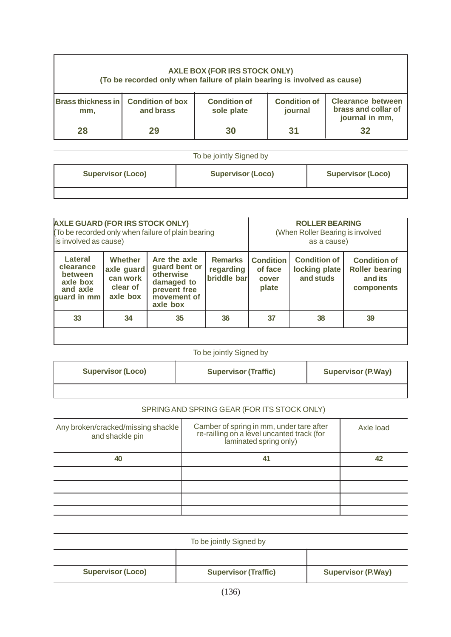| AXLE BOX (FOR IRS STOCK ONLY)<br>(To be recorded only when failure of plain bearing is involved as cause) |                                                                                                                                                                                                     |  |  |  |  |  |  |
|-----------------------------------------------------------------------------------------------------------|-----------------------------------------------------------------------------------------------------------------------------------------------------------------------------------------------------|--|--|--|--|--|--|
| mm,                                                                                                       | <b>Brass thickness in Condition of box</b><br><b>Clearance between</b><br><b>Condition of</b><br><b>Condition of</b><br>brass and collar of<br>and brass<br>sole plate<br>journal<br>journal in mm, |  |  |  |  |  |  |
| 31<br>28<br>32<br>30                                                                                      |                                                                                                                                                                                                     |  |  |  |  |  |  |
|                                                                                                           |                                                                                                                                                                                                     |  |  |  |  |  |  |

| To be jointly Signed by  |                          |                          |  |  |
|--------------------------|--------------------------|--------------------------|--|--|
| <b>Supervisor (Loco)</b> | <b>Supervisor (Loco)</b> | <b>Supervisor (Loco)</b> |  |  |
|                          |                          |                          |  |  |

| <b>AXLE GUARD (FOR IRS STOCK ONLY)</b><br>To be recorded only when failure of plain bearing<br>is involved as cause) |                                                                  |                                                                                                     |                                            | <b>ROLLER BEARING</b><br>(When Roller Bearing is involved<br>as a cause) |                                                   |                                                                       |
|----------------------------------------------------------------------------------------------------------------------|------------------------------------------------------------------|-----------------------------------------------------------------------------------------------------|--------------------------------------------|--------------------------------------------------------------------------|---------------------------------------------------|-----------------------------------------------------------------------|
| Lateral<br>clearance<br>between<br>axle box<br>and axle<br>quard in mm                                               | <b>Whether</b><br>axle guard<br>can work<br>clear of<br>axle box | Are the axle<br>guard bent or<br>otherwise<br>damaged to<br>prevent free<br>movement of<br>axle box | <b>Remarks</b><br>regarding<br>briddle bar | <b>Condition</b><br>of face<br>cover<br>plate                            | <b>Condition of</b><br>locking plate<br>and studs | <b>Condition of</b><br><b>Roller bearing</b><br>and its<br>components |
| 33                                                                                                                   | 34                                                               | 35                                                                                                  | 36                                         | 37                                                                       | 38                                                | 39                                                                    |
|                                                                                                                      |                                                                  |                                                                                                     |                                            |                                                                          |                                                   |                                                                       |

# To be jointly Signed by

| <b>Supervisor (Loco)</b> | <b>Supervisor (Traffic)</b> | <b>Supervisor (P.Way)</b> |
|--------------------------|-----------------------------|---------------------------|
|                          |                             |                           |

# SPRING AND SPRING GEAR (FOR ITS STOCK ONLY)

| Any broken/cracked/missing shackle<br>and shackle pin | Camber of spring in mm, under tare after<br>re-railling on a level uncanted track (for<br>laminated spring only) | Axle load |
|-------------------------------------------------------|------------------------------------------------------------------------------------------------------------------|-----------|
| 40                                                    | 41                                                                                                               | 42        |
|                                                       |                                                                                                                  |           |
|                                                       |                                                                                                                  |           |
|                                                       |                                                                                                                  |           |
|                                                       |                                                                                                                  |           |

| To be jointly Signed by  |                             |                           |  |  |  |
|--------------------------|-----------------------------|---------------------------|--|--|--|
|                          |                             |                           |  |  |  |
| <b>Supervisor (Loco)</b> | <b>Supervisor (Traffic)</b> | <b>Supervisor (P.Way)</b> |  |  |  |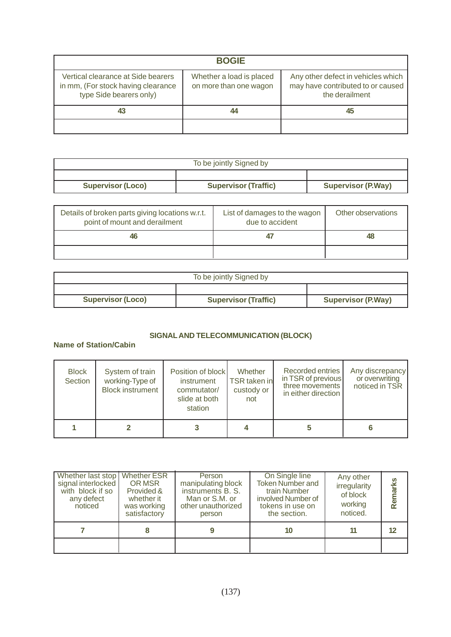| <b>BOGIE</b>                                                                                        |                                                    |                                                                                           |  |  |  |  |  |
|-----------------------------------------------------------------------------------------------------|----------------------------------------------------|-------------------------------------------------------------------------------------------|--|--|--|--|--|
| Vertical clearance at Side bearers<br>in mm, (For stock having clearance<br>type Side bearers only) | Whether a load is placed<br>on more than one wagon | Any other defect in vehicles which<br>may have contributed to or caused<br>the derailment |  |  |  |  |  |
| 43                                                                                                  | 44                                                 | 45                                                                                        |  |  |  |  |  |
|                                                                                                     |                                                    |                                                                                           |  |  |  |  |  |

| To be jointly Signed by  |                             |                           |  |  |  |
|--------------------------|-----------------------------|---------------------------|--|--|--|
|                          |                             |                           |  |  |  |
| <b>Supervisor (Loco)</b> | <b>Supervisor (Traffic)</b> | <b>Supervisor (P.Way)</b> |  |  |  |

| Details of broken parts giving locations w.r.t.<br>point of mount and derailment | List of damages to the wagon<br>due to accident | Other observations |
|----------------------------------------------------------------------------------|-------------------------------------------------|--------------------|
| 46                                                                               |                                                 |                    |
|                                                                                  |                                                 |                    |

| To be jointly Signed by  |                             |                           |  |  |  |
|--------------------------|-----------------------------|---------------------------|--|--|--|
|                          |                             |                           |  |  |  |
| <b>Supervisor (Loco)</b> | <b>Supervisor (Traffic)</b> | <b>Supervisor (P.Way)</b> |  |  |  |

## **SIGNAL AND TELECOMMUNICATION (BLOCK)**

# **Name of Station/Cabin**

| <b>Block</b><br>Section | System of train<br>working-Type of<br><b>Block instrument</b> | Position of block<br>instrument<br>commutator/<br>slide at both<br>station | Whether<br>TSR taken in<br>custody or<br>not | Recorded entries<br>in TSR of previous<br>three movements<br>in either direction | Any discrepancy<br>or overwriting<br>noticed in TSR |
|-------------------------|---------------------------------------------------------------|----------------------------------------------------------------------------|----------------------------------------------|----------------------------------------------------------------------------------|-----------------------------------------------------|
|                         |                                                               |                                                                            |                                              |                                                                                  |                                                     |

| Whether last stop   Whether ESR<br>signal interlocked<br>with block if so<br>any defect<br>noticed | OR MSR<br>Provided &<br>whether it<br>was working<br>satisfactory | Person<br>manipulating block<br>instruments B. S.<br>Man or S.M. or<br>other unauthorized<br>person | On Single line<br><b>Token Number and</b><br>train Number<br>involved Number of<br>tokens in use on<br>the section. | Any other<br>irregularity<br>of block<br>working<br>noticed. | ଡୁ<br>Remar |
|----------------------------------------------------------------------------------------------------|-------------------------------------------------------------------|-----------------------------------------------------------------------------------------------------|---------------------------------------------------------------------------------------------------------------------|--------------------------------------------------------------|-------------|
|                                                                                                    |                                                                   |                                                                                                     | 10                                                                                                                  |                                                              | 12          |
|                                                                                                    |                                                                   |                                                                                                     |                                                                                                                     |                                                              |             |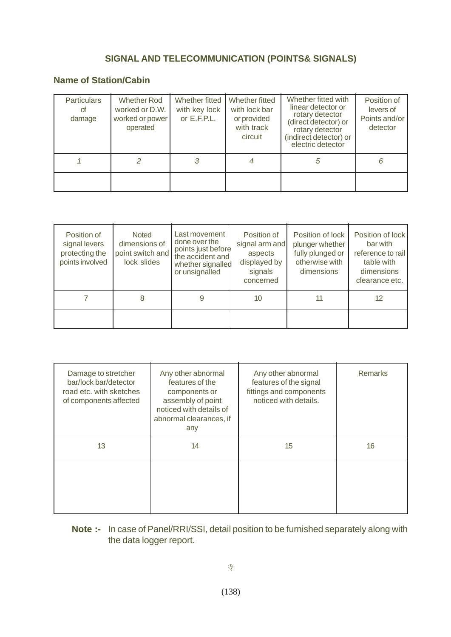# **SIGNAL AND TELECOMMUNICATION (POINTS& SIGNALS)**

# **Name of Station/Cabin**

| <b>Particulars</b><br>οf<br>damage | Whether Rod<br>worked or D.W.<br>worked or power<br>operated | Whether fitted<br>with key lock<br>or $E.F.P.L.$ | Whether fitted<br>with lock bar<br>or provided<br>with track<br>circuit | Whether fitted with<br>linear detector or<br>rotary detector<br>(direct detector) or<br>rotary detector<br>(indirect detector) or<br>electric detector | Position of<br>levers of<br>Points and/or<br>detector |
|------------------------------------|--------------------------------------------------------------|--------------------------------------------------|-------------------------------------------------------------------------|--------------------------------------------------------------------------------------------------------------------------------------------------------|-------------------------------------------------------|
|                                    |                                                              |                                                  |                                                                         | 5                                                                                                                                                      |                                                       |
|                                    |                                                              |                                                  |                                                                         |                                                                                                                                                        |                                                       |

| Position of<br>signal levers<br>protecting the<br>points involved | <b>Noted</b><br>dimensions of<br>point switch and<br>lock slides | Last movement<br>done over the<br>points just before<br>the accident and<br>whether signalled<br>or unsignalled | Position of<br>signal arm and<br>aspects<br>displayed by<br>signals<br>concerned | Position of lock<br>plunger whether<br>fully plunged or<br>otherwise with<br>dimensions | Position of lock<br>bar with<br>reference to rail<br>table with<br>dimensions<br>clearance etc. |
|-------------------------------------------------------------------|------------------------------------------------------------------|-----------------------------------------------------------------------------------------------------------------|----------------------------------------------------------------------------------|-----------------------------------------------------------------------------------------|-------------------------------------------------------------------------------------------------|
|                                                                   | 8                                                                |                                                                                                                 | 10                                                                               | 11                                                                                      | 12                                                                                              |
|                                                                   |                                                                  |                                                                                                                 |                                                                                  |                                                                                         |                                                                                                 |

| Damage to stretcher<br>bar/lock bar/detector<br>road etc. with sketches<br>of components affected | Any other abnormal<br>features of the<br>components or<br>assembly of point<br>noticed with details of<br>abnormal clearances, if<br>any | Any other abnormal<br>features of the signal<br>fittings and components<br>noticed with details. | <b>Remarks</b> |
|---------------------------------------------------------------------------------------------------|------------------------------------------------------------------------------------------------------------------------------------------|--------------------------------------------------------------------------------------------------|----------------|
| 13                                                                                                | 14                                                                                                                                       | 15                                                                                               | 16             |
|                                                                                                   |                                                                                                                                          |                                                                                                  |                |

# **Note :-** In case of Panel/RRI/SSI, detail position to be furnished separately along with the data logger report.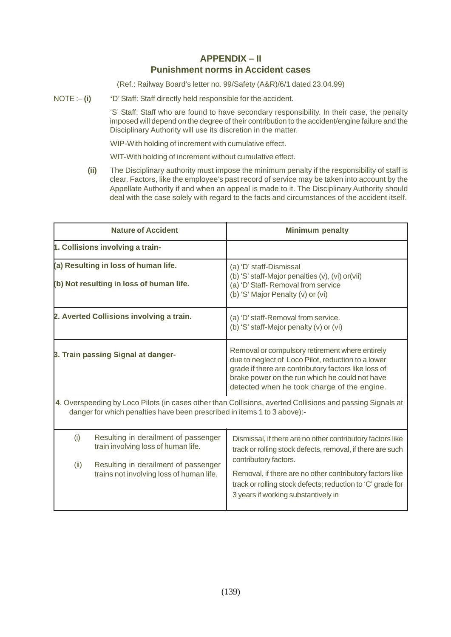# **APPENDIX – II Punishment norms in Accident cases**

(Ref.: Railway Board's letter no. 99/Safety (A&R)/6/1 dated 23.04.99)

NOTE :-**(i)** 'D' Staff: Staff directly held responsible for the accident.

'S' Staff: Staff who are found to have secondary responsibility. In their case, the penalty imposed will depend on the degree of their contribution to the accident/engine failure and the Disciplinary Authority will use its discretion in the matter.

WIP-With holding of increment with cumulative effect.

WIT-With holding of increment without cumulative effect.

**(ii)** The Disciplinary authority must impose the minimum penalty if the responsibility of staff is clear. Factors, like the employee's past record of service may be taken into account by the Appellate Authority if and when an appeal is made to it. The Disciplinary Authority should deal with the case solely with regard to the facts and circumstances of the accident itself.

| <b>Nature of Accident</b>                                                                                                                                                             |                                                                                                                                                                 | <b>Minimum penalty</b>                                                                                                                                                                                                                                                      |  |
|---------------------------------------------------------------------------------------------------------------------------------------------------------------------------------------|-----------------------------------------------------------------------------------------------------------------------------------------------------------------|-----------------------------------------------------------------------------------------------------------------------------------------------------------------------------------------------------------------------------------------------------------------------------|--|
|                                                                                                                                                                                       | 1. Collisions involving a train-                                                                                                                                |                                                                                                                                                                                                                                                                             |  |
| (a) Resulting in loss of human life.<br>(b) Not resulting in loss of human life.                                                                                                      |                                                                                                                                                                 | (a) 'D' staff-Dismissal<br>(b) 'S' staff-Major penalties (v), (vi) or (vii)<br>(a) 'D' Staff- Removal from service<br>(b) 'S' Major Penalty (v) or (vi)                                                                                                                     |  |
|                                                                                                                                                                                       | 2. Averted Collisions involving a train.                                                                                                                        | (a) 'D' staff-Removal from service.<br>(b) 'S' staff-Major penalty (v) or (vi)                                                                                                                                                                                              |  |
| <b>B. Train passing Signal at danger-</b>                                                                                                                                             |                                                                                                                                                                 | Removal or compulsory retirement where entirely<br>due to neglect of Loco Pilot, reduction to a lower<br>grade if there are contributory factors like loss of<br>brake power on the run which he could not have<br>detected when he took charge of the engine.              |  |
| 4. Overspeeding by Loco Pilots (in cases other than Collisions, averted Collisions and passing Signals at<br>danger for which penalties have been prescribed in items 1 to 3 above):- |                                                                                                                                                                 |                                                                                                                                                                                                                                                                             |  |
| (i)<br>(ii)                                                                                                                                                                           | Resulting in derailment of passenger<br>train involving loss of human life.<br>Resulting in derailment of passenger<br>trains not involving loss of human life. | Dismissal, if there are no other contributory factors like<br>track or rolling stock defects, removal, if there are such<br>contributory factors.<br>Removal, if there are no other contributory factors like<br>track or rolling stock defects; reduction to 'C' grade for |  |
|                                                                                                                                                                                       |                                                                                                                                                                 | 3 years if working substantively in                                                                                                                                                                                                                                         |  |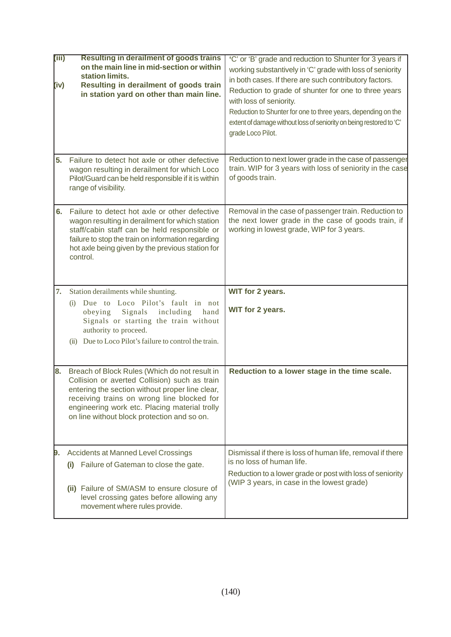| (iii)<br>(iv)<br>5. | <b>Resulting in derailment of goods trains</b><br>on the main line in mid-section or within<br>station limits.<br>Resulting in derailment of goods train<br>in station yard on other than main line.<br>Failure to detect hot axle or other defective                                           | 'C' or 'B' grade and reduction to Shunter for 3 years if<br>working substantively in 'C' grade with loss of seniority<br>in both cases. If there are such contributory factors.<br>Reduction to grade of shunter for one to three years<br>with loss of seniority.<br>Reduction to Shunter for one to three years, depending on the<br>extent of damage without loss of seniority on being restored to 'C'<br>grade Loco Pilot.<br>Reduction to next lower grade in the case of passenger |
|---------------------|-------------------------------------------------------------------------------------------------------------------------------------------------------------------------------------------------------------------------------------------------------------------------------------------------|-------------------------------------------------------------------------------------------------------------------------------------------------------------------------------------------------------------------------------------------------------------------------------------------------------------------------------------------------------------------------------------------------------------------------------------------------------------------------------------------|
|                     | wagon resulting in derailment for which Loco<br>Pilot/Guard can be held responsible if it is within<br>range of visibility.                                                                                                                                                                     | train. WIP for 3 years with loss of seniority in the case<br>of goods train.                                                                                                                                                                                                                                                                                                                                                                                                              |
| 6.                  | Failure to detect hot axle or other defective<br>wagon resulting in derailment for which station<br>staff/cabin staff can be held responsible or<br>failure to stop the train on information regarding<br>hot axle being given by the previous station for<br>control.                          | Removal in the case of passenger train. Reduction to<br>the next lower grade in the case of goods train, if<br>working in lowest grade, WIP for 3 years.                                                                                                                                                                                                                                                                                                                                  |
| 7.                  | Station derailments while shunting.<br>Due to Loco Pilot's fault in not<br>(i)<br>Signals<br>including<br>hand<br>obeying<br>Signals or starting the train without<br>authority to proceed.<br>Due to Loco Pilot's failure to control the train.<br>(ii)                                        | WIT for 2 years.<br>WIT for 2 years.                                                                                                                                                                                                                                                                                                                                                                                                                                                      |
| 8.                  | Breach of Block Rules (Which do not result in<br>Collision or averted Collision) such as train<br>entering the section without proper line clear,<br>receiving trains on wrong line blocked for<br>engineering work etc. Placing material trolly<br>on line without block protection and so on. | Reduction to a lower stage in the time scale.                                                                                                                                                                                                                                                                                                                                                                                                                                             |
| 9.                  | <b>Accidents at Manned Level Crossings</b><br>Failure of Gateman to close the gate.<br>$\mathbf{I}$<br>(ii) Failure of SM/ASM to ensure closure of<br>level crossing gates before allowing any<br>movement where rules provide.                                                                 | Dismissal if there is loss of human life, removal if there<br>is no loss of human life.<br>Reduction to a lower grade or post with loss of seniority<br>(WIP 3 years, in case in the lowest grade)                                                                                                                                                                                                                                                                                        |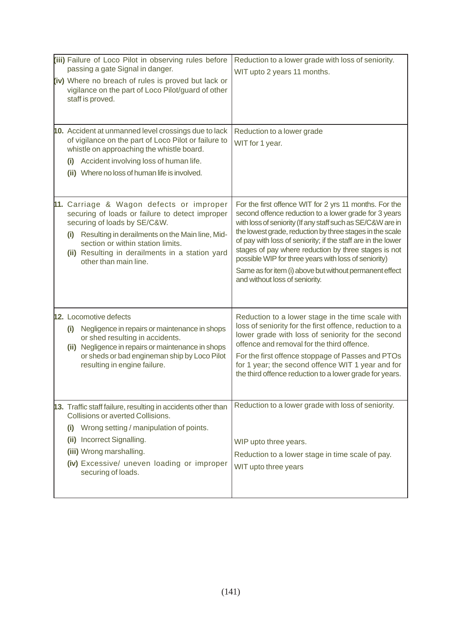| (iii) Failure of Loco Pilot in observing rules before<br>passing a gate Signal in danger.<br>(iv) Where no breach of rules is proved but lack or<br>vigilance on the part of Loco Pilot/guard of other<br>staff is proved.                                                                             | Reduction to a lower grade with loss of seniority.<br>WIT upto 2 years 11 months.                                                                                                                                                                                                                                                                                                                                                                                                                                      |
|--------------------------------------------------------------------------------------------------------------------------------------------------------------------------------------------------------------------------------------------------------------------------------------------------------|------------------------------------------------------------------------------------------------------------------------------------------------------------------------------------------------------------------------------------------------------------------------------------------------------------------------------------------------------------------------------------------------------------------------------------------------------------------------------------------------------------------------|
| 10. Accident at unmanned level crossings due to lack<br>of vigilance on the part of Loco Pilot or failure to<br>whistle on approaching the whistle board.<br>(i) Accident involving loss of human life.<br>(ii) Where no loss of human life is involved.                                               | Reduction to a lower grade<br>WIT for 1 year.                                                                                                                                                                                                                                                                                                                                                                                                                                                                          |
| 11. Carriage & Wagon defects or improper<br>securing of loads or failure to detect improper<br>securing of loads by SE/C&W.<br>Resulting in derailments on the Main line, Mid-<br>(i)<br>section or within station limits.<br>(ii) Resulting in derailments in a station yard<br>other than main line. | For the first offence WIT for 2 yrs 11 months. For the<br>second offence reduction to a lower grade for 3 years<br>with loss of seniority (If any staff such as SE/C&W are in<br>the lowest grade, reduction by three stages in the scale<br>of pay with loss of seniority; if the staff are in the lower<br>stages of pay where reduction by three stages is not<br>possible WIP for three years with loss of seniority)<br>Same as for item (i) above but without permanent effect<br>and without loss of seniority. |
| <b>12.</b> Locomotive defects<br>Negligence in repairs or maintenance in shops<br>(i)<br>or shed resulting in accidents.<br>(ii) Negligence in repairs or maintenance in shops<br>or sheds or bad engineman ship by Loco Pilot<br>resulting in engine failure.                                         | Reduction to a lower stage in the time scale with<br>loss of seniority for the first offence, reduction to a<br>lower grade with loss of seniority for the second<br>offence and removal for the third offence.<br>For the first offence stoppage of Passes and PTOs<br>for 1 year; the second offence WIT 1 year and for<br>the third offence reduction to a lower grade for years.                                                                                                                                   |
| 13. Traffic staff failure, resulting in accidents other than<br>Collisions or averted Collisions.<br>Wrong setting / manipulation of points.<br>(i)<br>Incorrect Signalling.<br>(ii)<br>(iii) Wrong marshalling.<br>(iv) Excessive/ uneven loading or improper<br>securing of loads.                   | Reduction to a lower grade with loss of seniority.<br>WIP upto three years.<br>Reduction to a lower stage in time scale of pay.<br>WIT upto three years                                                                                                                                                                                                                                                                                                                                                                |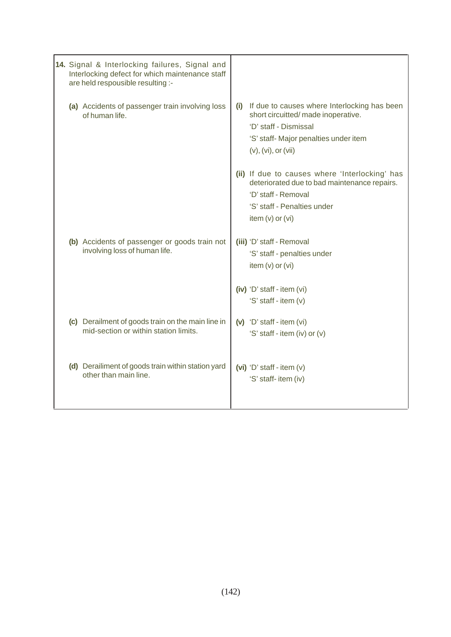| 14. Signal & Interlocking failures, Signal and<br>Interlocking defect for which maintenance staff<br>are held respousible resulting :- |                                                                                                                                                                                             |
|----------------------------------------------------------------------------------------------------------------------------------------|---------------------------------------------------------------------------------------------------------------------------------------------------------------------------------------------|
| (a) Accidents of passenger train involving loss<br>of human life                                                                       | If due to causes where Interlocking has been<br>(i)<br>short circuitted/ made inoperative.<br>'D' staff - Dismissal<br>'S' staff- Major penalties under item<br>$(v)$ , $(vi)$ , or $(vii)$ |
|                                                                                                                                        | (ii) If due to causes where 'Interlocking' has<br>deteriorated due to bad maintenance repairs.<br>'D' staff - Removal<br>'S' staff - Penalties under<br>item $(v)$ or $(vi)$                |
| (b) Accidents of passenger or goods train not<br>involving loss of human life.                                                         | (iii) 'D' staff - Removal<br>'S' staff - penalties under<br>item $(v)$ or $(vi)$                                                                                                            |
|                                                                                                                                        | (iv) 'D' staff - item (vi)<br>'S' staff - item (v)                                                                                                                                          |
| (c) Derailment of goods train on the main line in<br>mid-section or within station limits.                                             | $(v)$ 'D' staff - item $(vi)$<br>'S' staff - item (iv) or (v)                                                                                                                               |
| (d) Derailiment of goods train within station yard<br>other than main line.                                                            | (vi) 'D' staff - item $(v)$<br>'S' staff- item (iv)                                                                                                                                         |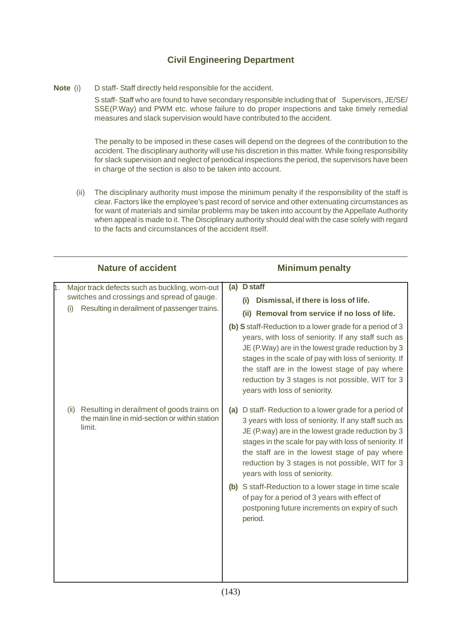# **Civil Engineering Department**

**Note** (i) D staff- Staff directly held responsible for the accident.

S staff- Staff who are found to have secondary responsible including that of Supervisors, JE/SE/ SSE(P.Way) and PWM etc. whose failure to do proper inspections and take timely remedial measures and slack supervision would have contributed to the accident.

The penalty to be imposed in these cases will depend on the degrees of the contribution to the accident. The disciplinary authority will use his discretion in this matter. While fixing responsibility for slack supervision and neglect of periodical inspections the period, the supervisors have been in charge of the section is also to be taken into account.

 (ii) The disciplinary authority must impose the minimum penalty if the responsibility of the staff is clear. Factors like the employee's past record of service and other extenuating circumstances as for want of materials and similar problems may be taken into account by the Appellate Authority when appeal is made to it. The Disciplinary authority should deal with the case solely with regard to the facts and circumstances of the accident itself.

|    | <b>Nature of accident</b>                                                                                      | <b>Minimum penalty</b>                                                                                                                                                                                                                                                                                                                                                   |
|----|----------------------------------------------------------------------------------------------------------------|--------------------------------------------------------------------------------------------------------------------------------------------------------------------------------------------------------------------------------------------------------------------------------------------------------------------------------------------------------------------------|
| ╽. | Major track defects such as buckling, worn-out<br>switches and crossings and spread of gauge.                  | <b>D</b> staff<br>(a)<br>Dismissal, if there is loss of life.<br>(i)                                                                                                                                                                                                                                                                                                     |
|    | Resulting in derailment of passenger trains.<br>(i)                                                            | Removal from service if no loss of life.<br>(iii)                                                                                                                                                                                                                                                                                                                        |
|    |                                                                                                                | (b) S staff-Reduction to a lower grade for a period of 3<br>years, with loss of seniority. If any staff such as<br>JE (P.Way) are in the lowest grade reduction by 3<br>stages in the scale of pay with loss of seniority. If<br>the staff are in the lowest stage of pay where<br>reduction by 3 stages is not possible, WIT for 3<br>years with loss of seniority.     |
|    | Resulting in derailment of goods trains on<br>(ii)<br>the main line in mid-section or within station<br>limit. | D staff- Reduction to a lower grade for a period of<br>(a)<br>3 years with loss of seniority. If any staff such as<br>JE (P.way) are in the lowest grade reduction by 3<br>stages in the scale for pay with loss of seniority. If<br>the staff are in the lowest stage of pay where<br>reduction by 3 stages is not possible, WIT for 3<br>years with loss of seniority. |
|    |                                                                                                                | (b) S staff-Reduction to a lower stage in time scale<br>of pay for a period of 3 years with effect of<br>postponing future increments on expiry of such<br>period.                                                                                                                                                                                                       |
|    |                                                                                                                |                                                                                                                                                                                                                                                                                                                                                                          |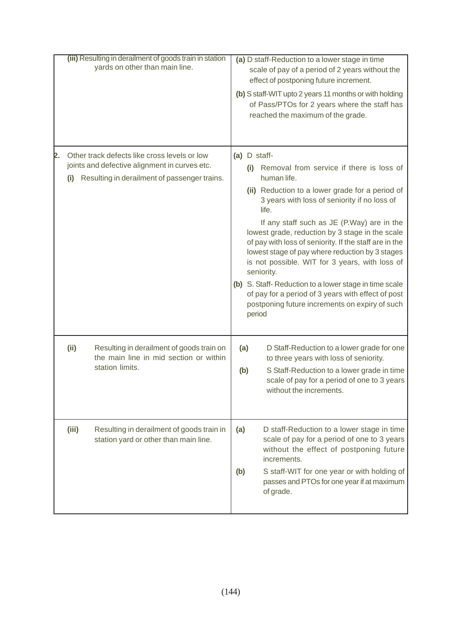| (iii) Resulting in derailment of goods train in station<br>yards on other than main line.                                                                  | (a) D staff-Reduction to a lower stage in time<br>scale of pay of a period of 2 years without the<br>effect of postponing future increment.<br>(b) S staff-WIT upto 2 years 11 months or with holding<br>of Pass/PTOs for 2 years where the staff has<br>reached the maximum of the grade.                                                                                                                                                                                                                                                                                                                                                          |
|------------------------------------------------------------------------------------------------------------------------------------------------------------|-----------------------------------------------------------------------------------------------------------------------------------------------------------------------------------------------------------------------------------------------------------------------------------------------------------------------------------------------------------------------------------------------------------------------------------------------------------------------------------------------------------------------------------------------------------------------------------------------------------------------------------------------------|
| Other track defects like cross levels or low<br>2.<br>joints and defective alignment in curves etc.<br>Resulting in derailment of passenger trains.<br>(i) | (a) D staff-<br>Removal from service if there is loss of<br>(i)<br>human life.<br>(ii) Reduction to a lower grade for a period of<br>3 years with loss of seniority if no loss of<br>life.<br>If any staff such as JE (P.Way) are in the<br>lowest grade, reduction by 3 stage in the scale<br>of pay with loss of seniority. If the staff are in the<br>lowest stage of pay where reduction by 3 stages<br>is not possible. WIT for 3 years, with loss of<br>seniority.<br>(b) S. Staff-Reduction to a lower stage in time scale<br>of pay for a period of 3 years with effect of post<br>postponing future increments on expiry of such<br>period |
| Resulting in derailment of goods train on<br>(ii)<br>the main line in mid section or within<br>station limits.                                             | D Staff-Reduction to a lower grade for one<br>(a)<br>to three years with loss of seniority.<br>S Staff-Reduction to a lower grade in time<br>(b)<br>scale of pay for a period of one to 3 years<br>without the increments.                                                                                                                                                                                                                                                                                                                                                                                                                          |
| Resulting in derailment of goods train in<br>(iii)<br>station yard or other than main line.                                                                | D staff-Reduction to a lower stage in time<br>(a)<br>scale of pay for a period of one to 3 years<br>without the effect of postponing future<br>increments.<br>S staff-WIT for one year or with holding of<br>(b)<br>passes and PTOs for one year if at maximum<br>of grade.                                                                                                                                                                                                                                                                                                                                                                         |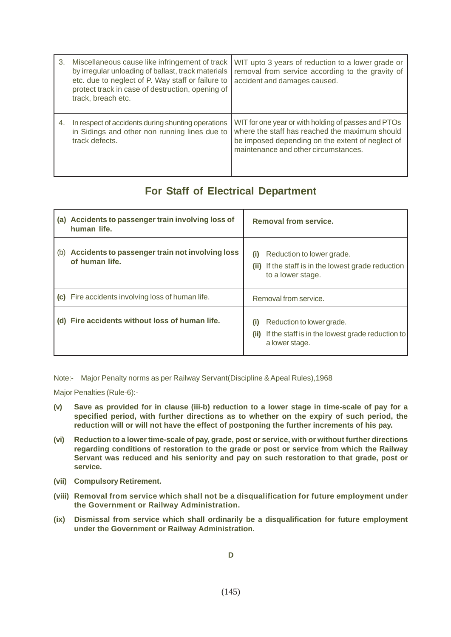| 3. | Miscellaneous cause like infringement of track<br>by irregular unloading of ballast, track materials<br>etc. due to neglect of P. Way staff or failure to<br>protect track in case of destruction, opening of<br>track, breach etc. | WIT upto 3 years of reduction to a lower grade or<br>removal from service according to the gravity of<br>accident and damages caused.                                                             |
|----|-------------------------------------------------------------------------------------------------------------------------------------------------------------------------------------------------------------------------------------|---------------------------------------------------------------------------------------------------------------------------------------------------------------------------------------------------|
| 4. | In respect of accidents during shunting operations<br>in Sidings and other non running lines due to<br>track defects.                                                                                                               | WIT for one year or with holding of passes and PTOs<br>where the staff has reached the maximum should<br>be imposed depending on the extent of neglect of<br>maintenance and other circumstances. |

## **For Staff of Electrical Department**

|     | (a) Accidents to passenger train involving loss of<br>human life. | <b>Removal from service.</b>                                                                                            |
|-----|-------------------------------------------------------------------|-------------------------------------------------------------------------------------------------------------------------|
| (b) | Accidents to passenger train not involving loss<br>of human life. | Reduction to lower grade.<br>(i)<br>If the staff is in the lowest grade reduction<br>(ii)<br>to a lower stage.          |
|     | (c) Fire accidents involving loss of human life.                  | Removal from service.                                                                                                   |
|     | Fire accidents without loss of human life.                        | Reduction to lower grade.<br>$\mathbf{I}$<br>If the staff is in the lowest grade reduction to<br>(ii)<br>a lower stage. |

Note:- Major Penalty norms as per Railway Servant(Discipline & Apeal Rules),1968

Major Penalties (Rule-6):-

- **(v) Save as provided for in clause (iii-b) reduction to a lower stage in time-scale of pay for a specified period, with further directions as to whether on the expiry of such period, the reduction will or will not have the effect of postponing the further increments of his pay.**
- **(vi) Reduction to a lower time-scale of pay, grade, post or service, with or without further directions regarding conditions of restoration to the grade or post or service from which the Railway Servant was reduced and his seniority and pay on such restoration to that grade, post or service.**
- **(vii) Compulsory Retirement.**
- **(viii) Removal from service which shall not be a disqualification for future employment under the Government or Railway Administration.**
- **(ix) Dismissal from service which shall ordinarily be a disqualification for future employment under the Government or Railway Administration.**

**D**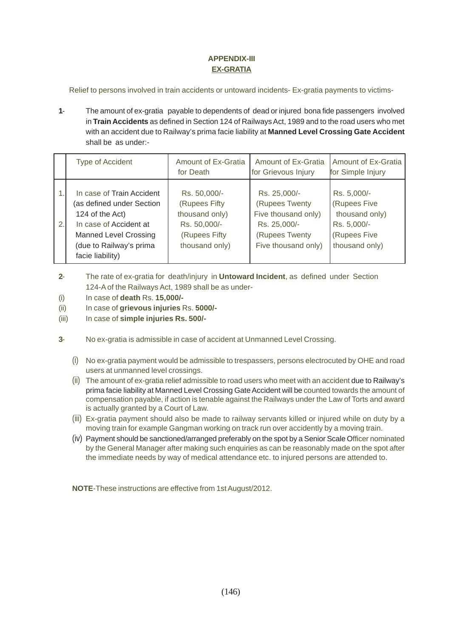## **APPENDIX-III EX-GRATIA**

Relief to persons involved in train accidents or untoward incidents- Ex-gratia payments to victims-

**1**- The amount of ex-gratia payable to dependents of dead or injured bona fide passengers involved in **Train Accidents** as defined in Section 124 of Railways Act, 1989 and to the road users who met with an accident due to Railway's prima facie liability at **Manned Level Crossing Gate Accident** shall be as under:-

|    | <b>Type of Accident</b>                                                                                                                                                            | Amount of Ex-Gratia<br>for Death                                                                   | Amount of Ex-Gratia<br>for Grievous Injury                                                                     | <b>Amount of Ex-Gratia</b><br>for Simple Injury                                                |
|----|------------------------------------------------------------------------------------------------------------------------------------------------------------------------------------|----------------------------------------------------------------------------------------------------|----------------------------------------------------------------------------------------------------------------|------------------------------------------------------------------------------------------------|
| 2. | In case of Train Accident<br>(as defined under Section<br>124 of the Act)<br>In case of Accident at<br><b>Manned Level Crossing</b><br>(due to Railway's prima<br>facie liability) | Rs. 50,000/-<br>(Rupees Fifty<br>thousand only)<br>Rs. 50,000/-<br>(Rupees Fifty<br>thousand only) | Rs. 25,000/-<br>(Rupees Twenty<br>Five thousand only)<br>Rs. 25,000/-<br>(Rupees Twenty<br>Five thousand only) | Rs. 5,000/-<br>(Rupees Five<br>thousand only)<br>Rs. 5,000/-<br>(Rupees Five<br>thousand only) |

- **2** The rate of ex-gratia for death/injury in **Untoward Incident**, as defined under Section 124-A of the Railways Act, 1989 shall be as under-
- (i) In case of **death** Rs. **15,000/-**
- (ii) In case of **grievous injuries** Rs. **5000/-**
- (iii) In case of **simple injuries Rs. 500/-**
- **3** No ex-gratia is admissible in case of accident at Unmanned Level Crossing.
	- (i) No ex-gratia payment would be admissible to trespassers, persons electrocuted by OHE and road users at unmanned level crossings.
	- (ii) The amount of ex-gratia relief admissible to road users who meet with an accident due to Railway's prima facie liability at Manned Level Crossing Gate Accident will be counted towards the amount of compensation payable, if action is tenable against the Railways under the Law of Torts and award is actually granted by a Court of Law.
	- (iii) Ex-gratia payment should also be made to railway servants killed or injured while on duty by a moving train for example Gangman working on track run over accidently by a moving train.
	- (iv) Payment should be sanctioned/arranged preferably on the spot by a Senior Scale Officer nominated by the General Manager after making such enquiries as can be reasonably made on the spot after the immediate needs by way of medical attendance etc. to injured persons are attended to.

**NOTE**-These instructions are effective from 1st August/2012.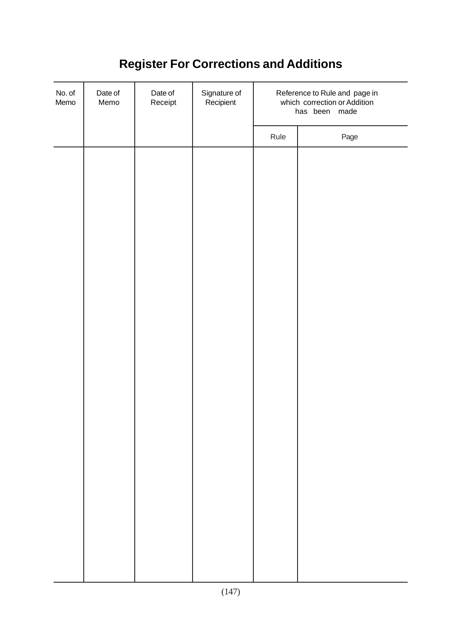## **Register For Corrections and Additions**

| No. of<br>Memo | Date of<br>Memo | Date of<br>Receipt | Signature of<br>Recipient | Reference to Rule and page in<br>which correction or Addition<br>has been made |      |
|----------------|-----------------|--------------------|---------------------------|--------------------------------------------------------------------------------|------|
|                |                 |                    |                           | Rule                                                                           | Page |
|                |                 |                    |                           |                                                                                |      |
|                |                 |                    |                           |                                                                                |      |
|                |                 |                    |                           |                                                                                |      |
|                |                 |                    |                           |                                                                                |      |
|                |                 |                    |                           |                                                                                |      |
|                |                 |                    |                           |                                                                                |      |
|                |                 |                    |                           |                                                                                |      |
|                |                 |                    |                           |                                                                                |      |
|                |                 |                    |                           |                                                                                |      |
|                |                 |                    |                           |                                                                                |      |
|                |                 |                    |                           |                                                                                |      |
|                |                 |                    |                           |                                                                                |      |
|                |                 |                    |                           |                                                                                |      |
|                |                 |                    |                           |                                                                                |      |
|                |                 |                    |                           |                                                                                |      |
|                |                 |                    |                           |                                                                                |      |
|                |                 |                    |                           |                                                                                |      |
|                |                 |                    |                           |                                                                                |      |
|                |                 |                    |                           |                                                                                |      |
|                |                 |                    |                           |                                                                                |      |